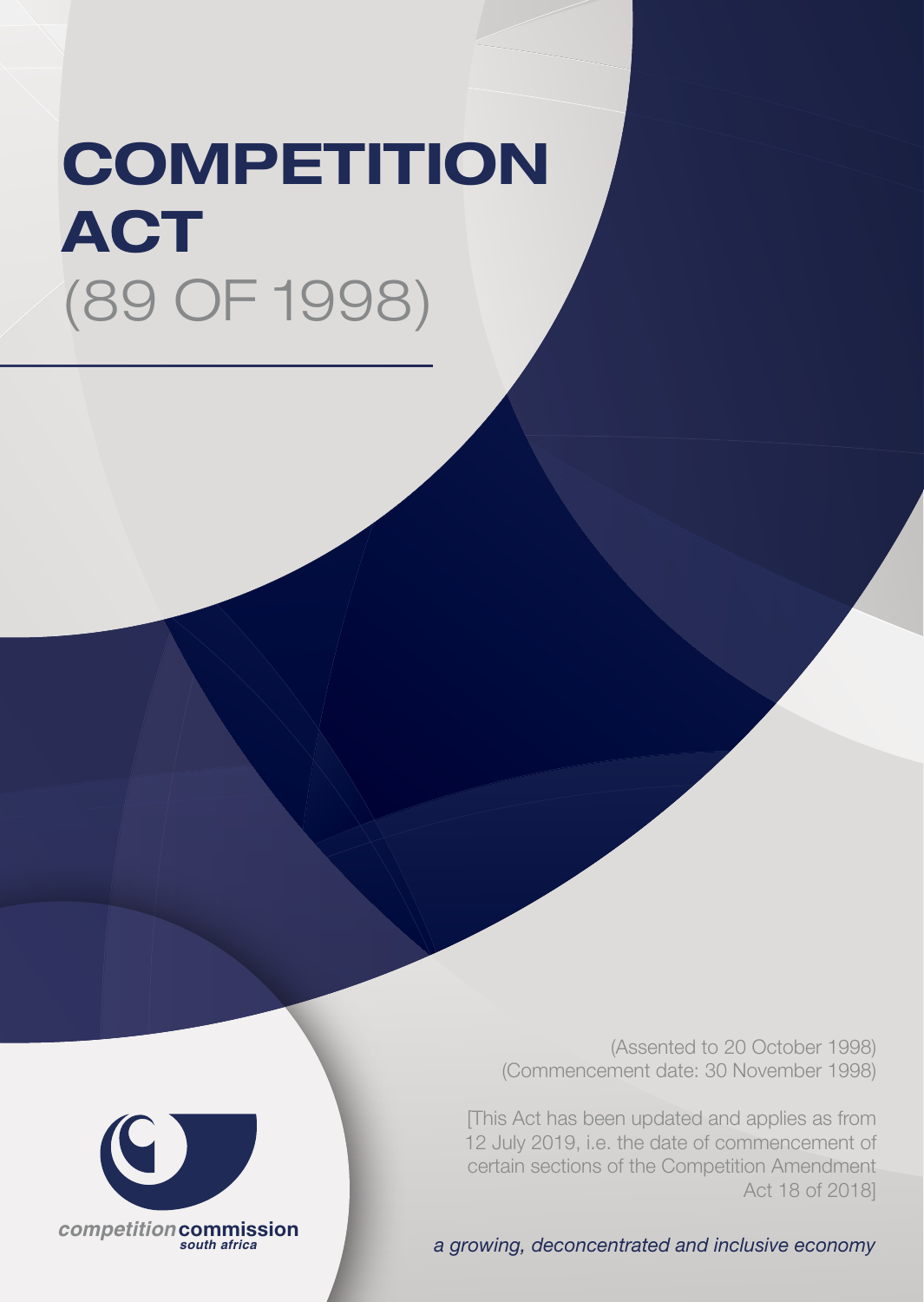# **COMPETITION ACT** (89 OF 1998)

(Assented to 20 October 1998) (Commencement date: 30 November 1998)

[This Act has been updated and applies as from 12 July 2019, i.e. the date of commencement of certain sections of the Competition Amendment Act 18 of 2018]

*a growing, deconcentrated and inclusive economy*

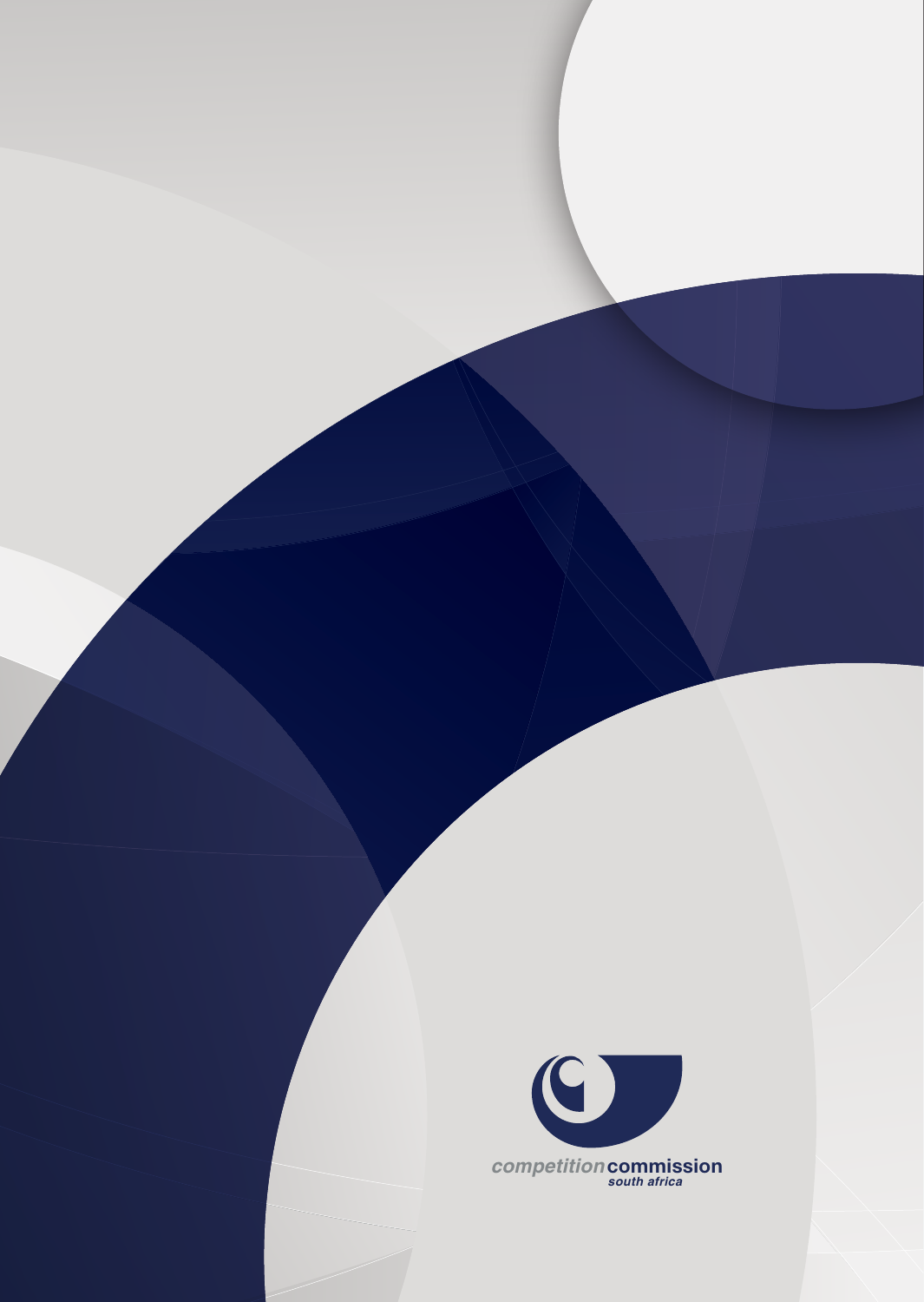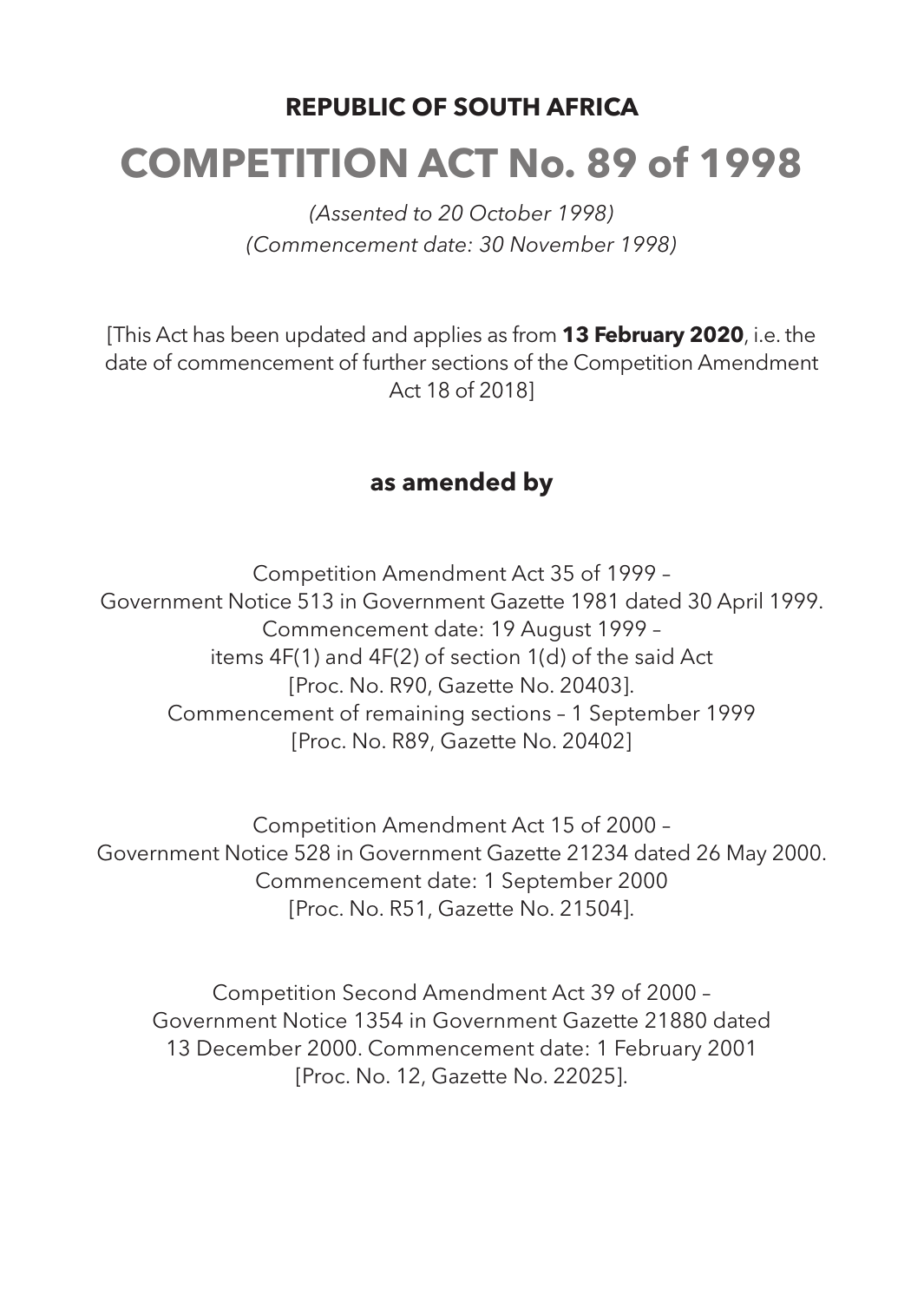#### **REPUBLIC OF SOUTH AFRICA**

# **COMPETITION ACT No. 89 of 1998**

*(Assented to 20 October 1998) (Commencement date: 30 November 1998)*

[This Act has been updated and applies as from **13 February 2020**, i.e. the date of commencement of further sections of the Competition Amendment Act 18 of 2018]

#### **as amended by**

Competition Amendment Act 35 of 1999 – Government Notice 513 in Government Gazette 1981 dated 30 April 1999. Commencement date: 19 August 1999 – items 4F(1) and 4F(2) of section 1(d) of the said Act [Proc. No. R90, Gazette No. 20403]. Commencement of remaining sections – 1 September 1999 [Proc. No. R89, Gazette No. 20402]

Competition Amendment Act 15 of 2000 – Government Notice 528 in Government Gazette 21234 dated 26 May 2000. Commencement date: 1 September 2000 [Proc. No. R51, Gazette No. 21504].

Competition Second Amendment Act 39 of 2000 – Government Notice 1354 in Government Gazette 21880 dated 13 December 2000. Commencement date: 1 February 2001 [Proc. No. 12, Gazette No. 22025].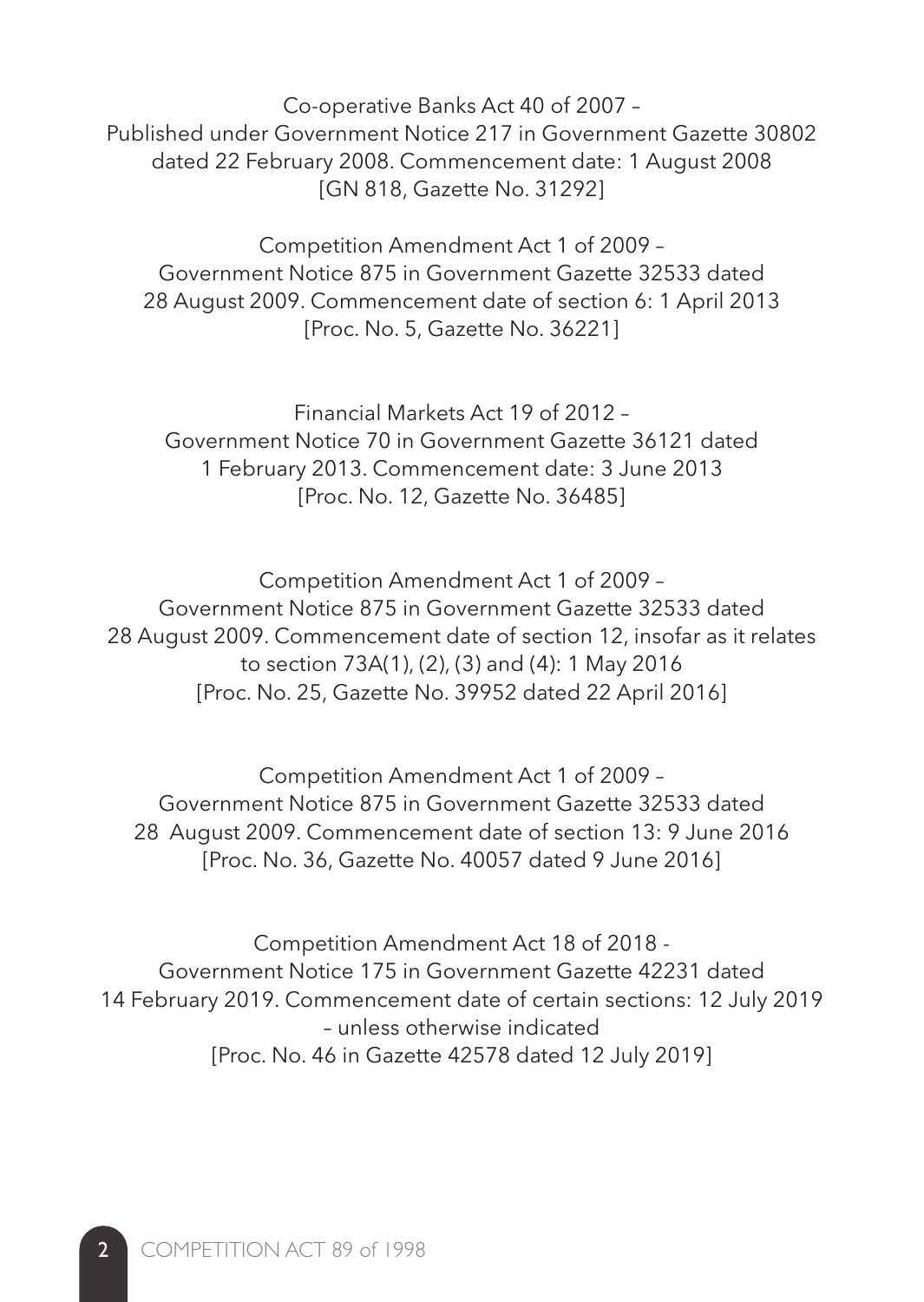Co-operative Banks Act 40 of 2007 – Published under Government Notice 217 in Government Gazette 30802 dated 22 February 2008. Commencement date: 1 August 2008 [GN 818, Gazette No. 31292]

Competition Amendment Act 1 of 2009 – Government Notice 875 in Government Gazette 32533 dated 28 August 2009. Commencement date of section 6: 1 April 2013 [Proc. No. 5, Gazette No. 36221]

Financial Markets Act 19 of 2012 – Government Notice 70 in Government Gazette 36121 dated 1 February 2013. Commencement date: 3 June 2013 [Proc. No. 12, Gazette No. 36485]

Competition Amendment Act 1 of 2009 – Government Notice 875 in Government Gazette 32533 dated 28 August 2009. Commencement date of section 12, insofar as it relates to section 73A(1), (2), (3) and (4): 1 May 2016 [Proc. No. 25, Gazette No. 39952 dated 22 April 2016]

Competition Amendment Act 1 of 2009 – Government Notice 875 in Government Gazette 32533 dated 28 August 2009. Commencement date of section 13: 9 June 2016 [Proc. No. 36, Gazette No. 40057 dated 9 June 2016]

Competition Amendment Act 18 of 2018 - Government Notice 175 in Government Gazette 42231 dated 14 February 2019. Commencement date of certain sections: 12 July 2019 – unless otherwise indicated [Proc. No. 46 in Gazette 42578 dated 12 July 2019]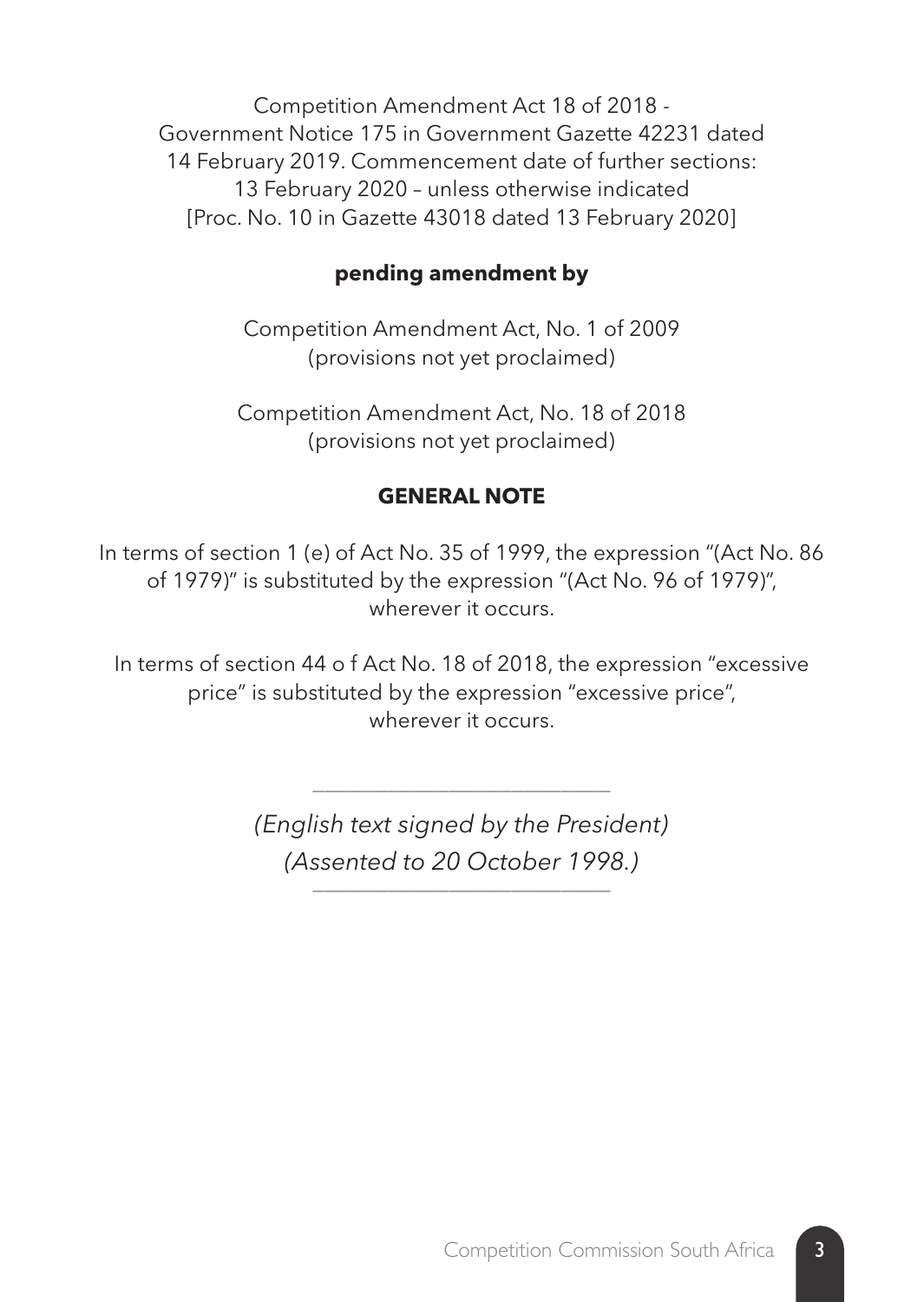Competition Amendment Act 18 of 2018 - Government Notice 175 in Government Gazette 42231 dated 14 February 2019. Commencement date of further sections: 13 February 2020 – unless otherwise indicated [Proc. No. 10 in Gazette 43018 dated 13 February 2020]

#### **pending amendment by**

Competition Amendment Act, No. 1 of 2009 (provisions not yet proclaimed)

Competition Amendment Act, No. 18 of 2018 (provisions not yet proclaimed)

#### **GENERAL NOTE**

In terms of section 1 (e) of Act No. 35 of 1999, the expression "(Act No. 86 of 1979)" is substituted by the expression "(Act No. 96 of 1979)", wherever it occurs.

In terms of section 44 o f Act No. 18 of 2018, the expression "excessive price" is substituted by the expression "excessive price", wherever it occurs.

> *\_\_\_\_\_\_\_\_\_\_\_\_\_\_\_\_\_\_\_\_\_\_\_\_ (English text signed by the President) (Assented to 20 October 1998.) \_\_\_\_\_\_\_\_\_\_\_\_\_\_\_\_\_\_\_\_\_\_\_\_*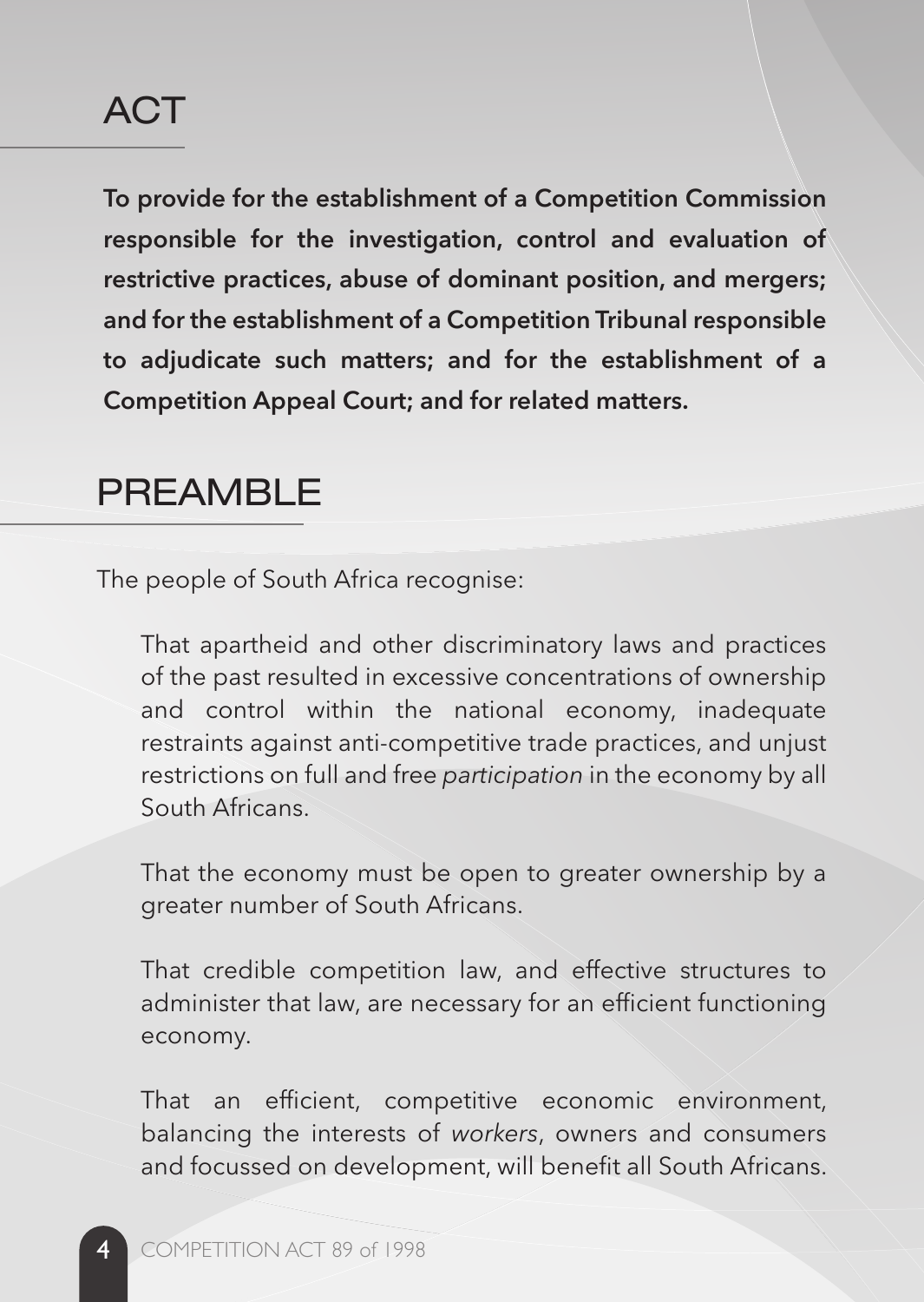To provide for the establishment of a Competition Commission responsible for the investigation, control and evaluation of restrictive practices, abuse of dominant position, and mergers; and for the establishment of a Competition Tribunal responsible to adjudicate such matters; and for the establishment of a Competition Appeal Court; and for related matters.

## PRFAMBLE

The people of South Africa recognise:

That apartheid and other discriminatory laws and practices of the past resulted in excessive concentrations of ownership and control within the national economy, inadequate restraints against anti-competitive trade practices, and unjust restrictions on full and free *participation* in the economy by all South Africans.

That the economy must be open to greater ownership by a greater number of South Africans.

That credible competition law, and effective structures to administer that law, are necessary for an efficient functioning economy.

That an efficient, competitive economic environment, balancing the interests of *workers*, owners and consumers and focussed on development, will benefit all South Africans.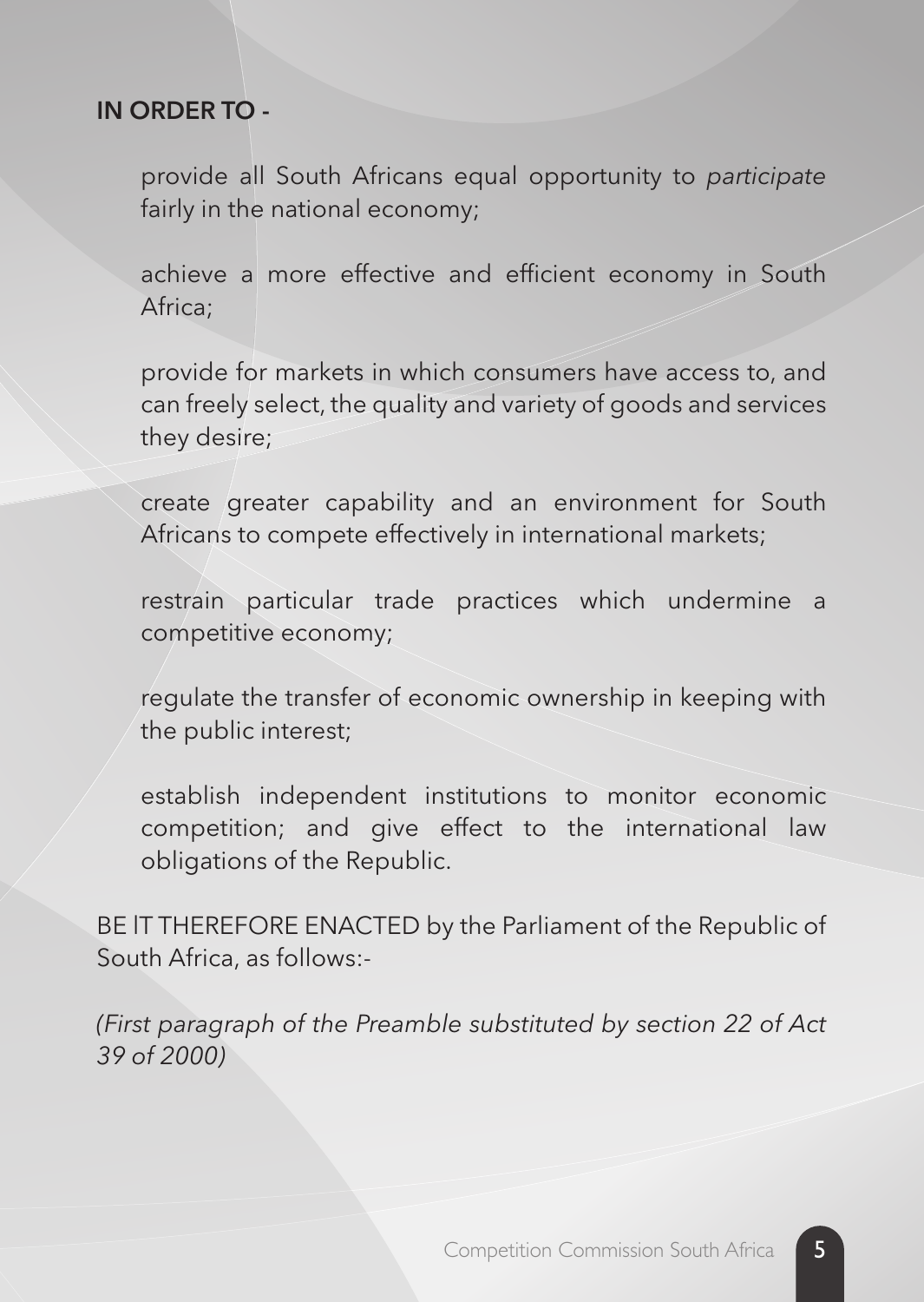#### IN ORDER TO -

provide all South Africans equal opportunity to *participate* fairly in the national economy;

achieve a more effective and efficient economy in South Africa;

provide for markets in which consumers have access to, and can freely select, the quality and variety of goods and services they desire;

create greater capability and an environment for South Africans to compete effectively in international markets;

restrain particular trade practices which undermine a competitive economy;

regulate the transfer of economic ownership in keeping with the public interest;

establish independent institutions to monitor economic competition; and give effect to the international law obligations of the Republic.

BE lT THEREFORE ENACTED by the Parliament of the Republic of South Africa, as follows:-

*(First paragraph of the Preamble substituted by section 22 of Act 39 of 2000)*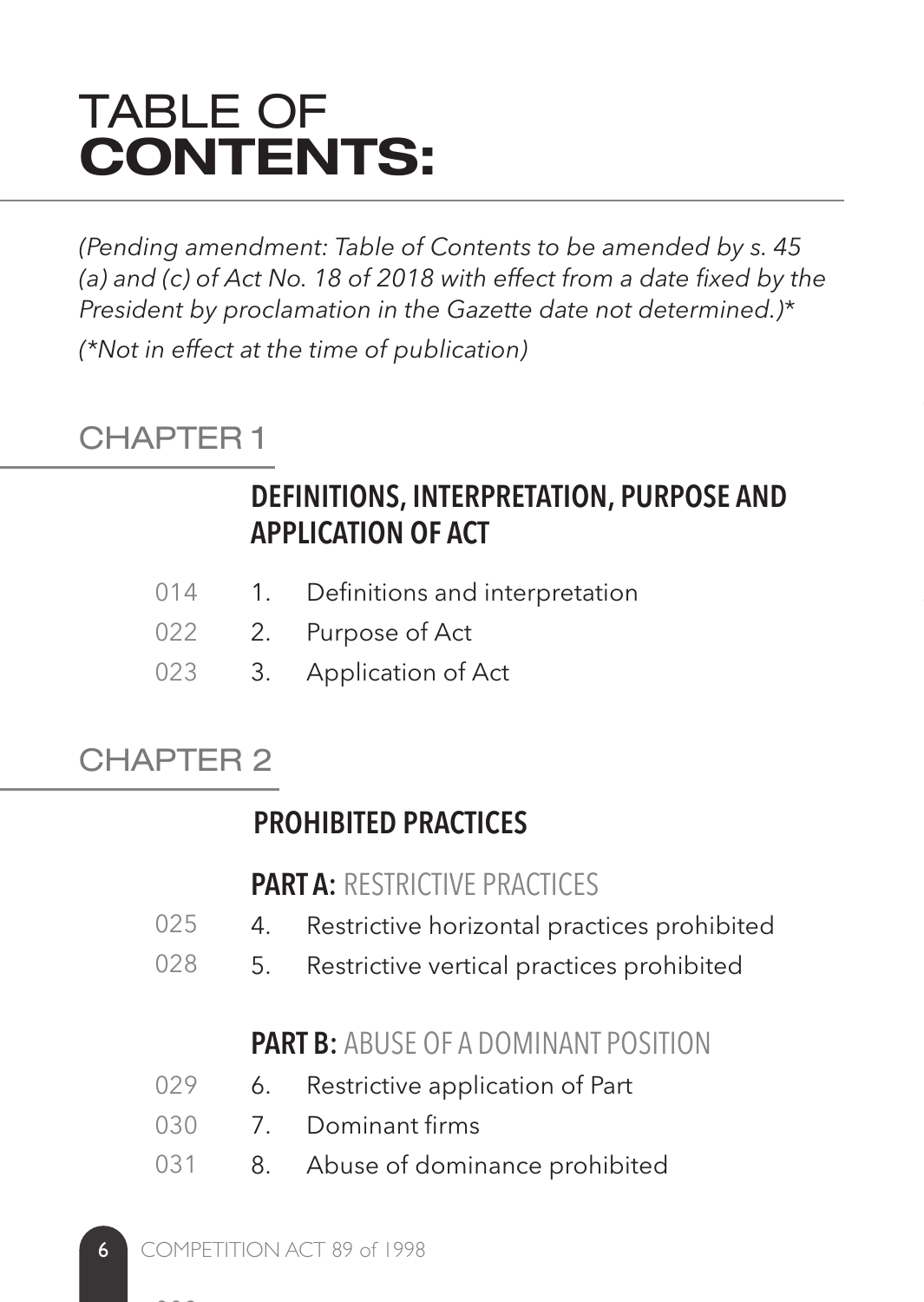# CONTENTS: TABLE OF

*(Pending amendment: Table of Contents to be amended by s. 45 (a) and (c) of Act No. 18 of 2018 with effect from a date fixed by the President by proclamation in the Gazette date not determined.)\* (\*Not in effect at the time of publication)*

## CHAPTER 1

## DEFINITIONS, INTERPRETATION, PURPOSE AND APPLICATION OF ACT

- 1. Definitions and interpretation 014
- 2. Purpose of Act 022
- 3. Application of Act 023

## CHAPTER 2

## PROHIBITED PRACTICES

## PART A: RESTRICTIVE PRACTICES

- 4. Restrictive horizontal practices prohibited 025
- 5. Restrictive vertical practices prohibited 028

## PART B: ARUSE OF A DOMINANT POSITION

- 6. Restrictive application of Part 029
- 7. Dominant firms 030
- 8. Abuse of dominance prohibited 031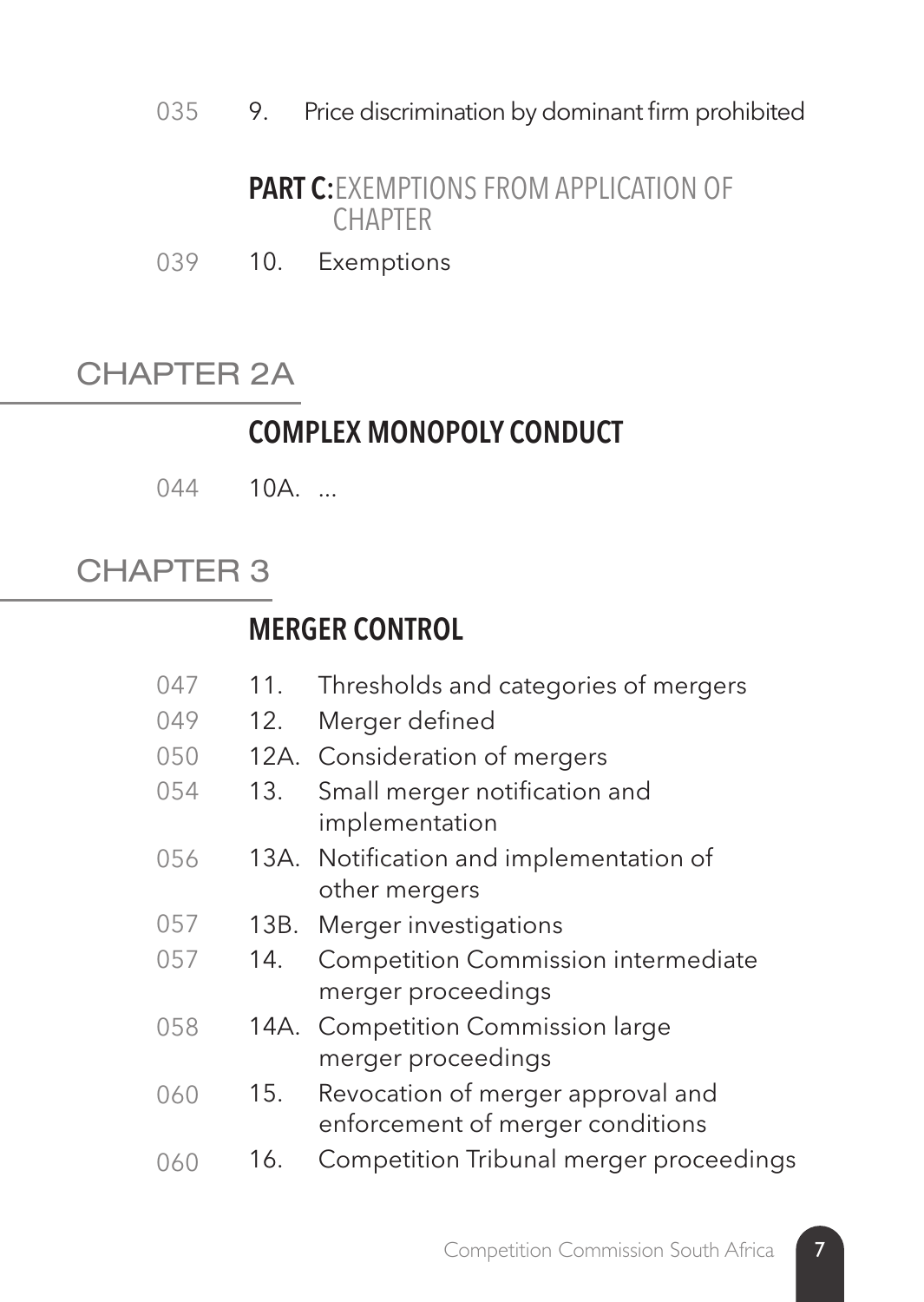9. Price discrimination by dominant firm prohibited 035

#### PART C: EXEMPTIONS FROM APPLICATION OF CHAPTER

039 10. Exemptions

## CHAPTER 2A

## COMPLEX MONOPOLY CONDUCT

044 **10A.** ...

## CHAPTER 3

## MERGER CONTROL

| 047 | 11. | Thresholds and categories of mergers                                  |
|-----|-----|-----------------------------------------------------------------------|
| 049 | 12. | Merger defined                                                        |
| 050 |     | 12A. Consideration of mergers                                         |
| 054 | 13. | Small merger notification and<br>implementation                       |
| 056 |     | 13A. Notification and implementation of<br>other mergers              |
| 057 |     | 13B. Merger investigations                                            |
| 057 | 14. | <b>Competition Commission intermediate</b><br>merger proceedings      |
| 058 |     | 14A. Competition Commission large<br>merger proceedings               |
| 060 | 15. | Revocation of merger approval and<br>enforcement of merger conditions |
| 060 | 16. | Competition Tribunal merger proceedings                               |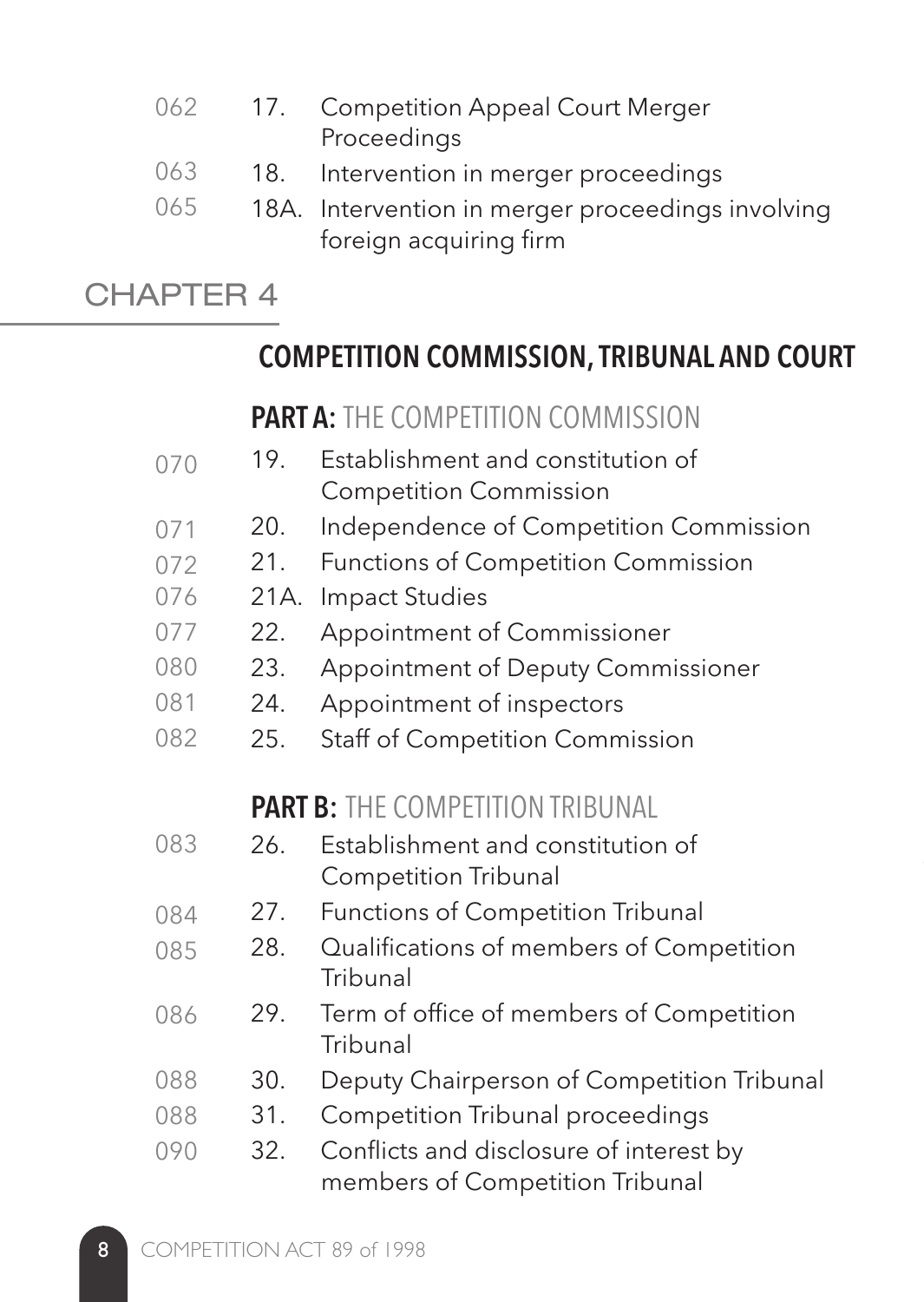| 062 | 17. Competition Appeal Court Merger |
|-----|-------------------------------------|
|     | Proceedings                         |

- 18. Intervention in merger proceedings 063
- 18A. Intervention in merger proceedings involving foreign acquiring firm 065

## CHAPTER 4

## COMPETITION COMMISSION, TRIBUNAL AND COURT

## PART A: THE COMPETITION COMMISSION

- 19. Establishment and constitution of Competition Commission 070
- 20. Independence of Competition Commission 071
- 21. Functions of Competition Commission 072
- 21A. Impact Studies 076
- 22. Appointment of Commissioner 077
- 23. Appointment of Deputy Commissioner 080
- 24. Appointment of inspectors 081
- 25. Staff of Competition Commission 082

## PART R · THE COMPETITION TRIBUNAL

- 26. Establishment and constitution of Competition Tribunal 083
- 27. Functions of Competition Tribunal 084
- 28. Qualifications of members of Competition Tribunal 085
- 29. Term of office of members of Competition Tribunal 086
- 30. Deputy Chairperson of Competition Tribunal 088
- 31. Competition Tribunal proceedings 088
- 32. Conflicts and disclosure of interest by members of Competition Tribunal 090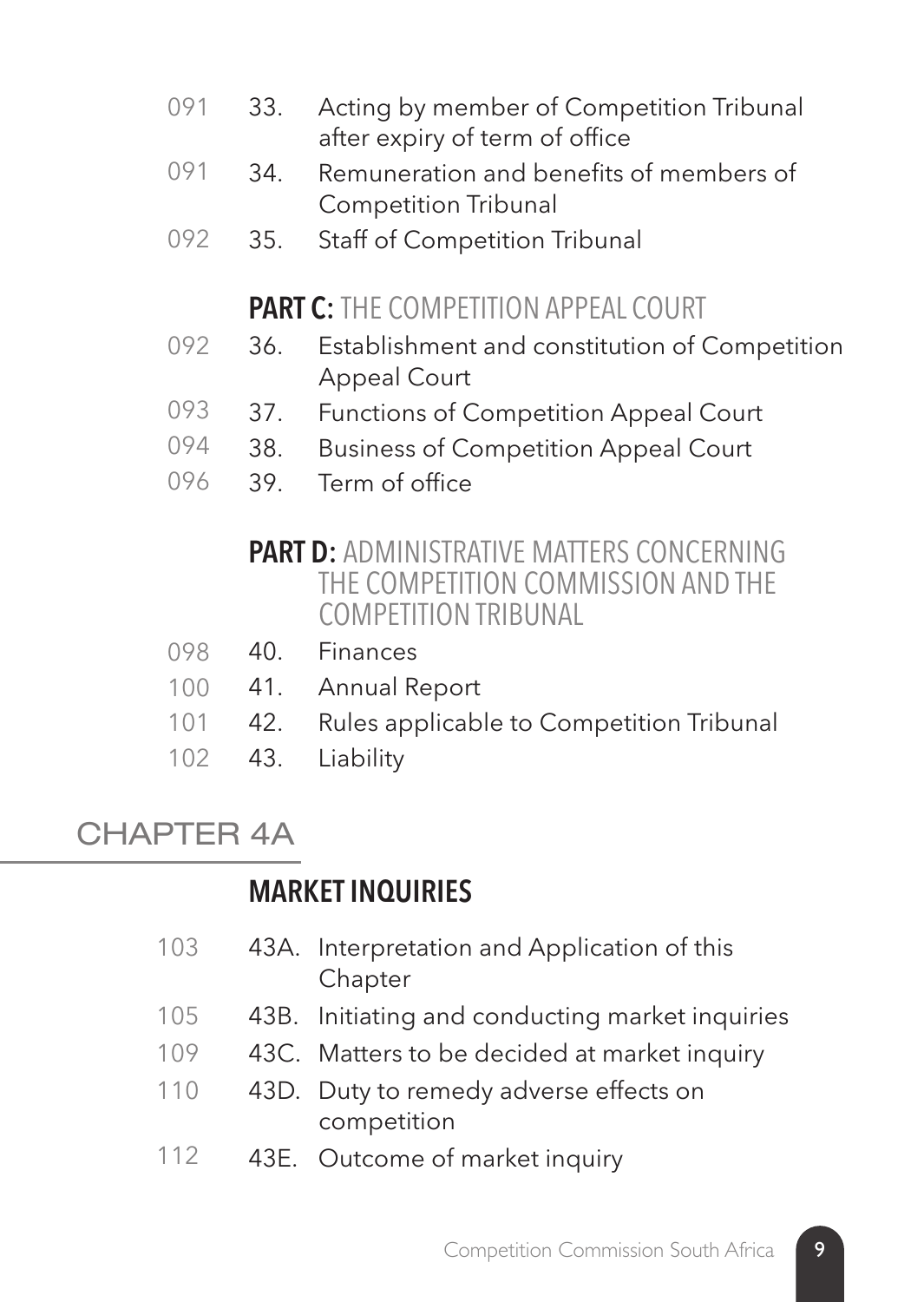- 33. Acting by member of Competition Tribunal after expiry of term of office 091
- 34. Remuneration and benefits of members of Competition Tribunal 091
- 35. Staff of Competition Tribunal 092

## PART C: THE COMPETITION APPEAL COURT

- 36. Establishment and constitution of Competition Appeal Court 092
- 37. Functions of Competition Appeal Court 093
- 38. Business of Competition Appeal Court 094
- 39. Term of office 096

#### PART D: ADMINISTRATIVE MATTERS CONCERNING THE COMPETITION COMMISSION AND THE COMPETITION TRIBUNAL

| 098<br>40. | <b>Finances</b> |
|------------|-----------------|
|------------|-----------------|

- 41. Annual Report 100
- 42. Rules applicable to Competition Tribunal 101
- 43. Liability 102

## CHAPTER 4A

#### MARKET INQUIRIES

- 103 43A. Interpretation and Application of this Chapter
- 105 43B. Initiating and conducting market inquiries
- 109 43C. Matters to be decided at market inquiry
- 110 43D. Duty to remedy adverse effects on competition
- 112 43E. Outcome of market inquiry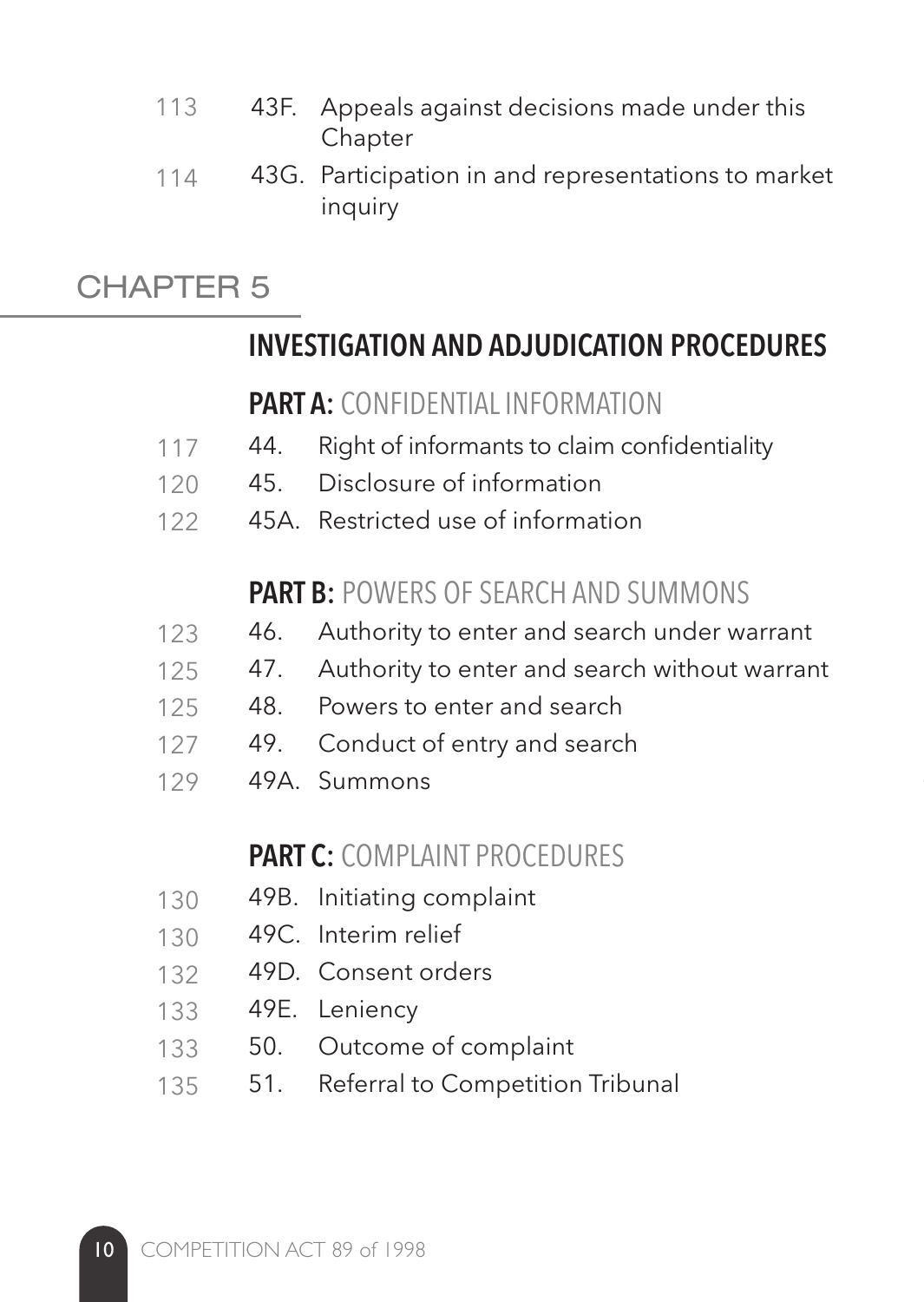- 43F. Appeals against decisions made under this Chapter 113
- 43G. Participation in and representations to market inquiry 114

## CHAPTER<sub>5</sub>

## INVESTIGATION AND ADJUDICATION PROCEDURES

#### PART A: CONFIDENTIAL INFORMATION

- 117 44. Right of informants to claim confidentiality
- 120 45. Disclosure of information
- 122 45A. Restricted use of information

#### PART B: POWERS OF SEARCH AND SUMMONS

- 123 46. Authority to enter and search under warrant
- 125 47. Authority to enter and search without warrant
- 125 48. Powers to enter and search
- 127 49. Conduct of entry and search
- 129 49A. Summons

## PART C: COMPLAINT PROCEDURES

- 130 49B. Initiating complaint
- 130 49C. Interim relief
- 132 49D. Consent orders
- 133 49E. Leniency
- 133 50. Outcome of complaint
- 135 51. Referral to Competition Tribunal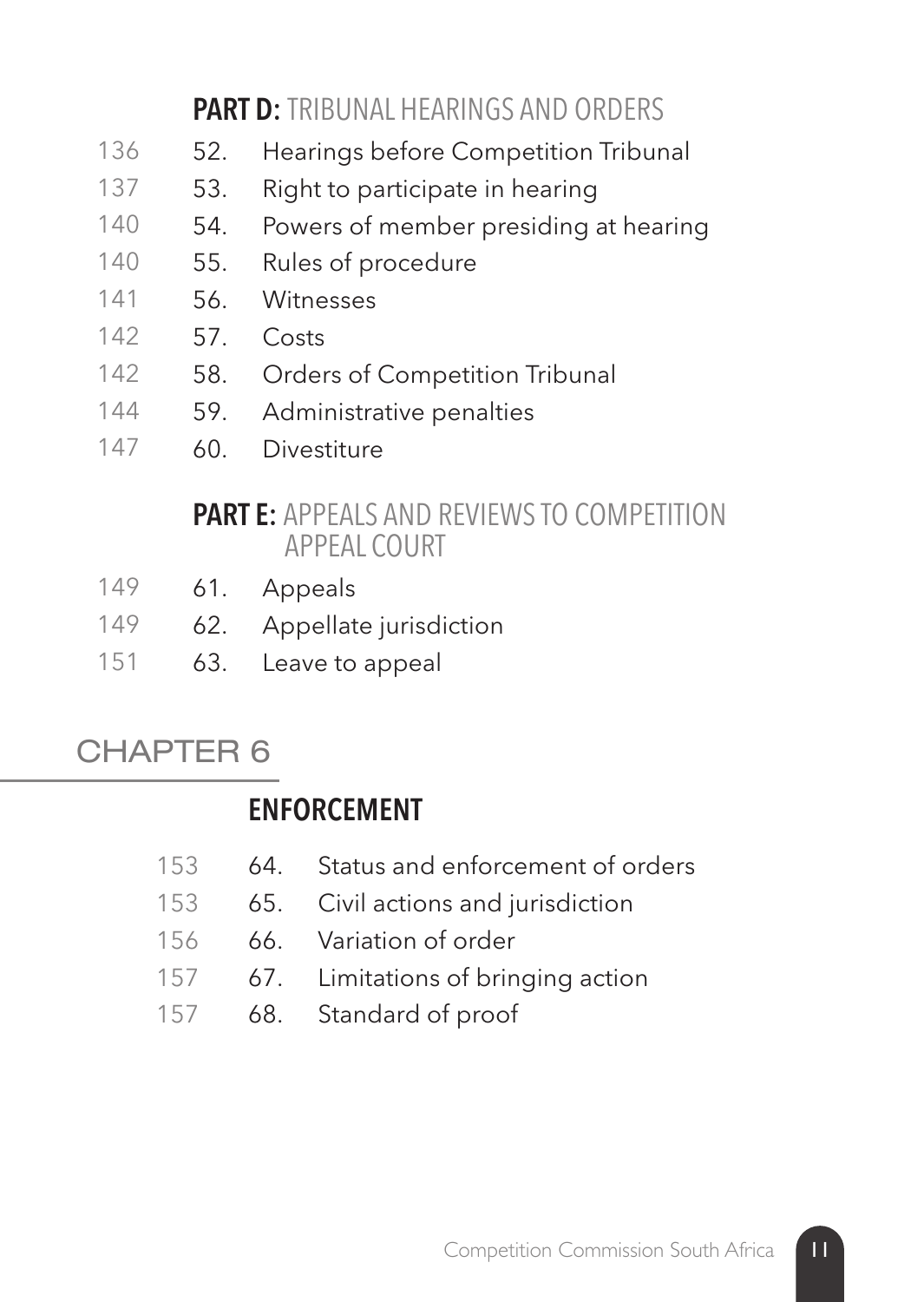## **PART D:** TRIBUNAL HEARINGS AND ORDERS

- 52. Hearings before Competition Tribunal 136
- 53. Right to participate in hearing 137
- 54. Powers of member presiding at hearing  $140$
- 55. Rules of procedure  $140$
- 56. Witnesses 141
- 57. Costs 142
- 58. Orders of Competition Tribunal 142
- 59. Administrative penalties 144
- 60. Divestiture 147

#### PART F: APPEALS AND REVIEWS TO COMPETITION APPEAL COURT

- 61. Appeals 149
- 62. Appellate jurisdiction 149
- 63. Leave to appeal 151

## CHAPTER 6

## **ENFORCEMENT**

- 153 64. Status and enforcement of orders
- 153 65. Civil actions and jurisdiction
- 156 66. Variation of order
- 157 67. Limitations of bringing action
- 157 68. Standard of proof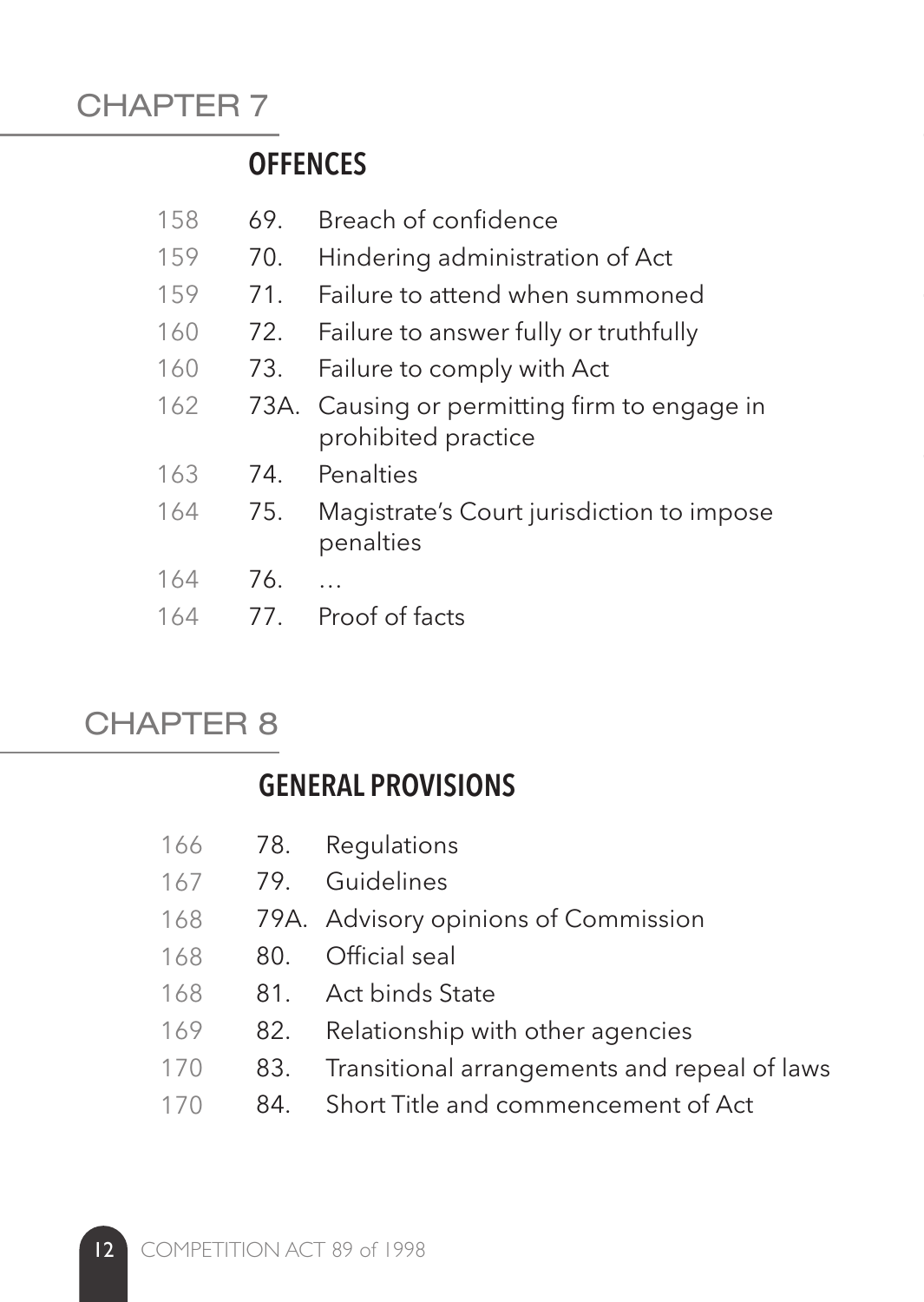## CHAPTER 7

## **OFFENCES**

| 158 | 69. | Breach of confidence                                                |
|-----|-----|---------------------------------------------------------------------|
| 159 | 70. | Hindering administration of Act                                     |
| 159 | 71. | Failure to attend when summoned                                     |
| 160 | 72. | Failure to answer fully or truthfully                               |
| 160 | 73. | Failure to comply with Act                                          |
| 162 |     | 73A. Causing or permitting firm to engage in<br>prohibited practice |
| 163 | 74. | Penalties                                                           |
| 164 | 75. | Magistrate's Court jurisdiction to impose<br>penalties              |
| 164 | 76. |                                                                     |
| 164 | 77. | Proof of facts                                                      |

## CHAPTER 8

## GENERAL PROVISIONS

- 78. Regulations 166
- 79. Guidelines 167
- 79A. Advisory opinions of Commission 168
- 80. Official seal 168
- Act binds State 168 81.
- 82. Relationship with other agencies 169
- 83. Transitional arrangements and repeal of laws 170
- 84. Short Title and commencement of Act 170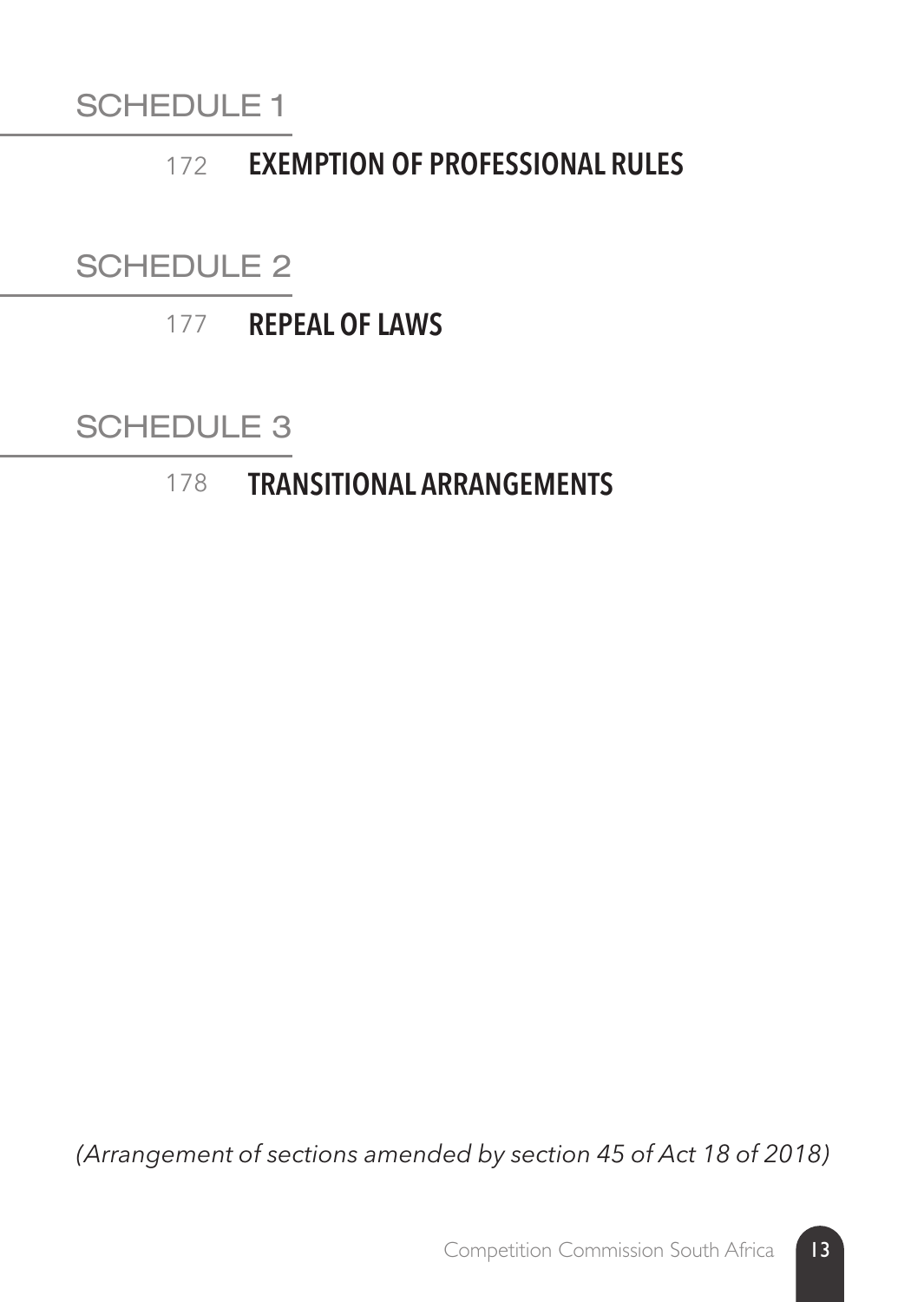SCHEDULE 1

## 172 EXEMPTION OF PROFESSIONAL RULES

SCHEDULE 2

177 REPEAL OF LAWS

SCHEDULE 3

#### 178 TRANSITIONAL ARRANGEMENTS

*(Arrangement of sections amended by section 45 of Act 18 of 2018)*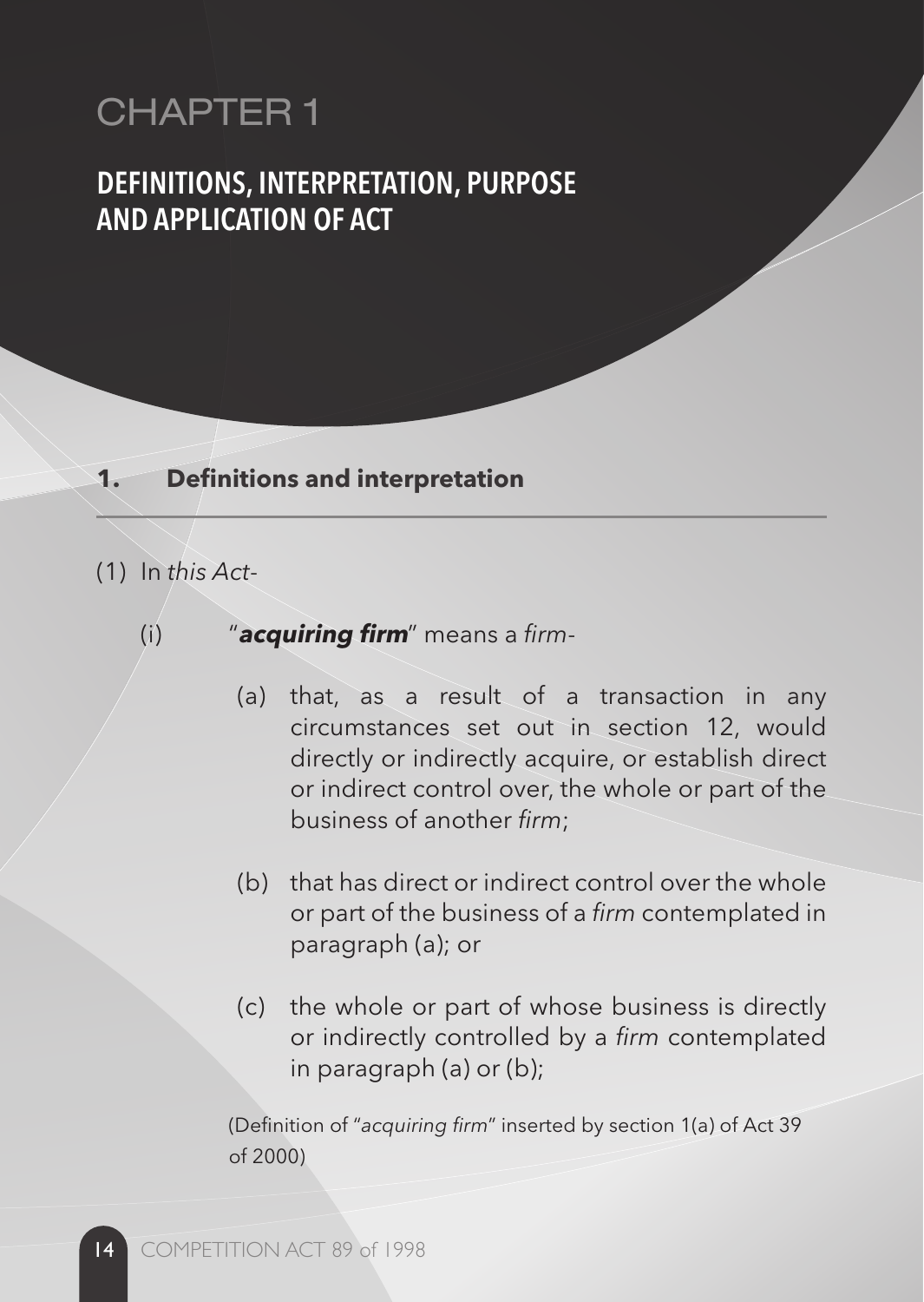# CHAPTER 1

## DEFINITIONS, INTERPRETATION, PURPOSE AND APPLICATION OF ACT

#### **1. Definitions and interpretation**

(1) In *this Act*-

(i) "**acquiring firm**" means a *firm*-

- (a) that, as a result of a transaction in any circumstances set out in section 12, would directly or indirectly acquire, or establish direct or indirect control over, the whole or part of the business of another *firm*;
- (b) that has direct or indirect control over the whole or part of the business of a *firm* contemplated in paragraph (a); or
- (c) the whole or part of whose business is directly or indirectly controlled by a *firm* contemplated in paragraph (a) or (b);

(Definition of "*acquiring firm*" inserted by section 1(a) of Act 39 of 2000)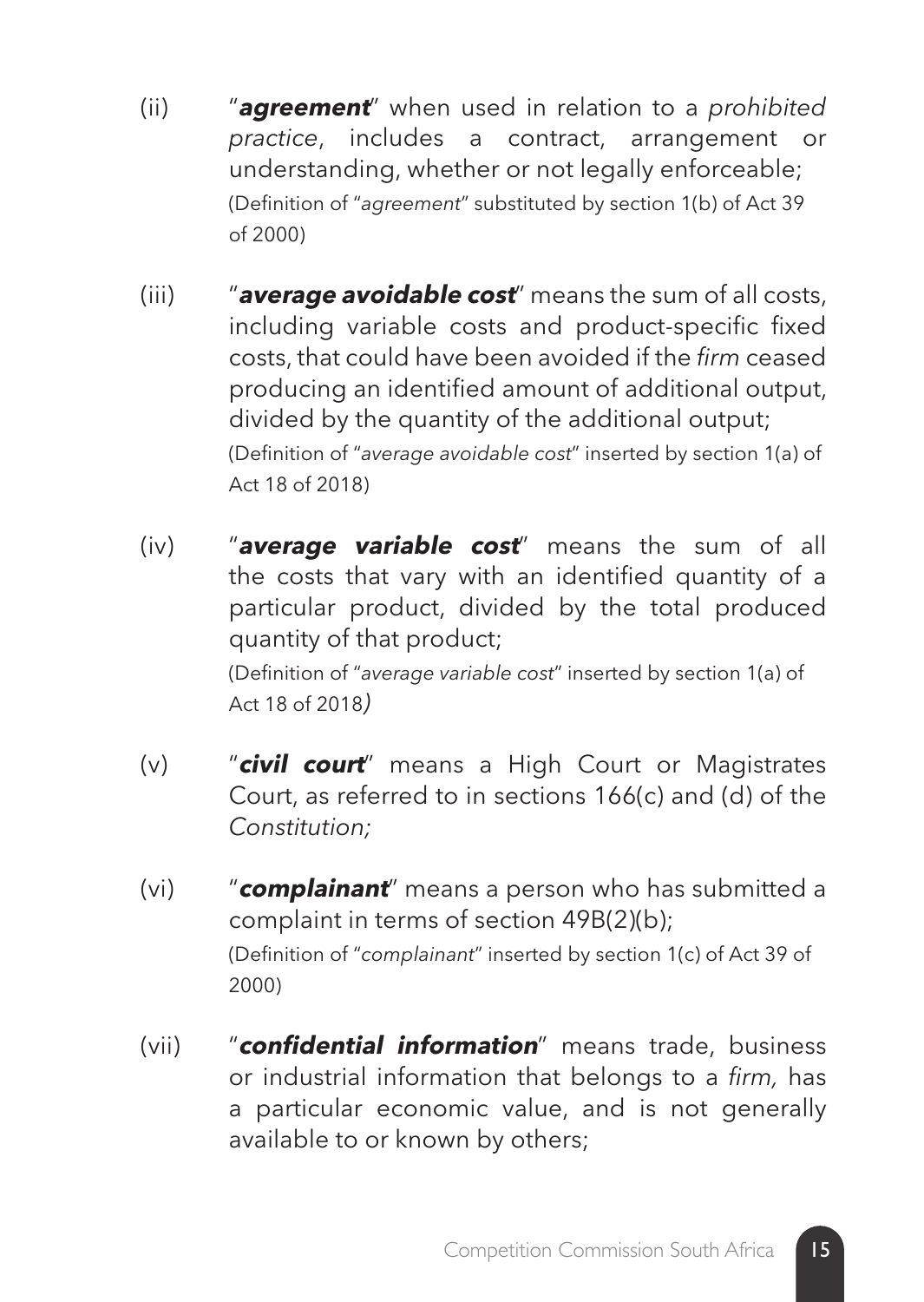- (ii) "**agreement**" when used in relation to a *prohibited practice*, includes a contract, arrangement or understanding, whether or not legally enforceable; (Definition of "*agreement*" substituted by section 1(b) of Act 39 of 2000)
- (iii) "**average avoidable cost**" means the sum of all costs, including variable costs and product-specific fixed costs, that could have been avoided if the *firm* ceased producing an identified amount of additional output, divided by the quantity of the additional output; (Definition of "*average avoidable cost*" inserted by section 1(a) of Act 18 of 2018)
- (iv) "**average variable cost**" means the sum of all the costs that vary with an identified quantity of a particular product, divided by the total produced quantity of that product;

(Definition of "*average variable cost*" inserted by section 1(a) of Act 18 of 2018*)*

- (v) "**civil court**" means a High Court or Magistrates Court, as referred to in sections 166(c) and (d) of the *Constitution;*
- (vi) "**complainant**" means a person who has submitted a complaint in terms of section 49B(2)(b); (Definition of "*complainant*" inserted by section 1(c) of Act 39 of 2000)
- (vii) "**confidential information**" means trade, business or industrial information that belongs to a *firm,* has a particular economic value, and is not generally available to or known by others;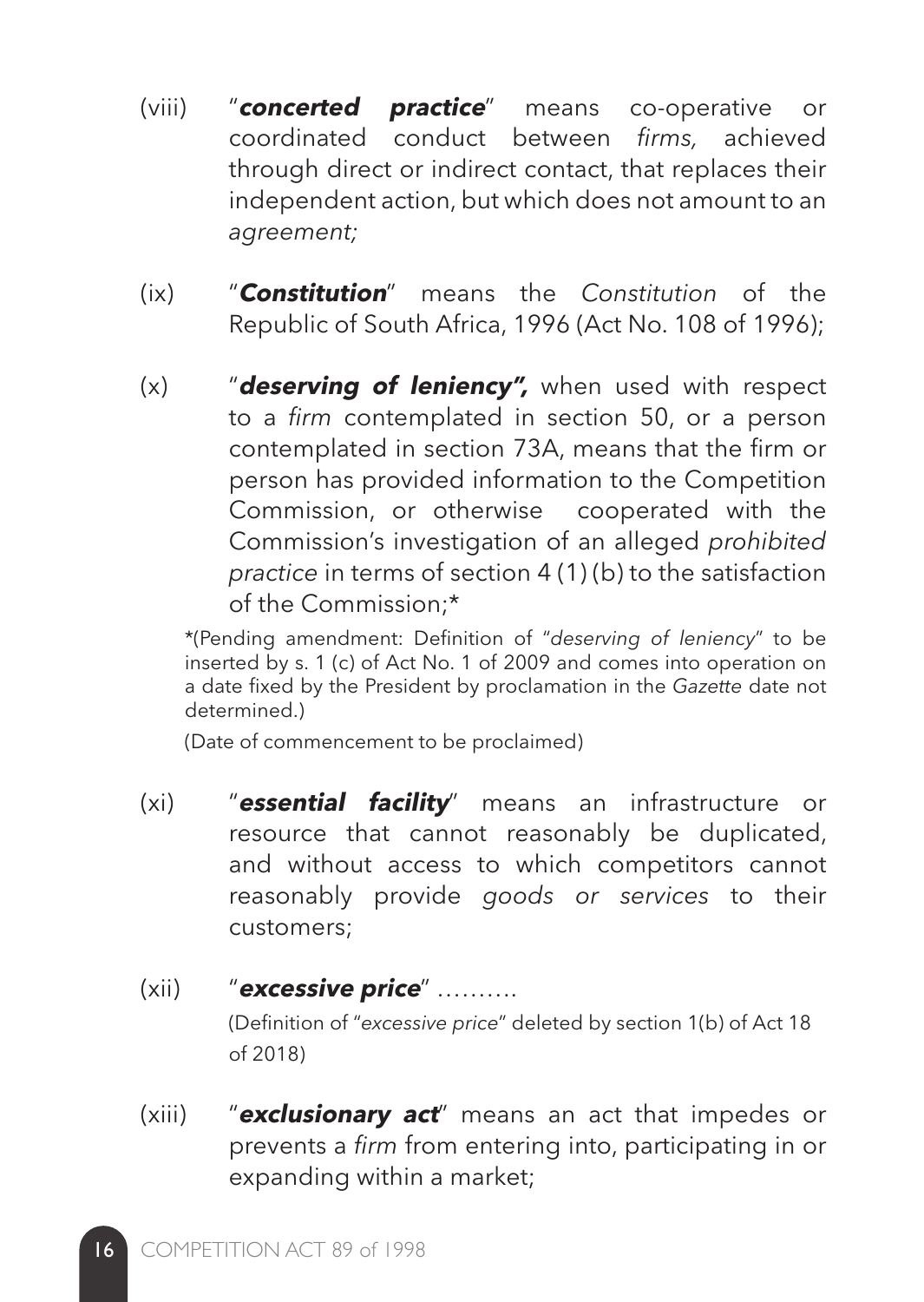- (viii) "**concerted practice**" means co-operative or coordinated conduct between *firms,* achieved through direct or indirect contact, that replaces their independent action, but which does not amount to an *agreement;*
- (ix) "**Constitution**" means the *Constitution* of the Republic of South Africa, 1996 (Act No. 108 of 1996);
- (x) "**deserving of leniency",** when used with respect to a *firm* contemplated in section 50, or a person contemplated in section 73A, means that the firm or person has provided information to the Competition Commission, or otherwise cooperated with the Commission's investigation of an alleged *prohibited practice* in terms of section 4 (1) (b) to the satisfaction of the Commission;\*

\*(Pending amendment: Definition of "*deserving of leniency*" to be inserted by s. 1 (c) of Act No. 1 of 2009 and comes into operation on a date fixed by the President by proclamation in the *Gazette* date not determined.)

(Date of commencement to be proclaimed)

- (xi) "**essential facility**" means an infrastructure or resource that cannot reasonably be duplicated, and without access to which competitors cannot reasonably provide *goods or services* to their customers;
- (xii) "**excessive price**" ………. (Definition of "*excessive price*" deleted by section 1(b) of Act 18 of 2018)
- (xiii) "**exclusionary act**" means an act that impedes or prevents a *firm* from entering into, participating in or expanding within a market;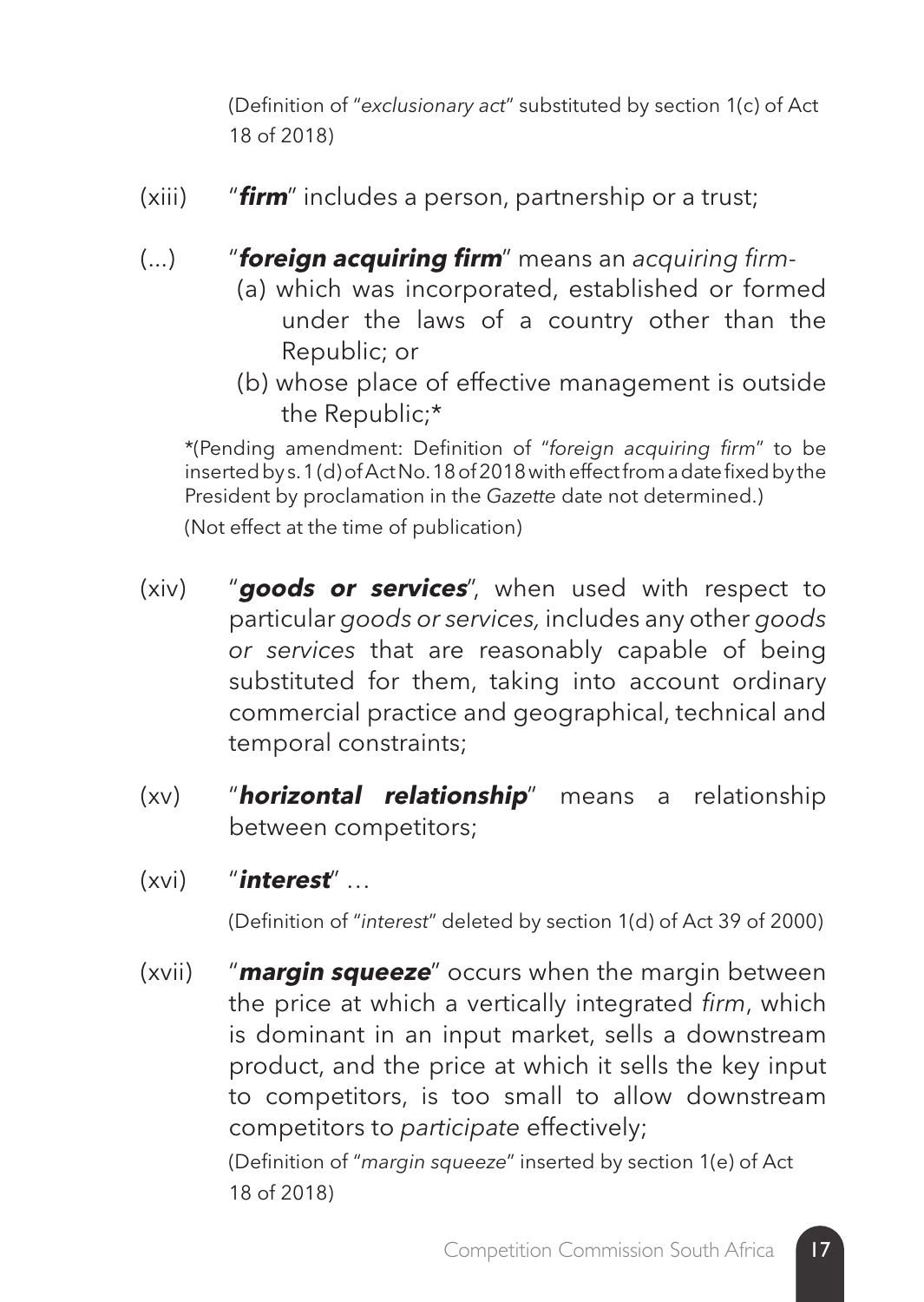(Definition of "*exclusionary act*" substituted by section 1(c) of Act 18 of 2018)

- (xiii) "**firm**" includes a person, partnership or a trust;
- (...) "**foreign acquiring firm**" means an *acquiring firm-*
	- (a) which was incorporated, established or formed under the laws of a country other than the Republic; or
	- (b) whose place of effective management is outside the Republic;\*

\*(Pending amendment: Definition of "*foreign acquiring firm*" to be inserted by s. 1 (d) of Act No. 18 of 2018 with effect from a date fixed by the President by proclamation in the *Gazette* date not determined.)

(Not effect at the time of publication)

- (xiv) "**goods or services**", when used with respect to particular *goods or services,* includes any other *goods or services* that are reasonably capable of being substituted for them, taking into account ordinary commercial practice and geographical, technical and temporal constraints;
- (xv) "**horizontal relationship**" means a relationship between competitors;
- (xvi) "**interest**" …

(Definition of "*interest*" deleted by section 1(d) of Act 39 of 2000)

(xvii) "**margin squeeze**" occurs when the margin between the price at which a vertically integrated *firm*, which is dominant in an input market, sells a downstream product, and the price at which it sells the key input to competitors, is too small to allow downstream competitors to *participate* effectively;

> (Definition of "*margin squeeze*" inserted by section 1(e) of Act 18 of 2018)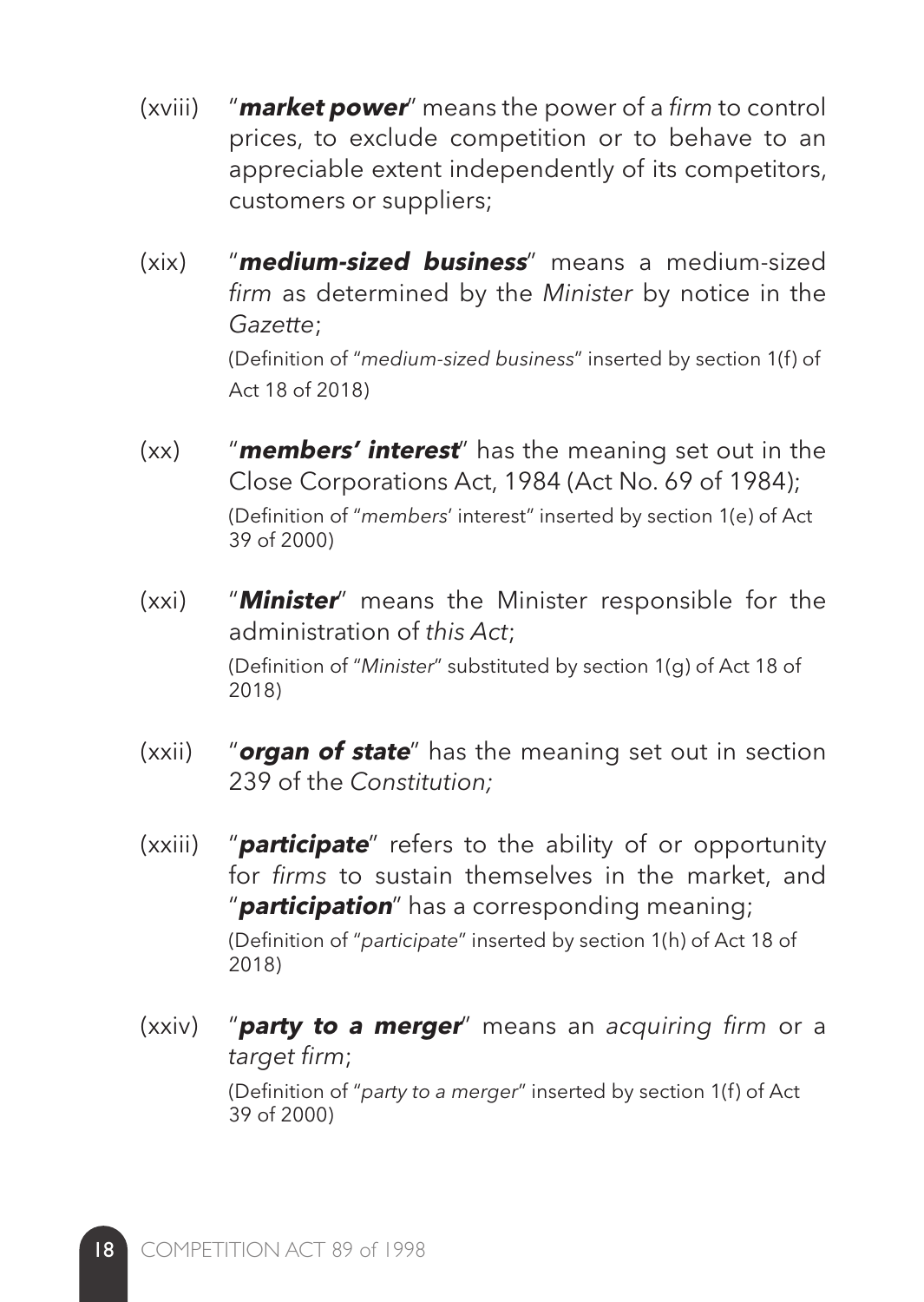- (xviii) "**market power**" means the power of a *firm* to control prices, to exclude competition or to behave to an appreciable extent independently of its competitors, customers or suppliers;
- (xix) "**medium-sized business**" means a medium-sized *firm* as determined by the *Minister* by notice in the *Gazette*; (Definition of "*medium-sized business*" inserted by section 1(f) of Act 18 of 2018)
- (xx) "**members' interest**" has the meaning set out in the Close Corporations Act, 1984 (Act No. 69 of 1984); (Definition of "*members*' interest" inserted by section 1(e) of Act 39 of 2000)
- (xxi) "**Minister**" means the Minister responsible for the administration of *this Act*;

(Definition of "*Minister*" substituted by section 1(g) of Act 18 of 2018)

- (xxii) "**organ of state**" has the meaning set out in section 239 of the *Constitution;*
- (xxiii) "**participate**" refers to the ability of or opportunity for *firms* to sustain themselves in the market, and "**participation**" has a corresponding meaning;

(Definition of "*participate*" inserted by section 1(h) of Act 18 of 2018)

(xxiv) "**party to a merger**" means an *acquiring firm* or a *target firm*; (Definition of "*party to a merger*" inserted by section 1(f) of Act 39 of 2000)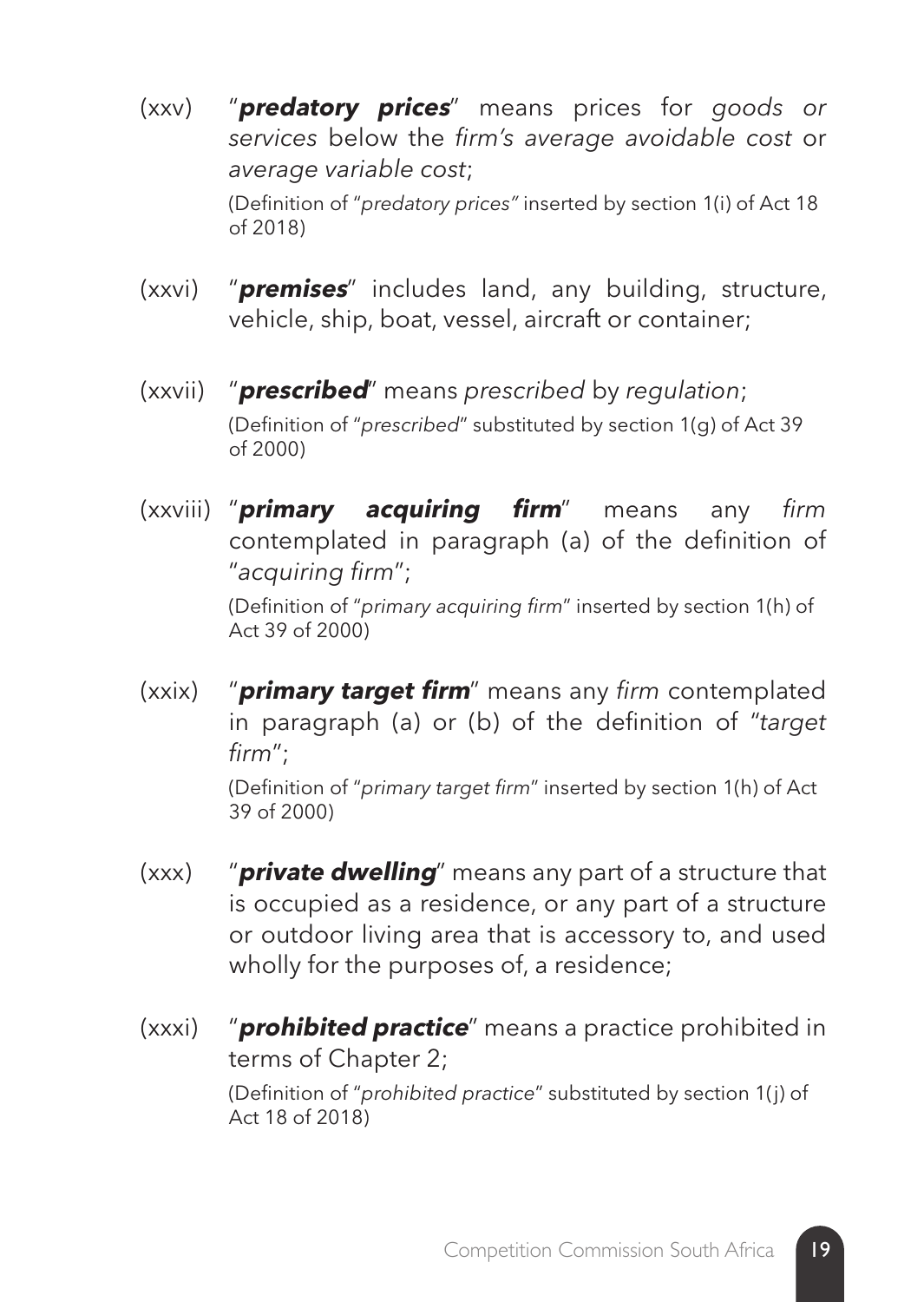(xxv) "**predatory prices**" means prices for *goods or services* below the *firm's average avoidable cost* or *average variable cost*;

(Definition of "*predatory prices"* inserted by section 1(i) of Act 18 of 2018)

- (xxvi) "**premises**" includes land, any building, structure, vehicle, ship, boat, vessel, aircraft or container;
- (xxvii) "**prescribed**" means *prescribed* by *regulation*; (Definition of "*prescribed*" substituted by section 1(g) of Act 39 of 2000)
- (xxviii) "**primary acquiring firm**" means any *firm* contemplated in paragraph (a) of the definition of "*acquiring firm*"; (Definition of "*primary acquiring firm*" inserted by section 1(h) of  $Act$  39 of 2000)
- (xxix) "**primary target firm**" means any *firm* contemplated in paragraph (a) or (b) of the definition of "*target firm*";

(Definition of "*primary target firm*" inserted by section 1(h) of Act 39 of 2000)

- (xxx) "**private dwelling**" means any part of a structure that is occupied as a residence, or any part of a structure or outdoor living area that is accessory to, and used wholly for the purposes of, a residence;
- (xxxi) "**prohibited practice**" means a practice prohibited in terms of Chapter 2; (Definition of "*prohibited practice*" substituted by section 1(j) of Act 18 of 2018)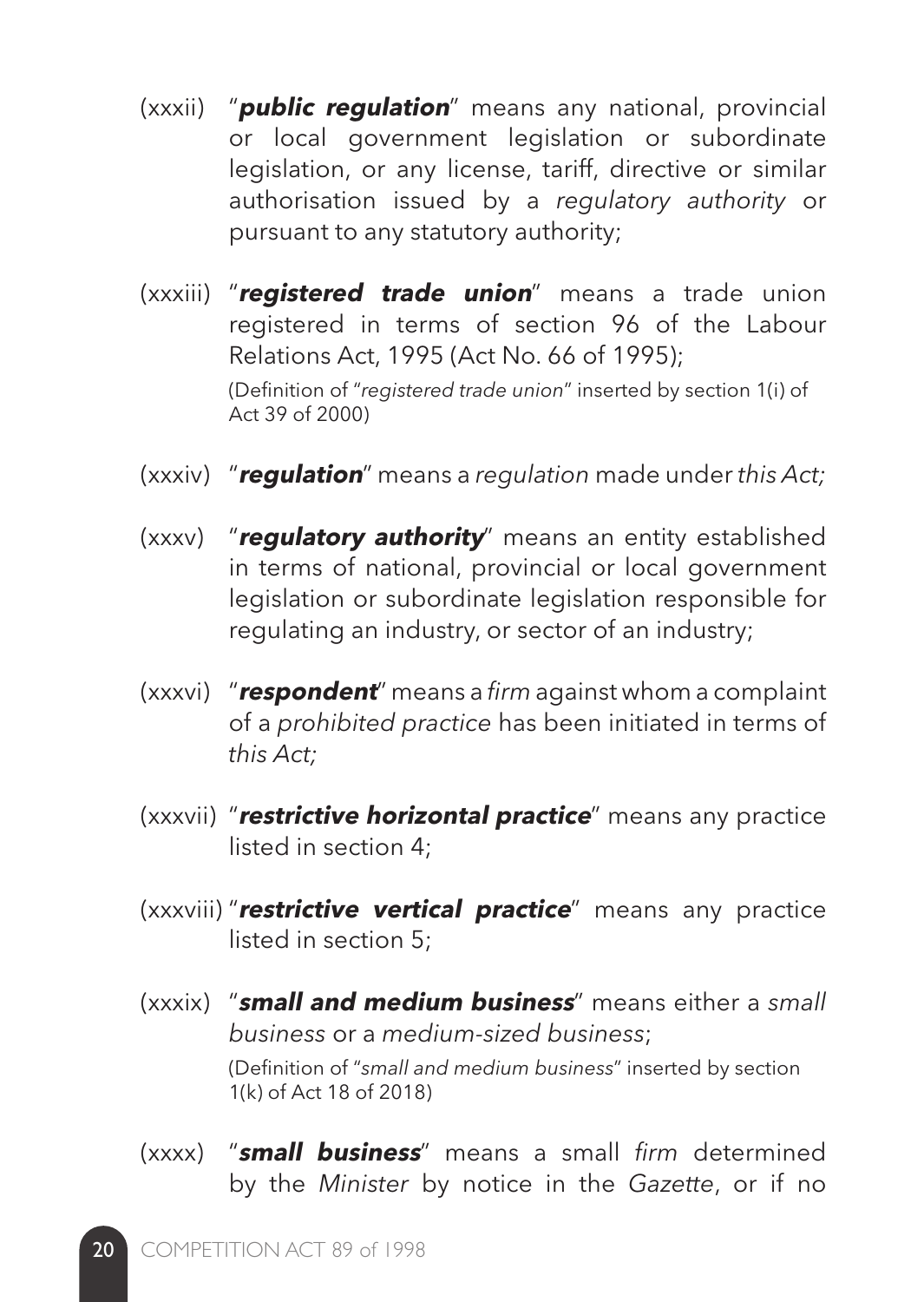- (xxxii) "**public regulation**" means any national, provincial or local government legislation or subordinate legislation, or any license, tariff, directive or similar authorisation issued by a *regulatory authority* or pursuant to any statutory authority;
- (xxxiii) "**registered trade union**" means a trade union registered in terms of section 96 of the Labour Relations Act, 1995 (Act No. 66 of 1995);

(Definition of "*registered trade union*" inserted by section 1(i) of Act 39 of 2000)

- (xxxiv) "**regulation**" means a *regulation* made under *this Act;*
- (xxxv) "**regulatory authority**" means an entity established in terms of national, provincial or local government legislation or subordinate legislation responsible for regulating an industry, or sector of an industry;
- (xxxvi) "**respondent**" means a *firm* against whom a complaint of a *prohibited practice* has been initiated in terms of *this Act;*
- (xxxvii) "**restrictive horizontal practice**" means any practice listed in section 4;
- (xxxviii) "**restrictive vertical practice**" means any practice listed in section 5;
- (xxxix) "**small and medium business**" means either a *small business* or a *medium-sized business*; (Definition of "*small and medium business*" inserted by section 1(k) of Act 18 of 2018)
- (xxxx) "**small business**" means a small *firm* determined by the *Minister* by notice in the *Gazette*, or if no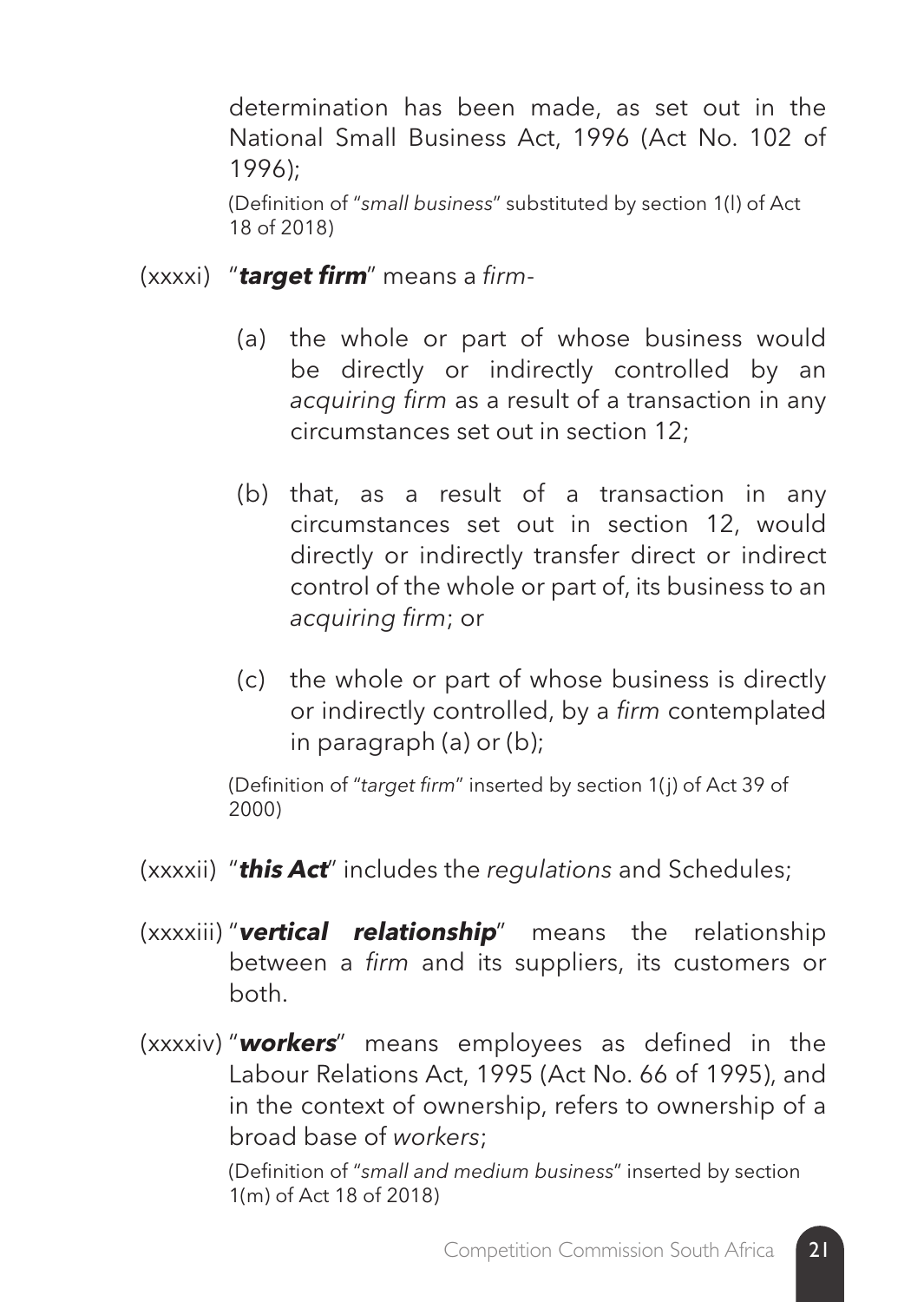determination has been made, as set out in the National Small Business Act, 1996 (Act No. 102 of 1996);

(Definition of "*small business*" substituted by section 1(l) of Act 18 of 2018)

#### (xxxxi) "**target firm**" means a *firm*-

- (a) the whole or part of whose business would be directly or indirectly controlled by an *acquiring firm* as a result of a transaction in any circumstances set out in section 12;
- (b) that, as a result of a transaction in any circumstances set out in section 12, would directly or indirectly transfer direct or indirect control of the whole or part of, its business to an *acquiring firm*; or
- (c) the whole or part of whose business is directly or indirectly controlled, by a *firm* contemplated in paragraph (a) or (b);

(Definition of "*target firm*" inserted by section 1(j) of Act 39 of 2000)

- (xxxxii) "**this Act**" includes the *regulations* and Schedules;
- (xxxxiii) "**vertical relationship**" means the relationship between a *firm* and its suppliers, its customers or both.
- (xxxxiv) "**workers**" means employees as defined in the Labour Relations Act, 1995 (Act No. 66 of 1995), and in the context of ownership, refers to ownership of a broad base of *workers*;

(Definition of "*small and medium business*" inserted by section 1(m) of Act 18 of 2018)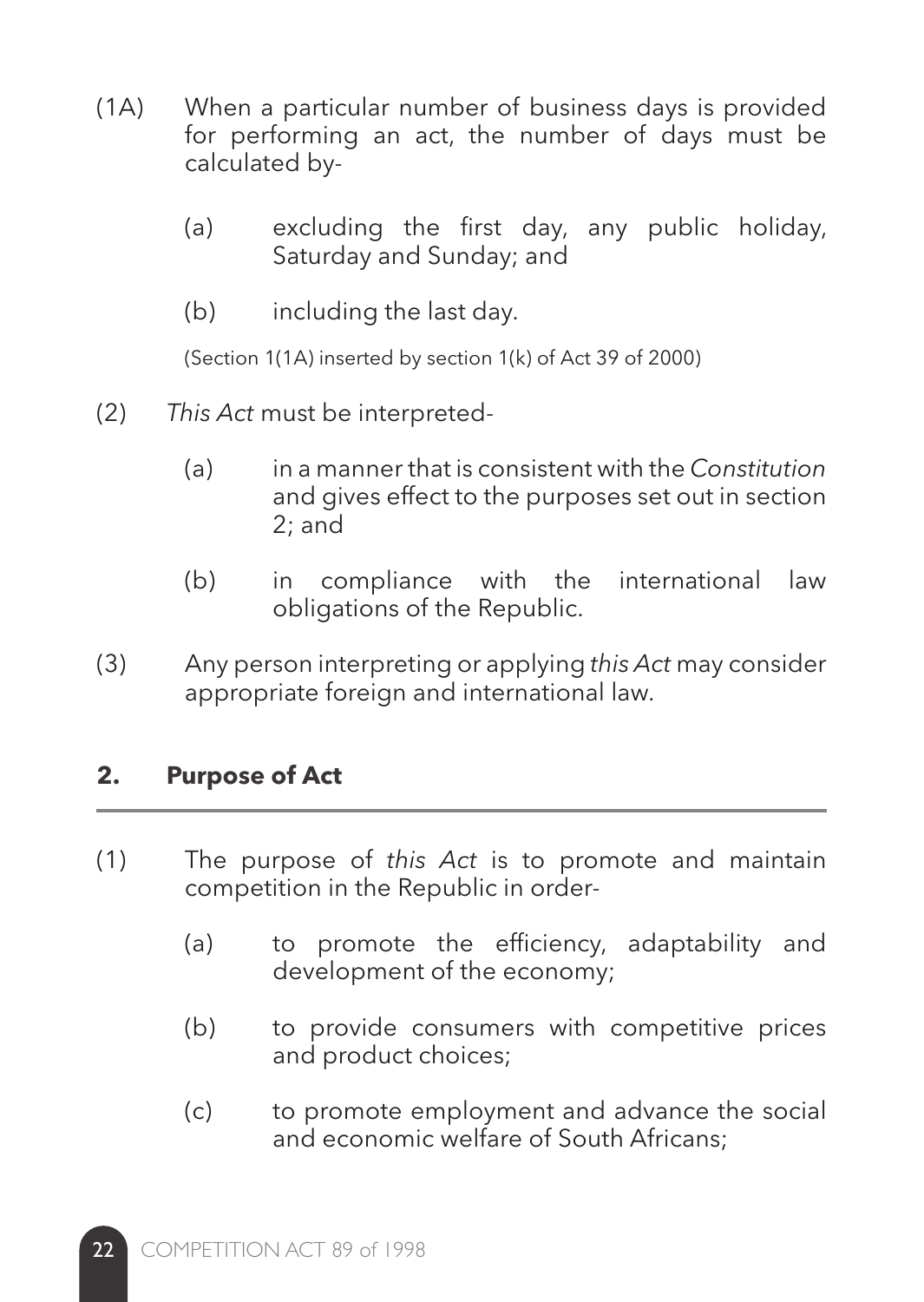- (1A) When a particular number of business days is provided for performing an act, the number of days must be calculated by-
	- (a) excluding the first day, any public holiday, Saturday and Sunday; and
	- (b) including the last day.

(Section 1(1A) inserted by section 1(k) of Act 39 of 2000)

- (2) *This Act* must be interpreted-
	- (a) in a manner that is consistent with the *Constitution* and gives effect to the purposes set out in section 2; and
	- (b) in compliance with the international law obligations of the Republic.
- (3) Any person interpreting or applying *this Act* may consider appropriate foreign and international law.

#### **2. Purpose of Act**

- (1) The purpose of *this Act* is to promote and maintain competition in the Republic in order-
	- (a) to promote the efficiency, adaptability and development of the economy;
	- (b) to provide consumers with competitive prices and product choices;
	- (c) to promote employment and advance the social and economic welfare of South Africans;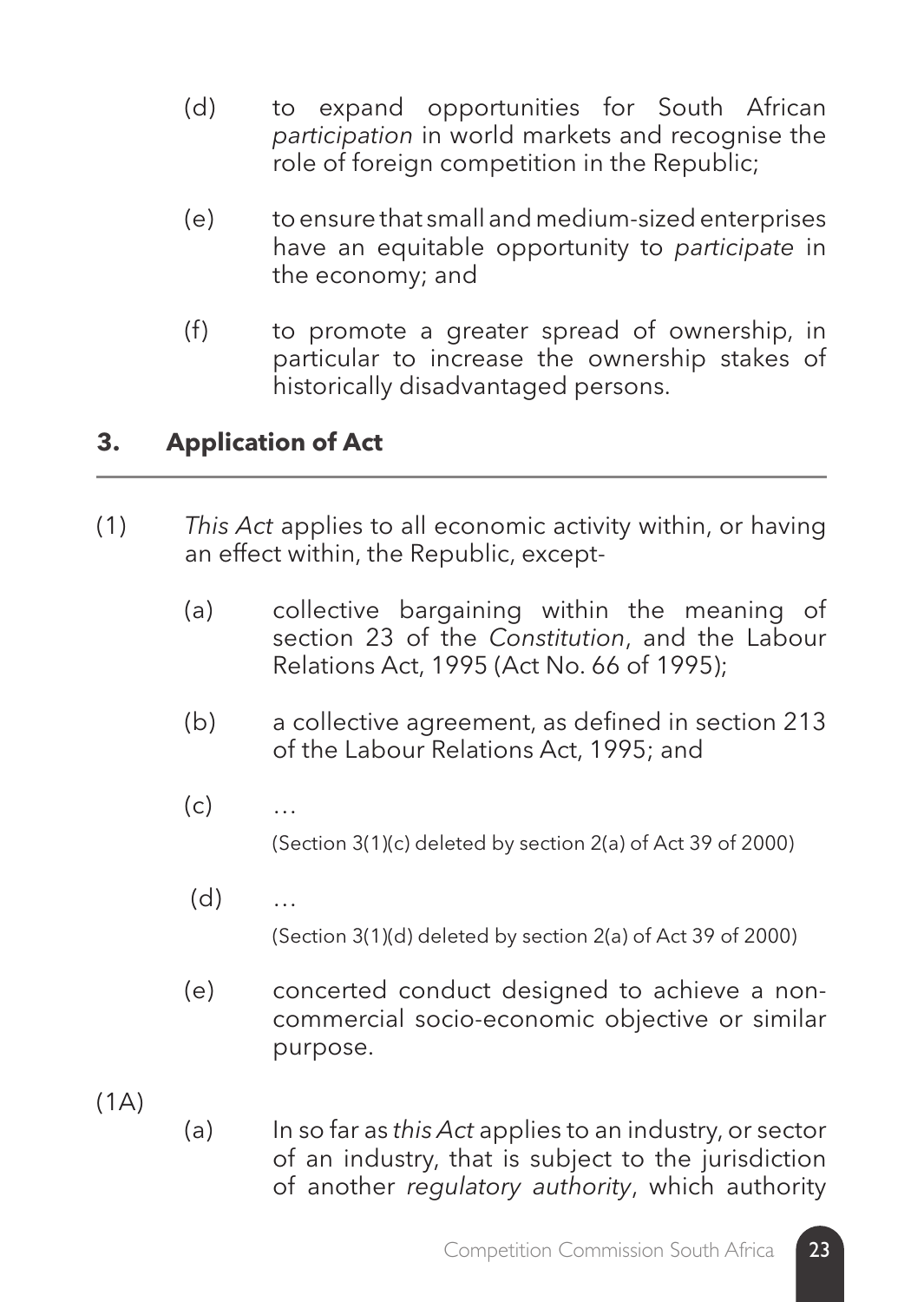- (d) to expand opportunities for South African *participation* in world markets and recognise the role of foreign competition in the Republic;
- (e) to ensure that small and medium-sized enterprises have an equitable opportunity to *participate* in the economy; and
- (f) to promote a greater spread of ownership, in particular to increase the ownership stakes of historically disadvantaged persons.

#### **3. Application of Act**

- (1) *This Act* applies to all economic activity within, or having an effect within, the Republic, except-
	- (a) collective bargaining within the meaning of section 23 of the *Constitution*, and the Labour Relations Act, 1995 (Act No. 66 of 1995);
	- (b) a collective agreement, as defined in section 213 of the Labour Relations Act, 1995; and
	- $(c)$  …

(Section 3(1)(c) deleted by section 2(a) of Act 39 of 2000)

(d) …

(Section 3(1)(d) deleted by section 2(a) of Act 39 of 2000)

- (e) concerted conduct designed to achieve a noncommercial socio-economic objective or similar purpose.
- (1A)
- (a) In so far as *this Act* applies to an industry, or sector of an industry, that is subject to the jurisdiction of another *regulatory authority*, which authority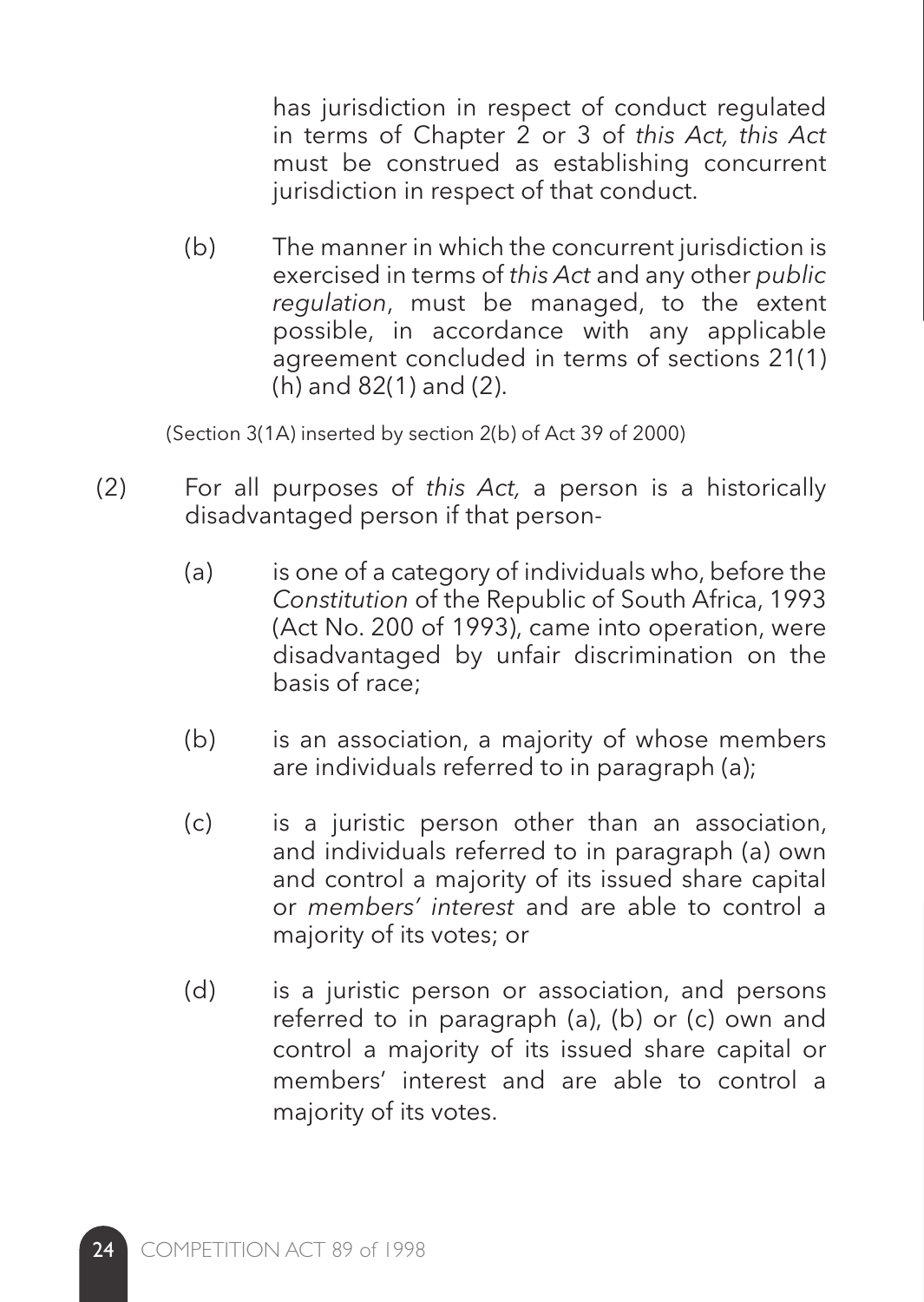has jurisdiction in respect of conduct regulated in terms of Chapter 2 or 3 of *this Act, this Act* must be construed as establishing concurrent jurisdiction in respect of that conduct.

(b) The manner in which the concurrent jurisdiction is exercised in terms of *this Act* and any other *public regulation*, must be managed, to the extent possible, in accordance with any applicable agreement concluded in terms of sections 21(1) (h) and 82(1) and (2).

(Section 3(1A) inserted by section 2(b) of Act 39 of 2000)

- (2) For all purposes of *this Act,* a person is a historically disadvantaged person if that person-
	- (a) is one of a category of individuals who, before the *Constitution* of the Republic of South Africa, 1993 (Act No. 200 of 1993), came into operation, were disadvantaged by unfair discrimination on the basis of race;
	- (b) is an association, a majority of whose members are individuals referred to in paragraph (a);
	- (c) is a juristic person other than an association, and individuals referred to in paragraph (a) own and control a majority of its issued share capital or *members' interest* and are able to control a majority of its votes; or
	- (d) is a juristic person or association, and persons referred to in paragraph (a), (b) or (c) own and control a majority of its issued share capital or members' interest and are able to control a majority of its votes.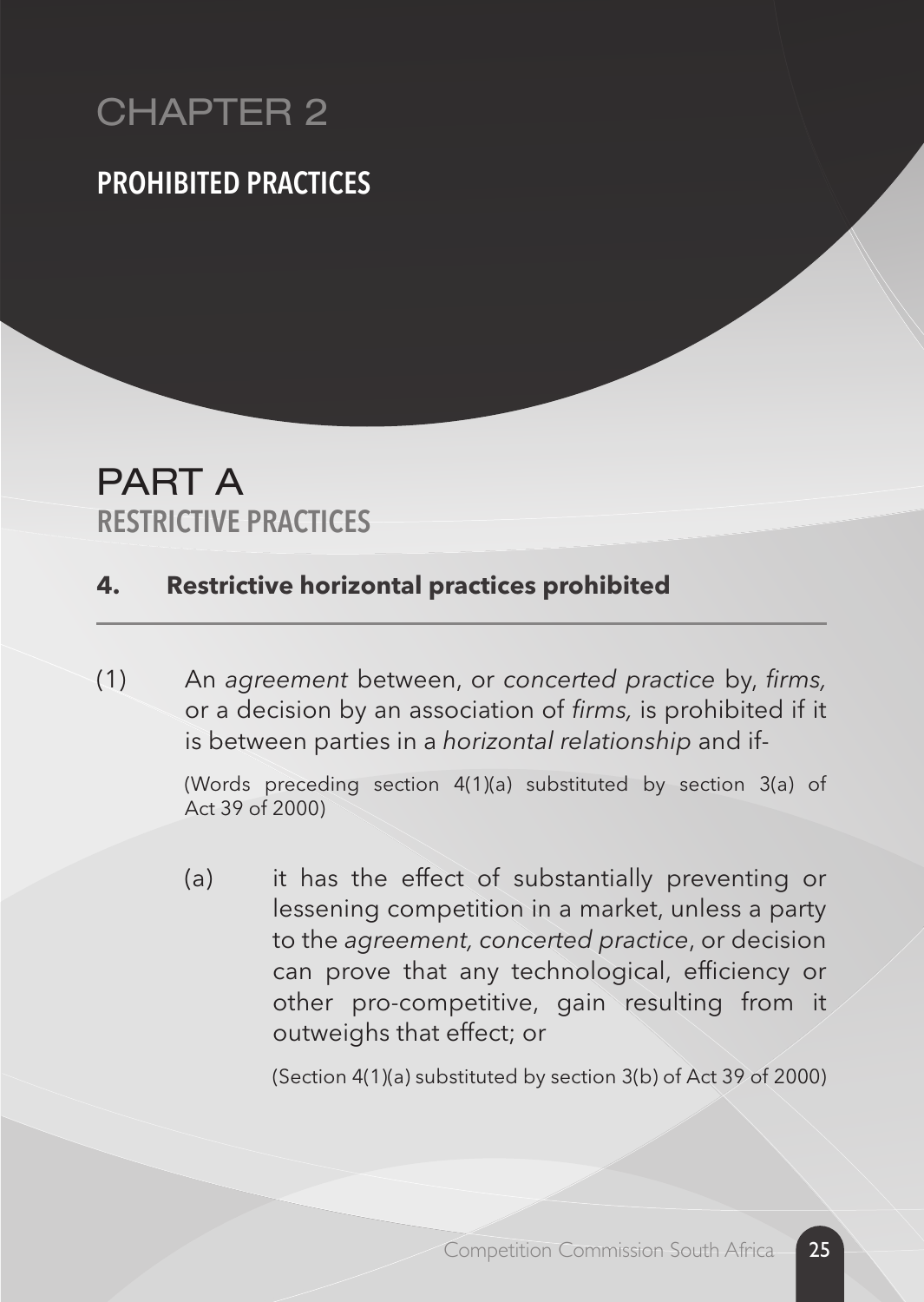# CHAPTER 2

## PROHIBITED PRACTICES

## PART A RESTRICTIVE PRACTICES

#### **4. Restrictive horizontal practices prohibited**

(1) An *agreement* between, or *concerted practice* by, *firms,*  or a decision by an association of *firms,* is prohibited if it is between parties in a *horizontal relationship* and if-

> (Words preceding section 4(1)(a) substituted by section 3(a) of Act 39 of 2000)

> (a) it has the effect of substantially preventing or lessening competition in a market, unless a party to the *agreement, concerted practice*, or decision can prove that any technological, efficiency or other pro-competitive, gain resulting from it outweighs that effect; or

> > (Section 4(1)(a) substituted by section 3(b) of Act 39 of 2000)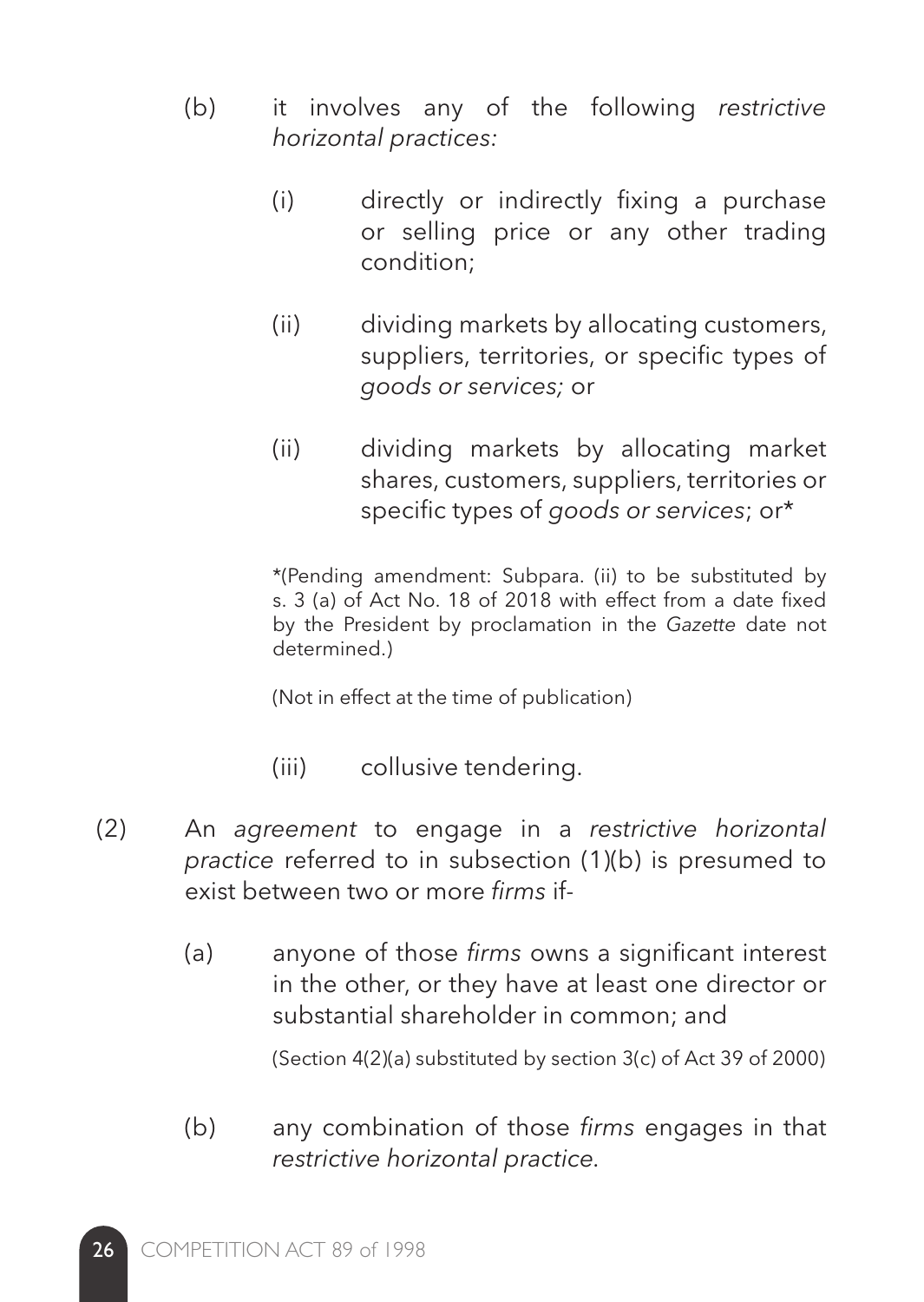- (b) it involves any of the following *restrictive horizontal practices:*
	- (i) directly or indirectly fixing a purchase or selling price or any other trading condition;
	- (ii) dividing markets by allocating customers, suppliers, territories, or specific types of *goods or services;* or
	- (ii) dividing markets by allocating market shares, customers, suppliers, territories or specific types of *goods or services*; or\*

\*(Pending amendment: Subpara. (ii) to be substituted by s. 3 (a) of Act No. 18 of 2018 with effect from a date fixed by the President by proclamation in the *Gazette* date not determined.)

(Not in effect at the time of publication)

- (iii) collusive tendering.
- (2) An *agreement* to engage in a *restrictive horizontal practice* referred to in subsection (1)(b) is presumed to exist between two or more *firms* if-
	- (a) anyone of those *firms* owns a significant interest in the other, or they have at least one director or substantial shareholder in common; and

(Section 4(2)(a) substituted by section 3(c) of Act 39 of 2000)

(b) any combination of those *firms* engages in that *restrictive horizontal practice.*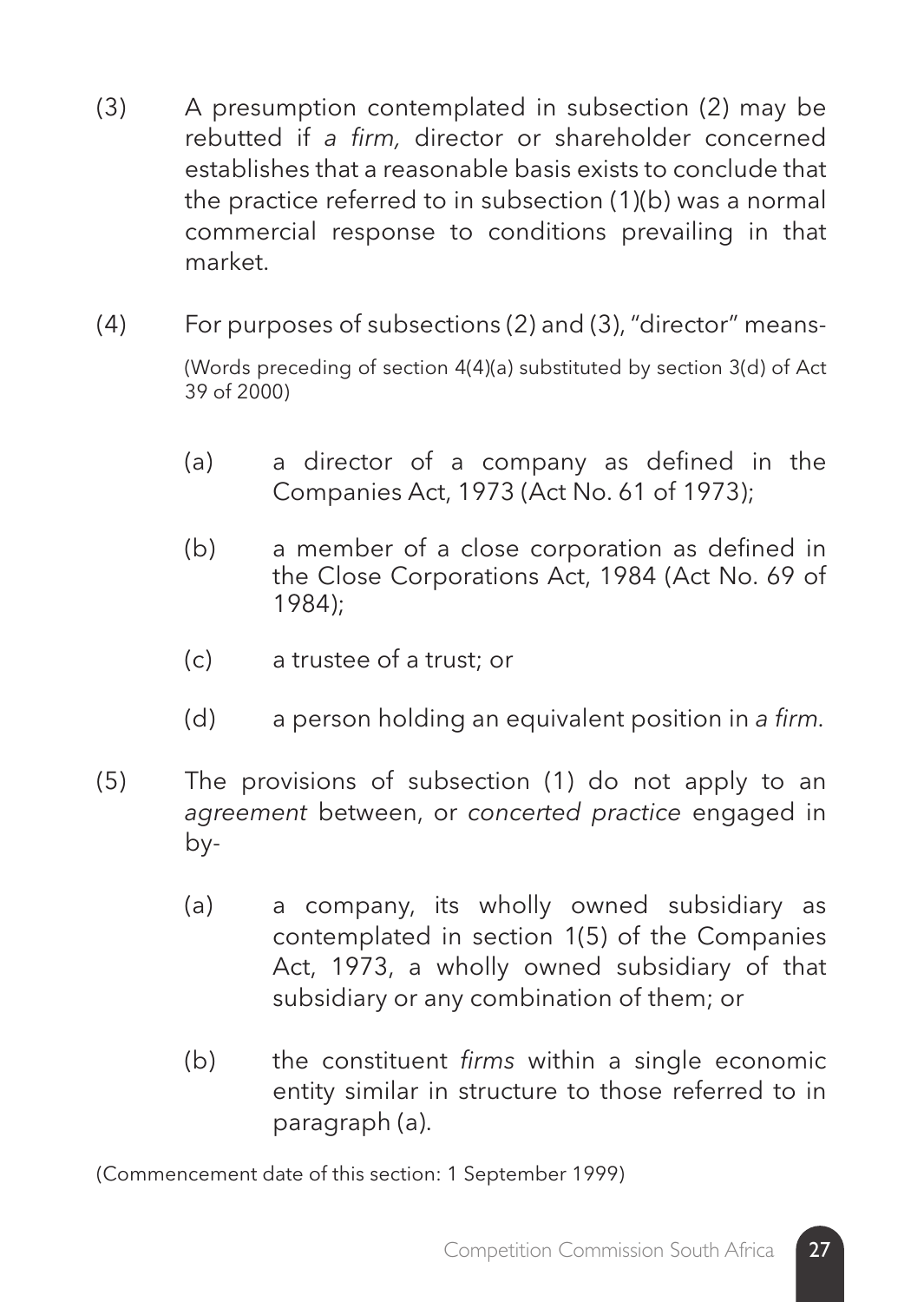- (3) A presumption contemplated in subsection (2) may be rebutted if *a firm,* director or shareholder concerned establishes that a reasonable basis exists to conclude that the practice referred to in subsection (1)(b) was a normal commercial response to conditions prevailing in that market.
- (4) For purposes of subsections (2) and (3), "director" means-

 (Words preceding of section 4(4)(a) substituted by section 3(d) of Act 39 of 2000)

- (a) a director of a company as defined in the Companies Act, 1973 (Act No. 61 of 1973);
- (b) a member of a close corporation as defined in the Close Corporations Act, 1984 (Act No. 69 of 1984);
- (c) a trustee of a trust; or
- (d) a person holding an equivalent position in *a firm.*
- (5) The provisions of subsection (1) do not apply to an *agreement* between, or *concerted practice* engaged in by-
	- (a) a company, its wholly owned subsidiary as contemplated in section 1(5) of the Companies Act, 1973, a wholly owned subsidiary of that subsidiary or any combination of them; or
	- (b) the constituent *firms* within a single economic entity similar in structure to those referred to in paragraph (a).

(Commencement date of this section: 1 September 1999)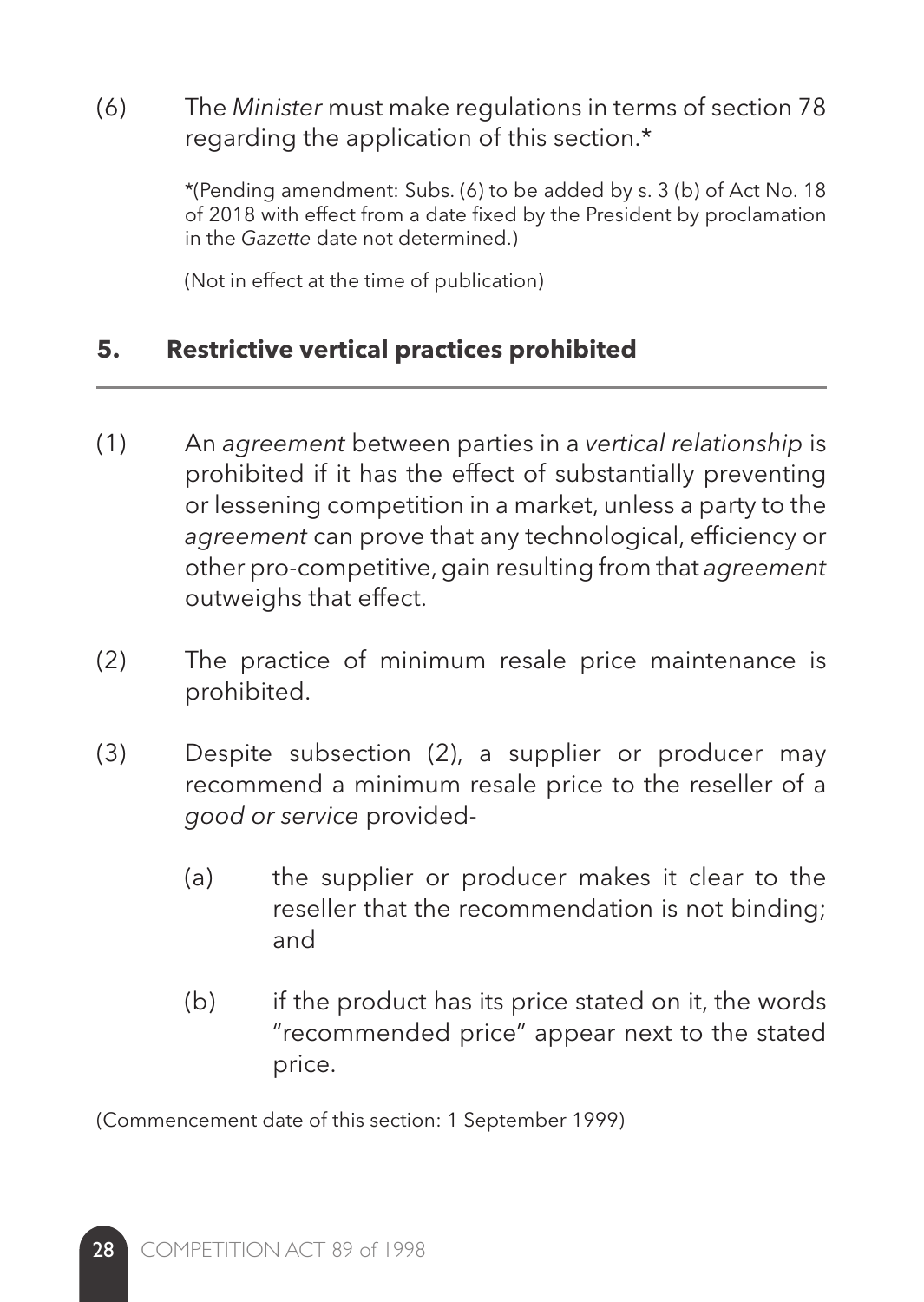(6) The *Minister* must make regulations in terms of section 78 regarding the application of this section.\*

> \*(Pending amendment: Subs. (6) to be added by s. 3 (b) of Act No. 18 of 2018 with effect from a date fixed by the President by proclamation in the *Gazette* date not determined.)

(Not in effect at the time of publication)

#### **5. Restrictive vertical practices prohibited**

- (1) An *agreement* between parties in a *vertical relationship* is prohibited if it has the effect of substantially preventing or lessening competition in a market, unless a party to the *agreement* can prove that any technological, efficiency or other pro-competitive, gain resulting from that *agreement*  outweighs that effect.
- (2) The practice of minimum resale price maintenance is prohibited.
- (3) Despite subsection (2), a supplier or producer may recommend a minimum resale price to the reseller of a *good or service* provided-
	- (a) the supplier or producer makes it clear to the reseller that the recommendation is not binding; and
	- (b) if the product has its price stated on it, the words "recommended price" appear next to the stated price.

(Commencement date of this section: 1 September 1999)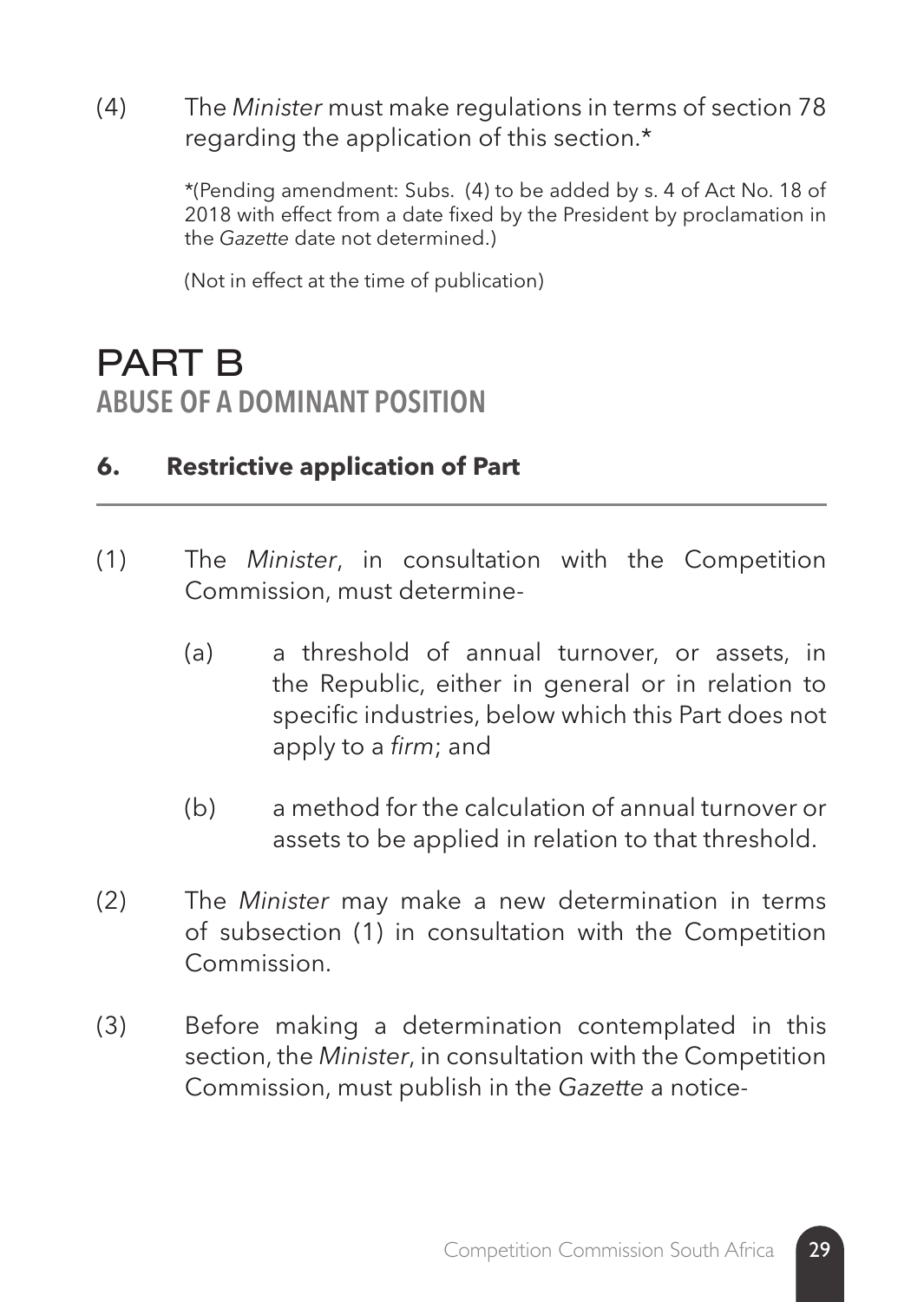(4) The *Minister* must make regulations in terms of section 78 regarding the application of this section.\*

> \*(Pending amendment: Subs. (4) to be added by s. 4 of Act No. 18 of 2018 with effect from a date fixed by the President by proclamation in the *Gazette* date not determined.)

(Not in effect at the time of publication)

## PART B ABUSE OF A DOMINANT POSITION

- **6. Restrictive application of Part**
- (1) The *Minister*, in consultation with the Competition Commission, must determine-
	- (a) a threshold of annual turnover, or assets, in the Republic, either in general or in relation to specific industries, below which this Part does not apply to a *firm*; and
	- (b) a method for the calculation of annual turnover or assets to be applied in relation to that threshold.
- (2) The *Minister* may make a new determination in terms of subsection (1) in consultation with the Competition Commission.
- (3) Before making a determination contemplated in this section, the *Minister*, in consultation with the Competition Commission, must publish in the *Gazette* a notice-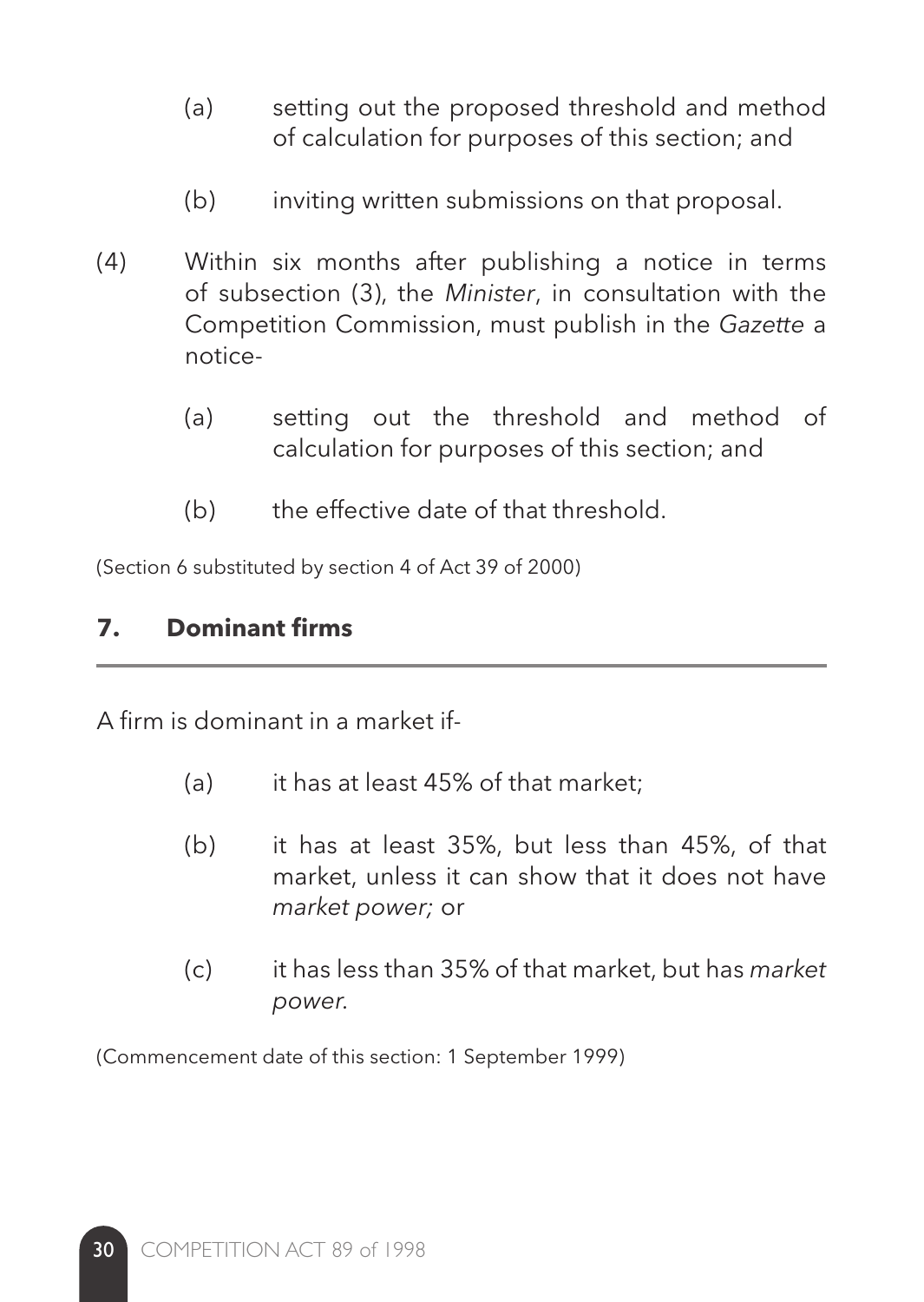- (a) setting out the proposed threshold and method of calculation for purposes of this section; and
- (b) inviting written submissions on that proposal.
- (4) Within six months after publishing a notice in terms of subsection (3), the *Minister*, in consultation with the Competition Commission, must publish in the *Gazette* a notice-
	- (a) setting out the threshold and method of calculation for purposes of this section; and
	- (b) the effective date of that threshold.

(Section 6 substituted by section 4 of Act 39 of 2000)

#### **7. Dominant firms**

A firm is dominant in a market if-

- (a) it has at least 45% of that market;
- (b) it has at least 35%, but less than 45%, of that market, unless it can show that it does not have *market power;* or
- (c) it has less than 35% of that market, but has *market power.*

(Commencement date of this section: 1 September 1999)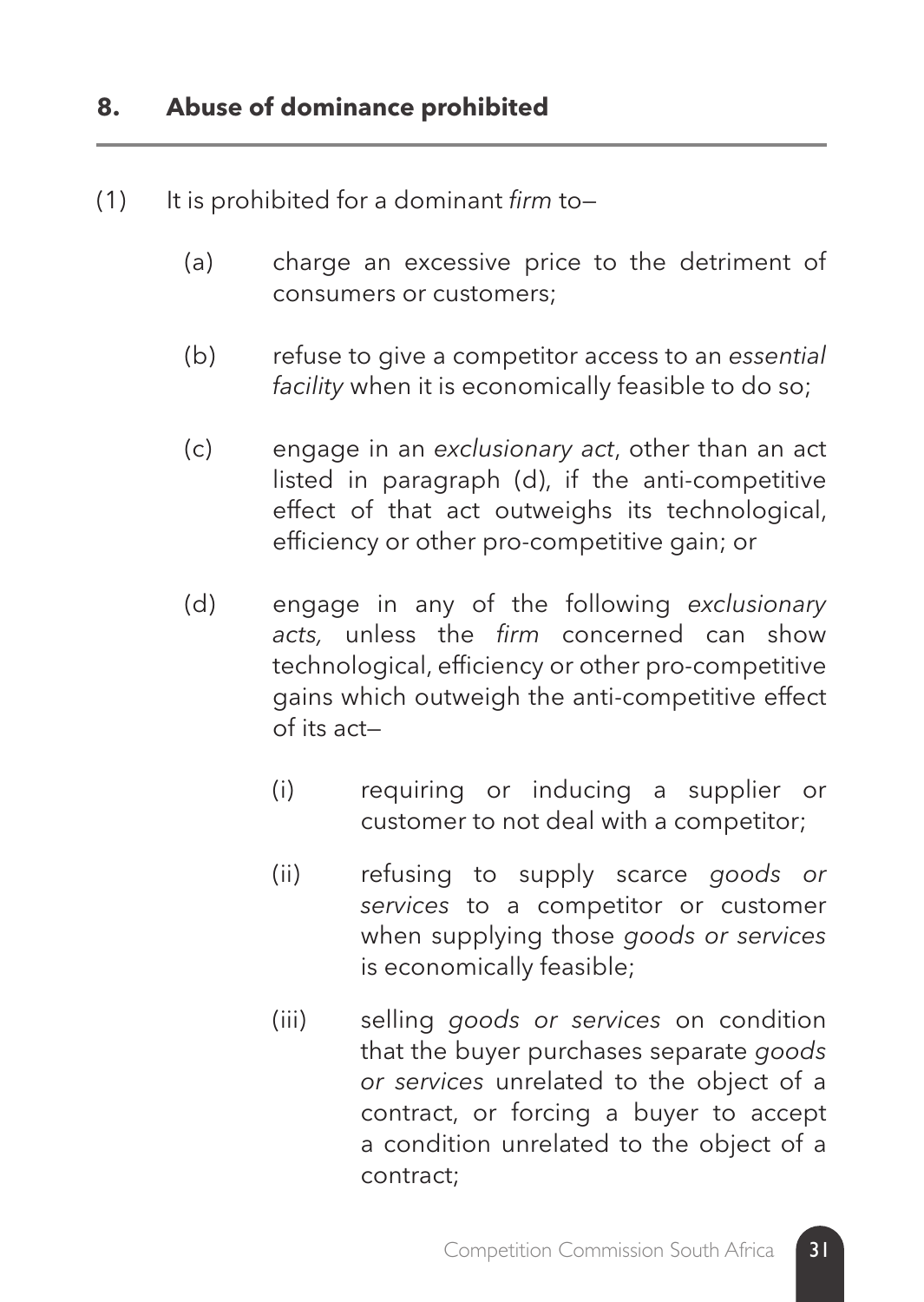- (1) It is prohibited for a dominant *firm* to—
	- (a) charge an excessive price to the detriment of consumers or customers;
	- (b) refuse to give a competitor access to an *essential facility* when it is economically feasible to do so;
	- (c) engage in an *exclusionary act*, other than an act listed in paragraph (d), if the anti-competitive effect of that act outweighs its technological, efficiency or other pro-competitive gain; or
	- (d) engage in any of the following *exclusionary acts,* unless the *firm* concerned can show technological, efficiency or other pro-competitive gains which outweigh the anti-competitive effect of its act—
		- (i) requiring or inducing a supplier or customer to not deal with a competitor;
		- (ii) refusing to supply scarce *goods or services* to a competitor or customer when supplying those *goods or services* is economically feasible;
		- (iii) selling *goods or services* on condition that the buyer purchases separate *goods or services* unrelated to the object of a contract, or forcing a buyer to accept a condition unrelated to the object of a contract;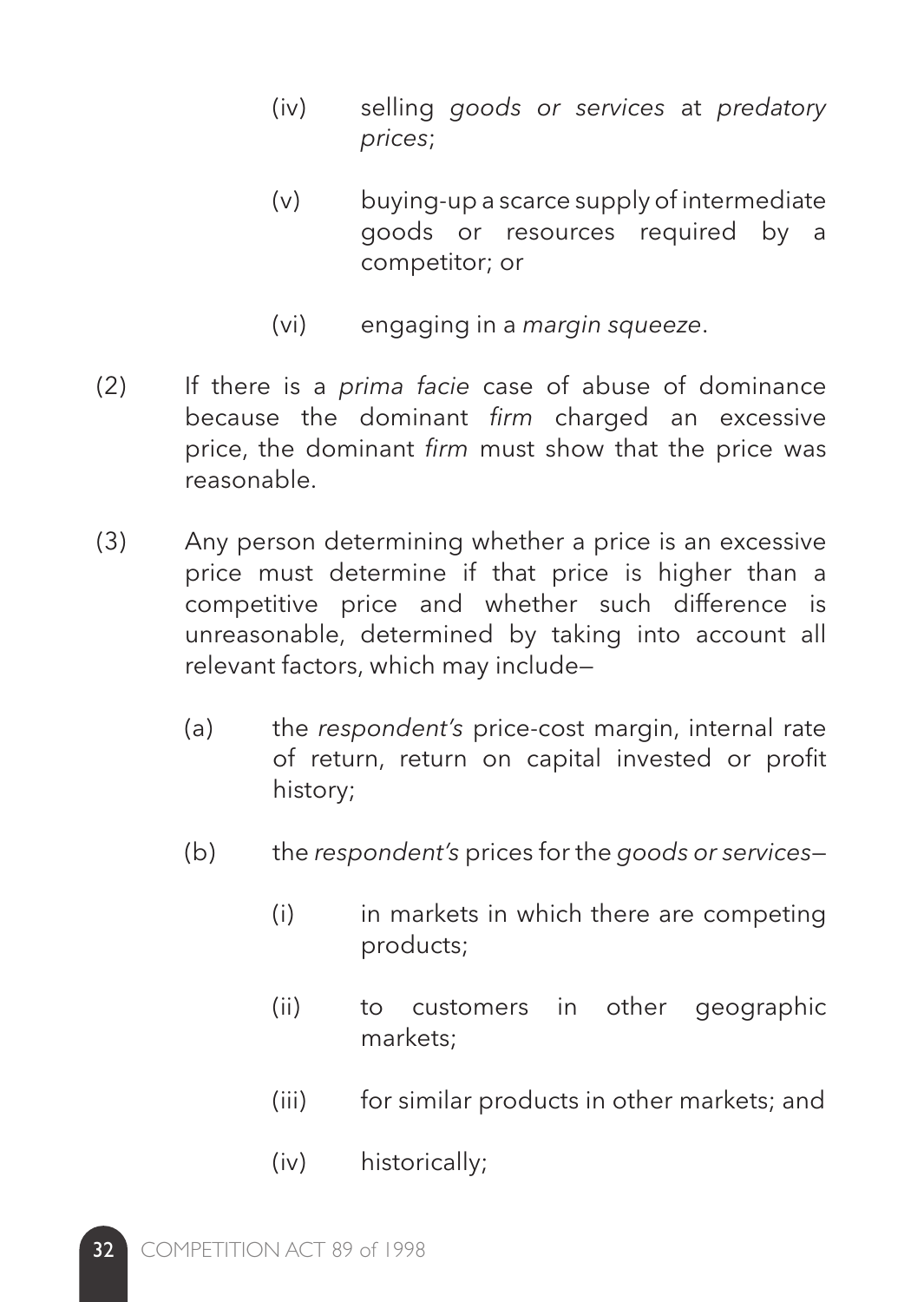- (iv) selling *goods or services* at *predatory prices*;
- (v) buying-up a scarce supply of intermediate goods or resources required by a competitor; or
- (vi) engaging in a *margin squeeze*.
- (2) If there is a *prima facie* case of abuse of dominance because the dominant *firm* charged an excessive price, the dominant *firm* must show that the price was reasonable.
- (3) Any person determining whether a price is an excessive price must determine if that price is higher than a competitive price and whether such difference is unreasonable, determined by taking into account all relevant factors, which may include—
	- (a) the *respondent's* price-cost margin, internal rate of return, return on capital invested or profit history;
	- (b) the *respondent's* prices for the *goods or services*
		- (i) in markets in which there are competing products;
		- (ii) to customers in other geographic markets;
		- (iii) for similar products in other markets; and
		- (iv) historically;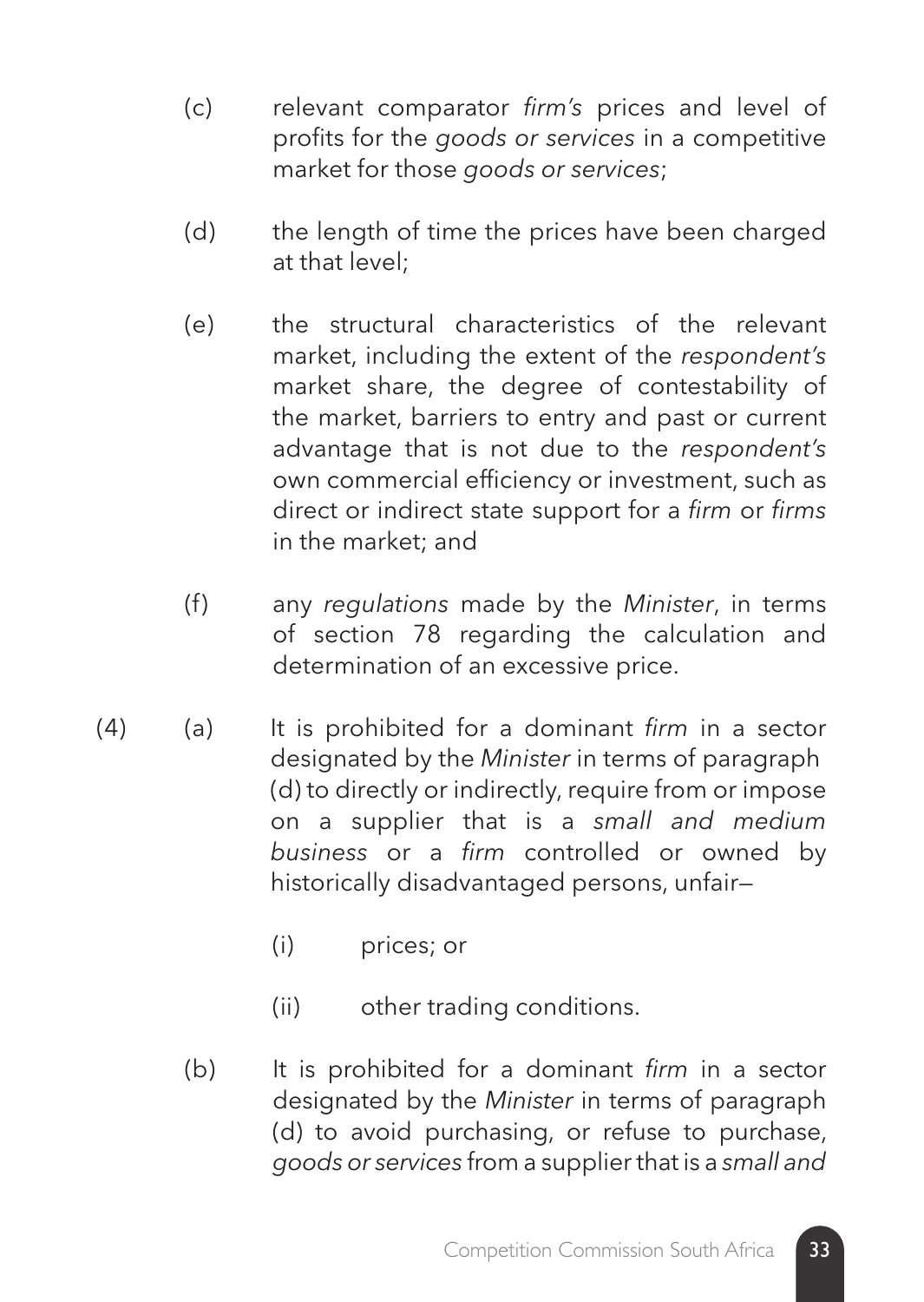- (c) relevant comparator *firm's* prices and level of profits for the *goods or services* in a competitive market for those *goods or services*;
- (d) the length of time the prices have been charged at that level;
- (e) the structural characteristics of the relevant market, including the extent of the *respondent's*  market share, the degree of contestability of the market, barriers to entry and past or current advantage that is not due to the *respondent's*  own commercial efficiency or investment, such as direct or indirect state support for a *firm* or *firms* in the market; and
- (f) any *regulations* made by the *Minister*, in terms of section 78 regarding the calculation and determination of an excessive price.
- (4) (a) It is prohibited for a dominant *firm* in a sector designated by the *Minister* in terms of paragraph (d) to directly or indirectly, require from or impose on a supplier that is a *small and medium business* or a *firm* controlled or owned by historically disadvantaged persons, unfair—
	- (i) prices; or
	- (ii) other trading conditions.
	- (b) It is prohibited for a dominant *firm* in a sector designated by the *Minister* in terms of paragraph (d) to avoid purchasing, or refuse to purchase, *goods or services* from a supplier that is a *small and*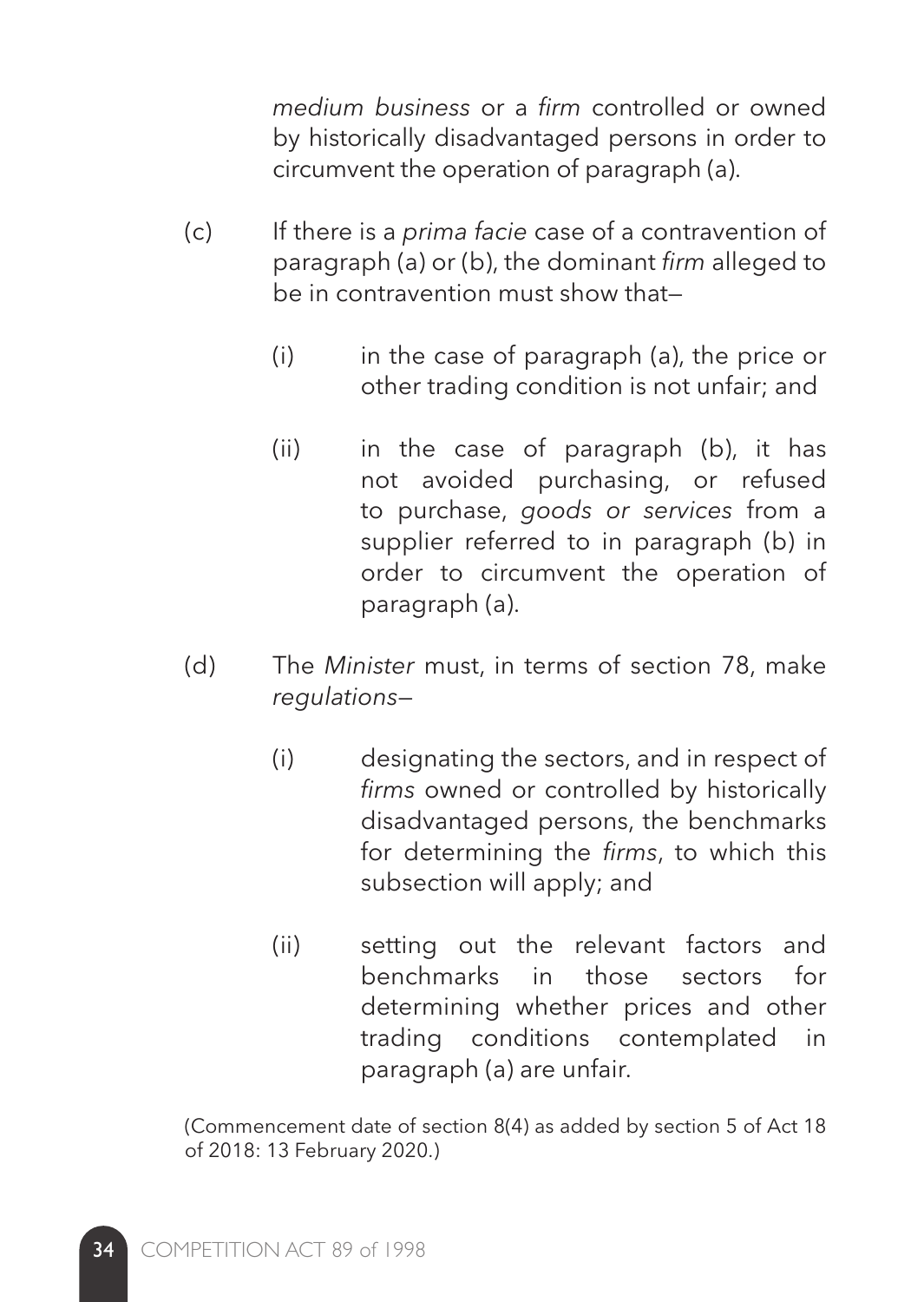*medium business* or a *firm* controlled or owned by historically disadvantaged persons in order to circumvent the operation of paragraph (a).

- (c) If there is a *prima facie* case of a contravention of paragraph (a) or (b), the dominant *firm* alleged to be in contravention must show that—
	- $(i)$  in the case of paragraph  $(a)$ , the price or other trading condition is not unfair; and
	- (ii) in the case of paragraph (b), it has not avoided purchasing, or refused to purchase, *goods or services* from a supplier referred to in paragraph (b) in order to circumvent the operation of paragraph (a).
- (d) The *Minister* must, in terms of section 78, make *regulations*—
	- (i) designating the sectors, and in respect of *firms* owned or controlled by historically disadvantaged persons, the benchmarks for determining the *firms*, to which this subsection will apply; and
	- (ii) setting out the relevant factors and benchmarks in those sectors for determining whether prices and other trading conditions contemplated in paragraph (a) are unfair.

(Commencement date of section 8(4) as added by section 5 of Act 18 of 2018: 13 February 2020.)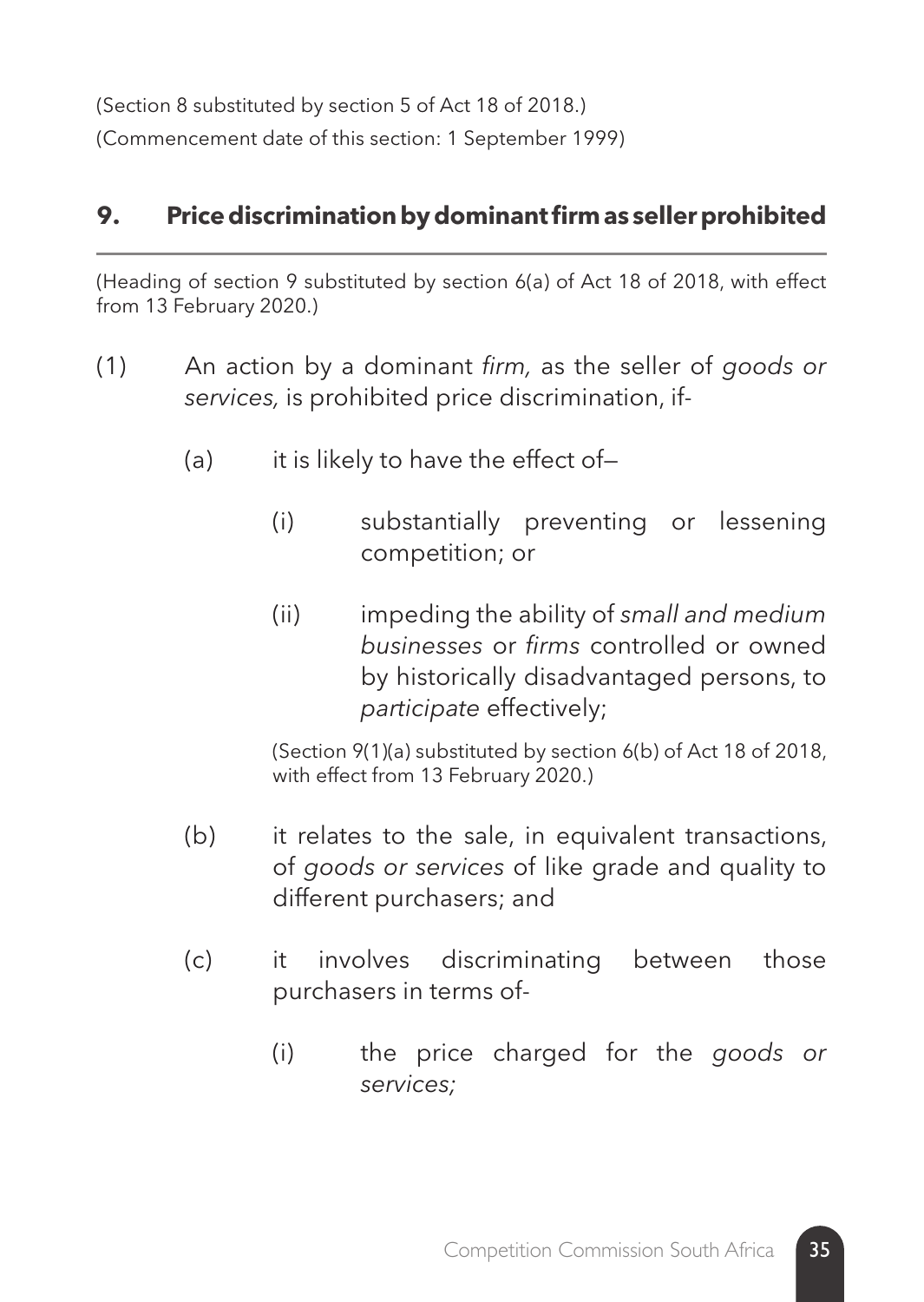(Section 8 substituted by section 5 of Act 18 of 2018.) (Commencement date of this section: 1 September 1999)

#### **9. Price discrimination by dominant firm as seller prohibited**

(Heading of section 9 substituted by section 6(a) of Act 18 of 2018, with effect from 13 February 2020.)

- (1) An action by a dominant *firm,* as the seller of *goods or services,* is prohibited price discrimination, if-
	- (a) it is likely to have the effect of—
		- (i) substantially preventing or lessening competition; or
		- (ii) impeding the ability of *small and medium businesses* or *firms* controlled or owned by historically disadvantaged persons, to *participate* effectively;

(Section 9(1)(a) substituted by section 6(b) of Act 18 of 2018, with effect from 13 February 2020.)

- (b) it relates to the sale, in equivalent transactions, of *goods or services* of like grade and quality to different purchasers; and
- (c) it involves discriminating between those purchasers in terms of-
	- (i) the price charged for the *goods or services;*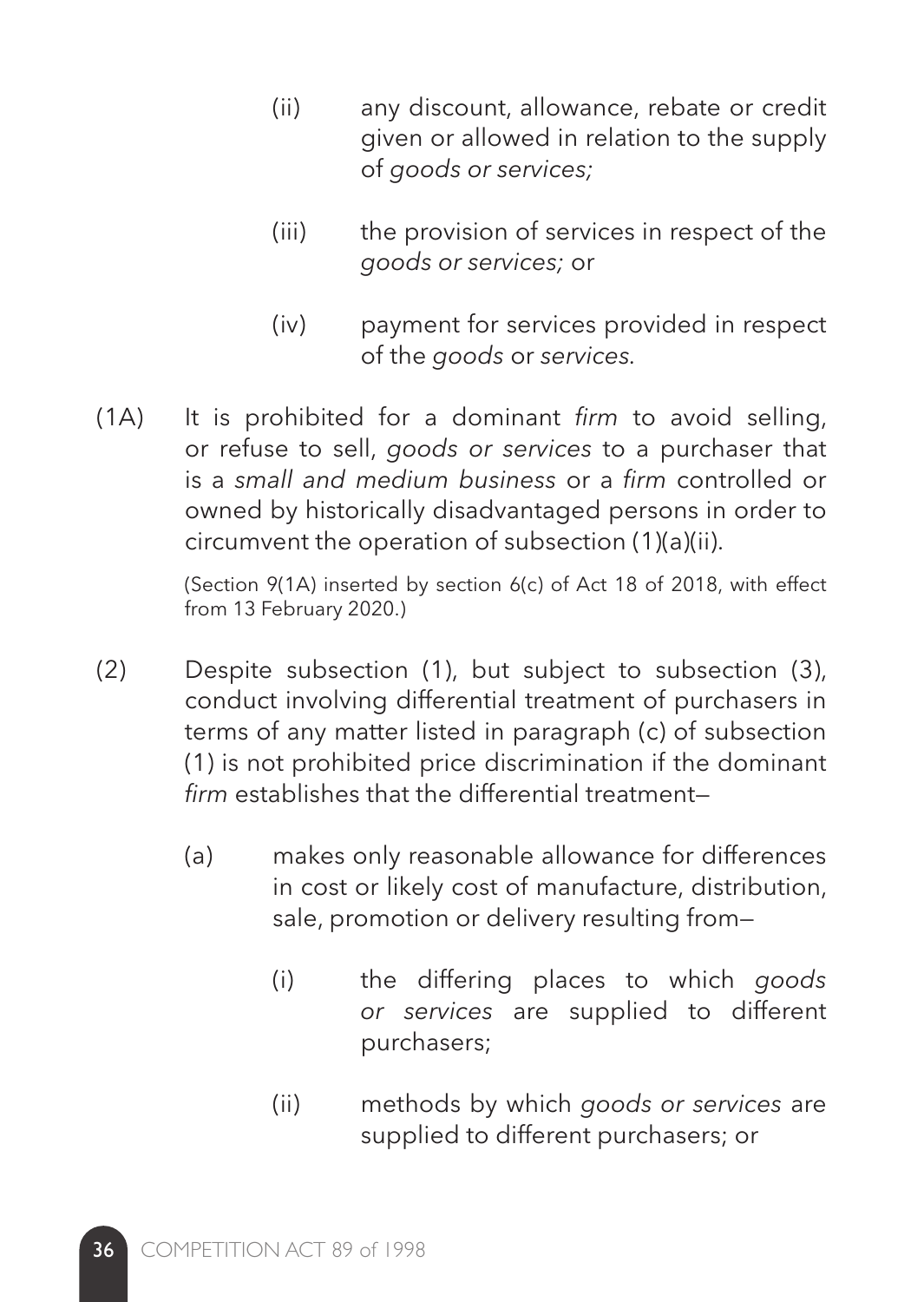- (ii) any discount, allowance, rebate or credit given or allowed in relation to the supply of *goods or services;*
- (iii) the provision of services in respect of the *goods or services;* or
- (iv) payment for services provided in respect of the *goods* or *services.*
- (1A) It is prohibited for a dominant *firm* to avoid selling, or refuse to sell, *goods or services* to a purchaser that is a *small and medium business* or a *firm* controlled or owned by historically disadvantaged persons in order to circumvent the operation of subsection (1)(a)(ii).

```
(Section 9(1A) inserted by section 6(c) of Act 18 of 2018, with effect 
from 13 February 2020.)
```
- (2) Despite subsection (1), but subject to subsection (3), conduct involving differential treatment of purchasers in terms of any matter listed in paragraph (c) of subsection (1) is not prohibited price discrimination if the dominant *firm* establishes that the differential treatment—
	- (a) makes only reasonable allowance for differences in cost or likely cost of manufacture, distribution, sale, promotion or delivery resulting from—
		- (i) the differing places to which *goods or services* are supplied to different purchasers;
		- (ii) methods by which *goods or services* are supplied to different purchasers; or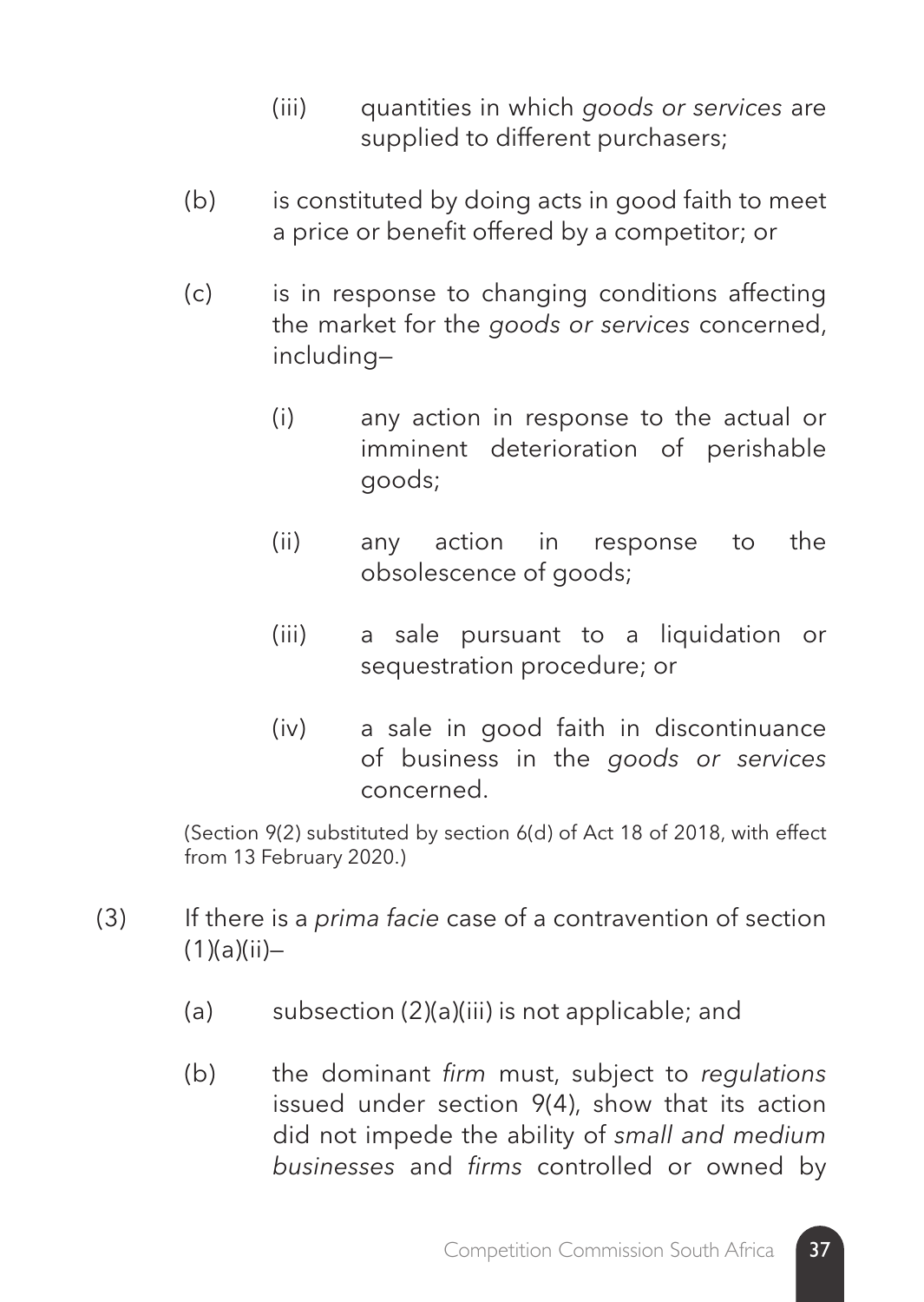- (iii) quantities in which *goods or services* are supplied to different purchasers;
- (b) is constituted by doing acts in good faith to meet a price or benefit offered by a competitor; or
- (c) is in response to changing conditions affecting the market for the *goods or services* concerned, including—
	- (i) any action in response to the actual or imminent deterioration of perishable goods;
	- (ii) any action in response to the obsolescence of goods;
	- (iii) a sale pursuant to a liquidation or sequestration procedure; or
	- (iv) a sale in good faith in discontinuance of business in the *goods or services* concerned.

(Section 9(2) substituted by section 6(d) of Act 18 of 2018, with effect from 13 February 2020.)

- (3) If there is a *prima facie* case of a contravention of section  $(1)(a)(ii)$ 
	- (a) subsection (2)(a)(iii) is not applicable; and
	- (b) the dominant *firm* must, subject to *regulations*  issued under section 9(4), show that its action did not impede the ability of *small and medium businesses* and *firms* controlled or owned by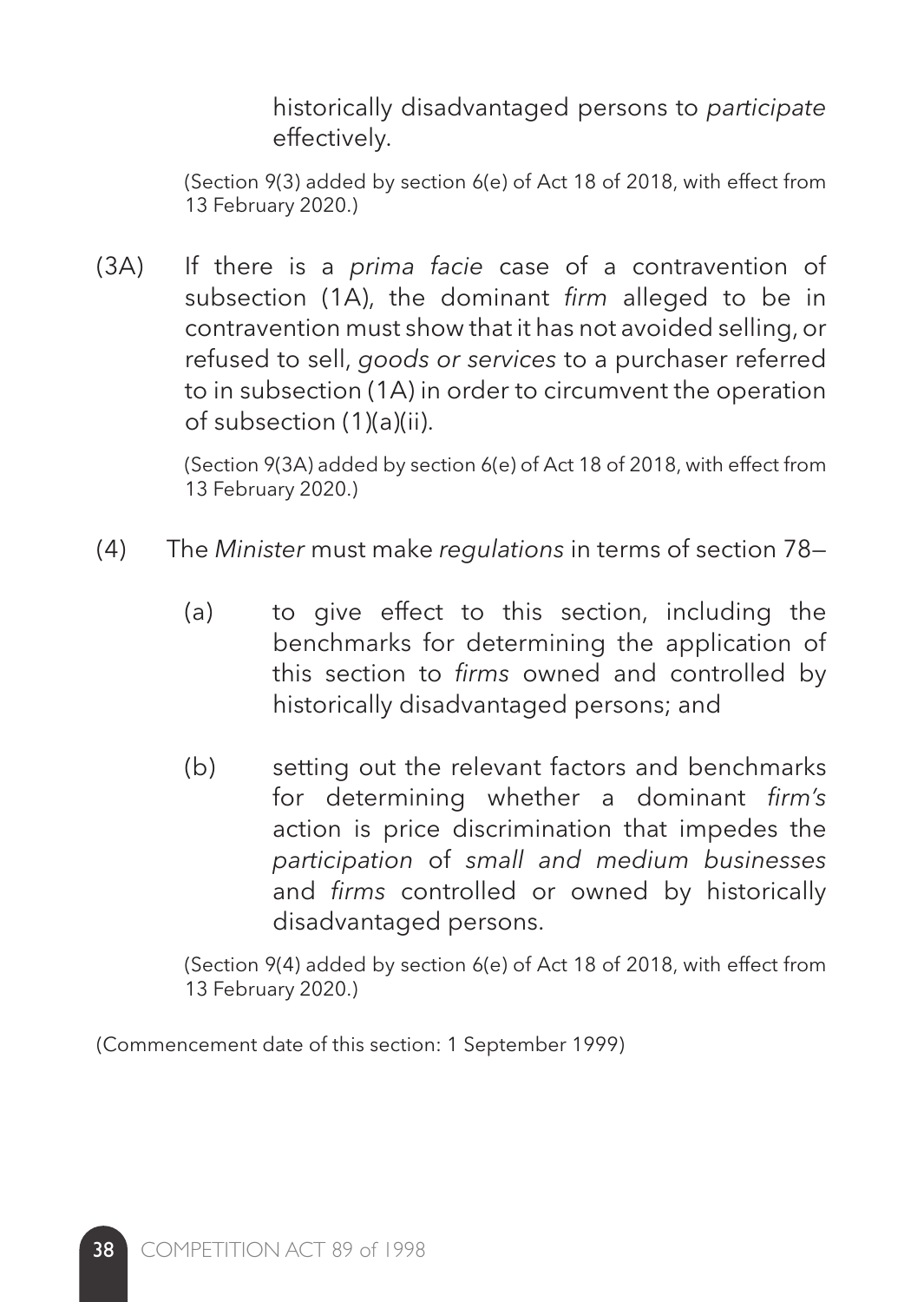historically disadvantaged persons to *participate* effectively.

(Section 9(3) added by section 6(e) of Act 18 of 2018, with effect from 13 February 2020.)

(3A) If there is a *prima facie* case of a contravention of subsection (1A), the dominant *firm* alleged to be in contravention must show that it has not avoided selling, or refused to sell, *goods or services* to a purchaser referred to in subsection (1A) in order to circumvent the operation of subsection (1)(a)(ii).

> (Section 9(3A) added by section 6(e) of Act 18 of 2018, with effect from 13 February 2020.)

- (4) The *Minister* must make *regulations* in terms of section 78—
	- (a) to give effect to this section, including the benchmarks for determining the application of this section to *firms* owned and controlled by historically disadvantaged persons; and
	- (b) setting out the relevant factors and benchmarks for determining whether a dominant *firm's* action is price discrimination that impedes the *participation* of *small and medium businesses*  and *firms* controlled or owned by historically disadvantaged persons.

(Section 9(4) added by section 6(e) of Act 18 of 2018, with effect from 13 February 2020.)

(Commencement date of this section: 1 September 1999)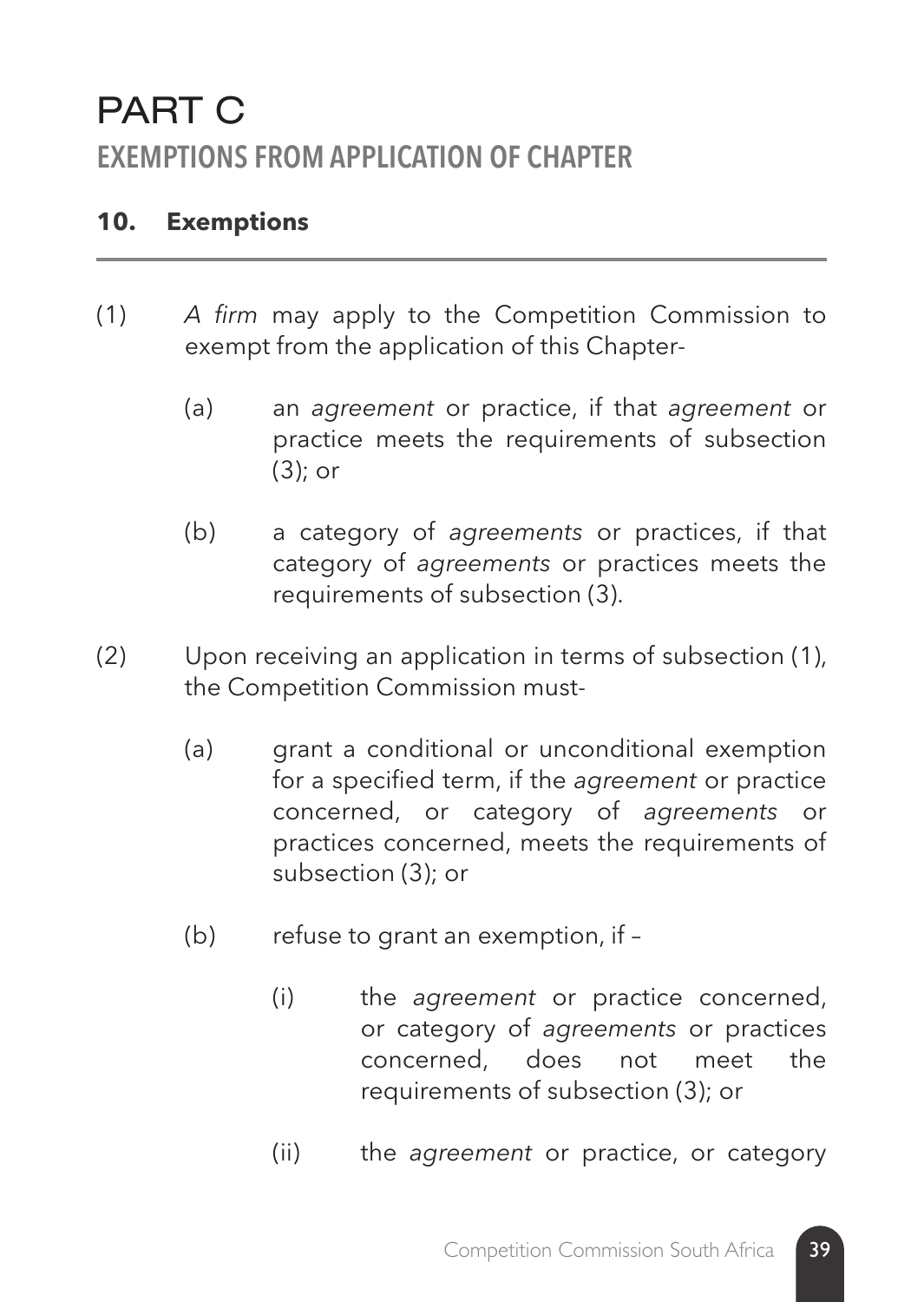# PART C EXEMPTIONS FROM APPLICATION OF CHAPTER

#### **10. Exemptions**

- (1) *A firm* may apply to the Competition Commission to exempt from the application of this Chapter-
	- (a) an *agreement* or practice, if that *agreement* or practice meets the requirements of subsection (3); or
	- (b) a category of *agreements* or practices, if that category of *agreements* or practices meets the requirements of subsection (3).
- (2) Upon receiving an application in terms of subsection (1), the Competition Commission must-
	- (a) grant a conditional or unconditional exemption for a specified term, if the *agreement* or practice concerned, or category of *agreements* or practices concerned, meets the requirements of subsection (3); or
	- (b) refuse to grant an exemption, if
		- (i) the *agreement* or practice concerned, or category of *agreements* or practices concerned, does not meet the requirements of subsection (3); or
		- (ii) the *agreement* or practice, or category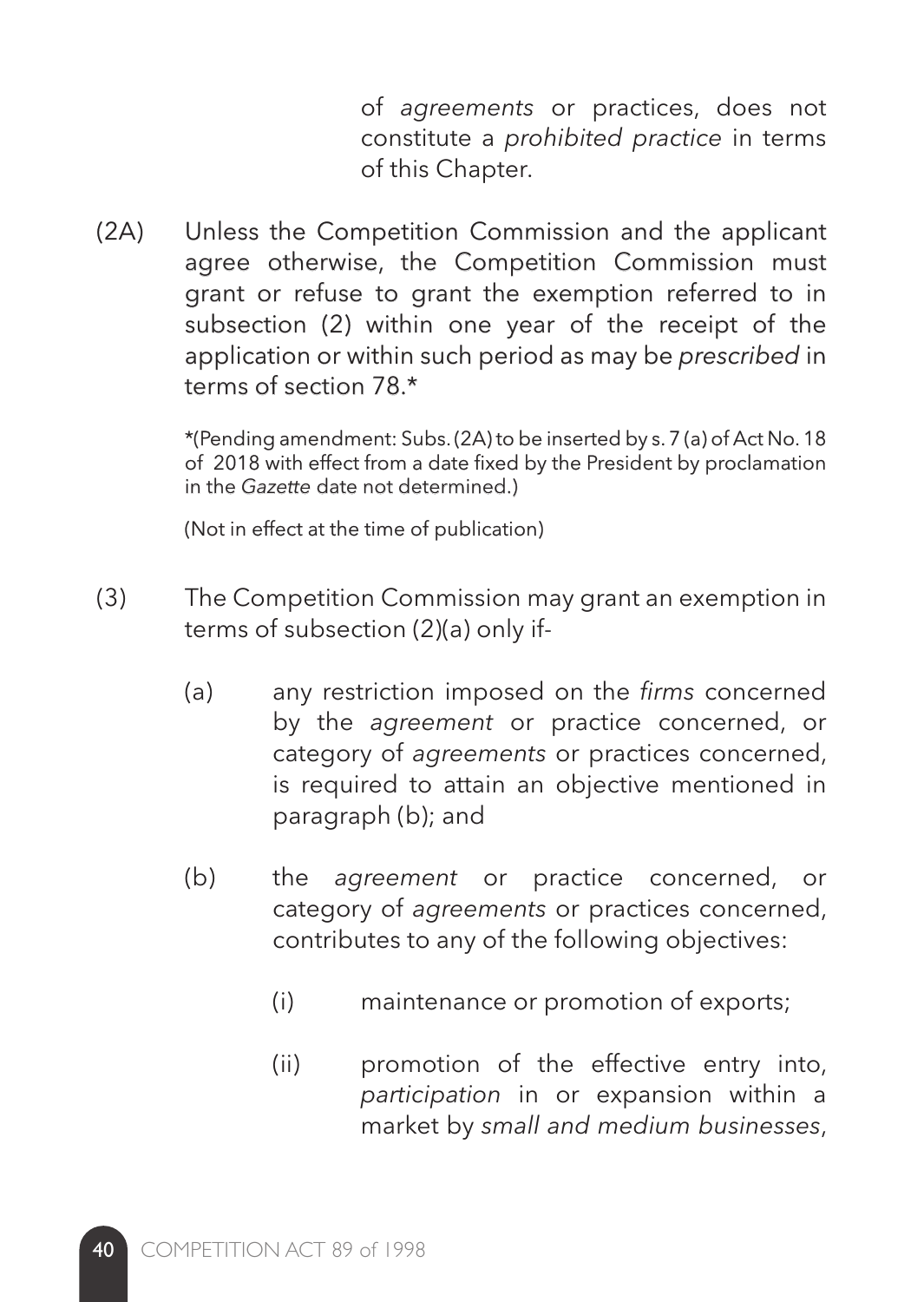of *agreements* or practices, does not constitute a *prohibited practice* in terms of this Chapter.

(2A) Unless the Competition Commission and the applicant agree otherwise, the Competition Commission must grant or refuse to grant the exemption referred to in subsection (2) within one year of the receipt of the application or within such period as may be *prescribed* in terms of section 78.\*

> \*(Pending amendment: Subs. (2A) to be inserted by s. 7 (a) of Act No. 18 of 2018 with effect from a date fixed by the President by proclamation in the *Gazette* date not determined.)

(Not in effect at the time of publication)

- (3) The Competition Commission may grant an exemption in terms of subsection (2)(a) only if-
	- (a) any restriction imposed on the *firms* concerned by the *agreement* or practice concerned, or category of *agreements* or practices concerned, is required to attain an objective mentioned in paragraph (b); and
	- (b) the *agreement* or practice concerned, or category of *agreements* or practices concerned, contributes to any of the following objectives:
		- (i) maintenance or promotion of exports;
		- (ii) promotion of the effective entry into, *participation* in or expansion within a market by *small and medium businesses*,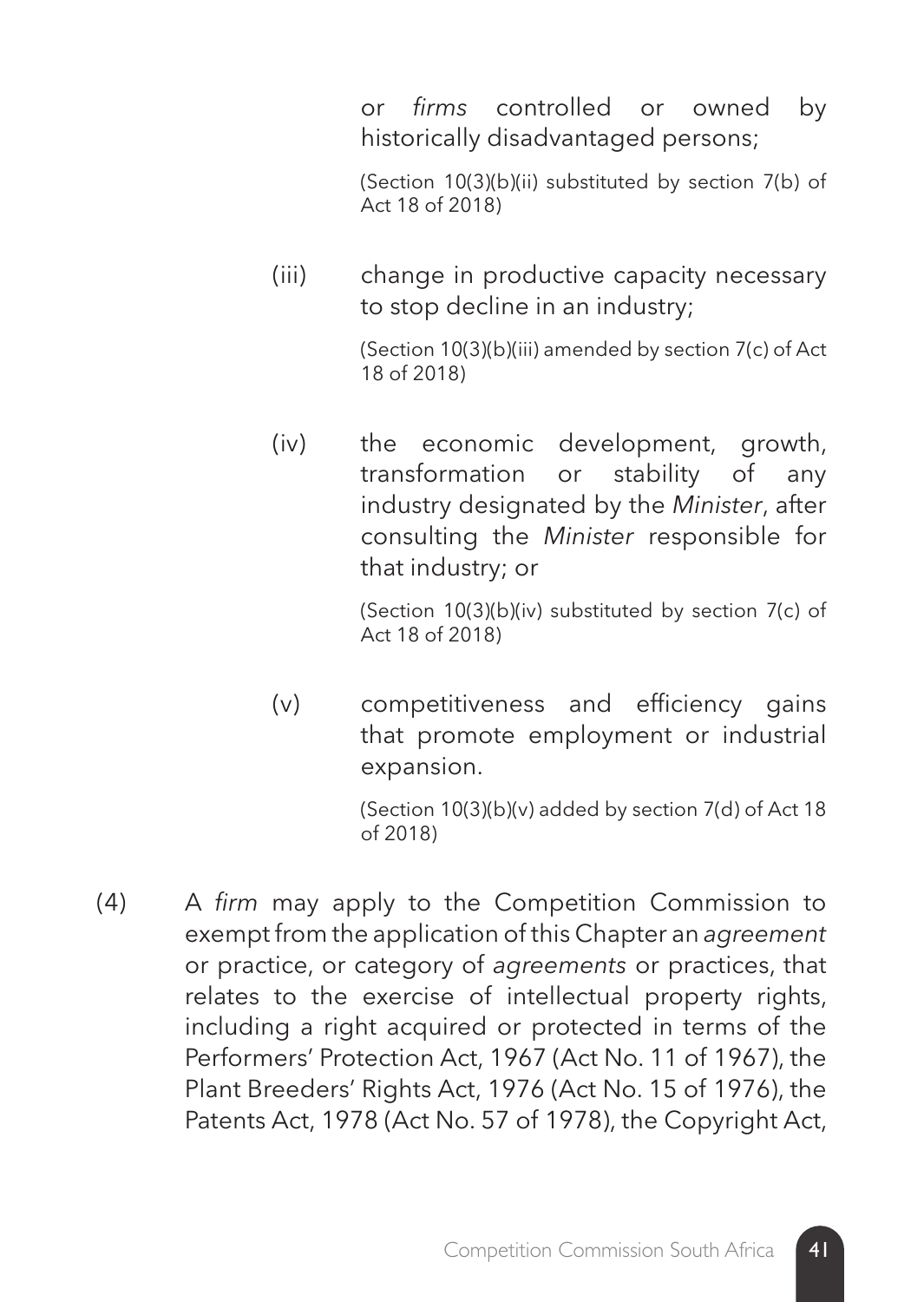or *firms* controlled or owned by historically disadvantaged persons;

(Section 10(3)(b)(ii) substituted by section 7(b) of Act 18 of 2018)

(iii) change in productive capacity necessary to stop decline in an industry;

> (Section 10(3)(b)(iii) amended by section 7(c) of Act 18 of 2018)

(iv) the economic development, growth, transformation or stability of any industry designated by the *Minister*, after consulting the *Minister* responsible for that industry; or

> (Section 10(3)(b)(iv) substituted by section 7(c) of Act 18 of 2018)

(v) competitiveness and efficiency gains that promote employment or industrial expansion.

> (Section 10(3)(b)(v) added by section 7(d) of Act 18 of 2018)

(4) A *firm* may apply to the Competition Commission to exempt from the application of this Chapter an *agreement*  or practice, or category of *agreements* or practices, that relates to the exercise of intellectual property rights, including a right acquired or protected in terms of the Performers' Protection Act, 1967 (Act No. 11 of 1967), the Plant Breeders' Rights Act, 1976 (Act No. 15 of 1976), the Patents Act, 1978 (Act No. 57 of 1978), the Copyright Act,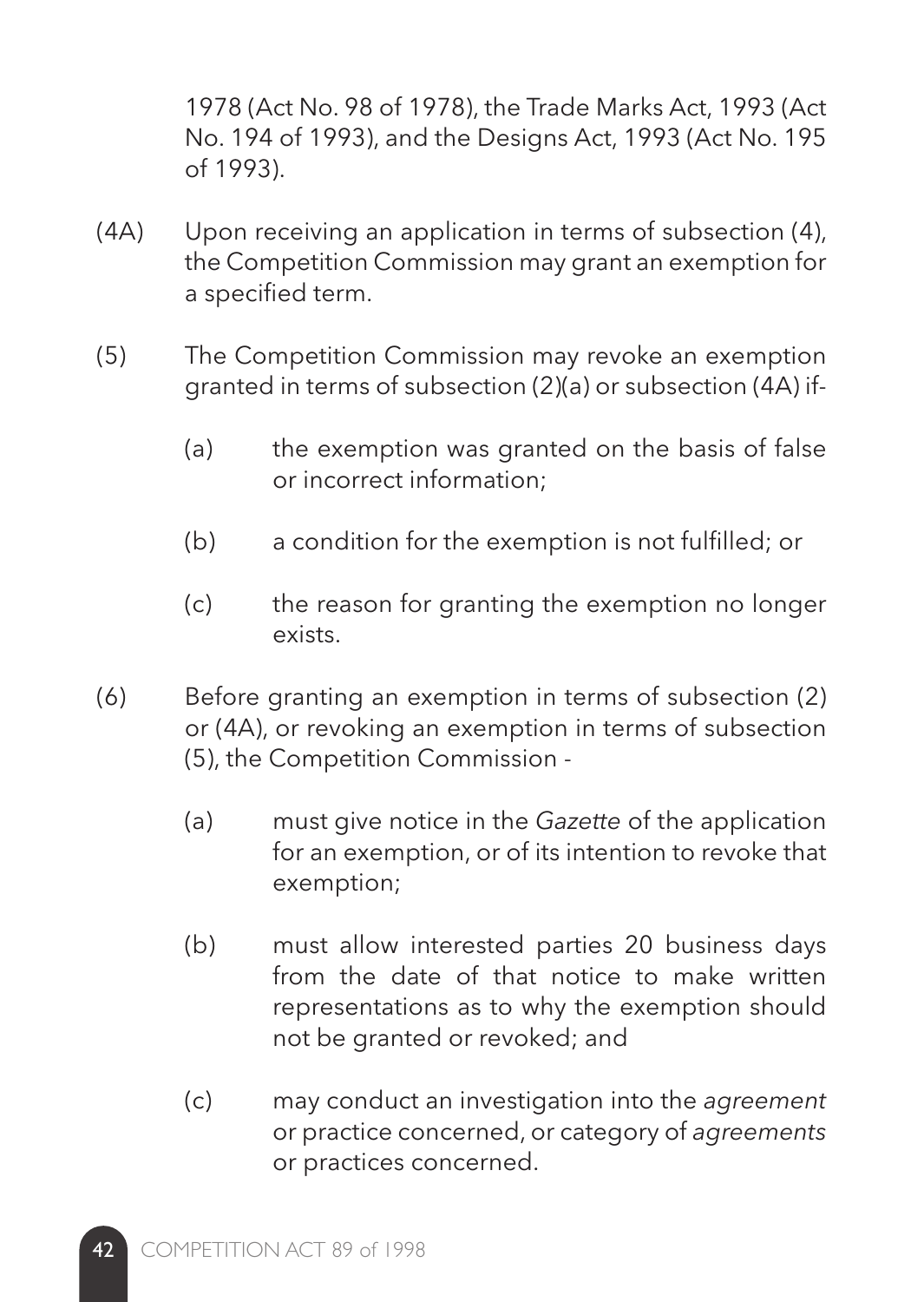1978 (Act No. 98 of 1978), the Trade Marks Act, 1993 (Act No. 194 of 1993), and the Designs Act, 1993 (Act No. 195 of 1993).

- (4A) Upon receiving an application in terms of subsection (4), the Competition Commission may grant an exemption for a specified term.
- (5) The Competition Commission may revoke an exemption granted in terms of subsection (2)(a) or subsection (4A) if-
	- (a) the exemption was granted on the basis of false or incorrect information;
	- (b) a condition for the exemption is not fulfilled; or
	- (c) the reason for granting the exemption no longer exists.
- (6) Before granting an exemption in terms of subsection (2) or (4A), or revoking an exemption in terms of subsection (5), the Competition Commission -
	- (a) must give notice in the *Gazette* of the application for an exemption, or of its intention to revoke that exemption;
	- (b) must allow interested parties 20 business days from the date of that notice to make written representations as to why the exemption should not be granted or revoked; and
	- (c) may conduct an investigation into the *agreement* or practice concerned, or category of *agreements* or practices concerned.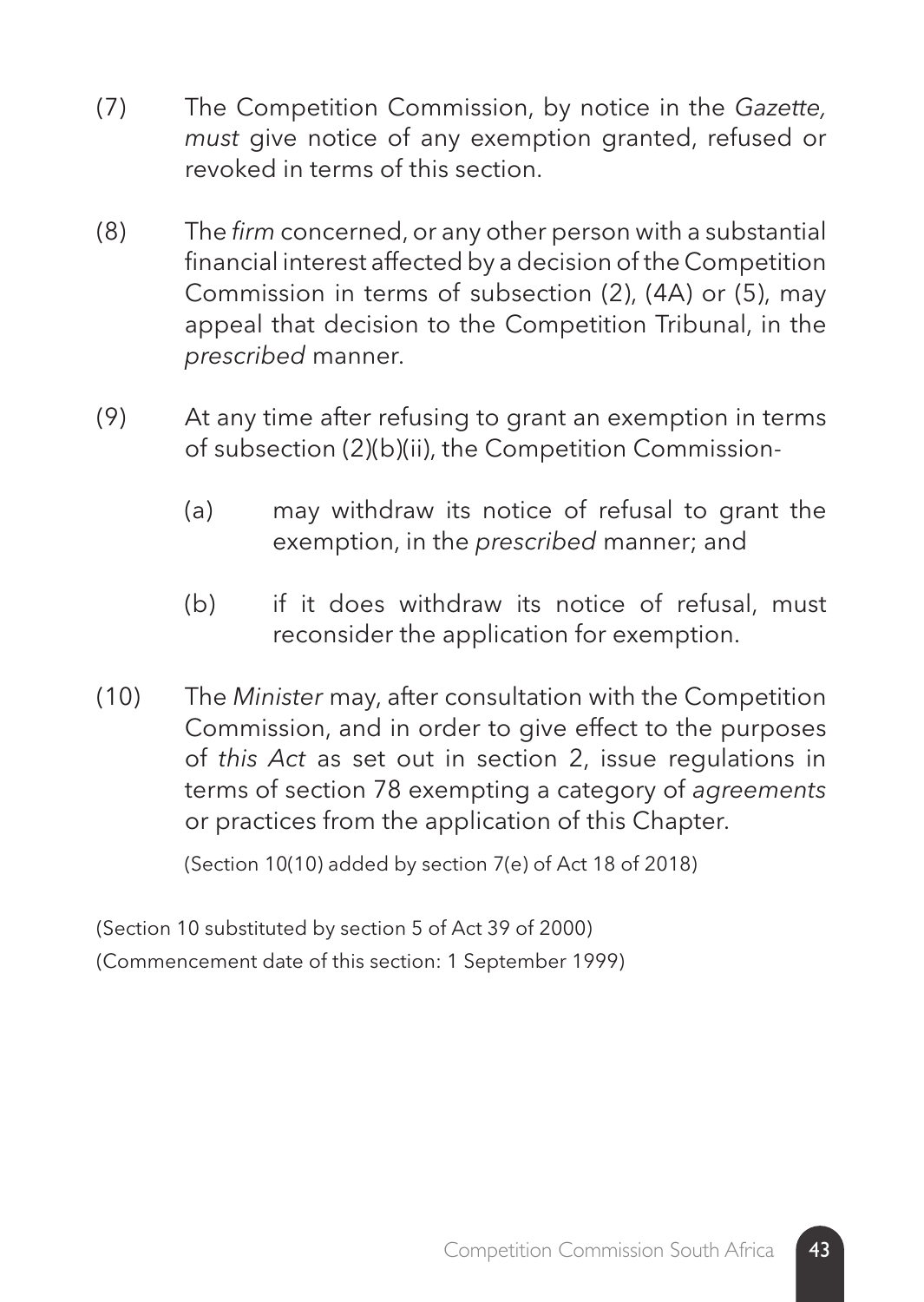- (7) The Competition Commission, by notice in the *Gazette, must* give notice of any exemption granted, refused or revoked in terms of this section.
- (8) The *firm* concerned, or any other person with a substantial financial interest affected by a decision of the Competition Commission in terms of subsection (2), (4A) or (5), may appeal that decision to the Competition Tribunal, in the *prescribed* manner.
- (9) At any time after refusing to grant an exemption in terms of subsection (2)(b)(ii), the Competition Commission-
	- (a) may withdraw its notice of refusal to grant the exemption, in the *prescribed* manner; and
	- (b) if it does withdraw its notice of refusal, must reconsider the application for exemption.
- (10) The *Minister* may, after consultation with the Competition Commission, and in order to give effect to the purposes of *this Act* as set out in section 2, issue regulations in terms of section 78 exempting a category of *agreements*  or practices from the application of this Chapter.

(Section 10(10) added by section 7(e) of Act 18 of 2018)

(Section 10 substituted by section 5 of Act 39 of 2000)

(Commencement date of this section: 1 September 1999)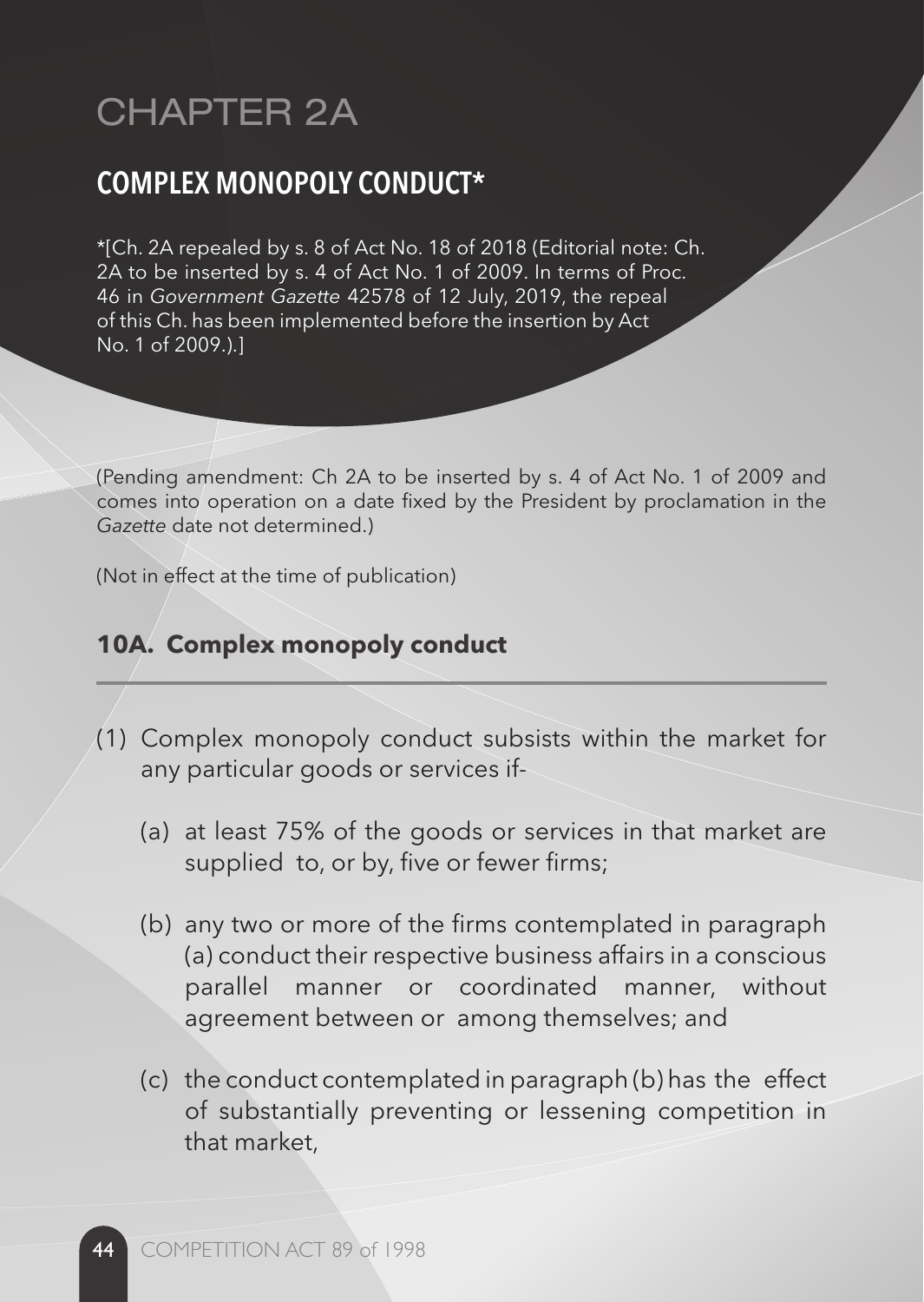# CHAPTER 2A

## COMPLEX MONOPOLY CONDUCT\*

\*[Ch. 2A repealed by s. 8 of Act No. 18 of 2018 (Editorial note: Ch. 2A to be inserted by s. 4 of Act No. 1 of 2009. In terms of Proc. 46 in *Government Gazette* 42578 of 12 July, 2019, the repeal of this Ch. has been implemented before the insertion by Act No. 1 of 2009.).]

(Pending amendment: Ch 2A to be inserted by s. 4 of Act No. 1 of 2009 and comes into operation on a date fixed by the President by proclamation in the *Gazette* date not determined.)

(Not in effect at the time of publication)

### **10A. Complex monopoly conduct**

- (1) Complex monopoly conduct subsists within the market for any particular goods or services if-
	- (a) at least 75% of the goods or services in that market are supplied to, or by, five or fewer firms;
	- (b) any two or more of the firms contemplated in paragraph (a) conduct their respective business affairs in a conscious parallel manner or coordinated manner, without agreement between or among themselves; and
	- (c) the conduct contemplated in paragraph (b) has the effect of substantially preventing or lessening competition in that market,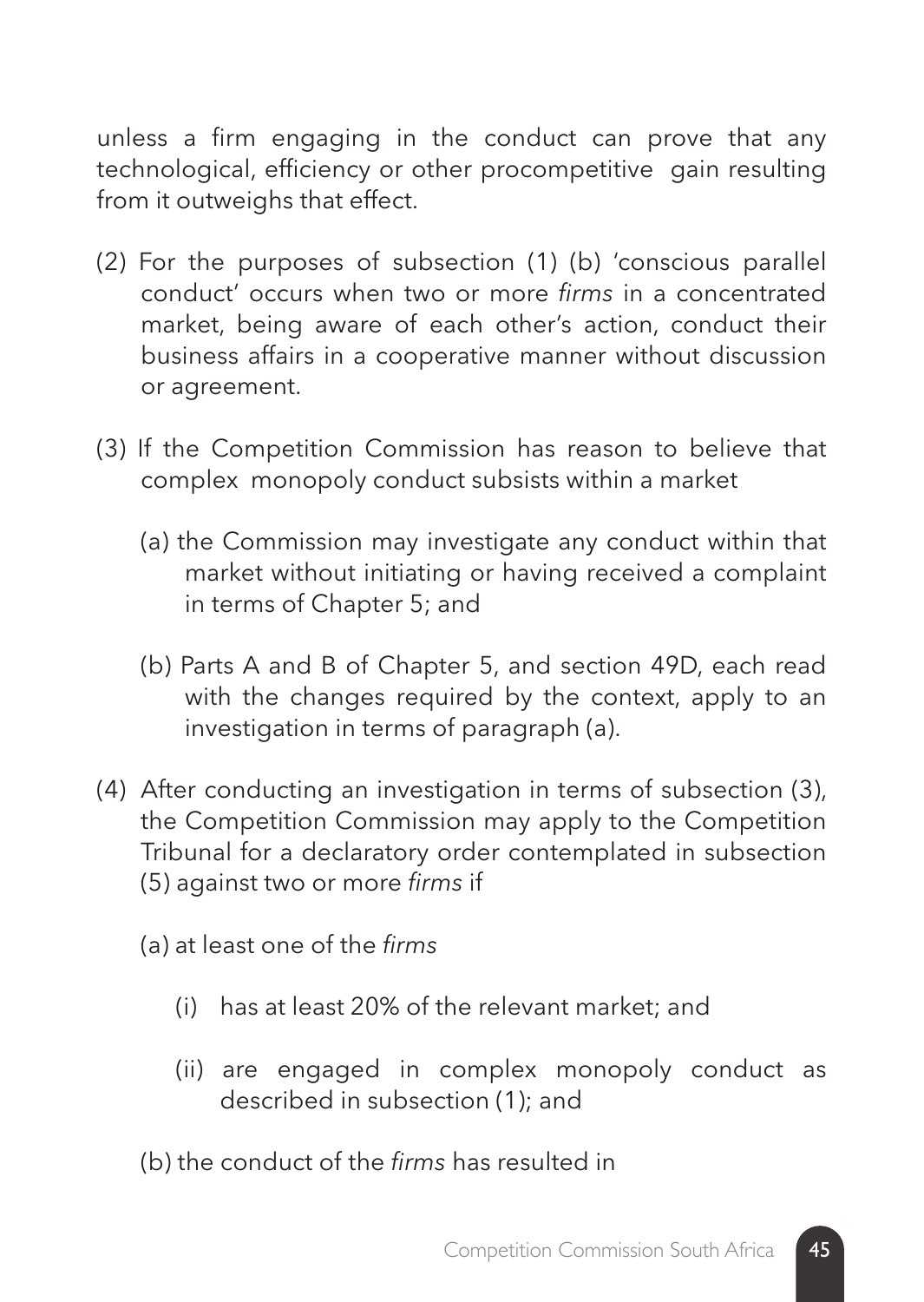unless a firm engaging in the conduct can prove that any technological, efficiency or other procompetitive gain resulting from it outweighs that effect.

- (2) For the purposes of subsection (1) (b) 'conscious parallel conduct' occurs when two or more *firms* in a concentrated market, being aware of each other's action, conduct their business affairs in a cooperative manner without discussion or agreement.
- (3) If the Competition Commission has reason to believe that complex monopoly conduct subsists within a market
	- (a) the Commission may investigate any conduct within that market without initiating or having received a complaint in terms of Chapter 5; and
	- (b) Parts A and B of Chapter 5, and section 49D, each read with the changes required by the context, apply to an investigation in terms of paragraph (a).
- (4) After conducting an investigation in terms of subsection (3), the Competition Commission may apply to the Competition Tribunal for a declaratory order contemplated in subsection (5) against two or more *firms* if
	- (a) at least one of the *firms*
		- (i) has at least 20% of the relevant market; and
		- (ii) are engaged in complex monopoly conduct as described in subsection (1); and
	- (b) the conduct of the *firms* has resulted in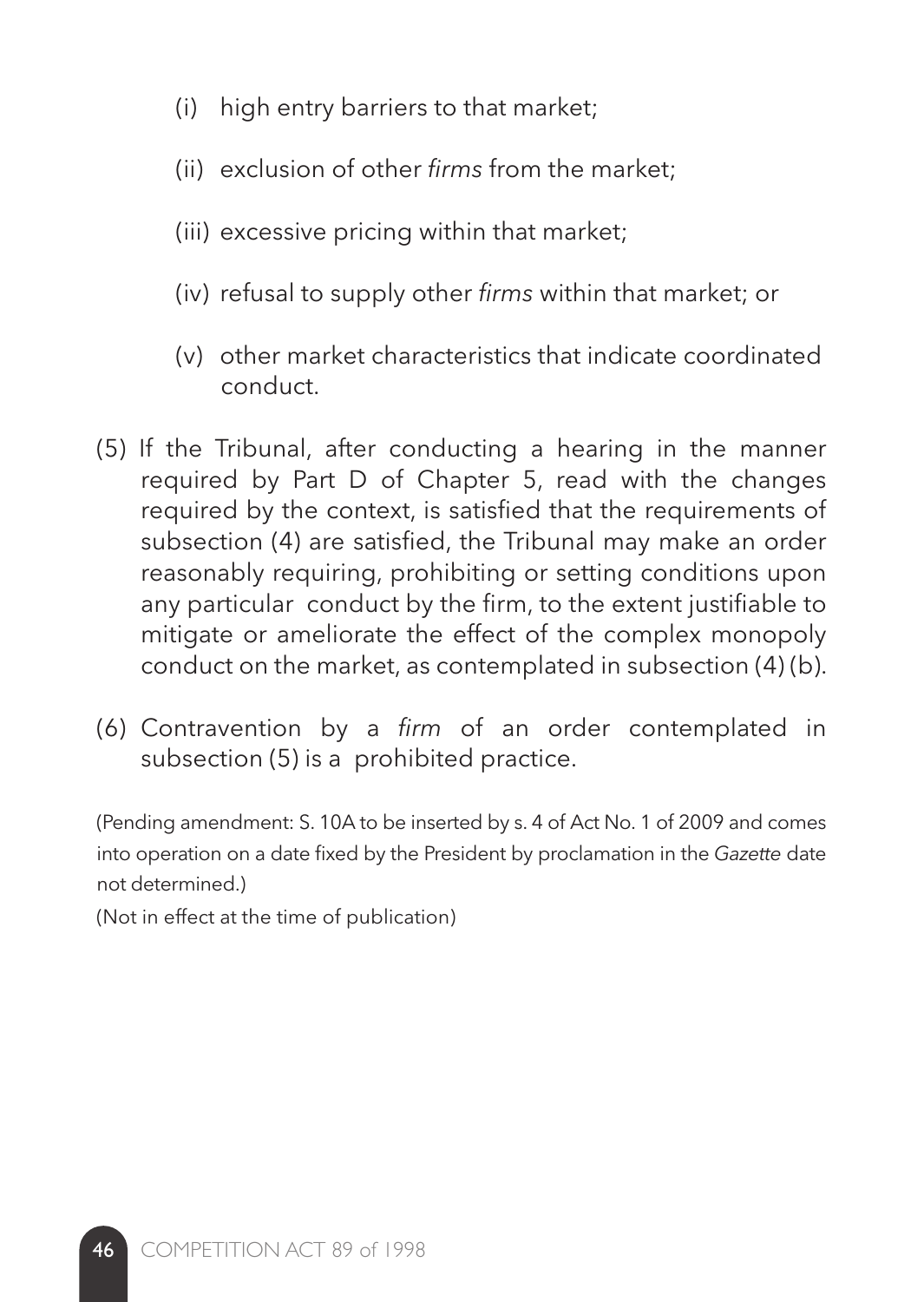- (i) high entry barriers to that market;
- (ii) exclusion of other *firms* from the market;
- (iii) excessive pricing within that market;
- (iv) refusal to supply other *firms* within that market; or
- (v) other market characteristics that indicate coordinated conduct.
- (5) If the Tribunal, after conducting a hearing in the manner required by Part D of Chapter 5, read with the changes required by the context, is satisfied that the requirements of subsection (4) are satisfied, the Tribunal may make an order reasonably requiring, prohibiting or setting conditions upon any particular conduct by the firm, to the extent justifiable to mitigate or ameliorate the effect of the complex monopoly conduct on the market, as contemplated in subsection (4) (b).
- (6) Contravention by a *firm* of an order contemplated in subsection (5) is a prohibited practice.

(Pending amendment: S. 10A to be inserted by s. 4 of Act No. 1 of 2009 and comes into operation on a date fixed by the President by proclamation in the *Gazette* date not determined.)

(Not in effect at the time of publication)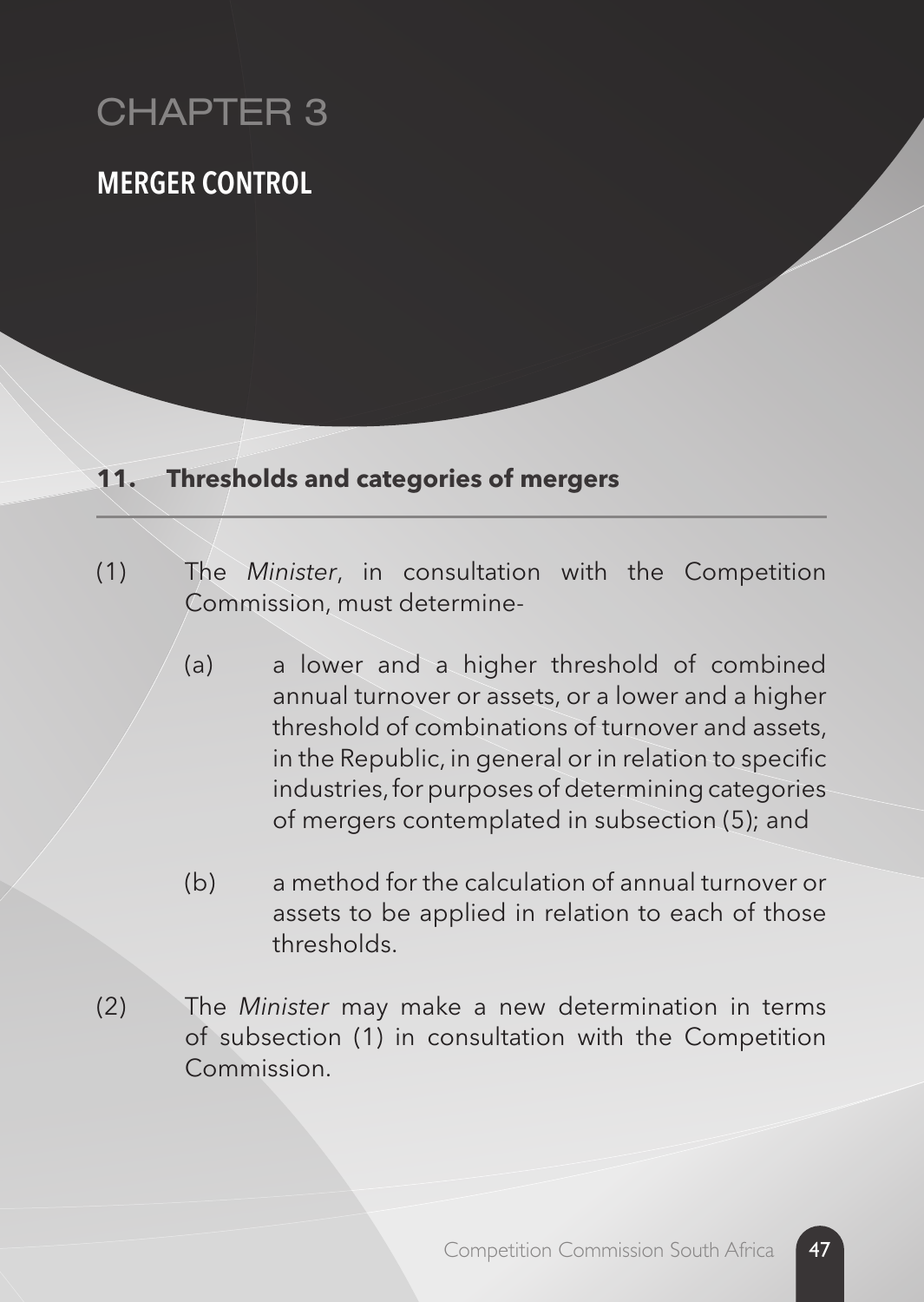# CHAPTER 3

## MERGER CONTROL

#### **11. Thresholds and categories of mergers**

- (1) The *Minister*, in consultation with the Competition Commission, must determine-
	- (a) a lower and a higher threshold of combined annual turnover or assets, or a lower and a higher threshold of combinations of turnover and assets, in the Republic, in general or in relation to specific industries, for purposes of determining categories of mergers contemplated in subsection (5); and
	- (b) a method for the calculation of annual turnover or assets to be applied in relation to each of those thresholds.
- (2) The *Minister* may make a new determination in terms of subsection (1) in consultation with the Competition Commission.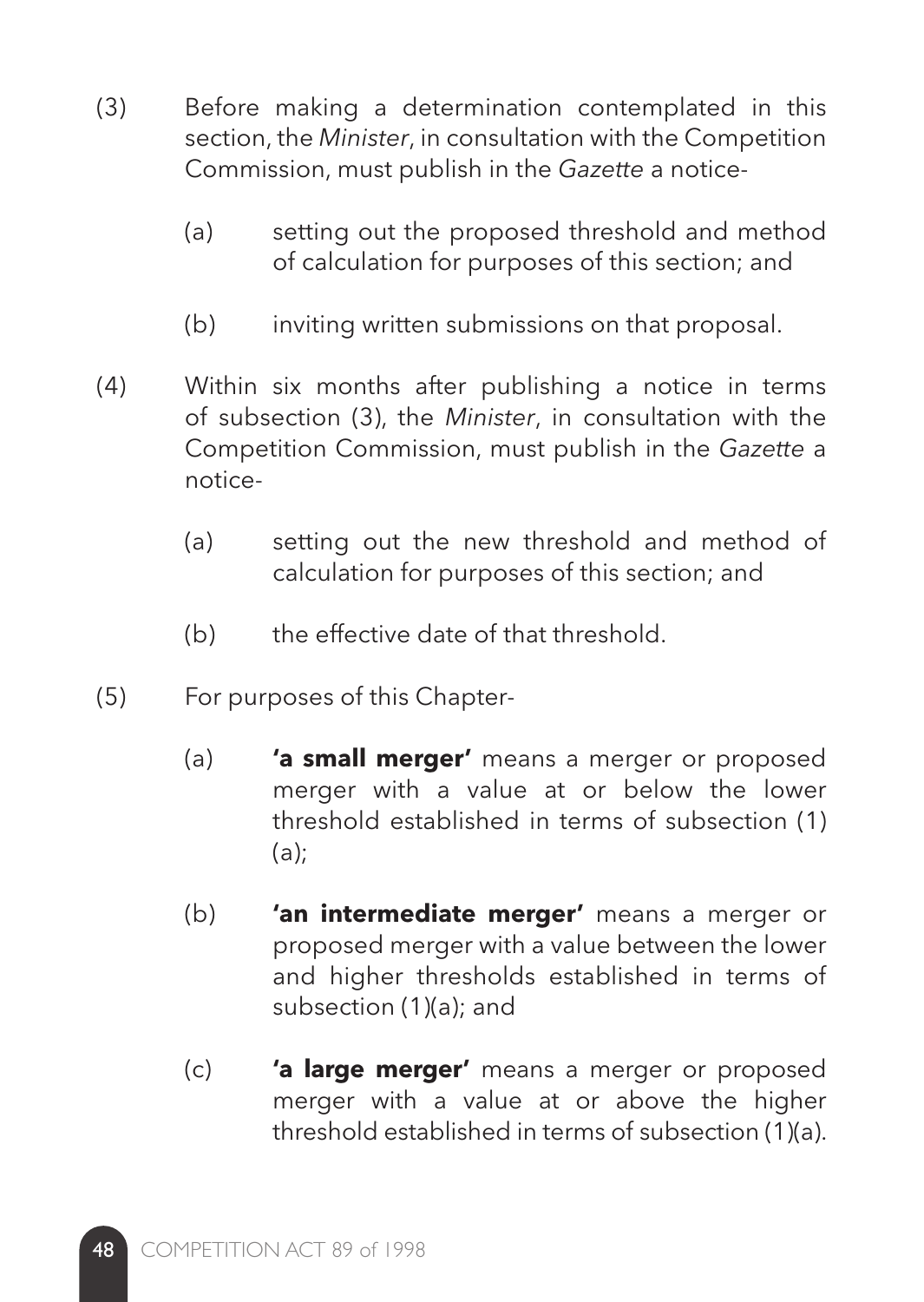- (3) Before making a determination contemplated in this section, the *Minister*, in consultation with the Competition Commission, must publish in the *Gazette* a notice-
	- (a) setting out the proposed threshold and method of calculation for purposes of this section; and
	- (b) inviting written submissions on that proposal.
- (4) Within six months after publishing a notice in terms of subsection (3), the *Minister*, in consultation with the Competition Commission, must publish in the *Gazette* a notice-
	- (a) setting out the new threshold and method of calculation for purposes of this section; and
	- (b) the effective date of that threshold.
- (5) For purposes of this Chapter-
	- (a) **'a small merger'** means a merger or proposed merger with a value at or below the lower threshold established in terms of subsection (1) (a);
	- (b) **'an intermediate merger'** means a merger or proposed merger with a value between the lower and higher thresholds established in terms of subsection (1)(a); and
	- (c) **'a large merger'** means a merger or proposed merger with a value at or above the higher threshold established in terms of subsection (1)(a).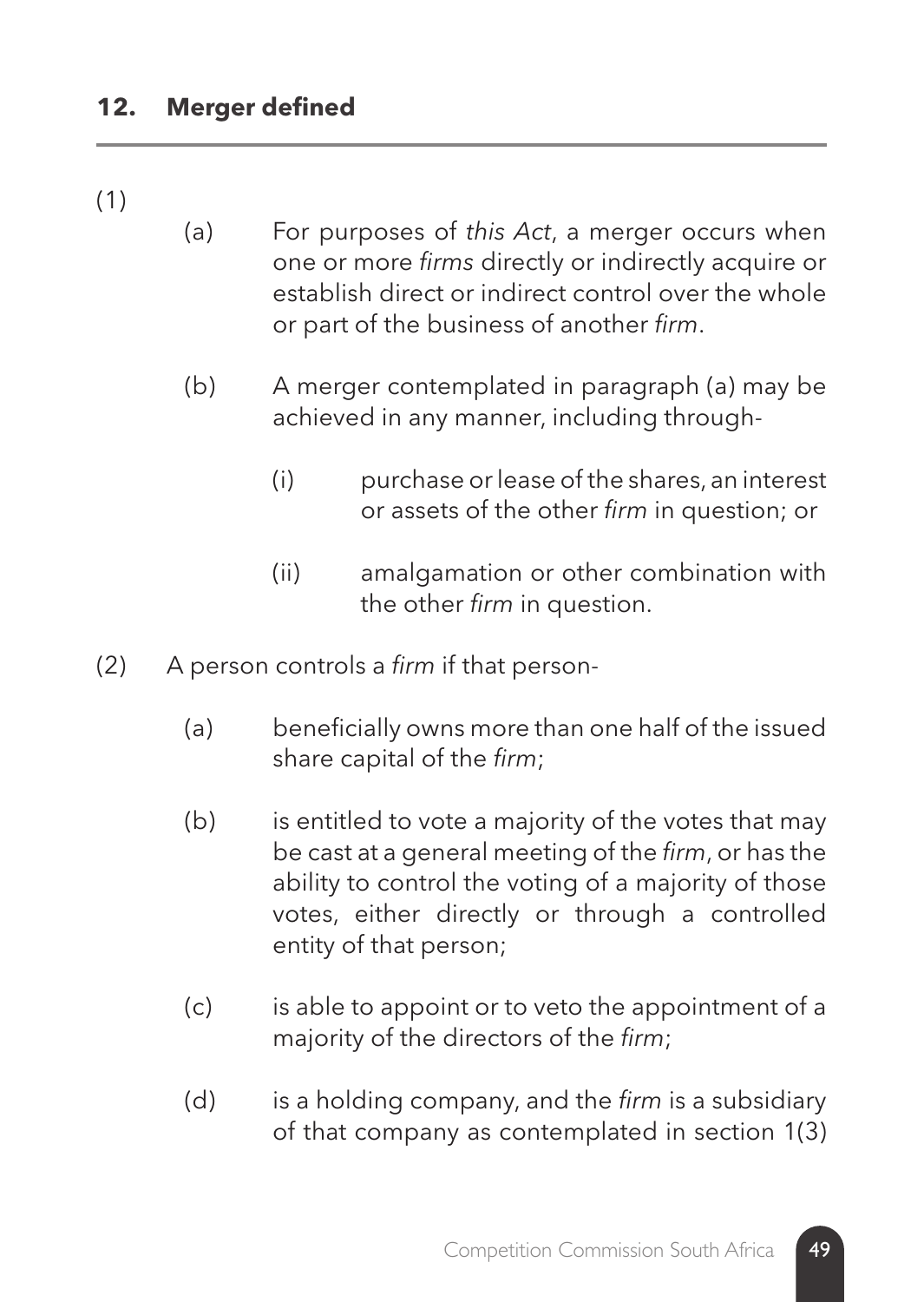(1)

- (a) For purposes of *this Act*, a merger occurs when one or more *firms* directly or indirectly acquire or establish direct or indirect control over the whole or part of the business of another *firm*.
- (b) A merger contemplated in paragraph (a) may be achieved in any manner, including through-
	- (i) purchase or lease of the shares, an interest or assets of the other *firm* in question; or
	- (ii) amalgamation or other combination with the other *firm* in question.
- (2) A person controls a *firm* if that person-
	- (a) beneficially owns more than one half of the issued share capital of the *firm*;
	- (b) is entitled to vote a majority of the votes that may be cast at a general meeting of the *firm*, or has the ability to control the voting of a majority of those votes, either directly or through a controlled entity of that person;
	- (c) is able to appoint or to veto the appointment of a majority of the directors of the *firm*;
	- (d) is a holding company, and the *firm* is a subsidiary of that company as contemplated in section 1(3)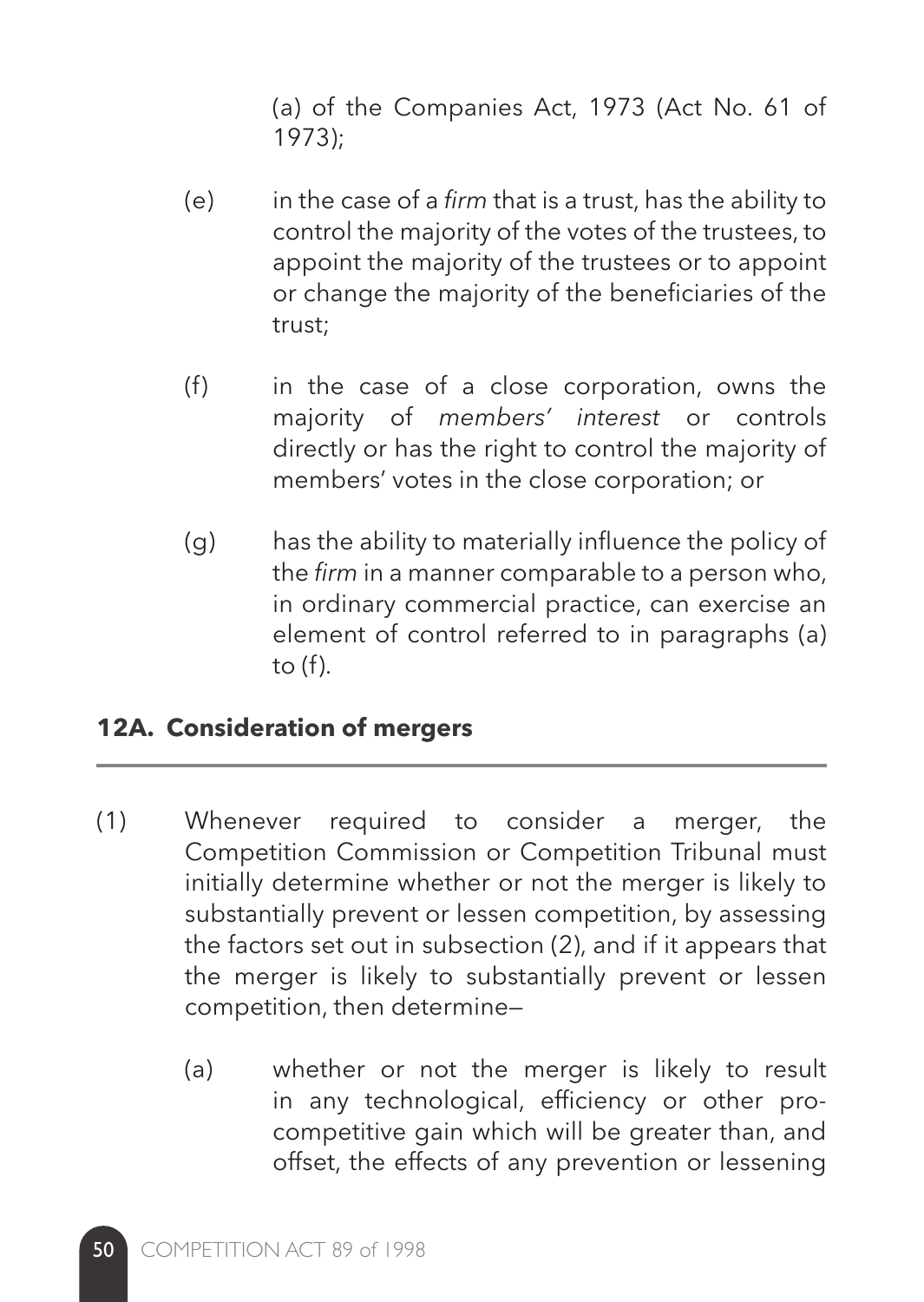(a) of the Companies Act, 1973 (Act No. 61 of 1973);

- (e) in the case of a *firm* that is a trust, has the ability to control the majority of the votes of the trustees, to appoint the majority of the trustees or to appoint or change the majority of the beneficiaries of the trust;
- (f) in the case of a close corporation, owns the majority of *members' interest* or controls directly or has the right to control the majority of members' votes in the close corporation; or
- (g) has the ability to materially influence the policy of the *firm* in a manner comparable to a person who, in ordinary commercial practice, can exercise an element of control referred to in paragraphs (a) to (f).

#### **12A. Consideration of mergers**

- (1) Whenever required to consider a merger, the Competition Commission or Competition Tribunal must initially determine whether or not the merger is likely to substantially prevent or lessen competition, by assessing the factors set out in subsection (2), and if it appears that the merger is likely to substantially prevent or lessen competition, then determine—
	- (a) whether or not the merger is likely to result in any technological, efficiency or other procompetitive gain which will be greater than, and offset, the effects of any prevention or lessening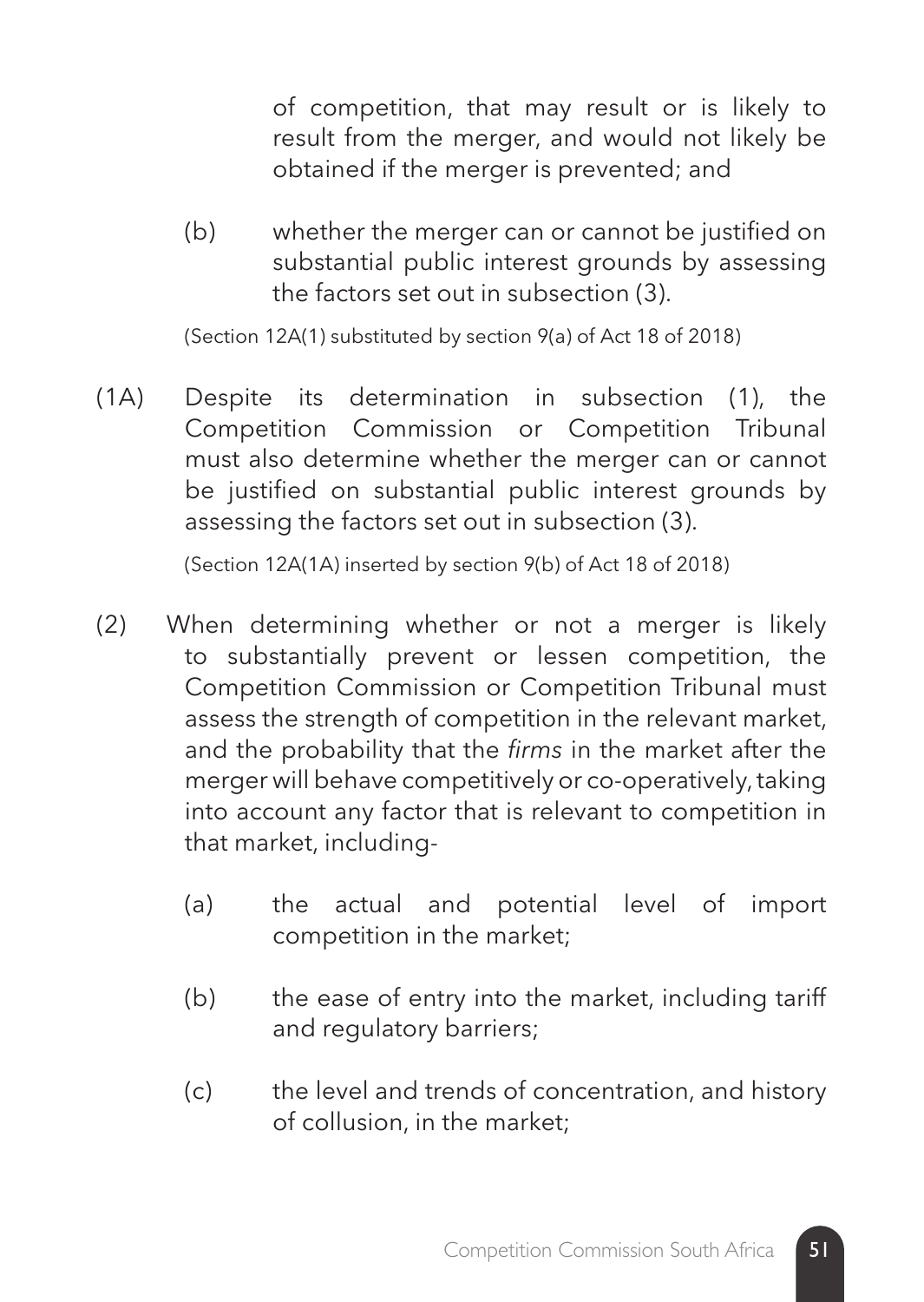of competition, that may result or is likely to result from the merger, and would not likely be obtained if the merger is prevented; and

(b) whether the merger can or cannot be justified on substantial public interest grounds by assessing the factors set out in subsection (3).

(Section 12A(1) substituted by section 9(a) of Act 18 of 2018)

(1A) Despite its determination in subsection (1), the Competition Commission or Competition Tribunal must also determine whether the merger can or cannot be justified on substantial public interest grounds by assessing the factors set out in subsection (3).

(Section 12A(1A) inserted by section 9(b) of Act 18 of 2018)

- (2) When determining whether or not a merger is likely to substantially prevent or lessen competition, the Competition Commission or Competition Tribunal must assess the strength of competition in the relevant market, and the probability that the *firms* in the market after the merger will behave competitively or co-operatively, taking into account any factor that is relevant to competition in that market, including-
	- (a) the actual and potential level of import competition in the market;
	- (b) the ease of entry into the market, including tariff and regulatory barriers;
	- (c) the level and trends of concentration, and history of collusion, in the market;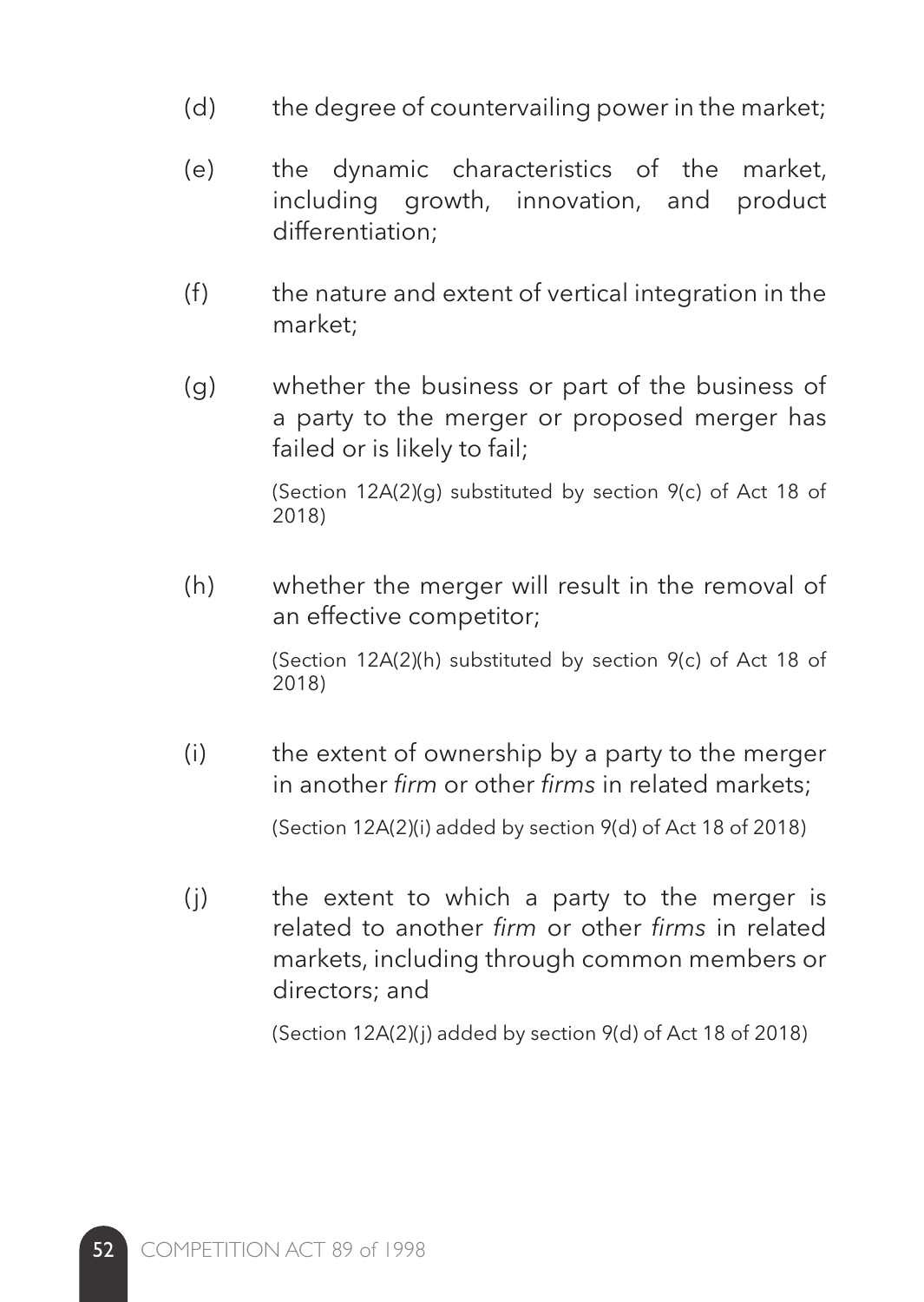- (d) the degree of countervailing power in the market;
- (e) the dynamic characteristics of the market, including growth, innovation, and product differentiation;
- (f) the nature and extent of vertical integration in the market;
- (g) whether the business or part of the business of a party to the merger or proposed merger has failed or is likely to fail;

(Section 12A(2)(g) substituted by section 9(c) of Act 18 of 2018)

(h) whether the merger will result in the removal of an effective competitor;

> (Section 12A(2)(h) substituted by section 9(c) of Act 18 of 2018)

(i) the extent of ownership by a party to the merger in another *firm* or other *firms* in related markets;

(Section 12A(2)(i) added by section 9(d) of Act 18 of 2018)

(j) the extent to which a party to the merger is related to another *firm* or other *firms* in related markets, including through common members or directors; and

(Section 12A(2)(j) added by section 9(d) of Act 18 of 2018)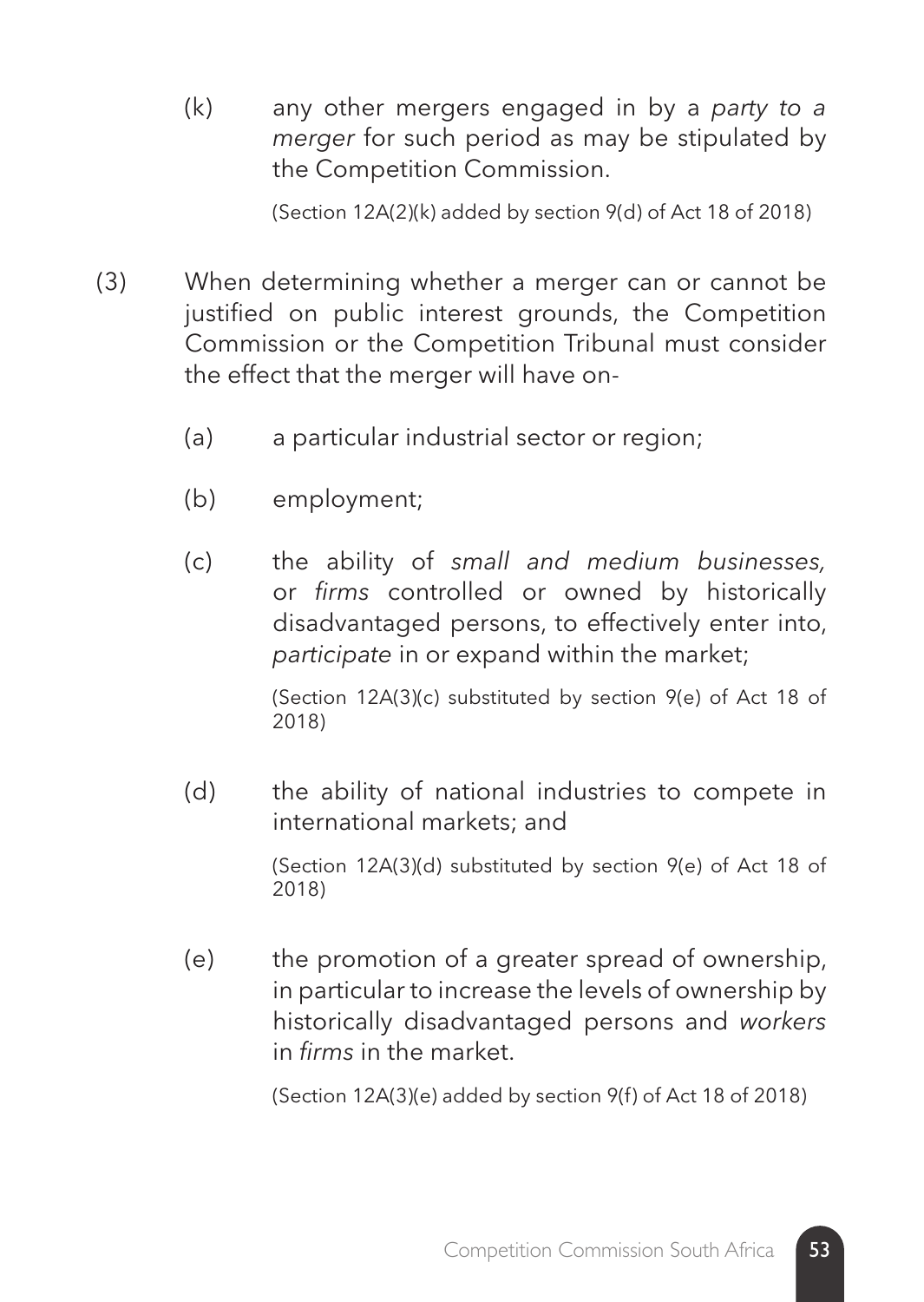(k) any other mergers engaged in by a *party to a merger* for such period as may be stipulated by the Competition Commission.

(Section 12A(2)(k) added by section 9(d) of Act 18 of 2018)

- (3) When determining whether a merger can or cannot be justified on public interest grounds, the Competition Commission or the Competition Tribunal must consider the effect that the merger will have on-
	- (a) a particular industrial sector or region;
	- (b) employment;
	- (c) the ability of *small and medium businesses,* or *firms* controlled or owned by historically disadvantaged persons, to effectively enter into, *participate* in or expand within the market;

(Section 12A(3)(c) substituted by section 9(e) of Act 18 of 2018)

(d) the ability of national industries to compete in international markets; and

> (Section 12A(3)(d) substituted by section 9(e) of Act 18 of 2018)

(e) the promotion of a greater spread of ownership, in particular to increase the levels of ownership by historically disadvantaged persons and *workers* in *firms* in the market.

(Section 12A(3)(e) added by section 9(f) of Act 18 of 2018)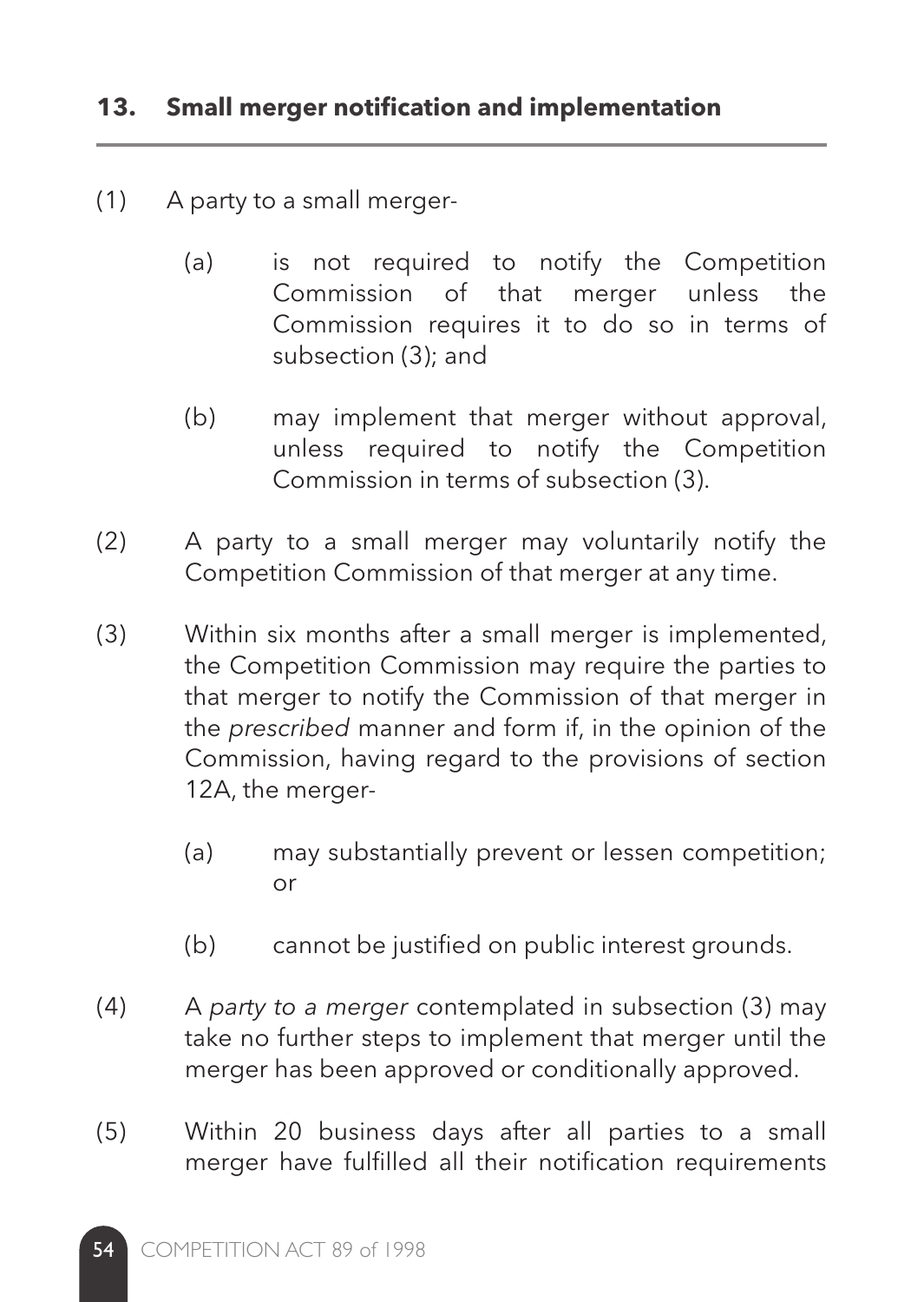- (1) A party to a small merger-
	- (a) is not required to notify the Competition Commission of that merger unless the Commission requires it to do so in terms of subsection (3): and
	- (b) may implement that merger without approval, unless required to notify the Competition Commission in terms of subsection (3).
- (2) A party to a small merger may voluntarily notify the Competition Commission of that merger at any time.
- (3) Within six months after a small merger is implemented, the Competition Commission may require the parties to that merger to notify the Commission of that merger in the *prescribed* manner and form if, in the opinion of the Commission, having regard to the provisions of section 12A, the merger-
	- (a) may substantially prevent or lessen competition; or
	- (b) cannot be justified on public interest grounds.
- (4) A *party to a merger* contemplated in subsection (3) may take no further steps to implement that merger until the merger has been approved or conditionally approved.
- (5) Within 20 business days after all parties to a small merger have fulfilled all their notification requirements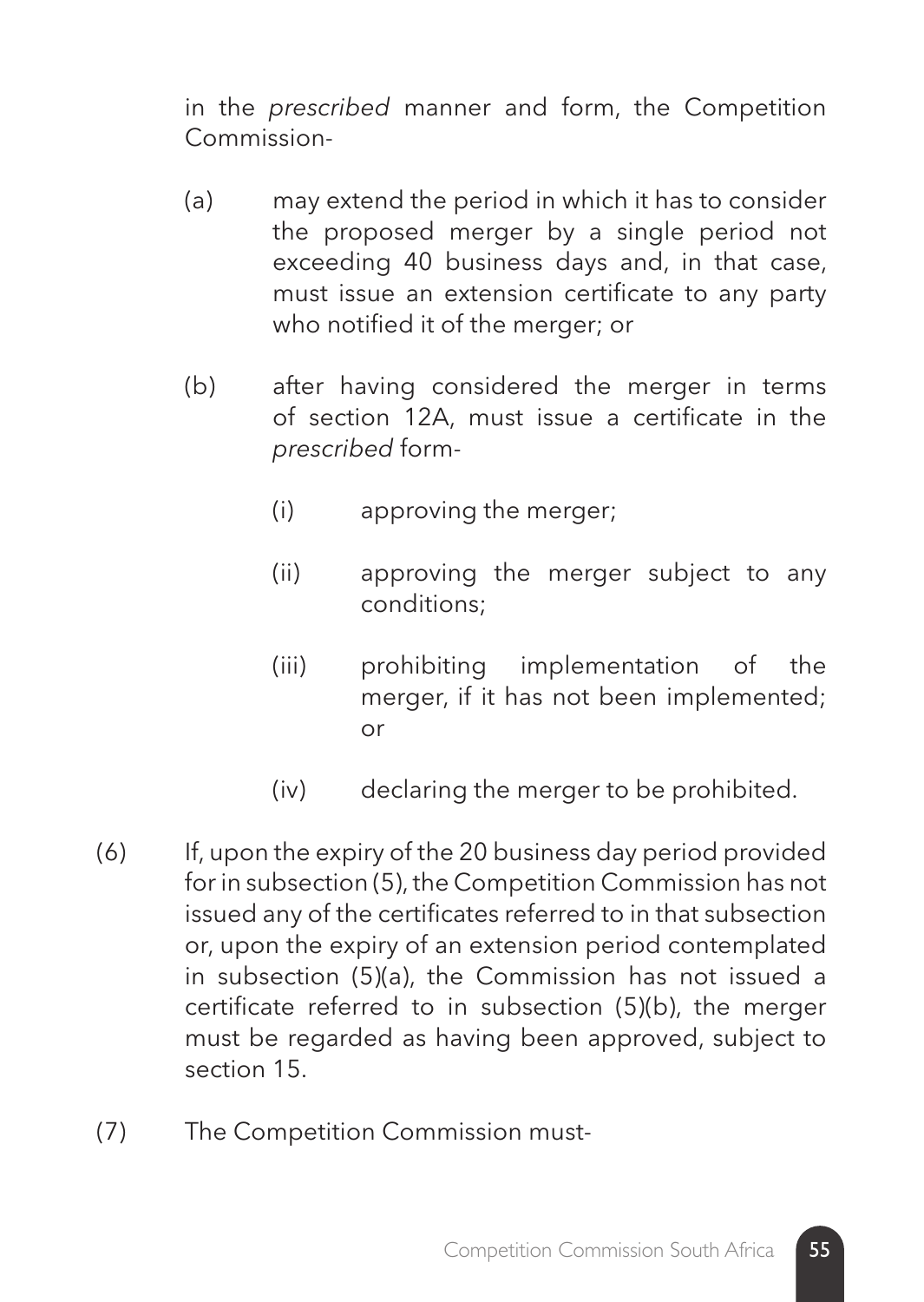in the *prescribed* manner and form, the Competition Commission-

- (a) may extend the period in which it has to consider the proposed merger by a single period not exceeding 40 business days and, in that case, must issue an extension certificate to any party who notified it of the merger; or
- (b) after having considered the merger in terms of section 12A, must issue a certificate in the *prescribed* form-
	- (i) approving the merger;
	- (ii) approving the merger subject to any conditions;
	- (iii) prohibiting implementation of the merger, if it has not been implemented; or
	- (iv) declaring the merger to be prohibited.
- (6) If, upon the expiry of the 20 business day period provided for in subsection (5), the Competition Commission has not issued any of the certificates referred to in that subsection or, upon the expiry of an extension period contemplated in subsection (5)(a), the Commission has not issued a certificate referred to in subsection (5)(b), the merger must be regarded as having been approved, subject to section 15.
- (7) The Competition Commission must-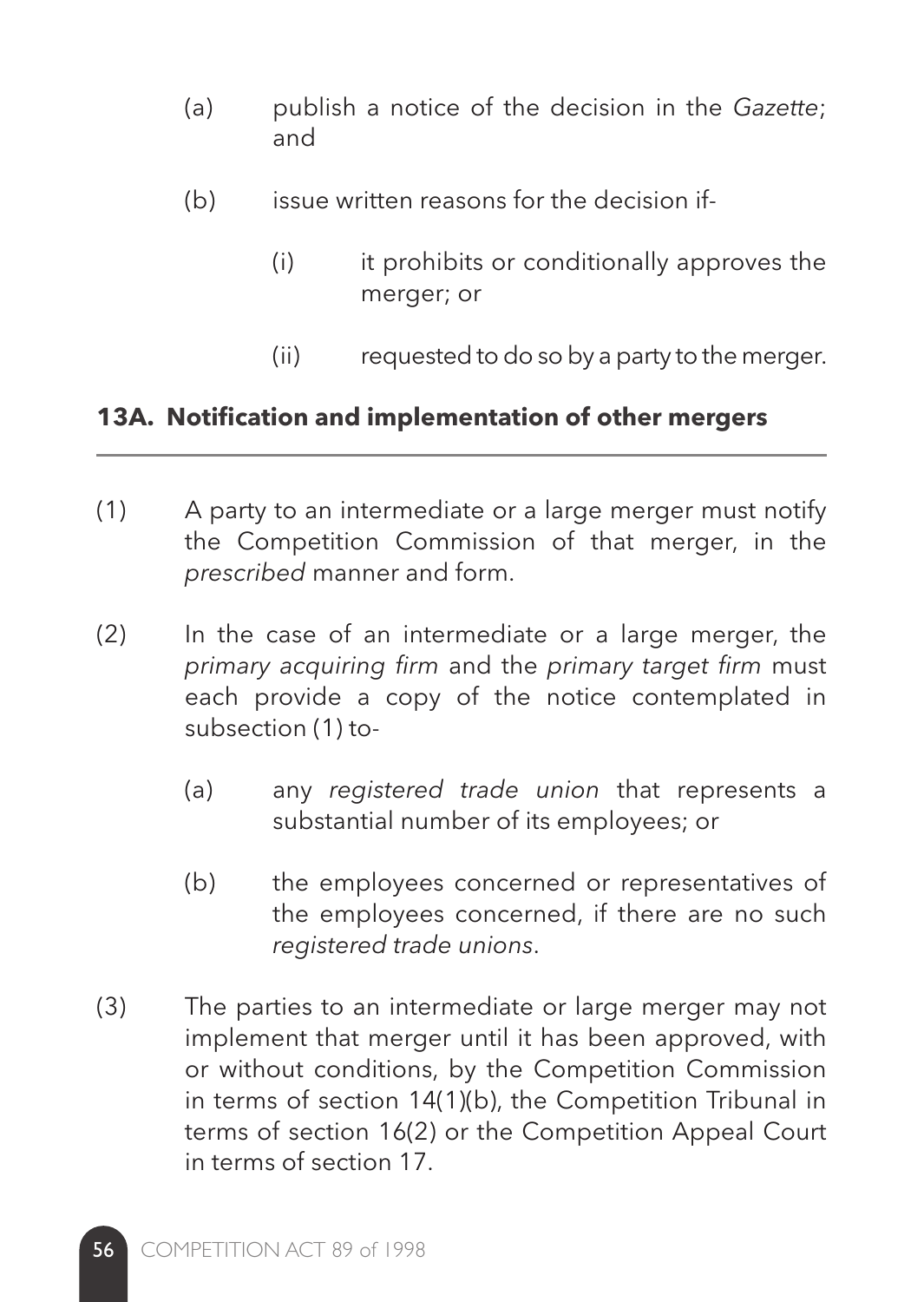- (a) publish a notice of the decision in the *Gazette*; and
- (b) issue written reasons for the decision if-
	- (i) it prohibits or conditionally approves the merger; or
	- (ii) requested to do so by a party to the merger.

### **13A. Notification and implementation of other mergers**

- (1) A party to an intermediate or a large merger must notify the Competition Commission of that merger, in the *prescribed* manner and form.
- (2) In the case of an intermediate or a large merger, the *primary acquiring firm* and the *primary target firm* must each provide a copy of the notice contemplated in subsection (1) to-
	- (a) any *registered trade union* that represents a substantial number of its employees; or
	- (b) the employees concerned or representatives of the employees concerned, if there are no such *registered trade unions*.
- (3) The parties to an intermediate or large merger may not implement that merger until it has been approved, with or without conditions, by the Competition Commission in terms of section 14(1)(b), the Competition Tribunal in terms of section 16(2) or the Competition Appeal Court in terms of section 17.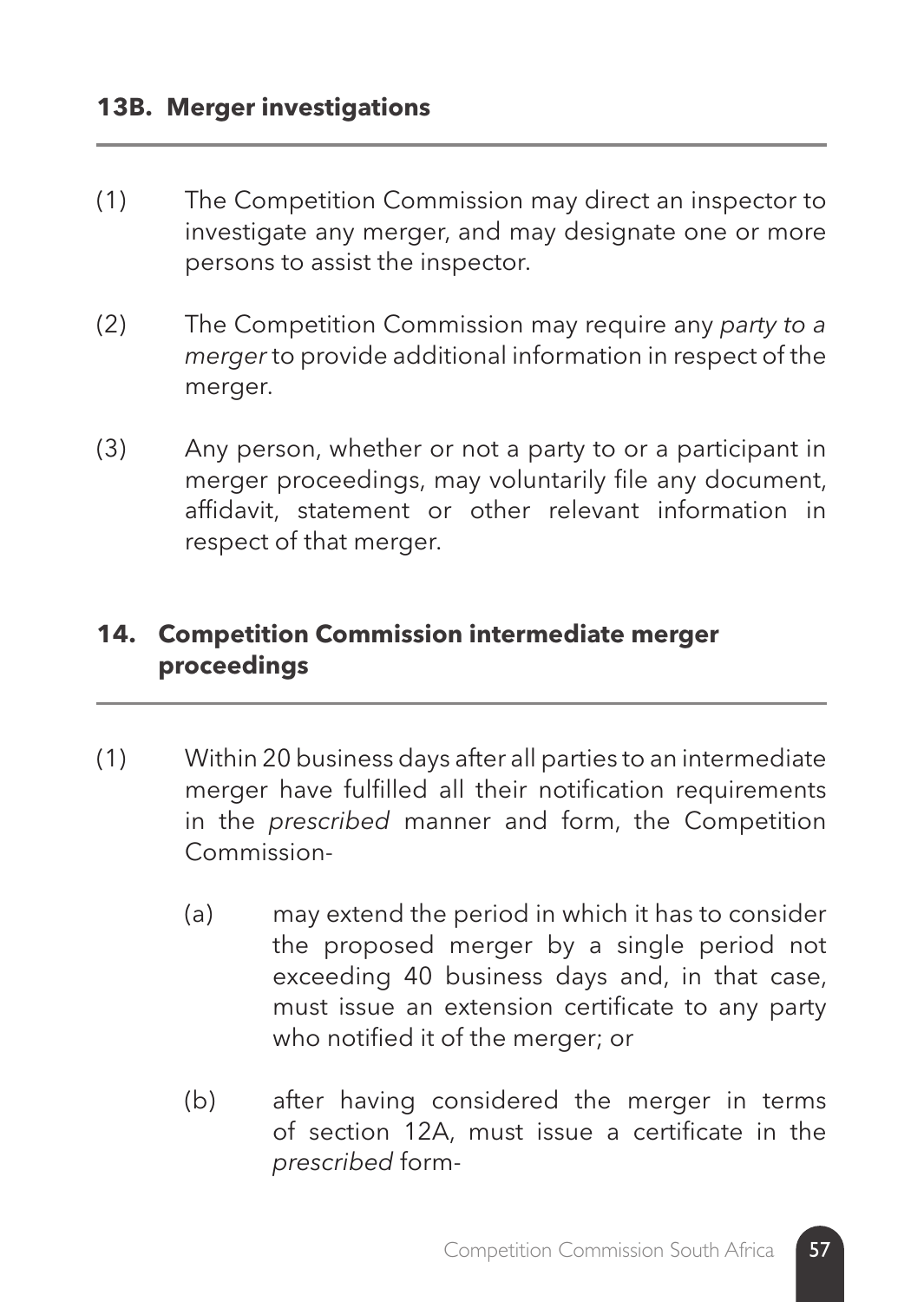- (1) The Competition Commission may direct an inspector to investigate any merger, and may designate one or more persons to assist the inspector.
- (2) The Competition Commission may require any *party to a merger* to provide additional information in respect of the merger.
- (3) Any person, whether or not a party to or a participant in merger proceedings, may voluntarily file any document, affidavit, statement or other relevant information in respect of that merger.

### **14. Competition Commission intermediate merger proceedings**

- (1) Within 20 business days after all parties to an intermediate merger have fulfilled all their notification requirements in the *prescribed* manner and form, the Competition Commission-
	- (a) may extend the period in which it has to consider the proposed merger by a single period not exceeding 40 business days and, in that case, must issue an extension certificate to any party who notified it of the merger; or
	- (b) after having considered the merger in terms of section 12A, must issue a certificate in the *prescribed* form-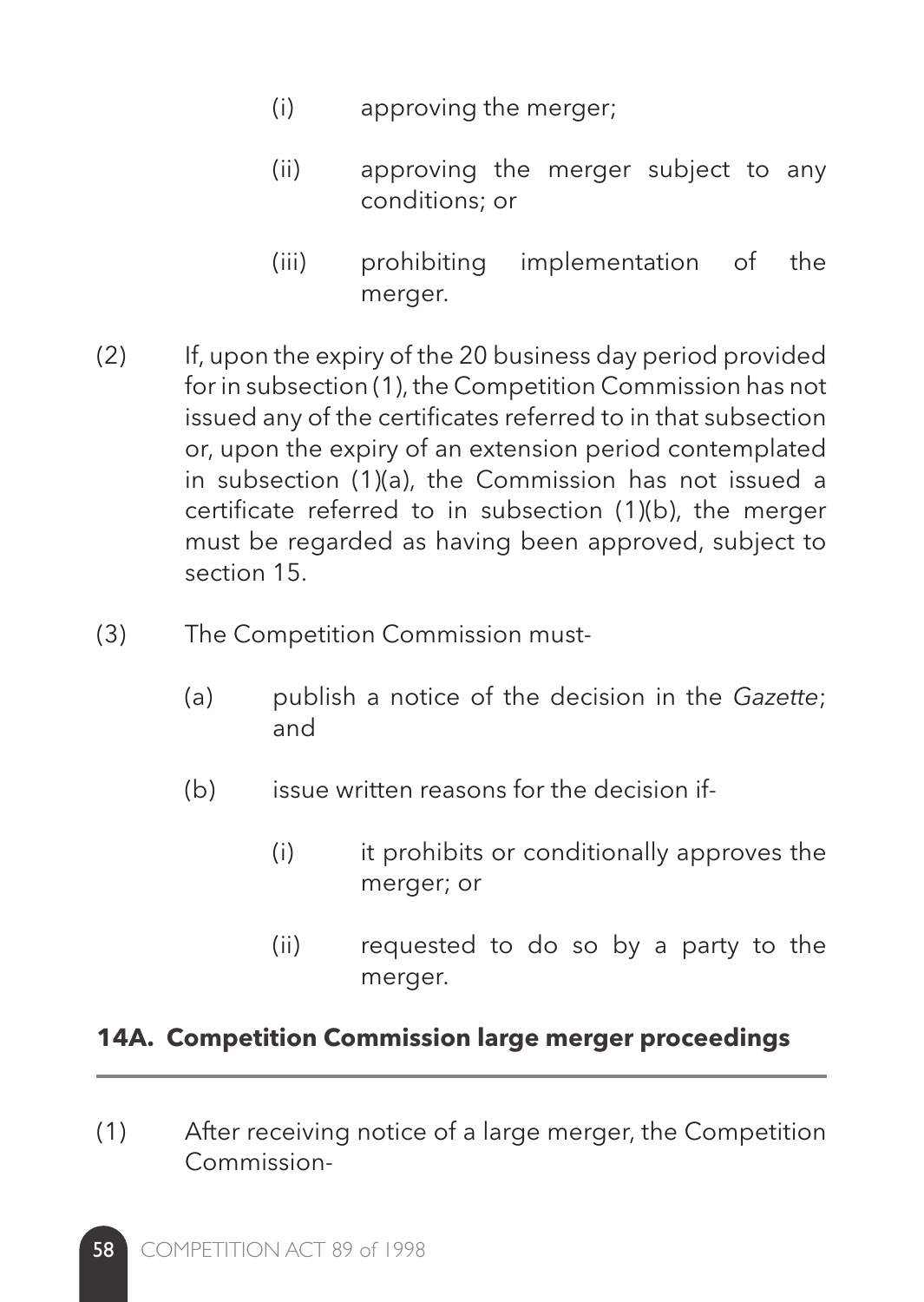- (i) approving the merger;
- (ii) approving the merger subject to any conditions; or
- (iii) prohibiting implementation of the merger.
- (2) If, upon the expiry of the 20 business day period provided for in subsection (1), the Competition Commission has not issued any of the certificates referred to in that subsection or, upon the expiry of an extension period contemplated in subsection (1)(a), the Commission has not issued a certificate referred to in subsection (1)(b), the merger must be regarded as having been approved, subject to section 15.
- (3) The Competition Commission must-
	- (a) publish a notice of the decision in the *Gazette*; and
	- (b) issue written reasons for the decision if-
		- (i) it prohibits or conditionally approves the merger; or
		- (ii) requested to do so by a party to the merger.

### **14A. Competition Commission large merger proceedings**

(1) After receiving notice of a large merger, the Competition Commission-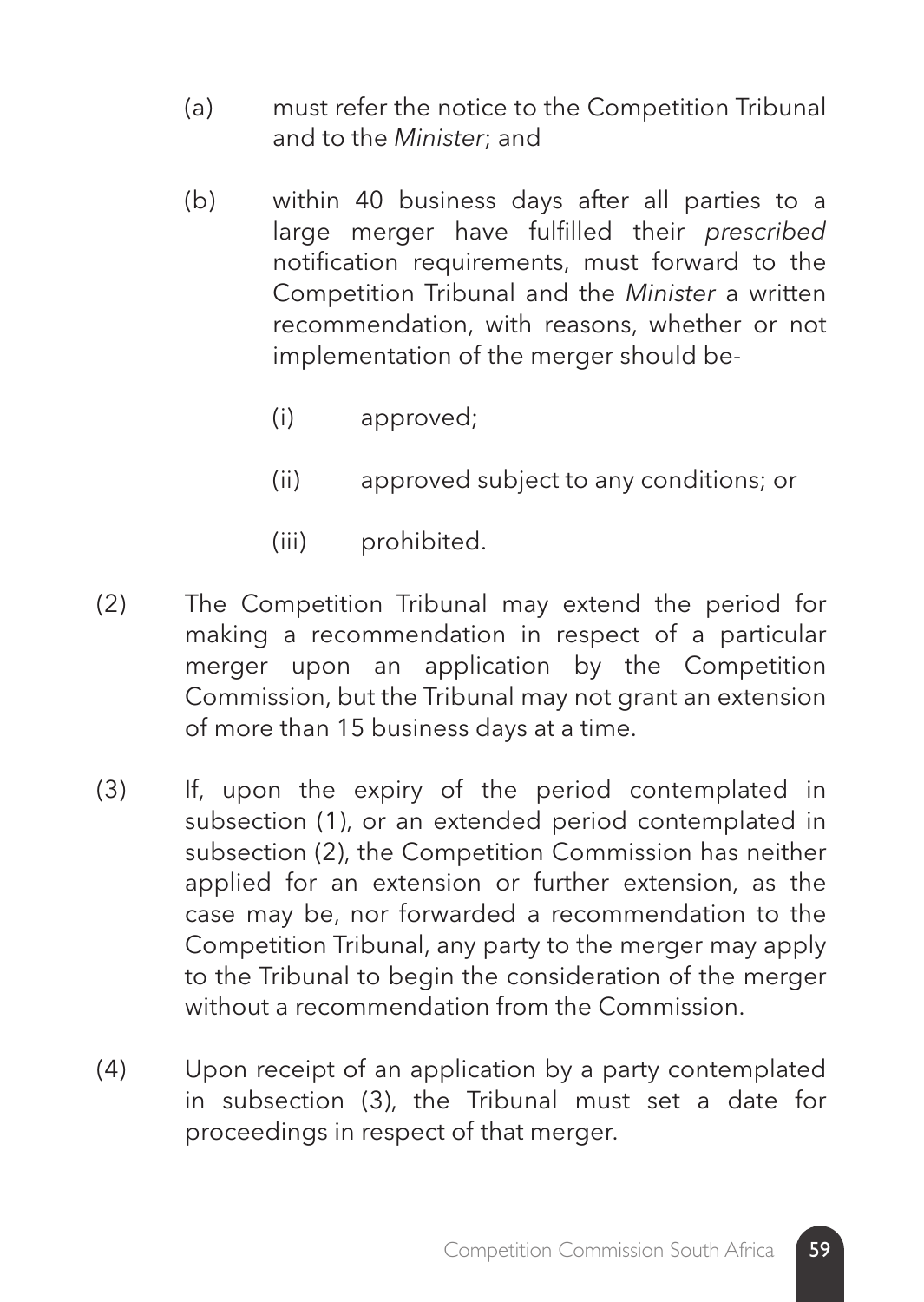- (a) must refer the notice to the Competition Tribunal and to the *Minister*; and
- (b) within 40 business days after all parties to a large merger have fulfilled their *prescribed* notification requirements, must forward to the Competition Tribunal and the *Minister* a written recommendation, with reasons, whether or not implementation of the merger should be-
	- (i) approved;
	- (ii) approved subject to any conditions; or
	- (iii) prohibited.
- (2) The Competition Tribunal may extend the period for making a recommendation in respect of a particular merger upon an application by the Competition Commission, but the Tribunal may not grant an extension of more than 15 business days at a time.
- (3) If, upon the expiry of the period contemplated in subsection (1), or an extended period contemplated in subsection (2), the Competition Commission has neither applied for an extension or further extension, as the case may be, nor forwarded a recommendation to the Competition Tribunal, any party to the merger may apply to the Tribunal to begin the consideration of the merger without a recommendation from the Commission.
- (4) Upon receipt of an application by a party contemplated in subsection (3), the Tribunal must set a date for proceedings in respect of that merger.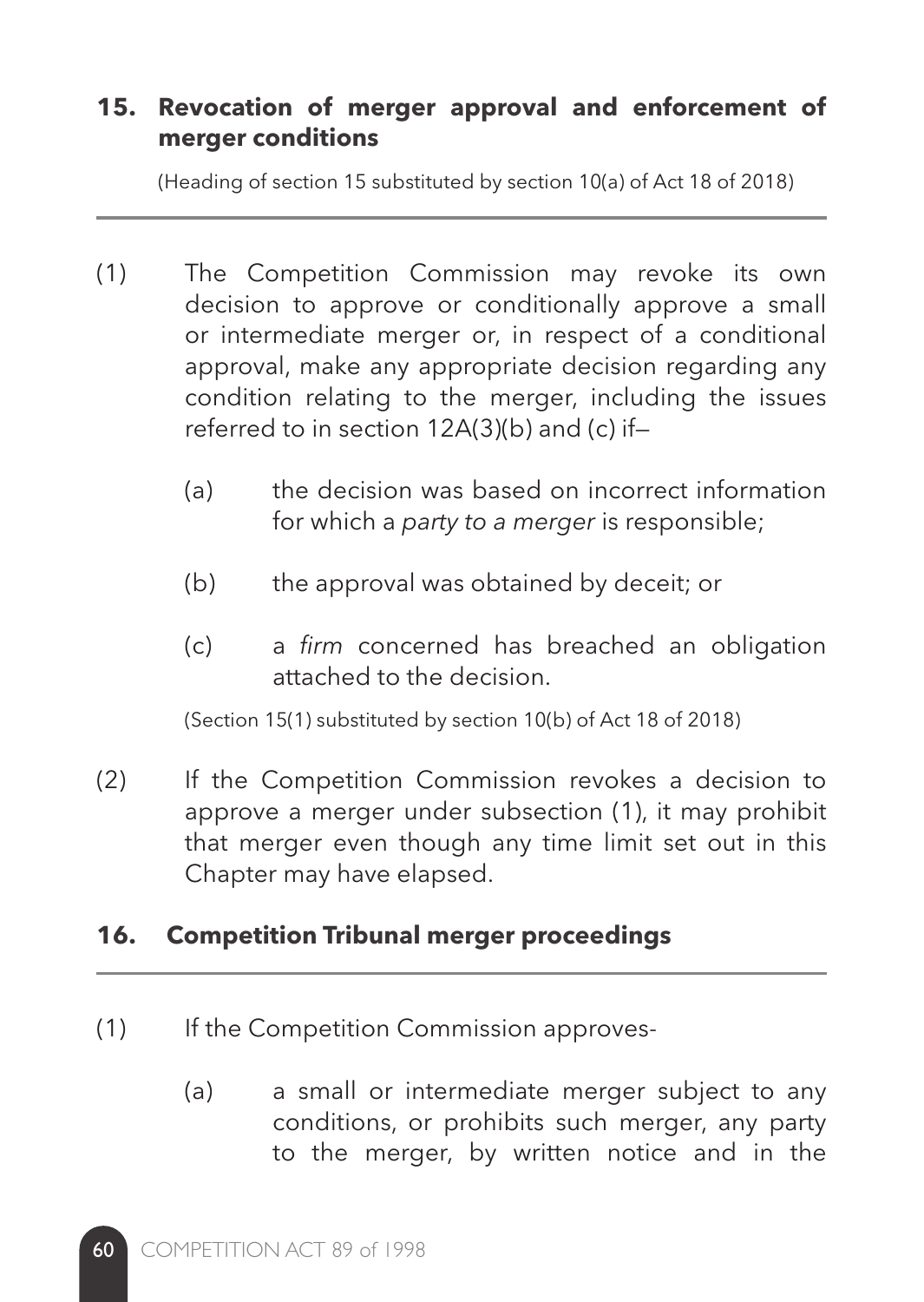## **15. Revocation of merger approval and enforcement of merger conditions**

(Heading of section 15 substituted by section 10(a) of Act 18 of 2018)

- (1) The Competition Commission may revoke its own decision to approve or conditionally approve a small or intermediate merger or, in respect of a conditional approval, make any appropriate decision regarding any condition relating to the merger, including the issues referred to in section 12A(3)(b) and (c) if—
	- (a) the decision was based on incorrect information for which a *party to a merger* is responsible;
	- (b) the approval was obtained by deceit; or
	- (c) a *firm* concerned has breached an obligation attached to the decision.

(Section 15(1) substituted by section 10(b) of Act 18 of 2018)

(2) If the Competition Commission revokes a decision to approve a merger under subsection (1), it may prohibit that merger even though any time limit set out in this Chapter may have elapsed.

#### **16. Competition Tribunal merger proceedings**

- (1) If the Competition Commission approves-
	- (a) a small or intermediate merger subject to any conditions, or prohibits such merger, any party to the merger, by written notice and in the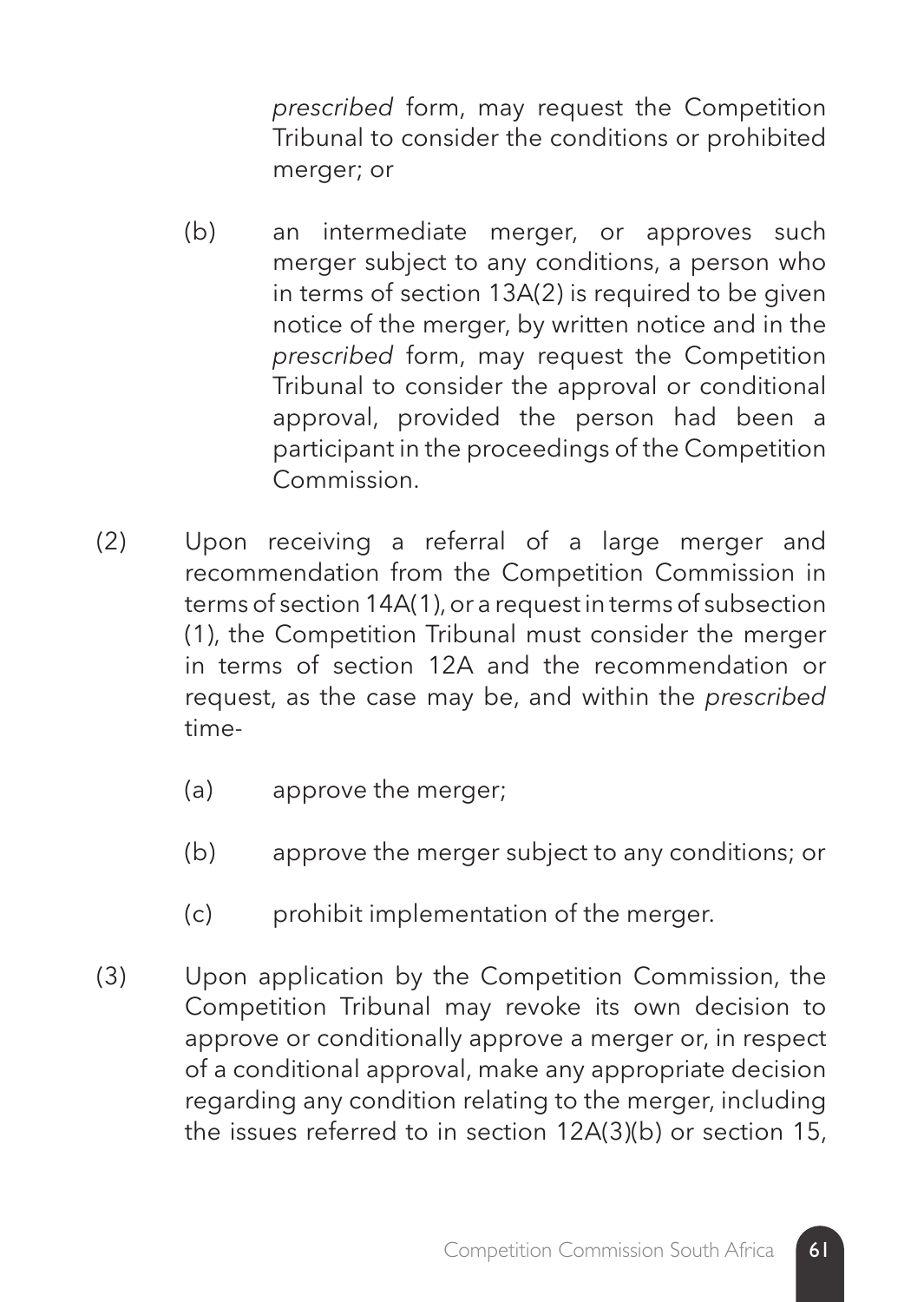*prescribed* form, may request the Competition Tribunal to consider the conditions or prohibited merger; or

- (b) an intermediate merger, or approves such merger subject to any conditions, a person who in terms of section 13A(2) is required to be given notice of the merger, by written notice and in the *prescribed* form, may request the Competition Tribunal to consider the approval or conditional approval, provided the person had been a participant in the proceedings of the Competition Commission.
- (2) Upon receiving a referral of a large merger and recommendation from the Competition Commission in terms of section 14A(1), or a request in terms of subsection (1), the Competition Tribunal must consider the merger in terms of section 12A and the recommendation or request, as the case may be, and within the *prescribed* time-
	- (a) approve the merger;
	- (b) approve the merger subject to any conditions; or
	- (c) prohibit implementation of the merger.
- (3) Upon application by the Competition Commission, the Competition Tribunal may revoke its own decision to approve or conditionally approve a merger or, in respect of a conditional approval, make any appropriate decision regarding any condition relating to the merger, including the issues referred to in section 12A(3)(b) or section 15,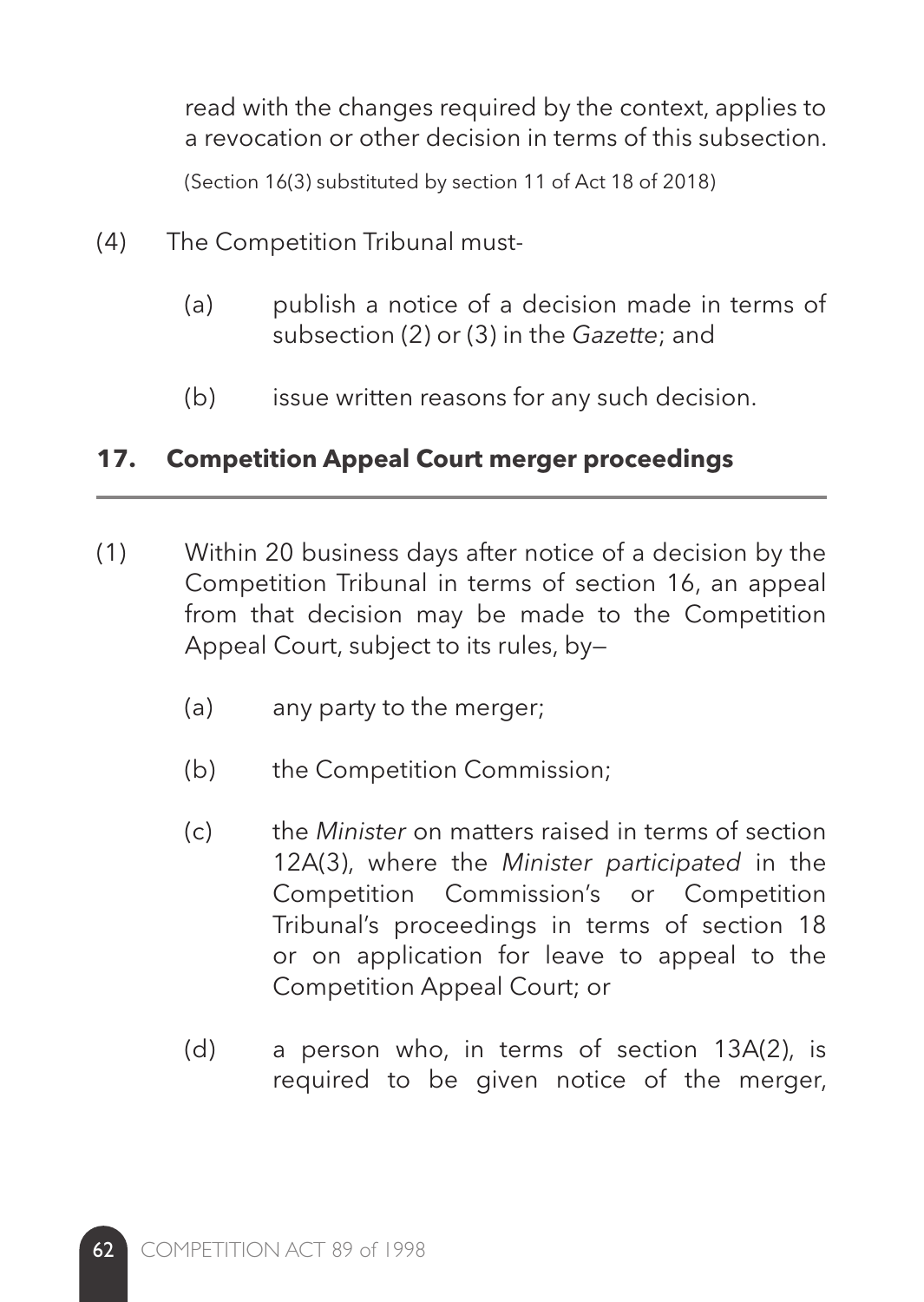read with the changes required by the context, applies to a revocation or other decision in terms of this subsection.

(Section 16(3) substituted by section 11 of Act 18 of 2018)

- (4) The Competition Tribunal must-
	- (a) publish a notice of a decision made in terms of subsection (2) or (3) in the *Gazette*; and
	- (b) issue written reasons for any such decision.

### **17. Competition Appeal Court merger proceedings**

- (1) Within 20 business days after notice of a decision by the Competition Tribunal in terms of section 16, an appeal from that decision may be made to the Competition Appeal Court, subject to its rules, by—
	- (a) any party to the merger;
	- (b) the Competition Commission;
	- (c) the *Minister* on matters raised in terms of section 12A(3), where the *Minister participated* in the Competition Commission's or Competition Tribunal's proceedings in terms of section 18 or on application for leave to appeal to the Competition Appeal Court; or
	- (d) a person who, in terms of section 13A(2), is required to be given notice of the merger,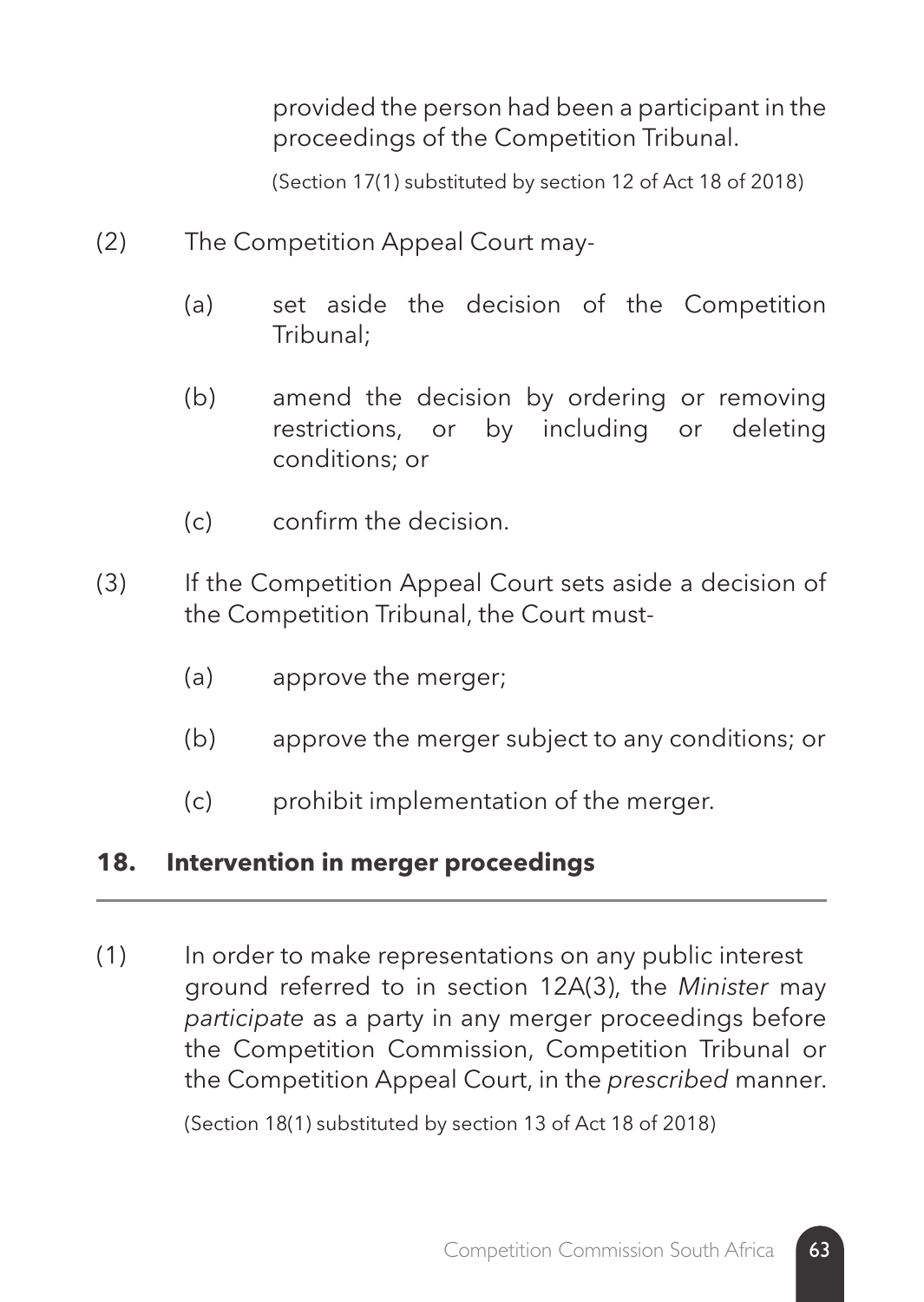provided the person had been a participant in the proceedings of the Competition Tribunal.

(Section 17(1) substituted by section 12 of Act 18 of 2018)

- (2) The Competition Appeal Court may-
	- (a) set aside the decision of the Competition Tribunal;
	- (b) amend the decision by ordering or removing restrictions, or by including or deleting conditions; or
	- (c) confirm the decision.
- (3) If the Competition Appeal Court sets aside a decision of the Competition Tribunal, the Court must-
	- (a) approve the merger;
	- (b) approve the merger subject to any conditions; or
	- (c) prohibit implementation of the merger.

#### **18. Intervention in merger proceedings**

(1) In order to make representations on any public interest ground referred to in section 12A(3), the *Minister* may *participate* as a party in any merger proceedings before the Competition Commission, Competition Tribunal or the Competition Appeal Court, in the *prescribed* manner.

(Section 18(1) substituted by section 13 of Act 18 of 2018)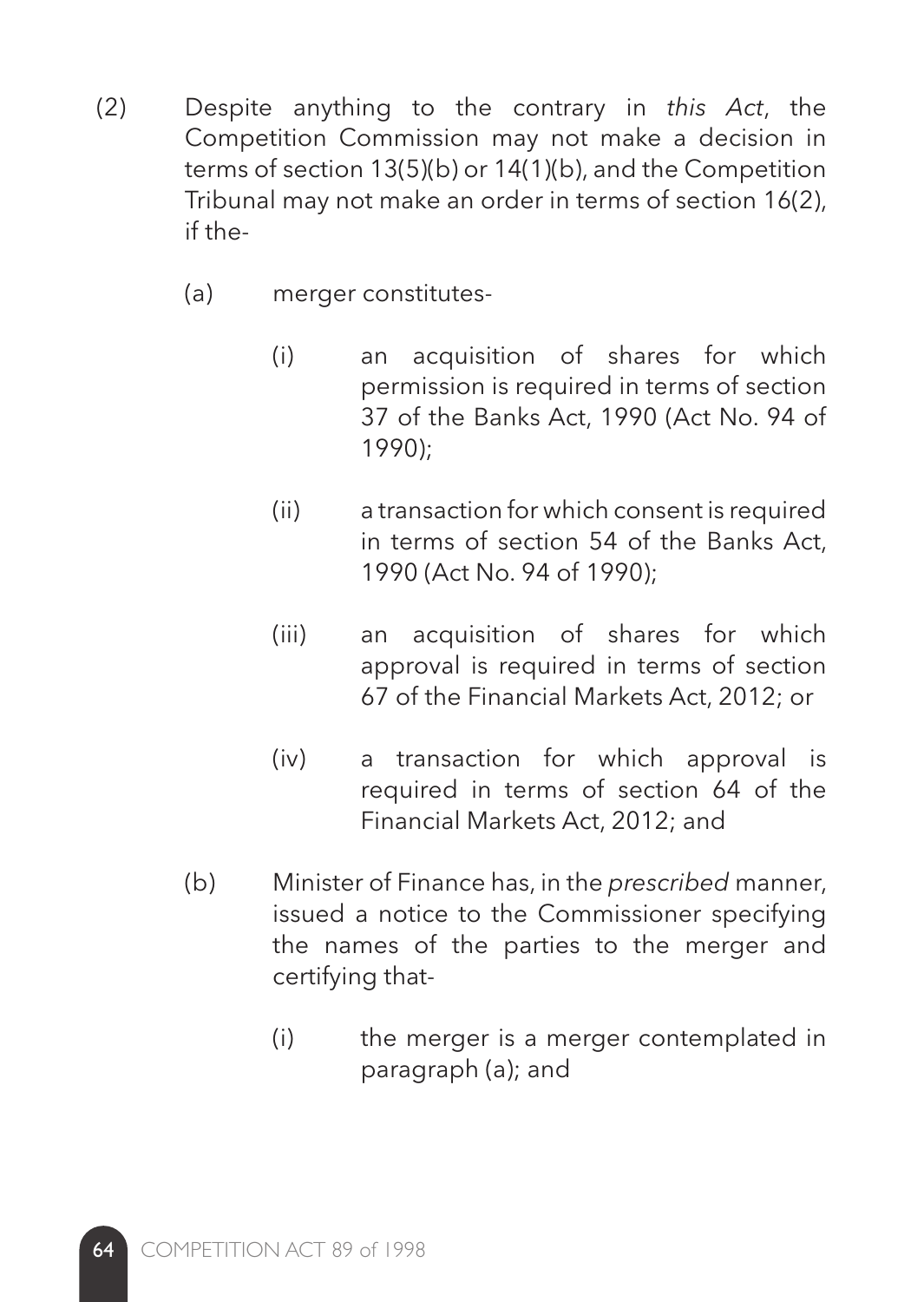- (2) Despite anything to the contrary in *this Act*, the Competition Commission may not make a decision in terms of section 13(5)(b) or 14(1)(b), and the Competition Tribunal may not make an order in terms of section 16(2), if the-
	- (a) merger constitutes-
		- (i) an acquisition of shares for which permission is required in terms of section 37 of the Banks Act, 1990 (Act No. 94 of 1990);
		- (ii) a transaction for which consent is required in terms of section 54 of the Banks Act, 1990 (Act No. 94 of 1990);
		- (iii) an acquisition of shares for which approval is required in terms of section 67 of the Financial Markets Act, 2012; or
		- (iv) a transaction for which approval is required in terms of section 64 of the Financial Markets Act, 2012; and
	- (b) Minister of Finance has, in the *prescribed* manner, issued a notice to the Commissioner specifying the names of the parties to the merger and certifying that-
		- (i) the merger is a merger contemplated in paragraph (a); and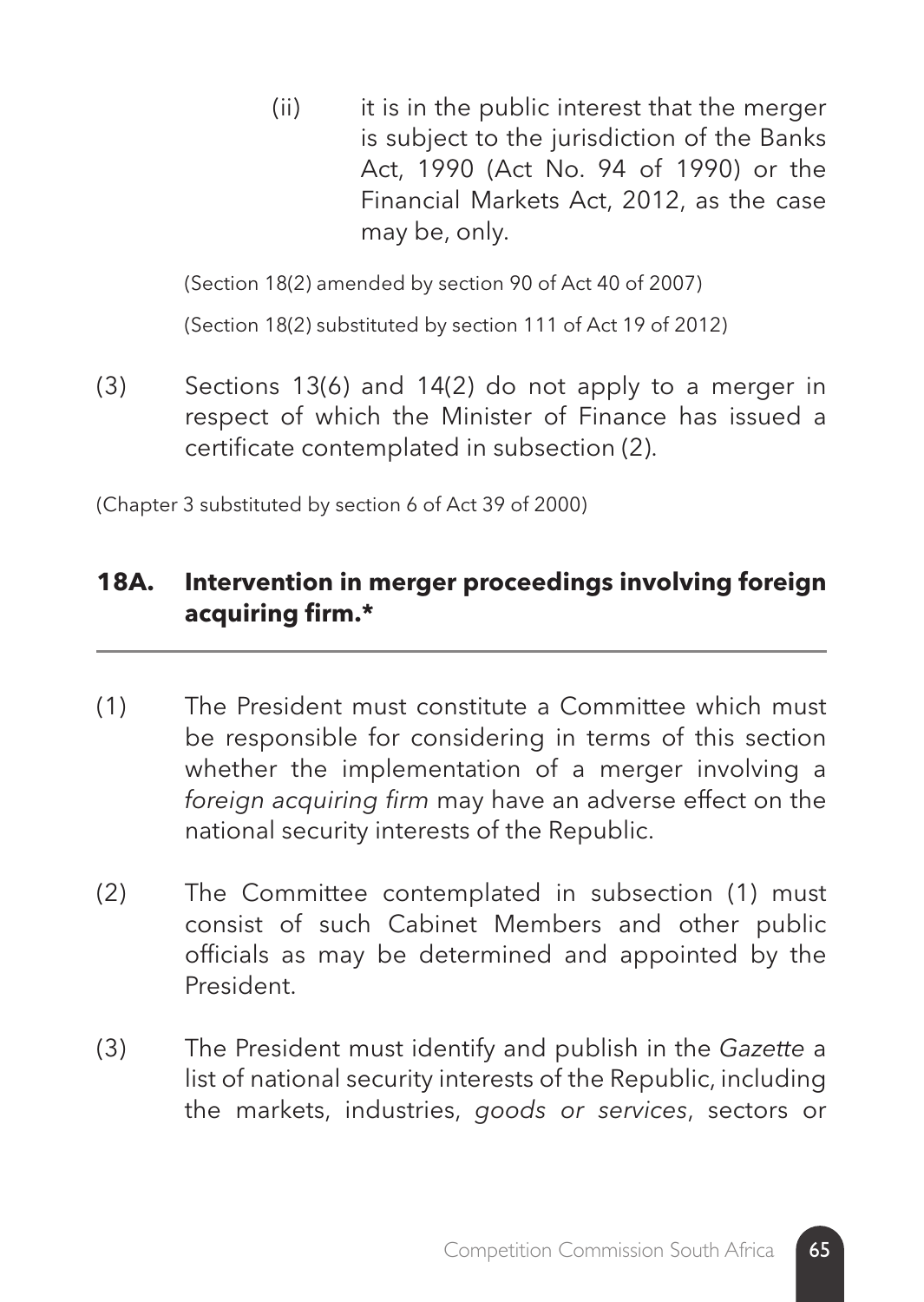(ii) it is in the public interest that the merger is subject to the jurisdiction of the Banks Act, 1990 (Act No. 94 of 1990) or the Financial Markets Act, 2012, as the case may be, only.

(Section 18(2) amended by section 90 of Act 40 of 2007)

(Section 18(2) substituted by section 111 of Act 19 of 2012)

(3) Sections 13(6) and 14(2) do not apply to a merger in respect of which the Minister of Finance has issued a certificate contemplated in subsection (2).

(Chapter 3 substituted by section 6 of Act 39 of 2000)

## **18A. Intervention in merger proceedings involving foreign acquiring firm.\***

- (1) The President must constitute a Committee which must be responsible for considering in terms of this section whether the implementation of a merger involving a *foreign acquiring firm* may have an adverse effect on the national security interests of the Republic.
- (2) The Committee contemplated in subsection (1) must consist of such Cabinet Members and other public officials as may be determined and appointed by the President.
- (3) The President must identify and publish in the *Gazette* a list of national security interests of the Republic, including the markets, industries, *goods or services*, sectors or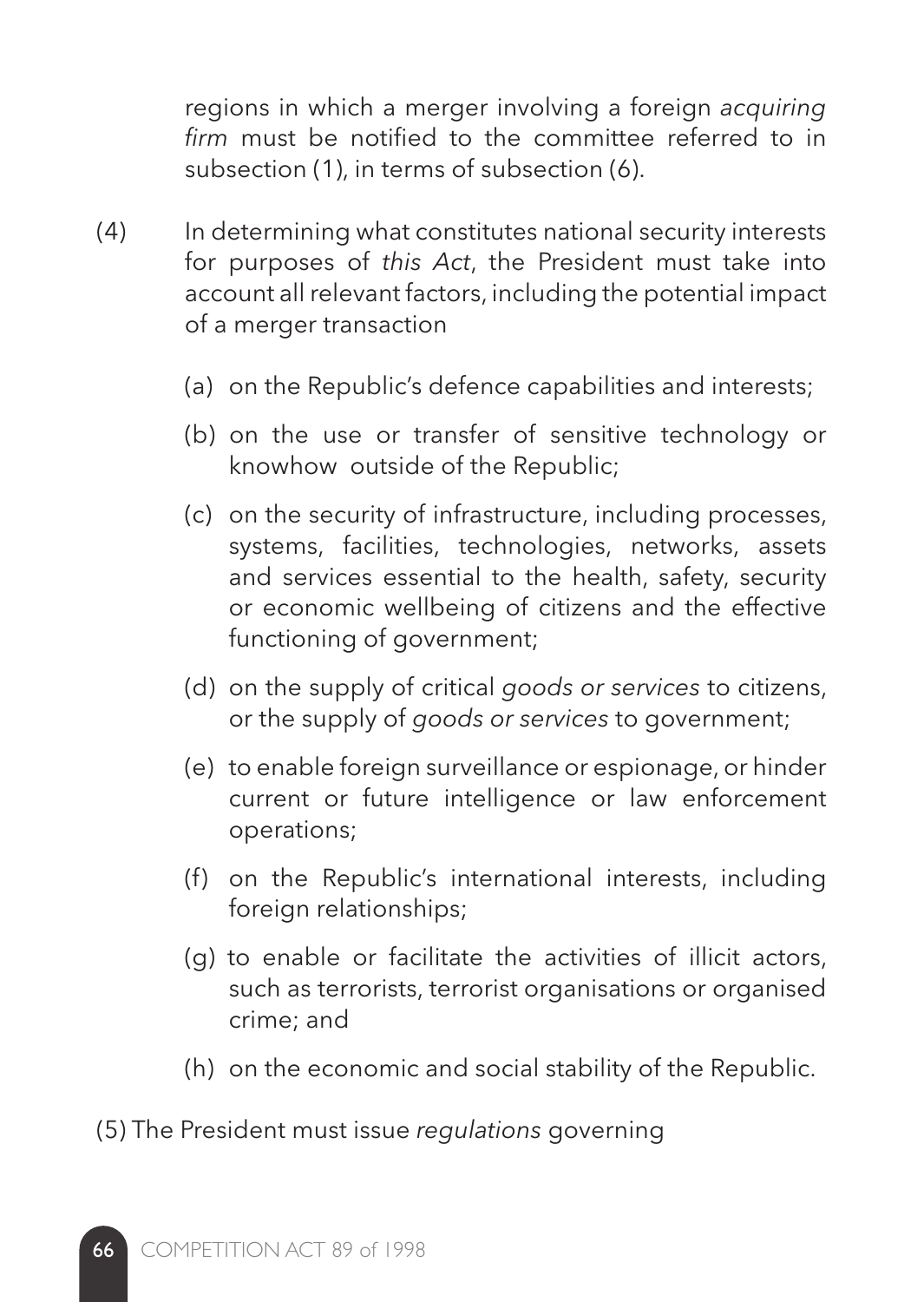regions in which a merger involving a foreign *acquiring firm* must be notified to the committee referred to in subsection (1), in terms of subsection (6).

- (4) In determining what constitutes national security interests for purposes of *this Act*, the President must take into account all relevant factors, including the potential impact of a merger transaction
	- (a) on the Republic's defence capabilities and interests;
	- (b) on the use or transfer of sensitive technology or knowhow outside of the Republic;
	- (c) on the security of infrastructure, including processes, systems, facilities, technologies, networks, assets and services essential to the health, safety, security or economic wellbeing of citizens and the effective functioning of government;
	- (d) on the supply of critical *goods or services* to citizens, or the supply of *goods or services* to government;
	- (e) to enable foreign surveillance or espionage, or hinder current or future intelligence or law enforcement operations;
	- (f) on the Republic's international interests, including foreign relationships;
	- (g) to enable or facilitate the activities of illicit actors, such as terrorists, terrorist organisations or organised crime; and
	- (h) on the economic and social stability of the Republic.
- (5) The President must issue *regulations* governing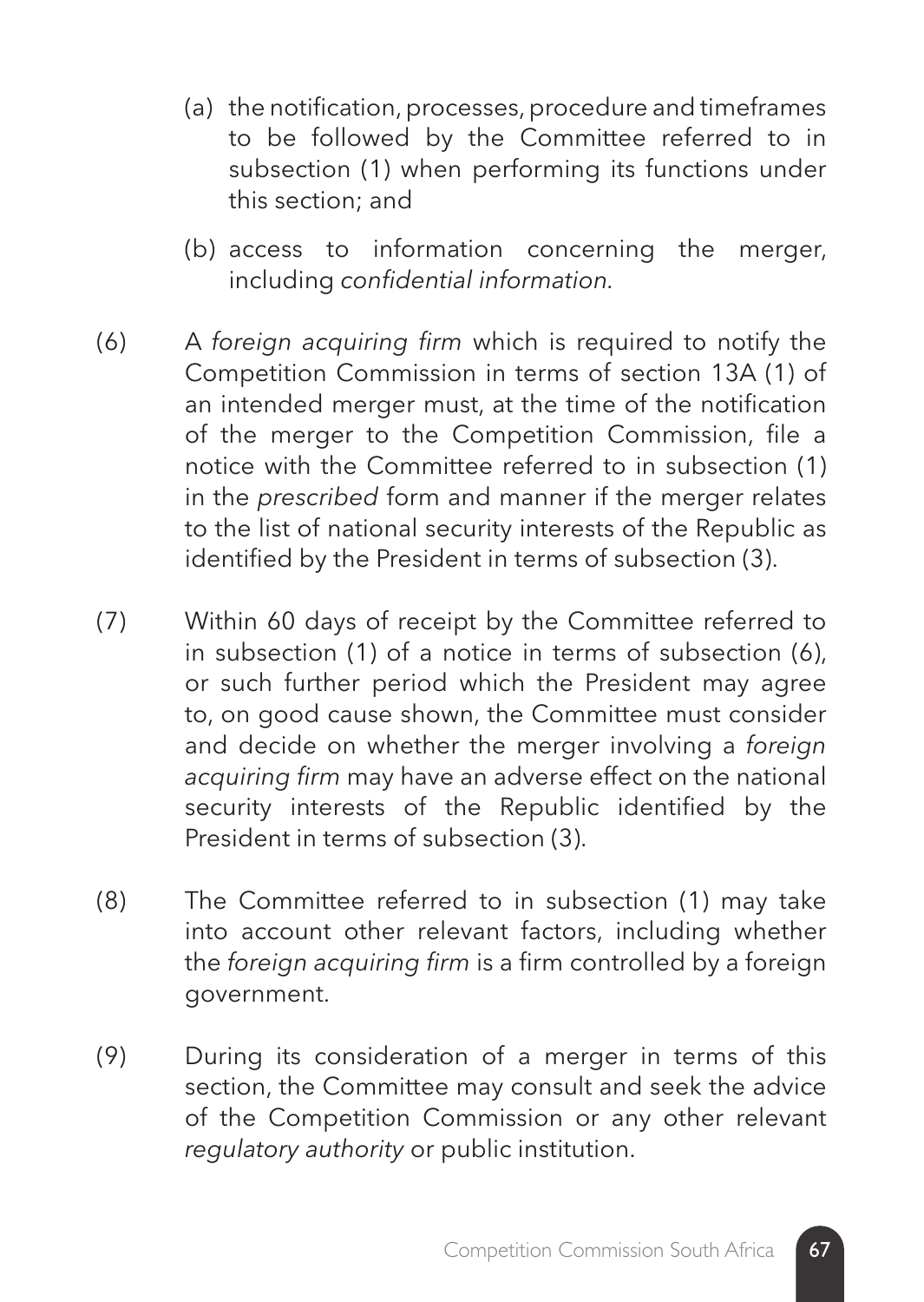- (a) the notification, processes, procedure and timeframes to be followed by the Committee referred to in subsection (1) when performing its functions under this section; and
- (b) access to information concerning the merger, including *confidential information.*
- (6) A *foreign acquiring firm* which is required to notify the Competition Commission in terms of section 13A (1) of an intended merger must, at the time of the notification of the merger to the Competition Commission, file a notice with the Committee referred to in subsection (1) in the *prescribed* form and manner if the merger relates to the list of national security interests of the Republic as identified by the President in terms of subsection (3).
- (7) Within 60 days of receipt by the Committee referred to in subsection (1) of a notice in terms of subsection (6), or such further period which the President may agree to, on good cause shown, the Committee must consider and decide on whether the merger involving a *foreign acquiring firm* may have an adverse effect on the national security interests of the Republic identified by the President in terms of subsection (3).
- (8) The Committee referred to in subsection (1) may take into account other relevant factors, including whether the *foreign acquiring firm* is a firm controlled by a foreign government.
- (9) During its consideration of a merger in terms of this section, the Committee may consult and seek the advice of the Competition Commission or any other relevant *regulatory authority* or public institution.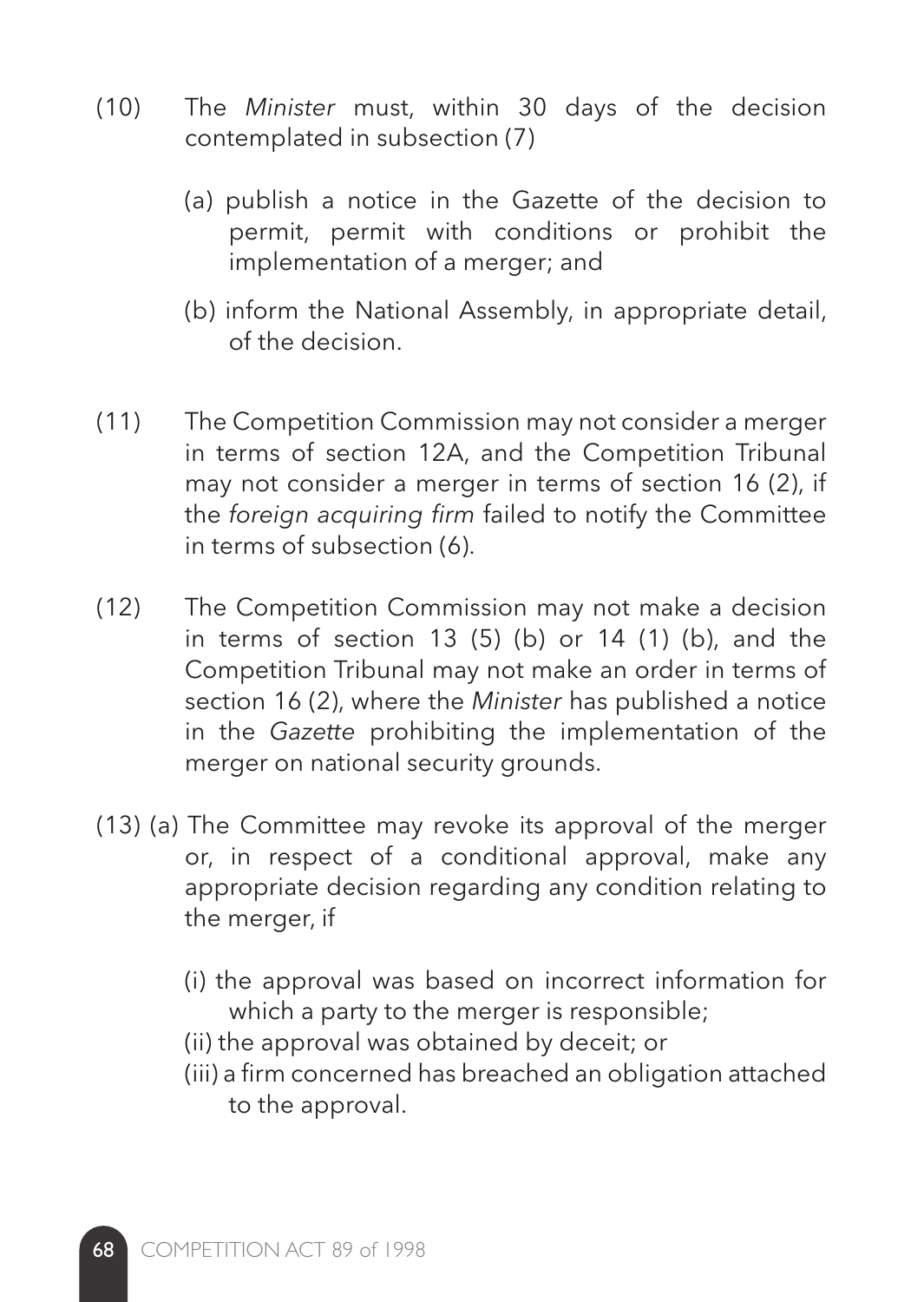- (10) The *Minister* must, within 30 days of the decision contemplated in subsection (7)
	- (a) publish a notice in the Gazette of the decision to permit, permit with conditions or prohibit the implementation of a merger; and
	- (b) inform the National Assembly, in appropriate detail, of the decision.
- (11) The Competition Commission may not consider a merger in terms of section 12A, and the Competition Tribunal may not consider a merger in terms of section 16 (2), if the *foreign acquiring firm* failed to notify the Committee in terms of subsection (6).
- (12) The Competition Commission may not make a decision in terms of section 13 (5) (b) or 14 (1) (b), and the Competition Tribunal may not make an order in terms of section 16 (2), where the *Minister* has published a notice in the *Gazette* prohibiting the implementation of the merger on national security grounds.
- (13) (a) The Committee may revoke its approval of the merger or, in respect of a conditional approval, make any appropriate decision regarding any condition relating to the merger, if
	- (i) the approval was based on incorrect information for which a party to the merger is responsible;
	- (ii) the approval was obtained by deceit; or
	- (iii) a firm concerned has breached an obligation attached to the approval.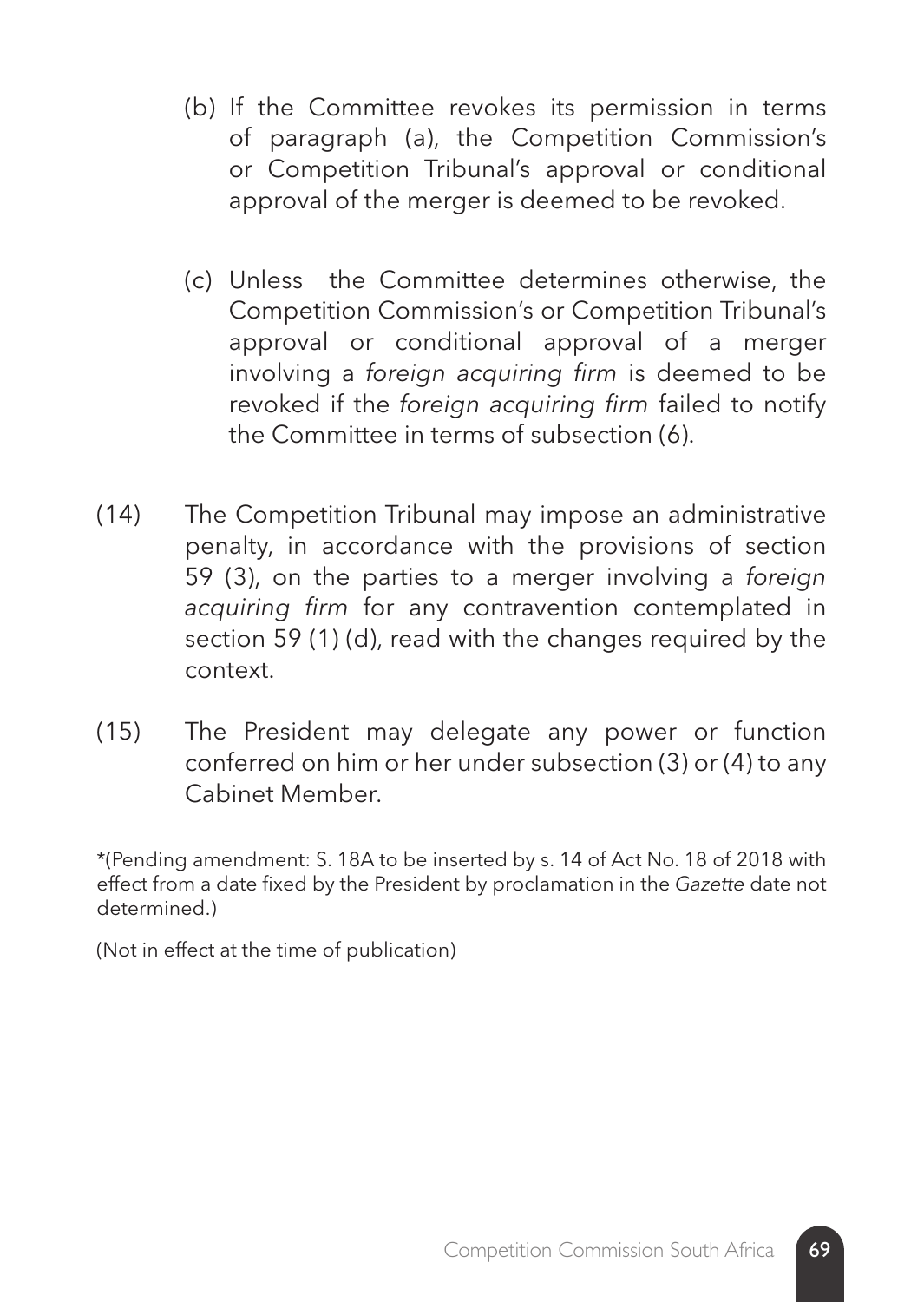- (b) If the Committee revokes its permission in terms of paragraph (a), the Competition Commission's or Competition Tribunal's approval or conditional approval of the merger is deemed to be revoked.
- (c) Unless the Committee determines otherwise, the Competition Commission's or Competition Tribunal's approval or conditional approval of a merger involving a *foreign acquiring firm* is deemed to be revoked if the *foreign acquiring firm* failed to notify the Committee in terms of subsection (6).
- (14) The Competition Tribunal may impose an administrative penalty, in accordance with the provisions of section 59 (3), on the parties to a merger involving a *foreign acquiring firm* for any contravention contemplated in section 59 (1) (d), read with the changes required by the context.
- (15) The President may delegate any power or function conferred on him or her under subsection (3) or (4) to any Cabinet Member.

\*(Pending amendment: S. 18A to be inserted by s. 14 of Act No. 18 of 2018 with effect from a date fixed by the President by proclamation in the *Gazette* date not determined.)

(Not in effect at the time of publication)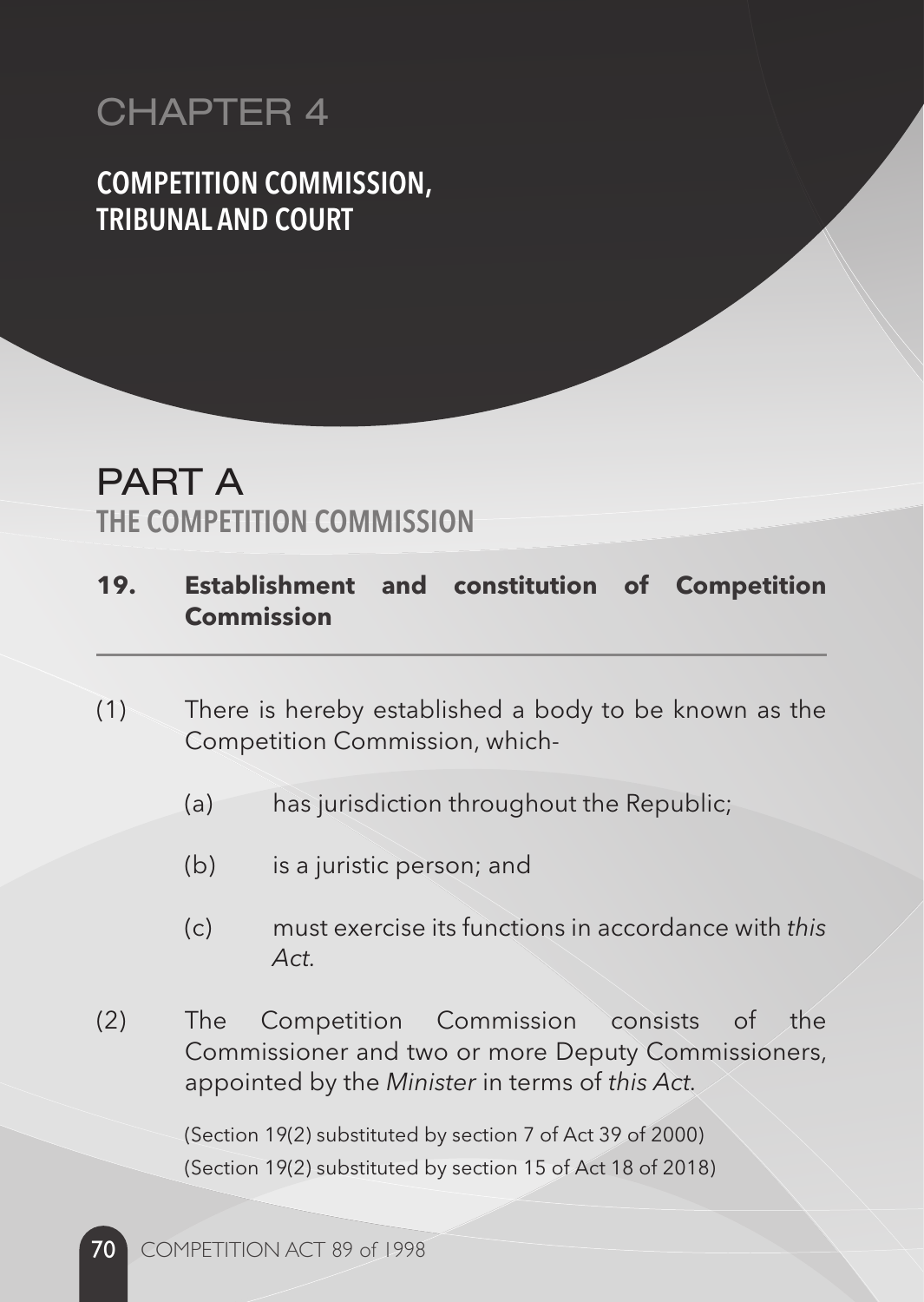# CHAPTER 4

## COMPETITION COMMISSION, TRIBUNAL AND COURT

# PART A THE COMPETITION COMMISSION

#### **19. Establishment and constitution of Competition Commission**

- (1) There is hereby established a body to be known as the Competition Commission, which-
	- (a) has jurisdiction throughout the Republic;
	- (b) is a juristic person; and
	- (c) must exercise its functions in accordance with *this Act.*
- (2) The Competition Commission consists of the Commissioner and two or more Deputy Commissioners, appointed by the *Minister* in terms of *this Act.*

(Section 19(2) substituted by section 7 of Act 39 of 2000) (Section 19(2) substituted by section 15 of Act 18 of 2018)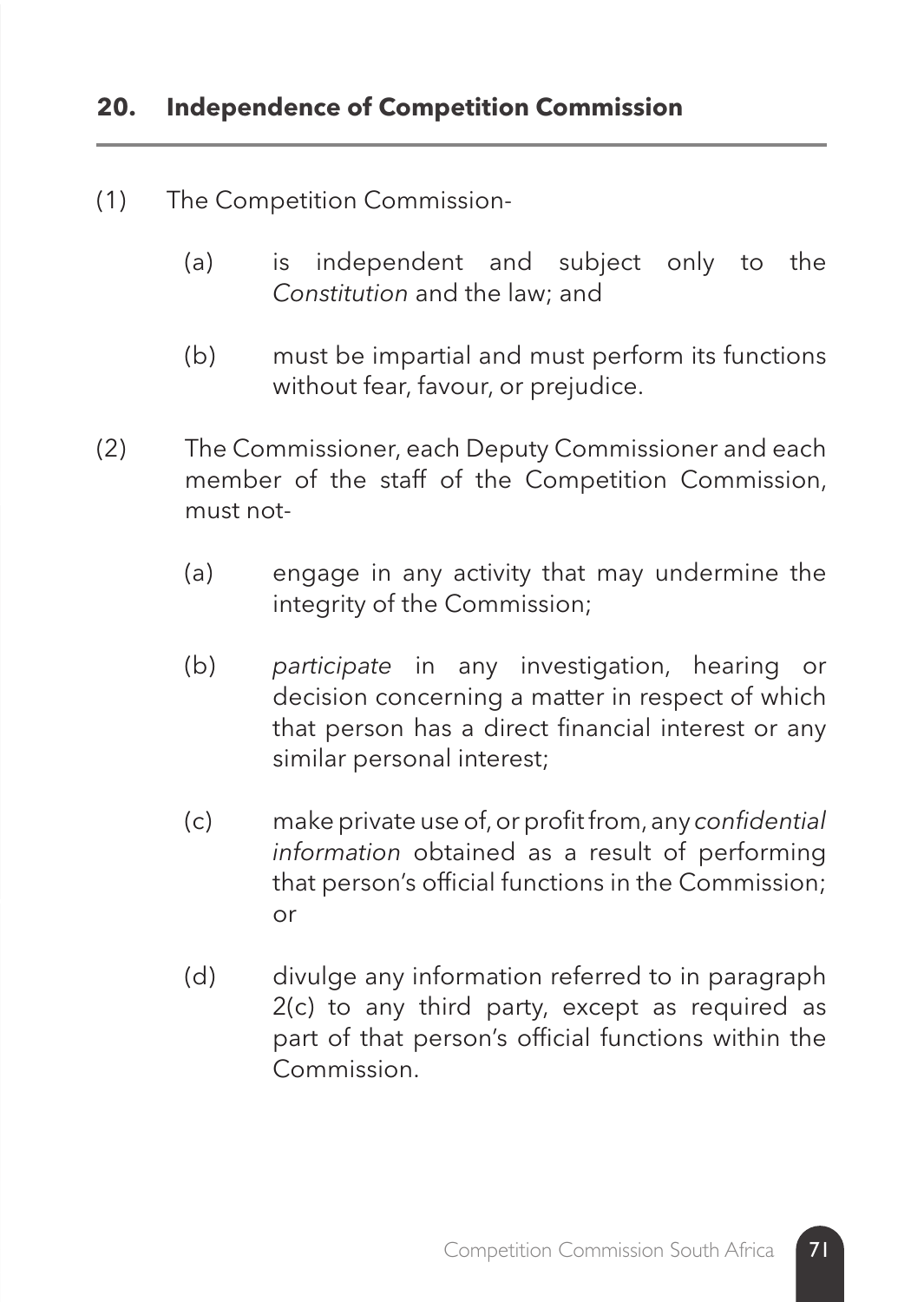- (1) The Competition Commission-
	- (a) is independent and subject only to the *Constitution* and the law; and
	- (b) must be impartial and must perform its functions without fear, favour, or prejudice.
- (2) The Commissioner, each Deputy Commissioner and each member of the staff of the Competition Commission, must not-
	- (a) engage in any activity that may undermine the integrity of the Commission;
	- (b) *participate* in any investigation, hearing or decision concerning a matter in respect of which that person has a direct financial interest or any similar personal interest;
	- (c) make private use of, or profit from, any *confidential information* obtained as a result of performing that person's official functions in the Commission; or
	- (d) divulge any information referred to in paragraph 2(c) to any third party, except as required as part of that person's official functions within the Commission.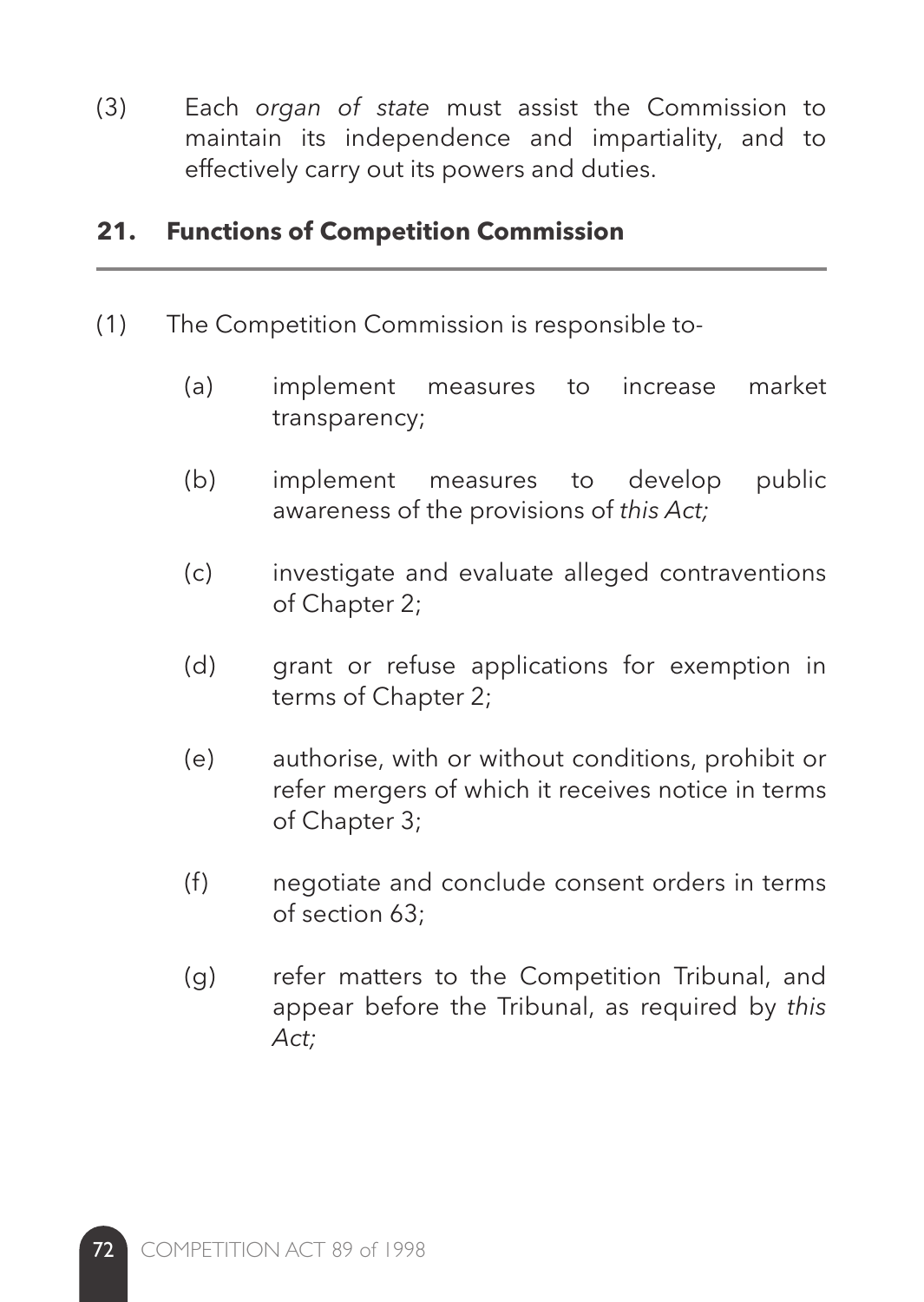(3) Each *organ of state* must assist the Commission to maintain its independence and impartiality, and to effectively carry out its powers and duties.

#### **21. Functions of Competition Commission**

- (1) The Competition Commission is responsible to-
	- (a) implement measures to increase market transparency;
	- (b) implement measures to develop public awareness of the provisions of *this Act;*
	- (c) investigate and evaluate alleged contraventions of Chapter 2;
	- (d) grant or refuse applications for exemption in terms of Chapter 2;
	- (e) authorise, with or without conditions, prohibit or refer mergers of which it receives notice in terms of Chapter 3;
	- (f) negotiate and conclude consent orders in terms of section 63;
	- (g) refer matters to the Competition Tribunal, and appear before the Tribunal, as required by *this Act;*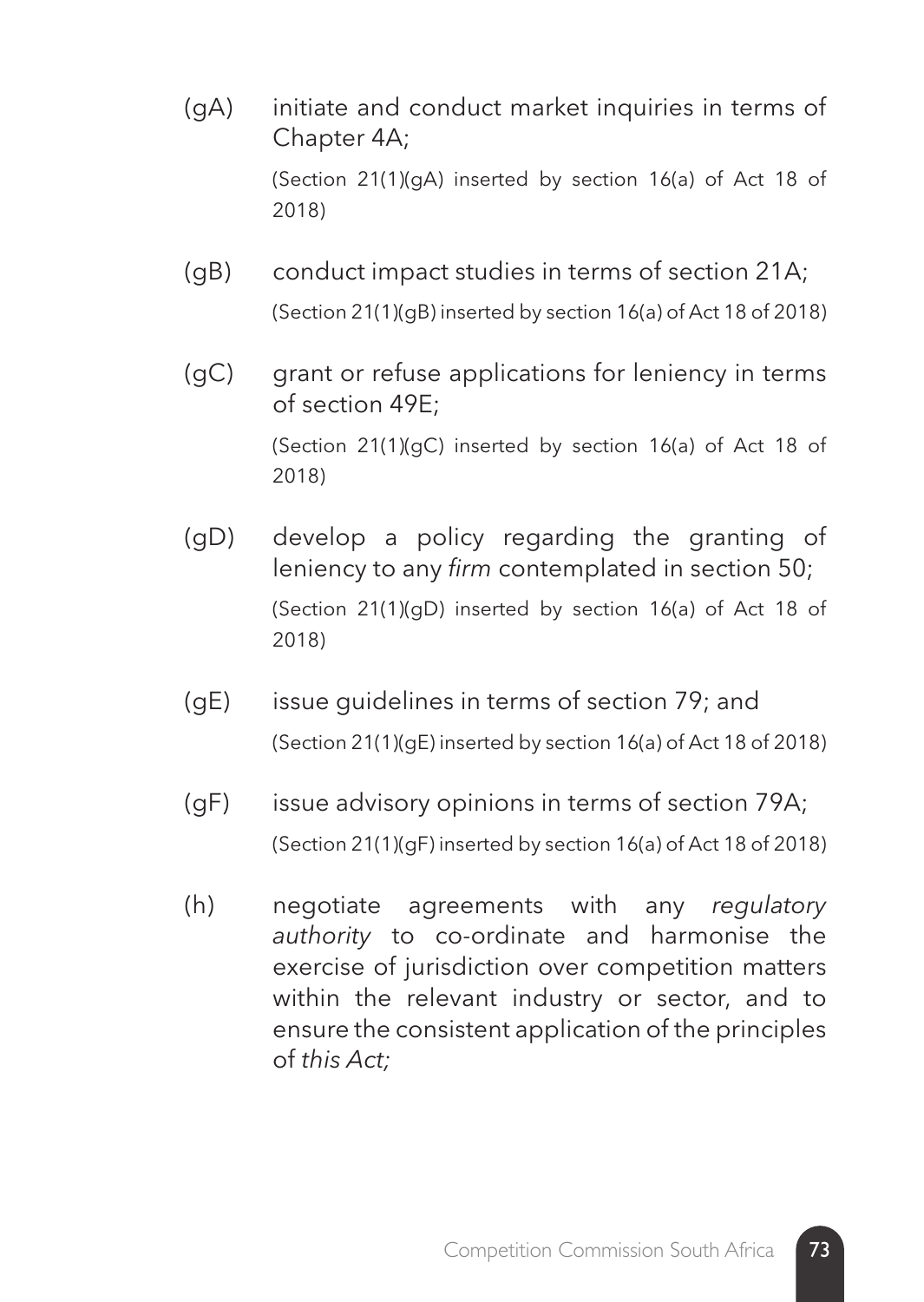- (gA) initiate and conduct market inquiries in terms of Chapter 4A; (Section 21(1)(gA) inserted by section 16(a) of Act 18 of 2018)
- (gB) conduct impact studies in terms of section 21A; (Section 21(1)(gB) inserted by section 16(a) of Act 18 of 2018)
- (gC) grant or refuse applications for leniency in terms of section 49E;

(Section 21(1)(gC) inserted by section 16(a) of Act 18 of 2018)

- (gD) develop a policy regarding the granting of leniency to any *firm* contemplated in section 50; (Section 21(1)(gD) inserted by section 16(a) of Act 18 of 2018)
- (gE) issue guidelines in terms of section 79; and (Section 21(1)(gE) inserted by section 16(a) of Act 18 of 2018)
- (gF) issue advisory opinions in terms of section 79A; (Section 21(1)(gF) inserted by section 16(a) of Act 18 of 2018)
- (h) negotiate agreements with any *regulatory authority* to co-ordinate and harmonise the exercise of jurisdiction over competition matters within the relevant industry or sector, and to ensure the consistent application of the principles of *this Act;*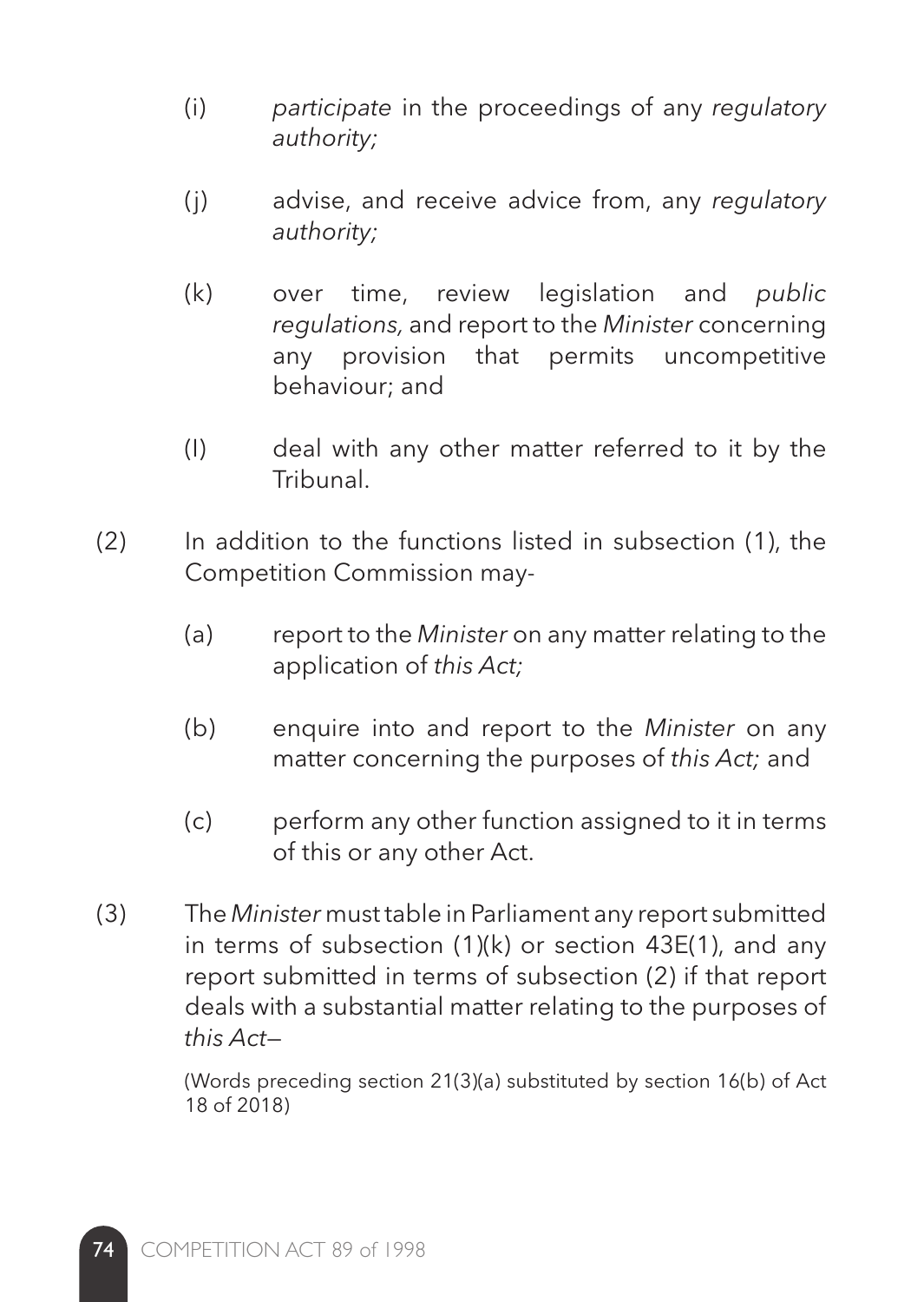- (i) *participate* in the proceedings of any *regulatory authority;*
- (j) advise, and receive advice from, any *regulatory authority;*
- (k) over time, review legislation and *public regulations,* and report to the *Minister* concerning any provision that permits uncompetitive behaviour; and
- (I) deal with any other matter referred to it by the Tribunal.
- (2) In addition to the functions listed in subsection (1), the Competition Commission may-
	- (a) report to the *Minister* on any matter relating to the application of *this Act;*
	- (b) enquire into and report to the *Minister* on any matter concerning the purposes of *this Act;* and
	- (c) perform any other function assigned to it in terms of this or any other Act.
- (3) The *Minister* must table in Parliament any report submitted in terms of subsection  $(1)(k)$  or section  $43E(1)$ , and any report submitted in terms of subsection (2) if that report deals with a substantial matter relating to the purposes of *this Act*—

(Words preceding section 21(3)(a) substituted by section 16(b) of Act 18 of 2018)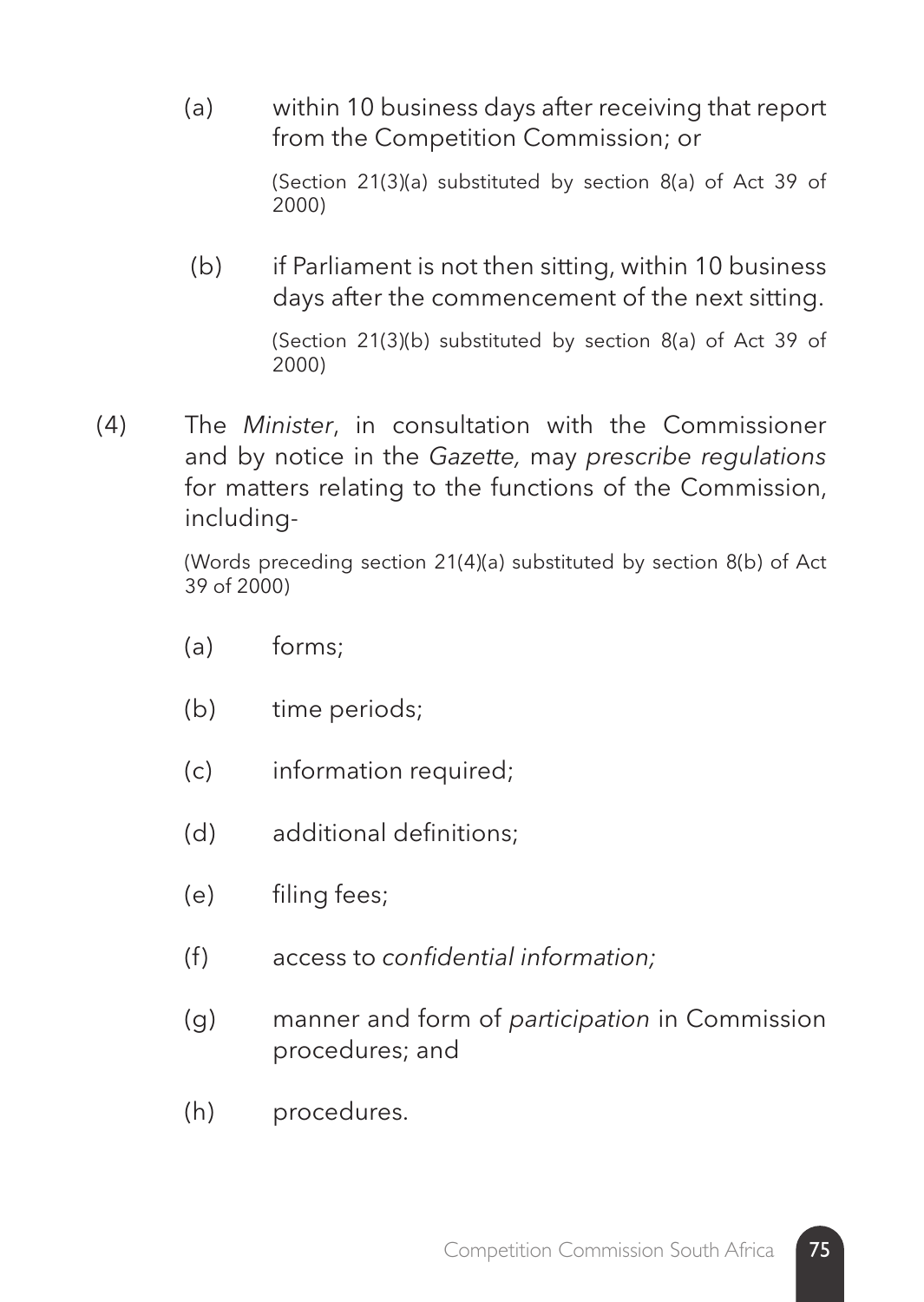(a) within 10 business days after receiving that report from the Competition Commission; or

> (Section 21(3)(a) substituted by section 8(a) of Act 39 of 2000)

 (b) if Parliament is not then sitting, within 10 business days after the commencement of the next sitting.

> (Section 21(3)(b) substituted by section 8(a) of Act 39 of 2000)

(4) The *Minister*, in consultation with the Commissioner and by notice in the *Gazette,* may *prescribe regulations*  for matters relating to the functions of the Commission, including-

> (Words preceding section 21(4)(a) substituted by section 8(b) of Act 39 of 2000)

- (a) forms;
- (b) time periods;
- (c) information required;
- (d) additional definitions;
- (e) filing fees;
- (f) access to *confidential information;*
- (g) manner and form of *participation* in Commission procedures; and
- (h) procedures.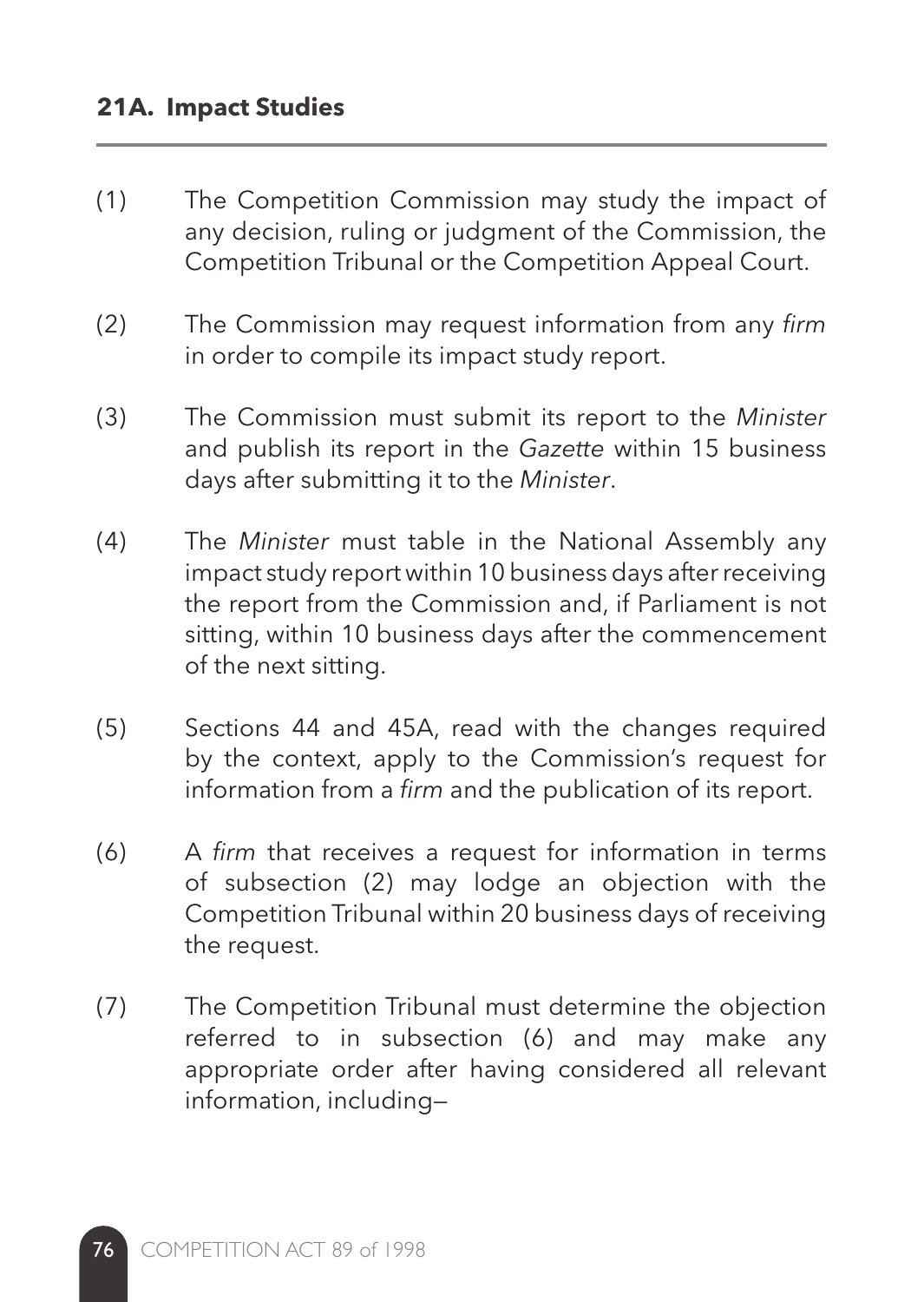- (1) The Competition Commission may study the impact of any decision, ruling or judgment of the Commission, the Competition Tribunal or the Competition Appeal Court.
- (2) The Commission may request information from any *firm* in order to compile its impact study report.
- (3) The Commission must submit its report to the *Minister* and publish its report in the *Gazette* within 15 business days after submitting it to the *Minister*.
- (4) The *Minister* must table in the National Assembly any impact study report within 10 business days after receiving the report from the Commission and, if Parliament is not sitting, within 10 business days after the commencement of the next sitting.
- (5) Sections 44 and 45A, read with the changes required by the context, apply to the Commission's request for information from a *firm* and the publication of its report.
- (6) A *firm* that receives a request for information in terms of subsection (2) may lodge an objection with the Competition Tribunal within 20 business days of receiving the request.
- (7) The Competition Tribunal must determine the objection referred to in subsection (6) and may make any appropriate order after having considered all relevant information, including—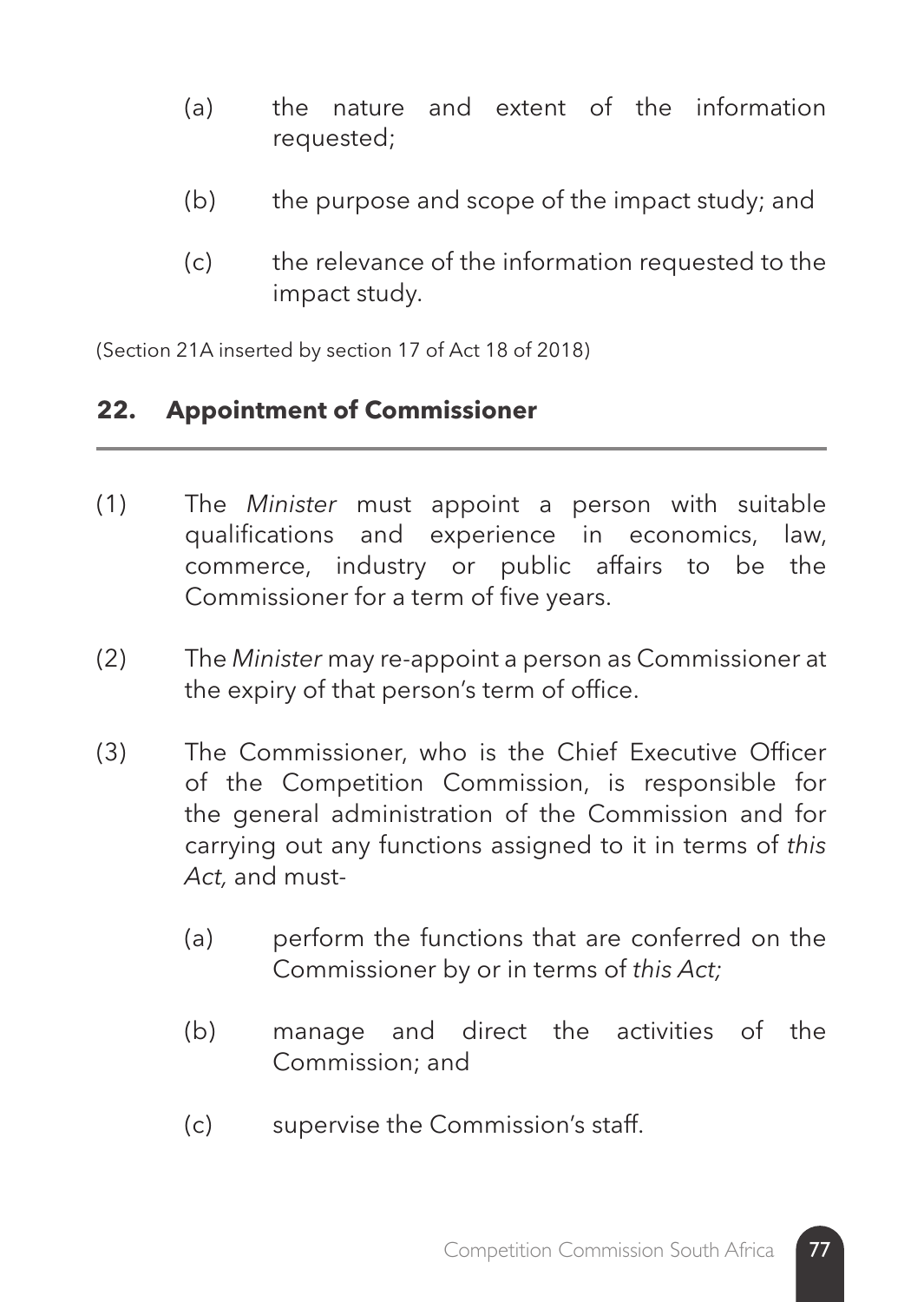- (a) the nature and extent of the information requested;
- (b) the purpose and scope of the impact study; and
- (c) the relevance of the information requested to the impact study.

(Section 21A inserted by section 17 of Act 18 of 2018)

### **22. Appointment of Commissioner**

- (1) The *Minister* must appoint a person with suitable qualifications and experience in economics, law, commerce, industry or public affairs to be the Commissioner for a term of five years.
- (2) The *Minister* may re-appoint a person as Commissioner at the expiry of that person's term of office.
- (3) The Commissioner, who is the Chief Executive Officer of the Competition Commission, is responsible for the general administration of the Commission and for carrying out any functions assigned to it in terms of *this Act,* and must-
	- (a) perform the functions that are conferred on the Commissioner by or in terms of *this Act;*
	- (b) manage and direct the activities of the Commission; and
	- (c) supervise the Commission's staff.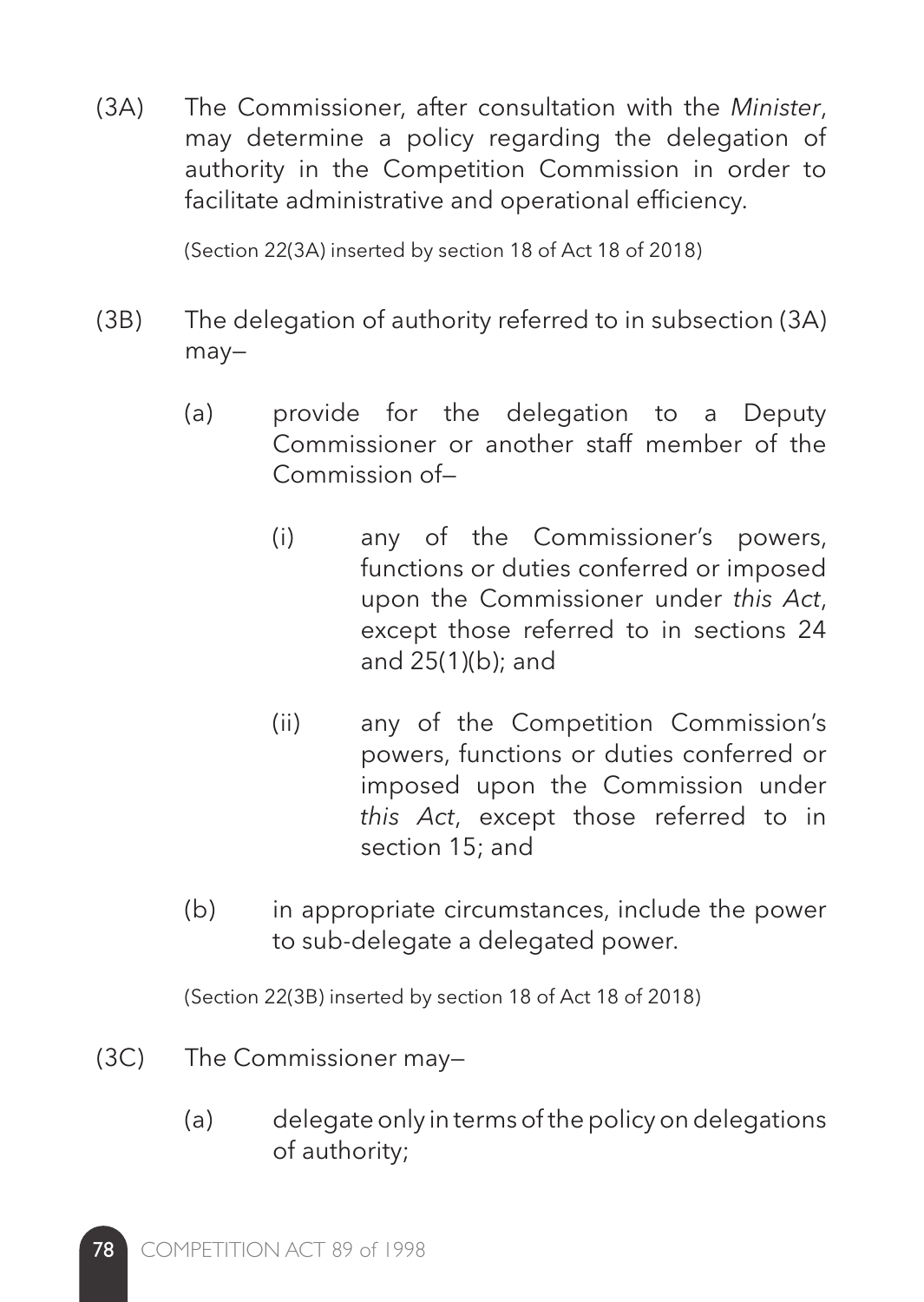(3A) The Commissioner, after consultation with the *Minister*, may determine a policy regarding the delegation of authority in the Competition Commission in order to facilitate administrative and operational efficiency.

(Section 22(3A) inserted by section 18 of Act 18 of 2018)

- (3B) The delegation of authority referred to in subsection (3A) may—
	- (a) provide for the delegation to a Deputy Commissioner or another staff member of the Commission of—
		- (i) any of the Commissioner's powers, functions or duties conferred or imposed upon the Commissioner under *this Act*, except those referred to in sections 24 and 25(1)(b); and
		- (ii) any of the Competition Commission's powers, functions or duties conferred or imposed upon the Commission under *this Act*, except those referred to in section 15; and
	- (b) in appropriate circumstances, include the power to sub-delegate a delegated power.

(Section 22(3B) inserted by section 18 of Act 18 of 2018)

- (3C) The Commissioner may—
	- (a) delegate only in terms of the policy on delegations of authority;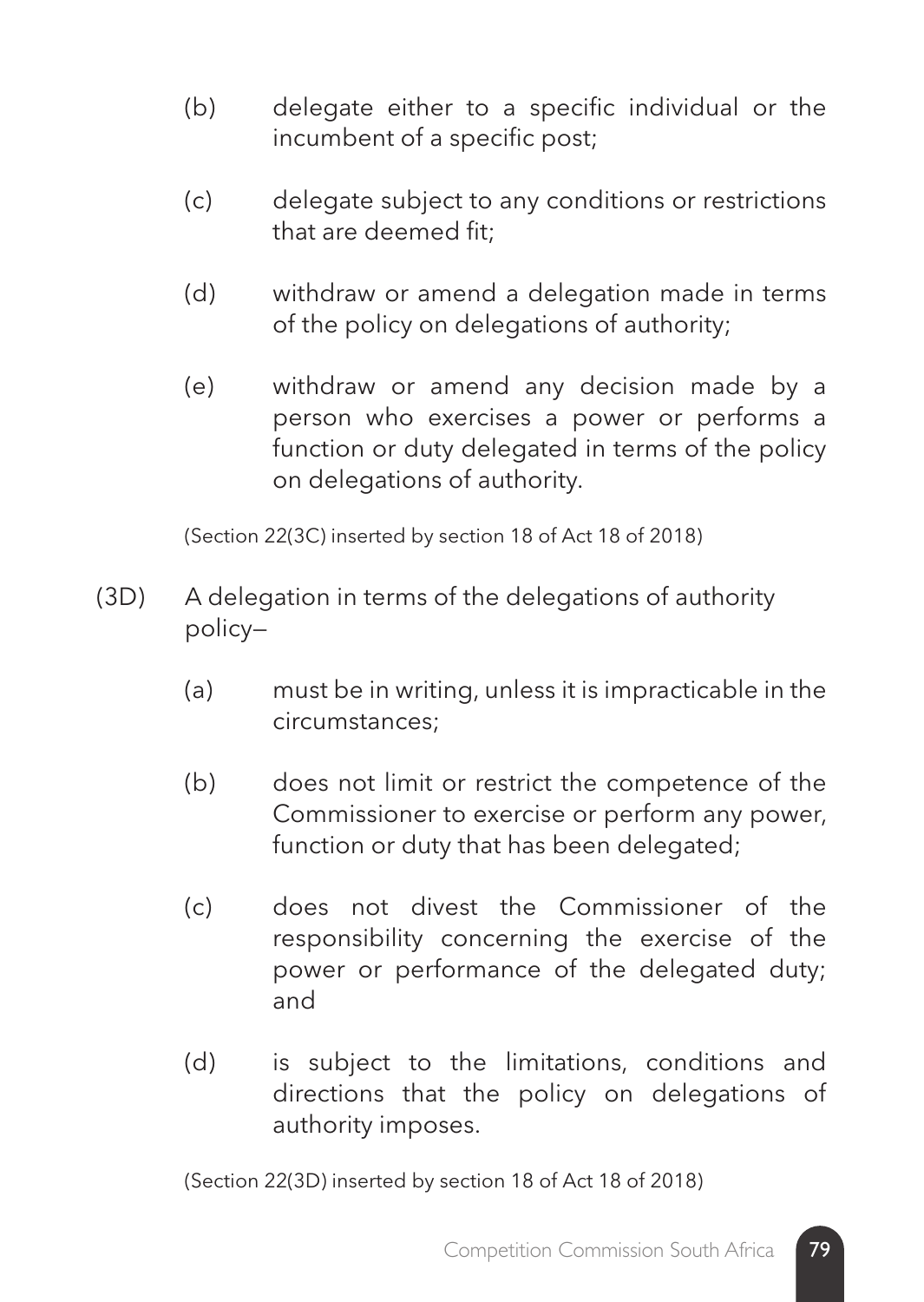- (b) delegate either to a specific individual or the incumbent of a specific post;
- (c) delegate subject to any conditions or restrictions that are deemed fit;
- (d) withdraw or amend a delegation made in terms of the policy on delegations of authority;
- (e) withdraw or amend any decision made by a person who exercises a power or performs a function or duty delegated in terms of the policy on delegations of authority.

(Section 22(3C) inserted by section 18 of Act 18 of 2018)

- (3D) A delegation in terms of the delegations of authority policy—
	- (a) must be in writing, unless it is impracticable in the circumstances;
	- (b) does not limit or restrict the competence of the Commissioner to exercise or perform any power, function or duty that has been delegated;
	- (c) does not divest the Commissioner of the responsibility concerning the exercise of the power or performance of the delegated duty; and
	- (d) is subject to the limitations, conditions and directions that the policy on delegations of authority imposes.

(Section 22(3D) inserted by section 18 of Act 18 of 2018)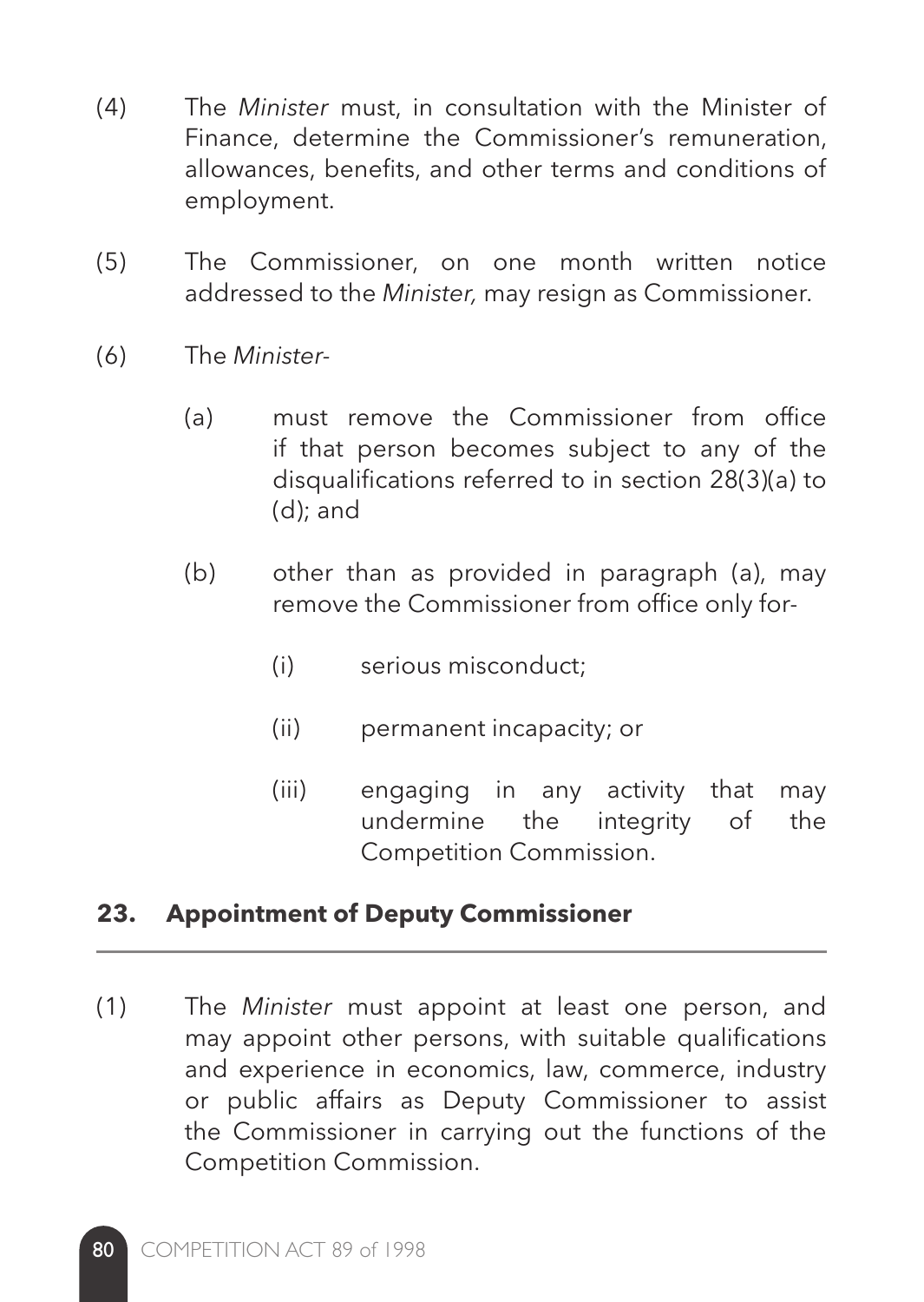- (4) The *Minister* must, in consultation with the Minister of Finance, determine the Commissioner's remuneration, allowances, benefits, and other terms and conditions of employment.
- (5) The Commissioner, on one month written notice addressed to the *Minister,* may resign as Commissioner.
- (6) The *Minister-*
	- (a) must remove the Commissioner from office if that person becomes subject to any of the disqualifications referred to in section 28(3)(a) to (d); and
	- (b) other than as provided in paragraph (a), may remove the Commissioner from office only for-
		- (i) serious misconduct;
		- (ii) permanent incapacity; or
		- (iii) engaging in any activity that may undermine the integrity of the Competition Commission.

### **23. Appointment of Deputy Commissioner**

(1) The *Minister* must appoint at least one person, and may appoint other persons, with suitable qualifications and experience in economics, law, commerce, industry or public affairs as Deputy Commissioner to assist the Commissioner in carrying out the functions of the Competition Commission.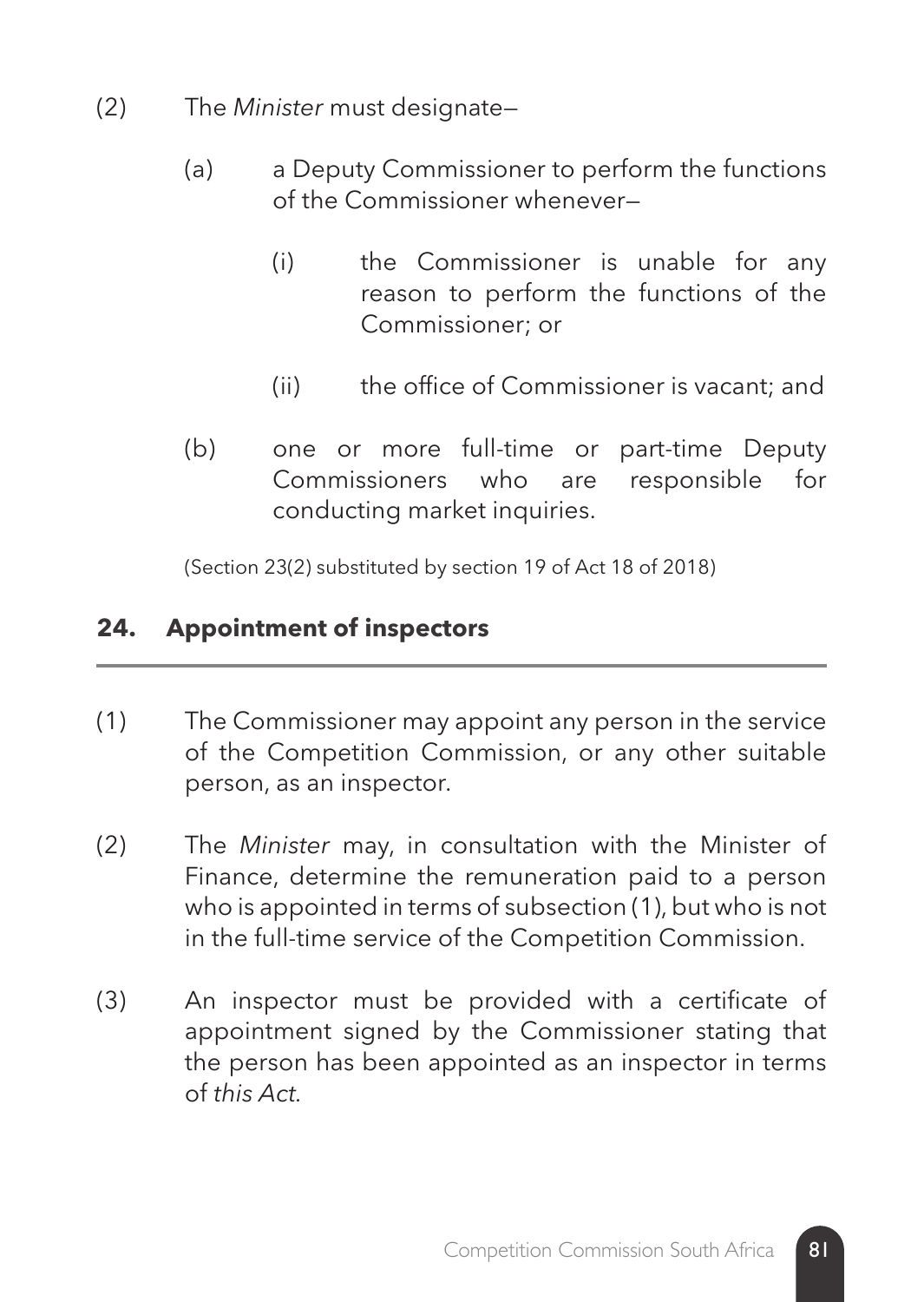- (2) The *Minister* must designate—
	- (a) a Deputy Commissioner to perform the functions of the Commissioner whenever—
		- (i) the Commissioner is unable for any reason to perform the functions of the Commissioner; or
		- (ii) the office of Commissioner is vacant; and
	- (b) one or more full-time or part-time Deputy Commissioners who are responsible for conducting market inquiries.

(Section 23(2) substituted by section 19 of Act 18 of 2018)

### **24. Appointment of inspectors**

- (1) The Commissioner may appoint any person in the service of the Competition Commission, or any other suitable person, as an inspector.
- (2) The *Minister* may, in consultation with the Minister of Finance, determine the remuneration paid to a person who is appointed in terms of subsection (1), but who is not in the full-time service of the Competition Commission.
- (3) An inspector must be provided with a certificate of appointment signed by the Commissioner stating that the person has been appointed as an inspector in terms of *this Act.*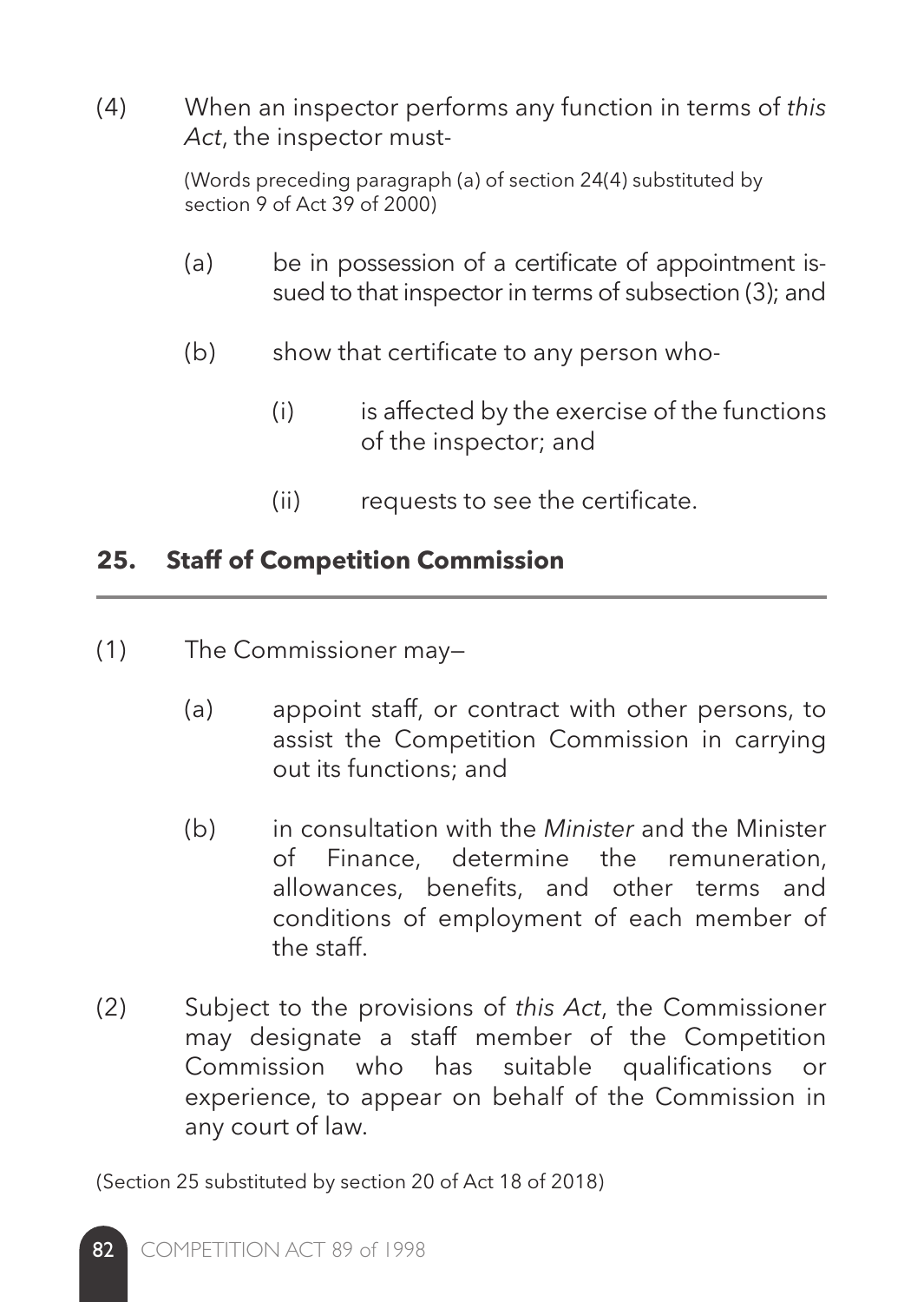(4) When an inspector performs any function in terms of *this Act*, the inspector must-

> (Words preceding paragraph (a) of section 24(4) substituted by section 9 of Act 39 of 2000)

- (a) be in possession of a certificate of appointment issued to that inspector in terms of subsection (3); and
- (b) show that certificate to any person who-
	- $(i)$  is affected by the exercise of the functions of the inspector; and
	- (ii) requests to see the certificate.

### **25. Staff of Competition Commission**

- (1) The Commissioner may—
	- (a) appoint staff, or contract with other persons, to assist the Competition Commission in carrying out its functions; and
	- (b) in consultation with the *Minister* and the Minister of Finance, determine the remuneration, allowances, benefits, and other terms and conditions of employment of each member of the staff.
- (2) Subject to the provisions of *this Act*, the Commissioner may designate a staff member of the Competition Commission who has suitable qualifications or experience, to appear on behalf of the Commission in any court of law.

(Section 25 substituted by section 20 of Act 18 of 2018)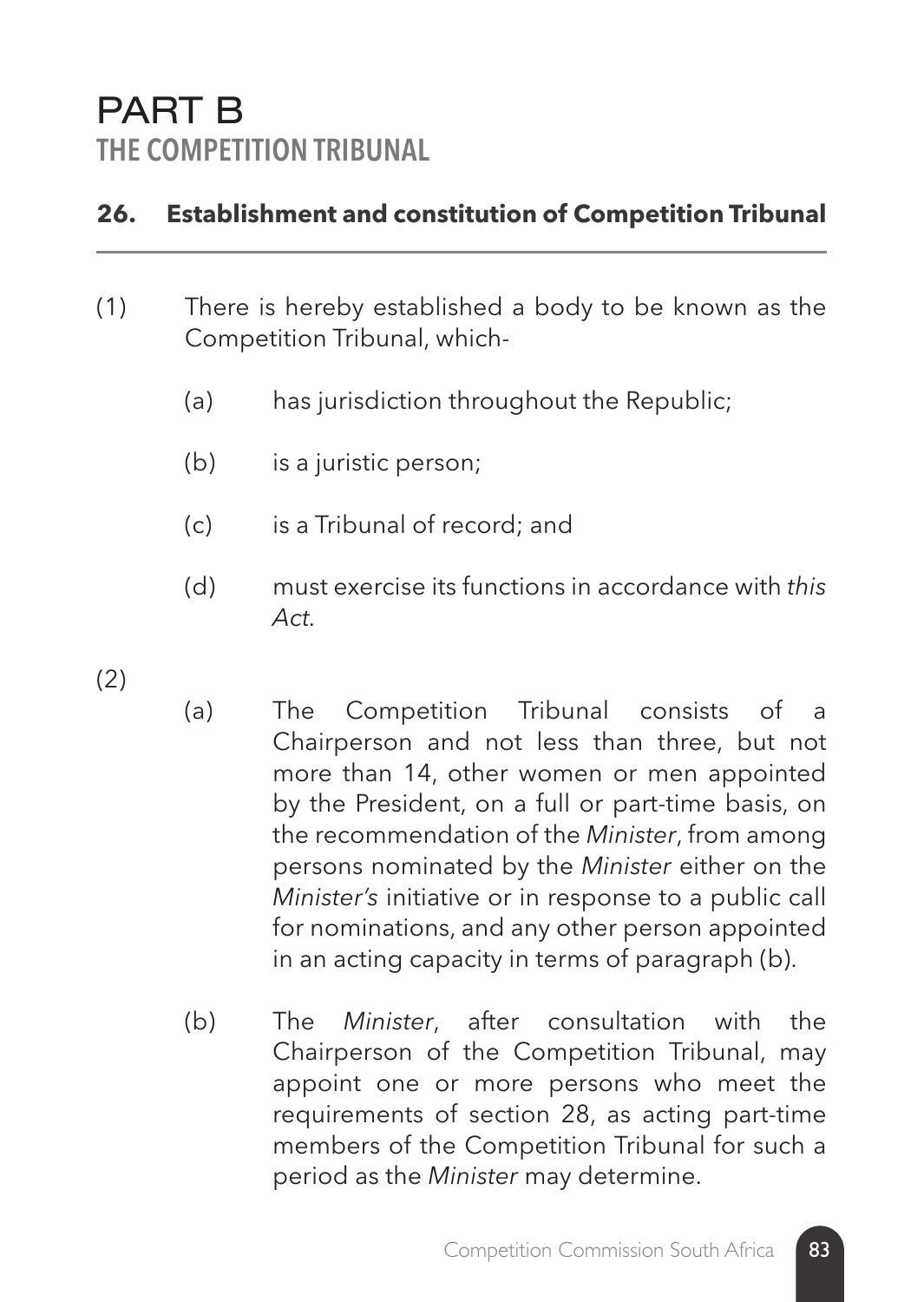## PART B THE COMPETITION TRIBUNAL

## **26. Establishment and constitution of Competition Tribunal**

- (1) There is hereby established a body to be known as the Competition Tribunal, which-
	- (a) has jurisdiction throughout the Republic;
	- (b) is a juristic person;
	- (c) is a Tribunal of record; and
	- (d) must exercise its functions in accordance with *this Act.*
- (2)
- (a) The Competition Tribunal consists of a Chairperson and not less than three, but not more than 14, other women or men appointed by the President, on a full or part-time basis, on the recommendation of the *Minister*, from among persons nominated by the *Minister* either on the *Minister's* initiative or in response to a public call for nominations, and any other person appointed in an acting capacity in terms of paragraph (b).
- (b) The *Minister*, after consultation with the Chairperson of the Competition Tribunal, may appoint one or more persons who meet the requirements of section 28, as acting part-time members of the Competition Tribunal for such a period as the *Minister* may determine.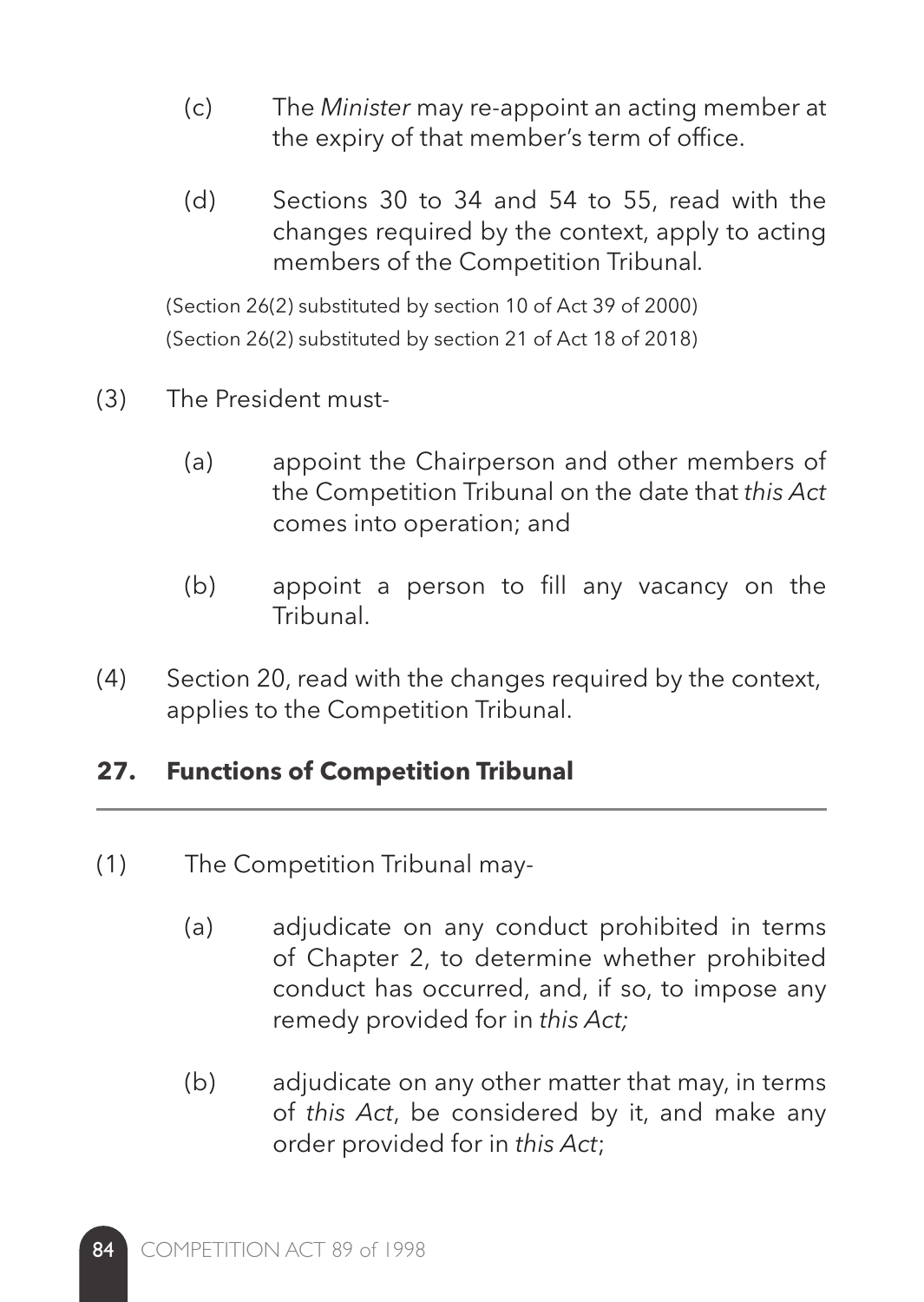- (c) The *Minister* may re-appoint an acting member at the expiry of that member's term of office.
- (d) Sections 30 to 34 and 54 to 55, read with the changes required by the context, apply to acting members of the Competition Tribunal*.*

(Section 26(2) substituted by section 10 of Act 39 of 2000)

(Section 26(2) substituted by section 21 of Act 18 of 2018)

- (3) The President must-
	- (a) appoint the Chairperson and other members of the Competition Tribunal on the date that *this Act*  comes into operation; and
	- (b) appoint a person to fill any vacancy on the Tribunal.
- (4) Section 20, read with the changes required by the context, applies to the Competition Tribunal.

### **27. Functions of Competition Tribunal**

- (1) The Competition Tribunal may-
	- (a) adjudicate on any conduct prohibited in terms of Chapter 2, to determine whether prohibited conduct has occurred, and, if so, to impose any remedy provided for in *this Act;*
	- (b) adjudicate on any other matter that may, in terms of *this Act*, be considered by it, and make any order provided for in *this Act*;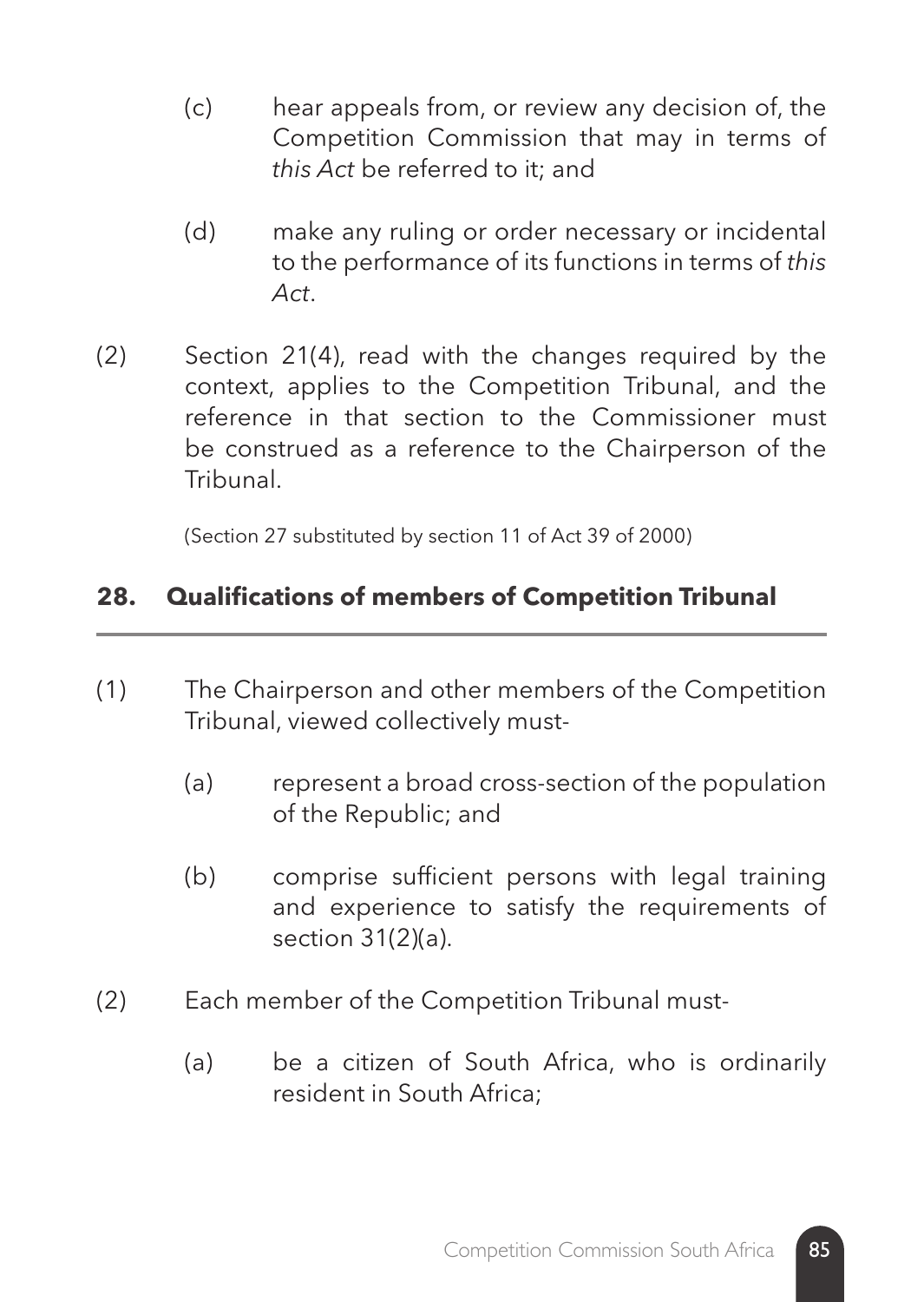- (c) hear appeals from, or review any decision of, the Competition Commission that may in terms of *this Act* be referred to it; and
- (d) make any ruling or order necessary or incidental to the performance of its functions in terms of *this Act*.
- (2) Section 21(4), read with the changes required by the context, applies to the Competition Tribunal, and the reference in that section to the Commissioner must be construed as a reference to the Chairperson of the Tribunal.

(Section 27 substituted by section 11 of Act 39 of 2000)

### **28. Qualifications of members of Competition Tribunal**

- (1) The Chairperson and other members of the Competition Tribunal, viewed collectively must-
	- (a) represent a broad cross-section of the population of the Republic; and
	- (b) comprise sufficient persons with legal training and experience to satisfy the requirements of section 31(2)(a).
- (2) Each member of the Competition Tribunal must-
	- (a) be a citizen of South Africa, who is ordinarily resident in South Africa;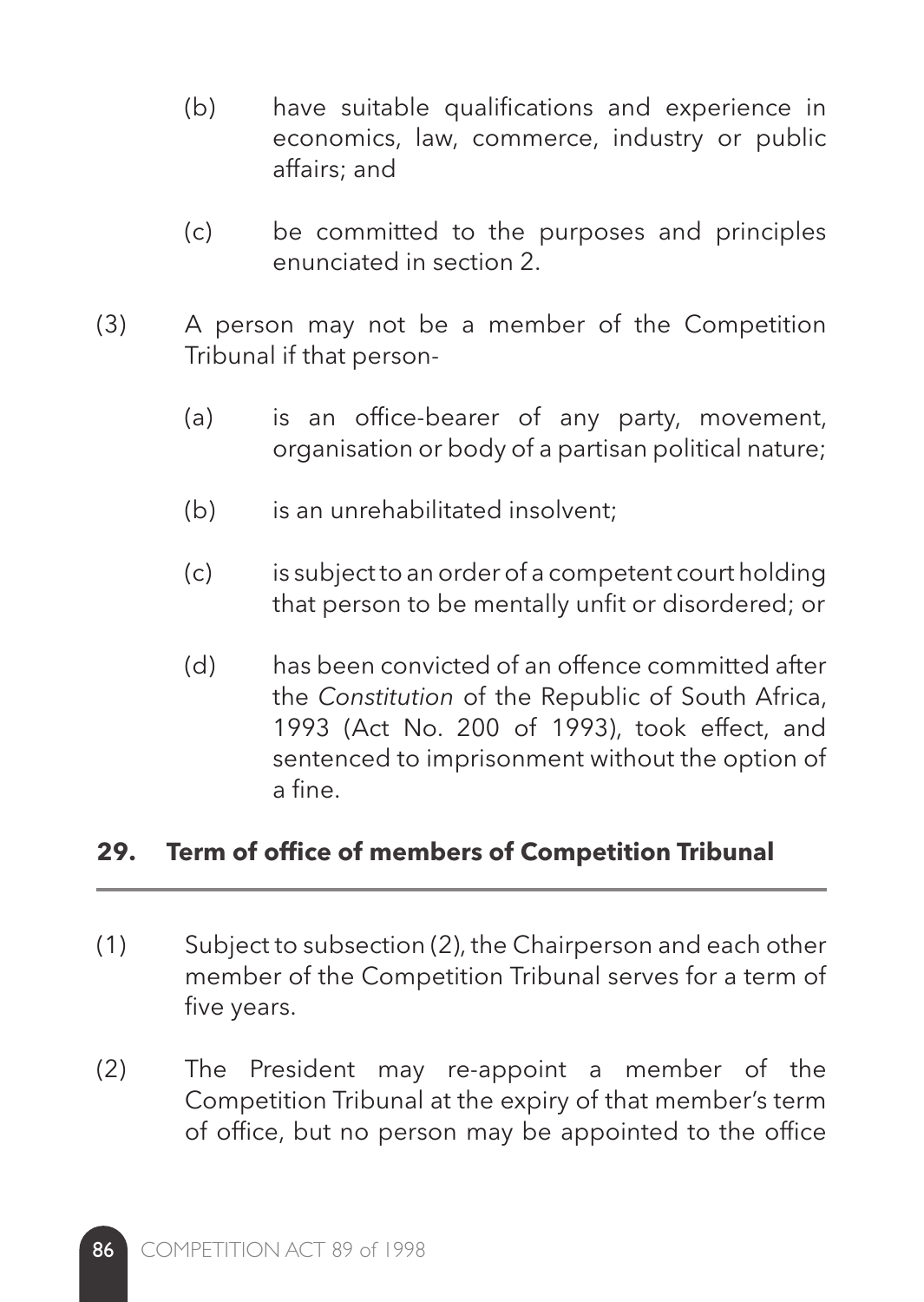- (b) have suitable qualifications and experience in economics, law, commerce, industry or public affairs; and
- (c) be committed to the purposes and principles enunciated in section 2.
- (3) A person may not be a member of the Competition Tribunal if that person-
	- (a) is an office-bearer of any party, movement, organisation or body of a partisan political nature;
	- (b) is an unrehabilitated insolvent:
	- (c) is subject to an order of a competent court holding that person to be mentally unfit or disordered; or
	- (d) has been convicted of an offence committed after the *Constitution* of the Republic of South Africa, 1993 (Act No. 200 of 1993), took effect, and sentenced to imprisonment without the option of a fine.

### **29. Term of office of members of Competition Tribunal**

- (1) Subject to subsection (2), the Chairperson and each other member of the Competition Tribunal serves for a term of five years.
- (2) The President may re-appoint a member of the Competition Tribunal at the expiry of that member's term of office, but no person may be appointed to the office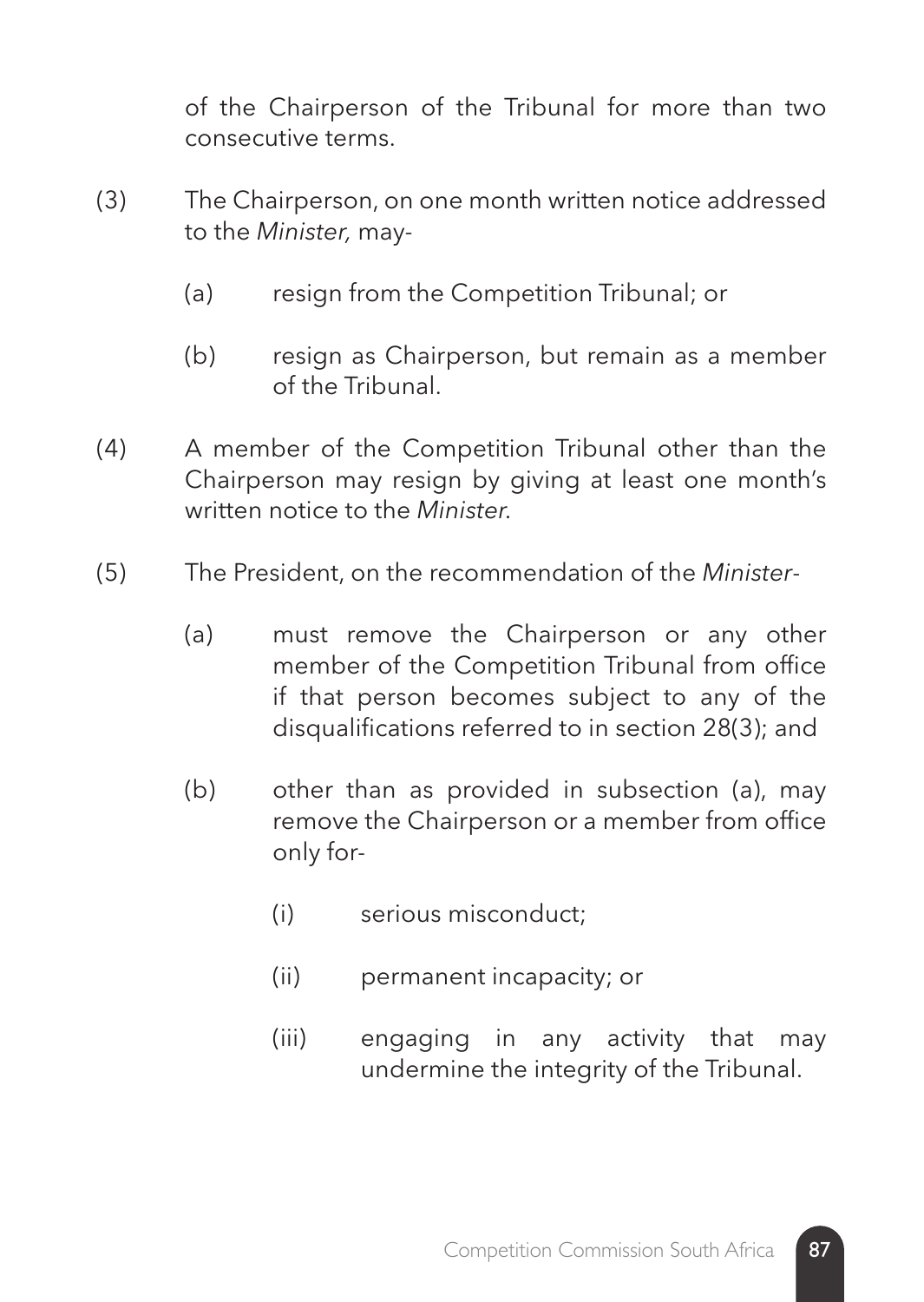of the Chairperson of the Tribunal for more than two consecutive terms.

- (3) The Chairperson, on one month written notice addressed to the *Minister,* may*-*
	- (a) resign from the Competition Tribunal; or
	- (b) resign as Chairperson, but remain as a member of the Tribunal.
- (4) A member of the Competition Tribunal other than the Chairperson may resign by giving at least one month's written notice to the *Minister.*
- (5) The President, on the recommendation of the *Minister*
	- (a) must remove the Chairperson or any other member of the Competition Tribunal from office if that person becomes subject to any of the disqualifications referred to in section 28(3); and
	- (b) other than as provided in subsection (a), may remove the Chairperson or a member from office only for-
		- (i) serious misconduct;
		- (ii) permanent incapacity; or
		- (iii) engaging in any activity that may undermine the integrity of the Tribunal.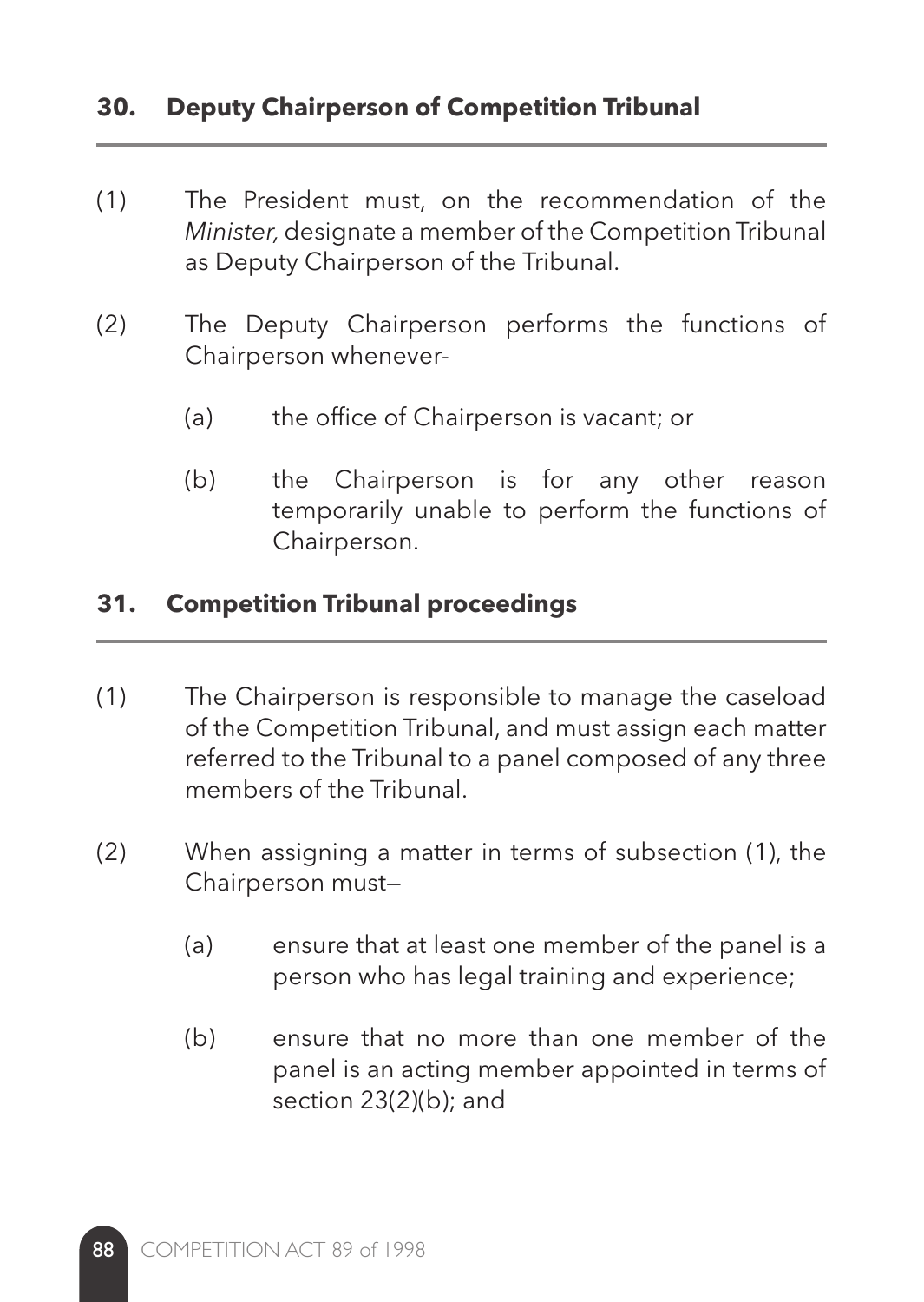### **30. Deputy Chairperson of Competition Tribunal**

- (1) The President must, on the recommendation of the *Minister,* designate a member of the Competition Tribunal as Deputy Chairperson of the Tribunal.
- (2) The Deputy Chairperson performs the functions of Chairperson whenever-
	- (a) the office of Chairperson is vacant; or
	- (b) the Chairperson is for any other reason temporarily unable to perform the functions of Chairperson.

### **31. Competition Tribunal proceedings**

- (1) The Chairperson is responsible to manage the caseload of the Competition Tribunal, and must assign each matter referred to the Tribunal to a panel composed of any three members of the Tribunal.
- (2) When assigning a matter in terms of subsection (1), the Chairperson must—
	- (a) ensure that at least one member of the panel is a person who has legal training and experience;
	- (b) ensure that no more than one member of the panel is an acting member appointed in terms of section 23(2)(b); and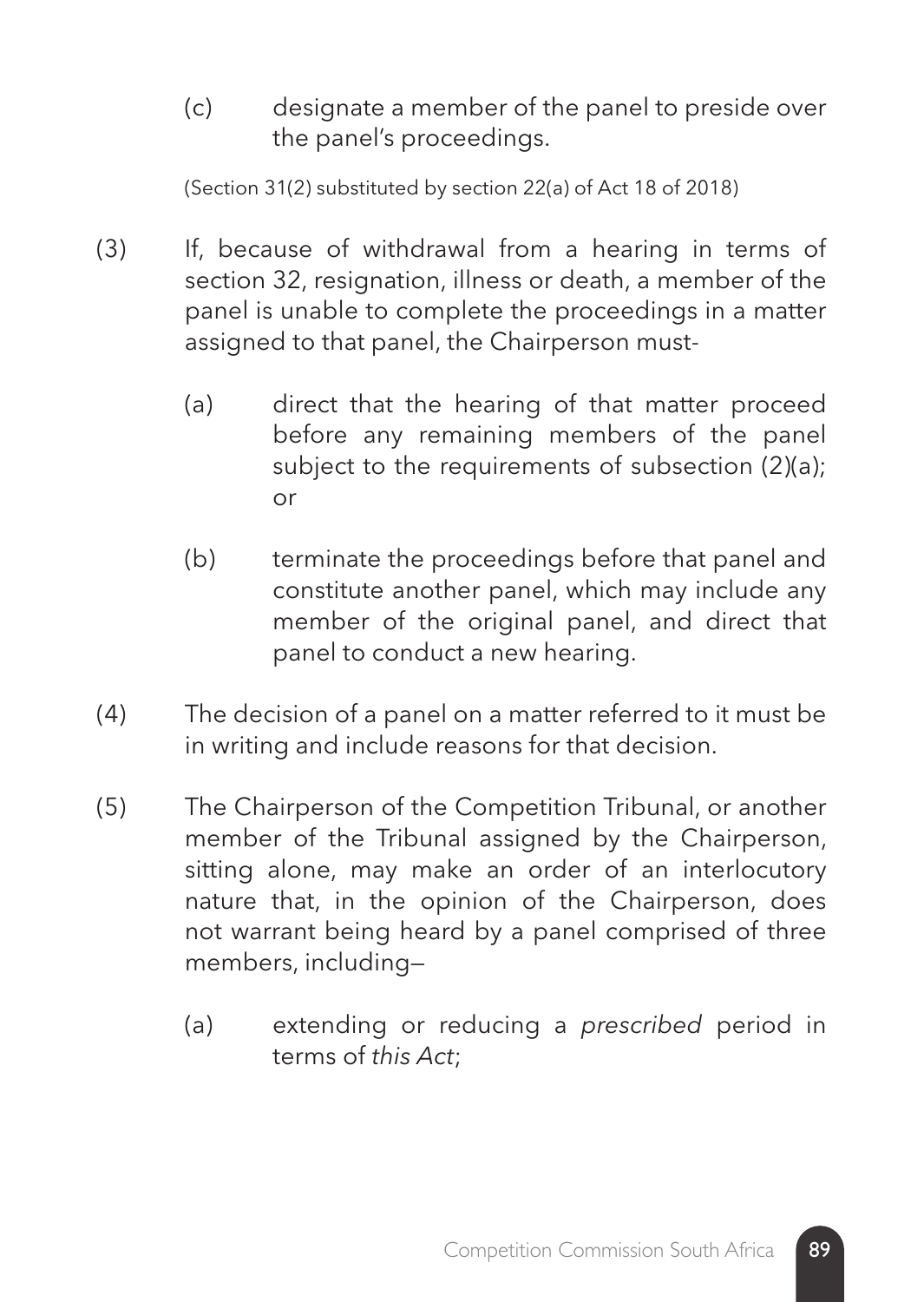(c) designate a member of the panel to preside over the panel's proceedings.

(Section 31(2) substituted by section 22(a) of Act 18 of 2018)

- (3) If, because of withdrawal from a hearing in terms of section 32, resignation, illness or death, a member of the panel is unable to complete the proceedings in a matter assigned to that panel, the Chairperson must-
	- (a) direct that the hearing of that matter proceed before any remaining members of the panel subject to the requirements of subsection (2)(a); or
	- (b) terminate the proceedings before that panel and constitute another panel, which may include any member of the original panel, and direct that panel to conduct a new hearing.
- (4) The decision of a panel on a matter referred to it must be in writing and include reasons for that decision.
- (5) The Chairperson of the Competition Tribunal, or another member of the Tribunal assigned by the Chairperson, sitting alone, may make an order of an interlocutory nature that, in the opinion of the Chairperson, does not warrant being heard by a panel comprised of three members, including—
	- (a) extending or reducing a *prescribed* period in terms of *this Act*;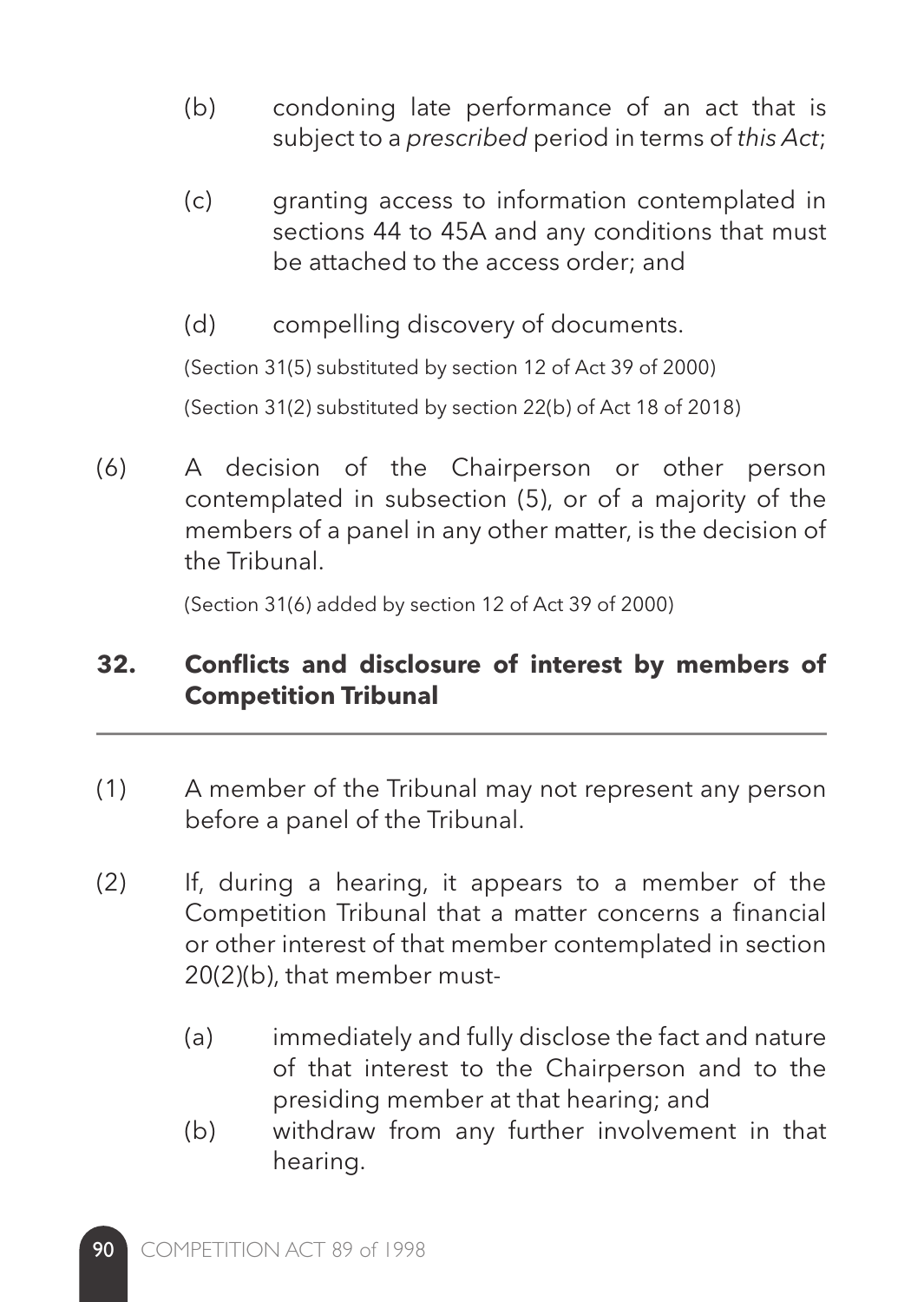- (b) condoning late performance of an act that is subject to a *prescribed* period in terms of *this Act*;
- (c) granting access to information contemplated in sections 44 to 45A and any conditions that must be attached to the access order; and
- (d) compelling discovery of documents.

(Section 31(5) substituted by section 12 of Act 39 of 2000)

(Section 31(2) substituted by section 22(b) of Act 18 of 2018)

(6) A decision of the Chairperson or other person contemplated in subsection (5), or of a majority of the members of a panel in any other matter, is the decision of the Tribunal.

(Section 31(6) added by section 12 of Act 39 of 2000)

### **32. Conflicts and disclosure of interest by members of Competition Tribunal**

- (1) A member of the Tribunal may not represent any person before a panel of the Tribunal.
- (2) If, during a hearing, it appears to a member of the Competition Tribunal that a matter concerns a financial or other interest of that member contemplated in section 20(2)(b), that member must-
	- (a) immediately and fully disclose the fact and nature of that interest to the Chairperson and to the presiding member at that hearing; and
	- (b) withdraw from any further involvement in that hearing.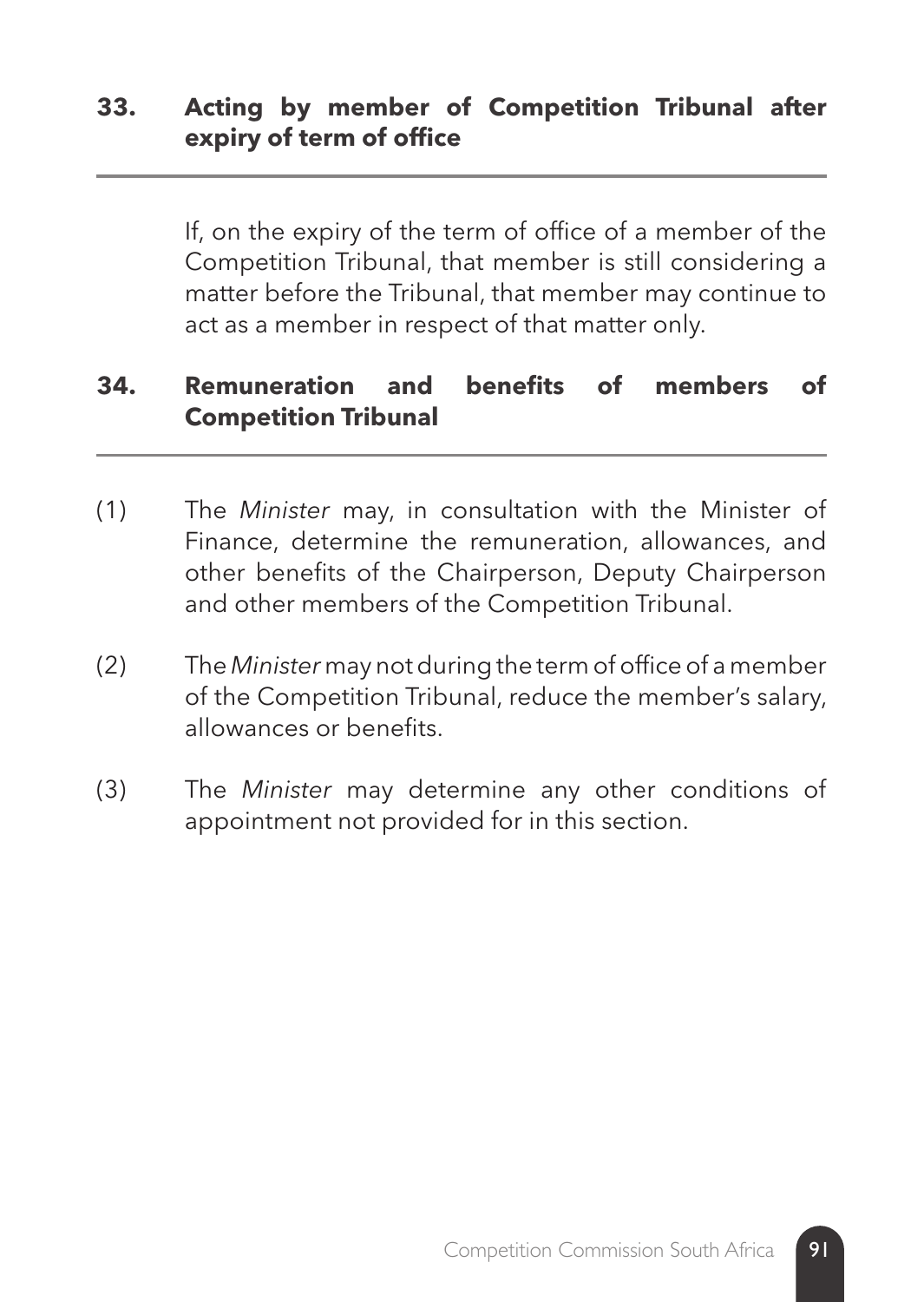### **33. Acting by member of Competition Tribunal after expiry of term of office**

If, on the expiry of the term of office of a member of the Competition Tribunal, that member is still considering a matter before the Tribunal, that member may continue to act as a member in respect of that matter only.

### **34. Remuneration and benefits of members of Competition Tribunal**

- (1) The *Minister* may, in consultation with the Minister of Finance, determine the remuneration, allowances, and other benefits of the Chairperson, Deputy Chairperson and other members of the Competition Tribunal.
- (2) The *Minister* may not during the term of office of a member of the Competition Tribunal, reduce the member's salary, allowances or benefits.
- (3) The *Minister* may determine any other conditions of appointment not provided for in this section.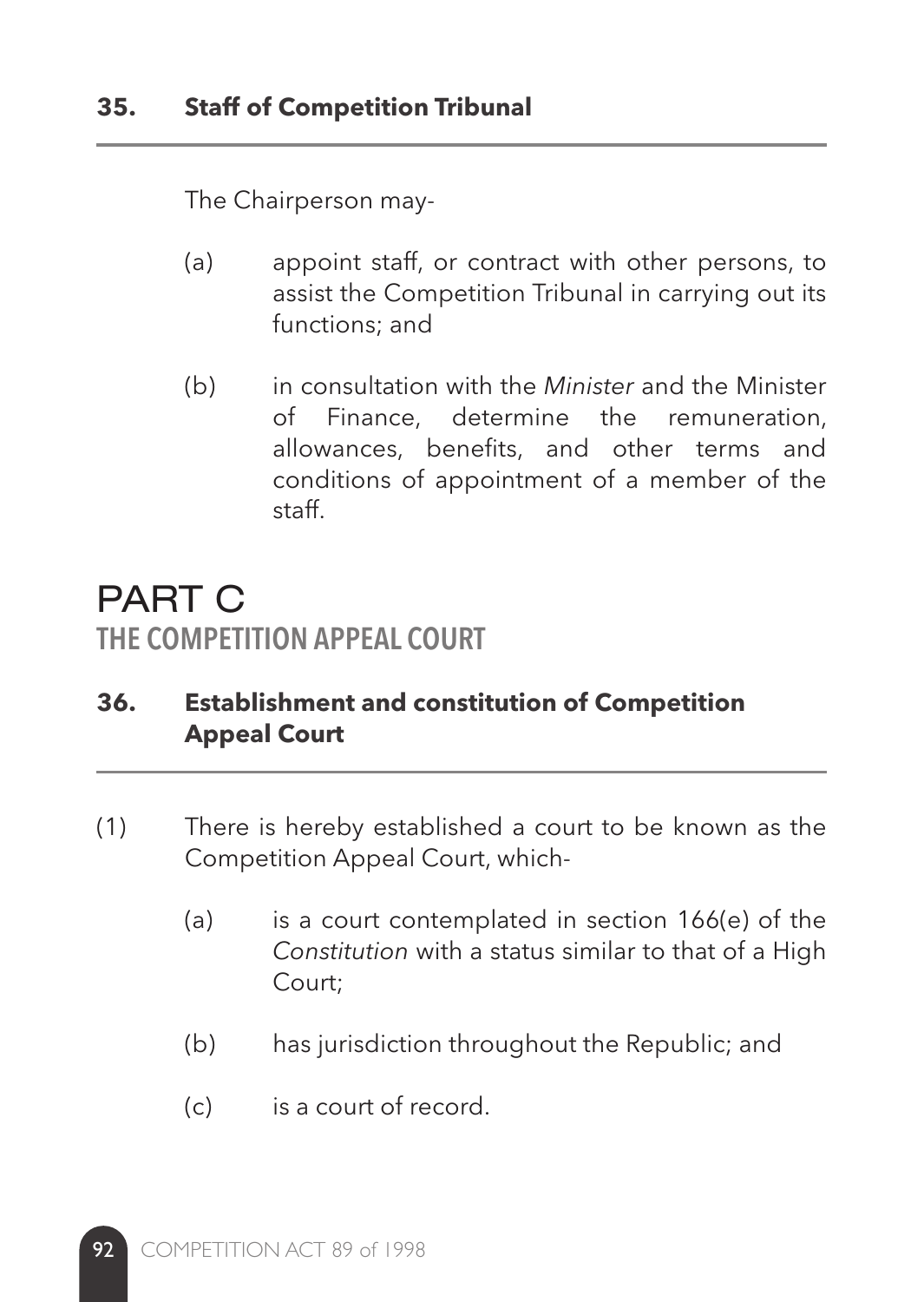The Chairperson may-

- (a) appoint staff, or contract with other persons, to assist the Competition Tribunal in carrying out its functions; and
- (b) in consultation with the *Minister* and the Minister of Finance, determine the remuneration, allowances, benefits, and other terms and conditions of appointment of a member of the staff.

## PART C THE COMPETITION APPEAL COURT

### **36. Establishment and constitution of Competition Appeal Court**

- (1) There is hereby established a court to be known as the Competition Appeal Court, which-
	- $(a)$  is a court contemplated in section  $166(e)$  of the *Constitution* with a status similar to that of a High Court;
	- (b) has jurisdiction throughout the Republic; and
	- (c) is a court of record.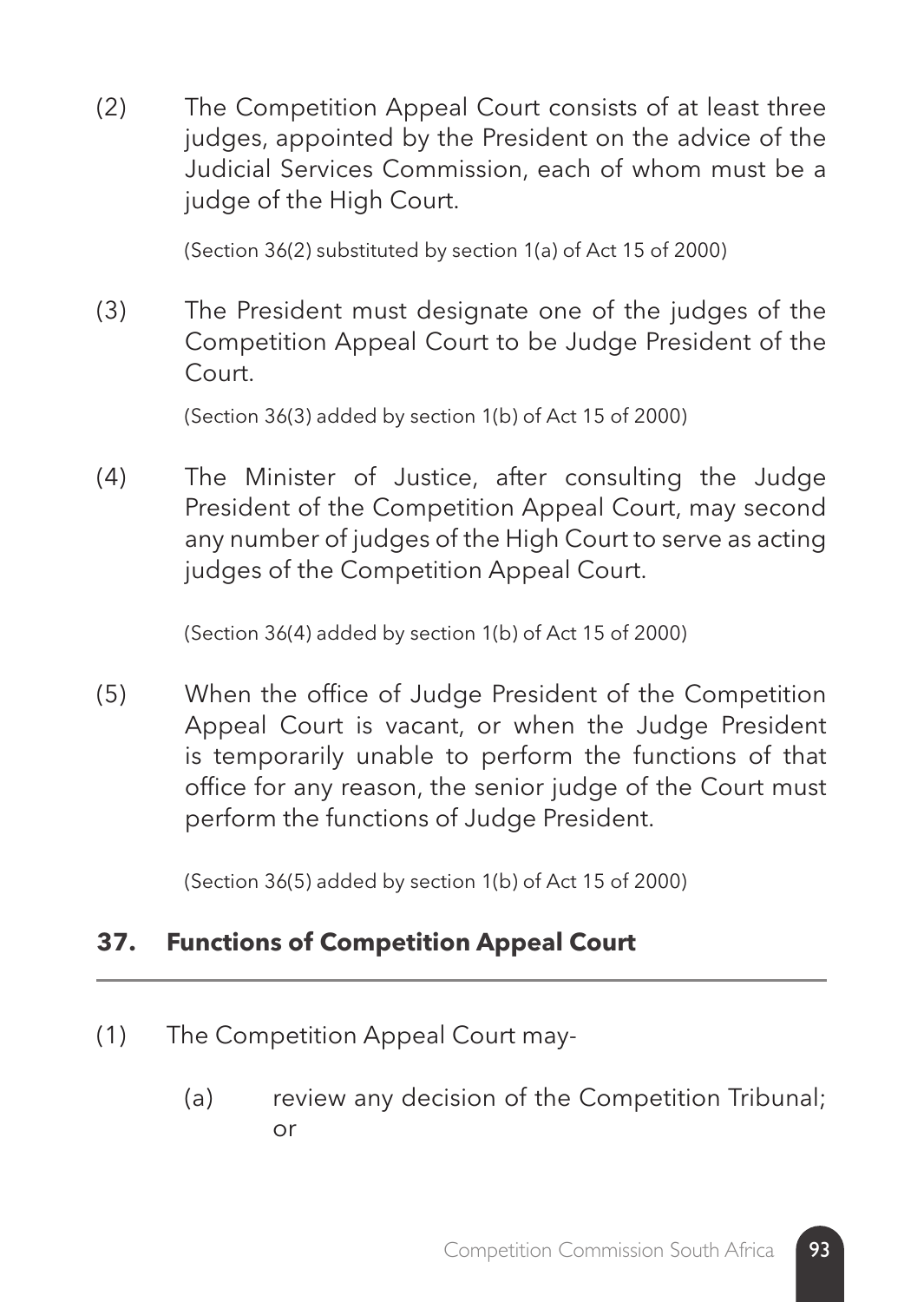(2) The Competition Appeal Court consists of at least three judges, appointed by the President on the advice of the Judicial Services Commission, each of whom must be a judge of the High Court.

(Section 36(2) substituted by section 1(a) of Act 15 of 2000)

(3) The President must designate one of the judges of the Competition Appeal Court to be Judge President of the Court.

(Section 36(3) added by section 1(b) of Act 15 of 2000)

(4) The Minister of Justice, after consulting the Judge President of the Competition Appeal Court, may second any number of judges of the High Court to serve as acting judges of the Competition Appeal Court.

(Section 36(4) added by section 1(b) of Act 15 of 2000)

(5) When the office of Judge President of the Competition Appeal Court is vacant, or when the Judge President is temporarily unable to perform the functions of that office for any reason, the senior judge of the Court must perform the functions of Judge President.

(Section 36(5) added by section 1(b) of Act 15 of 2000)

## **37. Functions of Competition Appeal Court**

- (1) The Competition Appeal Court may-
	- (a) review any decision of the Competition Tribunal; or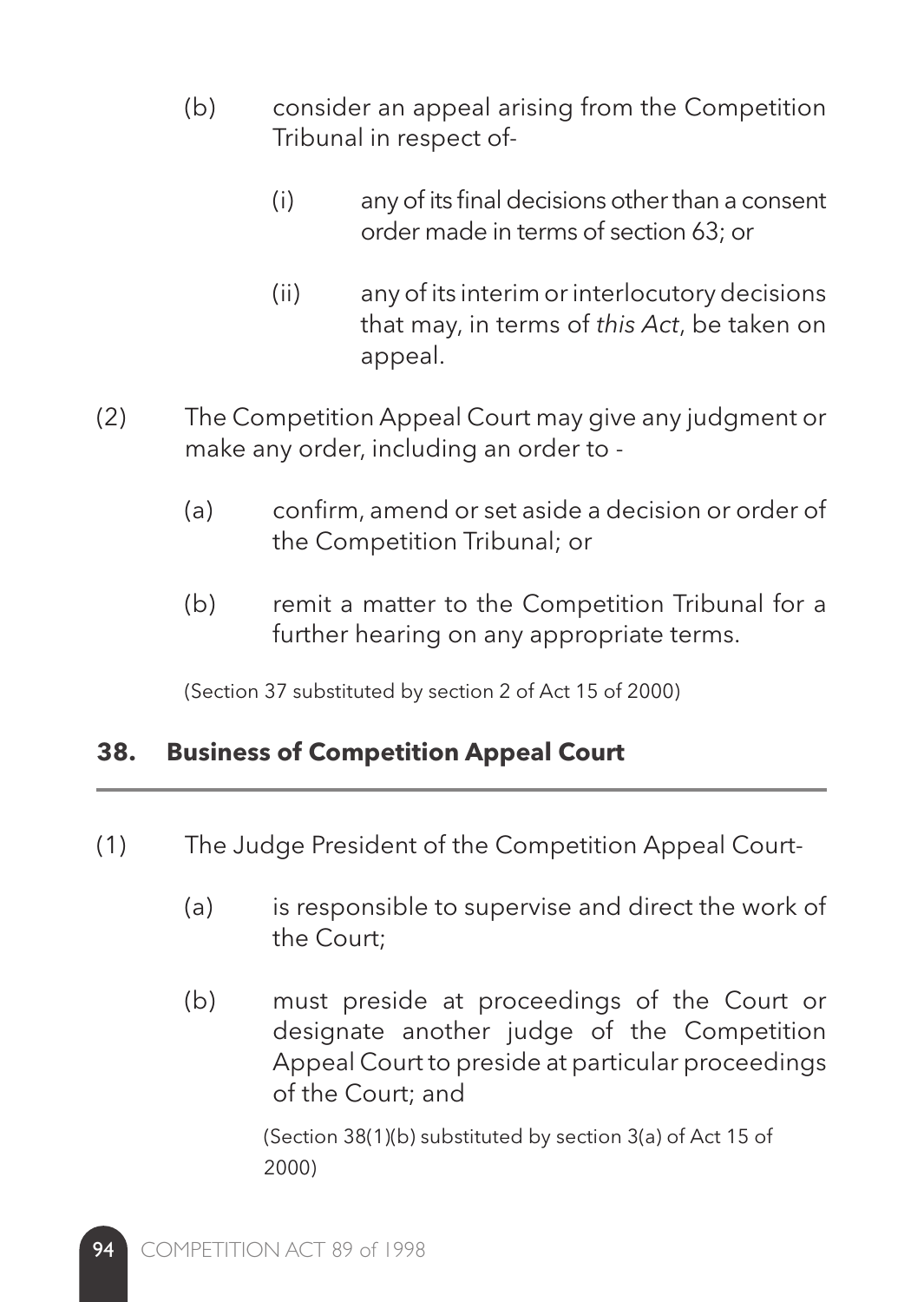- (b) consider an appeal arising from the Competition Tribunal in respect of-
	- (i) any of its final decisions other than a consent order made in terms of section 63; or
	- (ii) any of its interim or interlocutory decisions that may, in terms of *this Act*, be taken on appeal.
- (2) The Competition Appeal Court may give any judgment or make any order, including an order to -
	- (a) confirm, amend or set aside a decision or order of the Competition Tribunal; or
	- (b) remit a matter to the Competition Tribunal for a further hearing on any appropriate terms.

(Section 37 substituted by section 2 of Act 15 of 2000)

## **38. Business of Competition Appeal Court**

- (1) The Judge President of the Competition Appeal Court-
	- (a) is responsible to supervise and direct the work of the Court;
	- (b) must preside at proceedings of the Court or designate another judge of the Competition Appeal Court to preside at particular proceedings of the Court; and

(Section 38(1)(b) substituted by section 3(a) of Act 15 of 2000)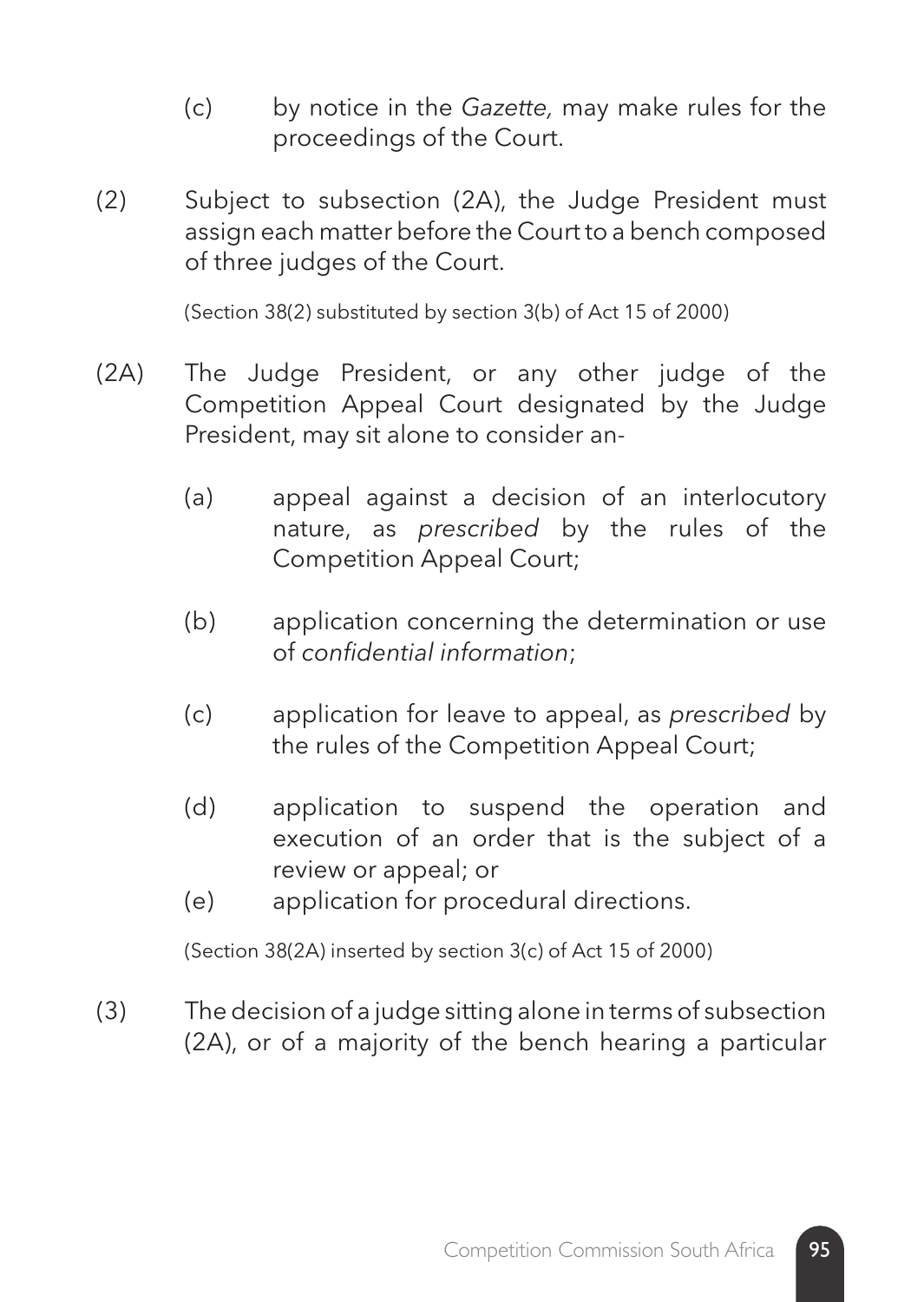- (c) by notice in the *Gazette,* may make rules for the proceedings of the Court.
- (2) Subject to subsection (2A), the Judge President must assign each matter before the Court to a bench composed of three judges of the Court.

(Section 38(2) substituted by section 3(b) of Act 15 of 2000)

- (2A) The Judge President, or any other judge of the Competition Appeal Court designated by the Judge President, may sit alone to consider an-
	- (a) appeal against a decision of an interlocutory nature, as *prescribed* by the rules of the Competition Appeal Court;
	- (b) application concerning the determination or use of *confidential information*;
	- (c) application for leave to appeal, as *prescribed* by the rules of the Competition Appeal Court;
	- (d) application to suspend the operation and execution of an order that is the subject of a review or appeal; or
	- (e) application for procedural directions.

(Section 38(2A) inserted by section 3(c) of Act 15 of 2000)

(3) The decision of a judge sitting alone in terms of subsection (2A), or of a majority of the bench hearing a particular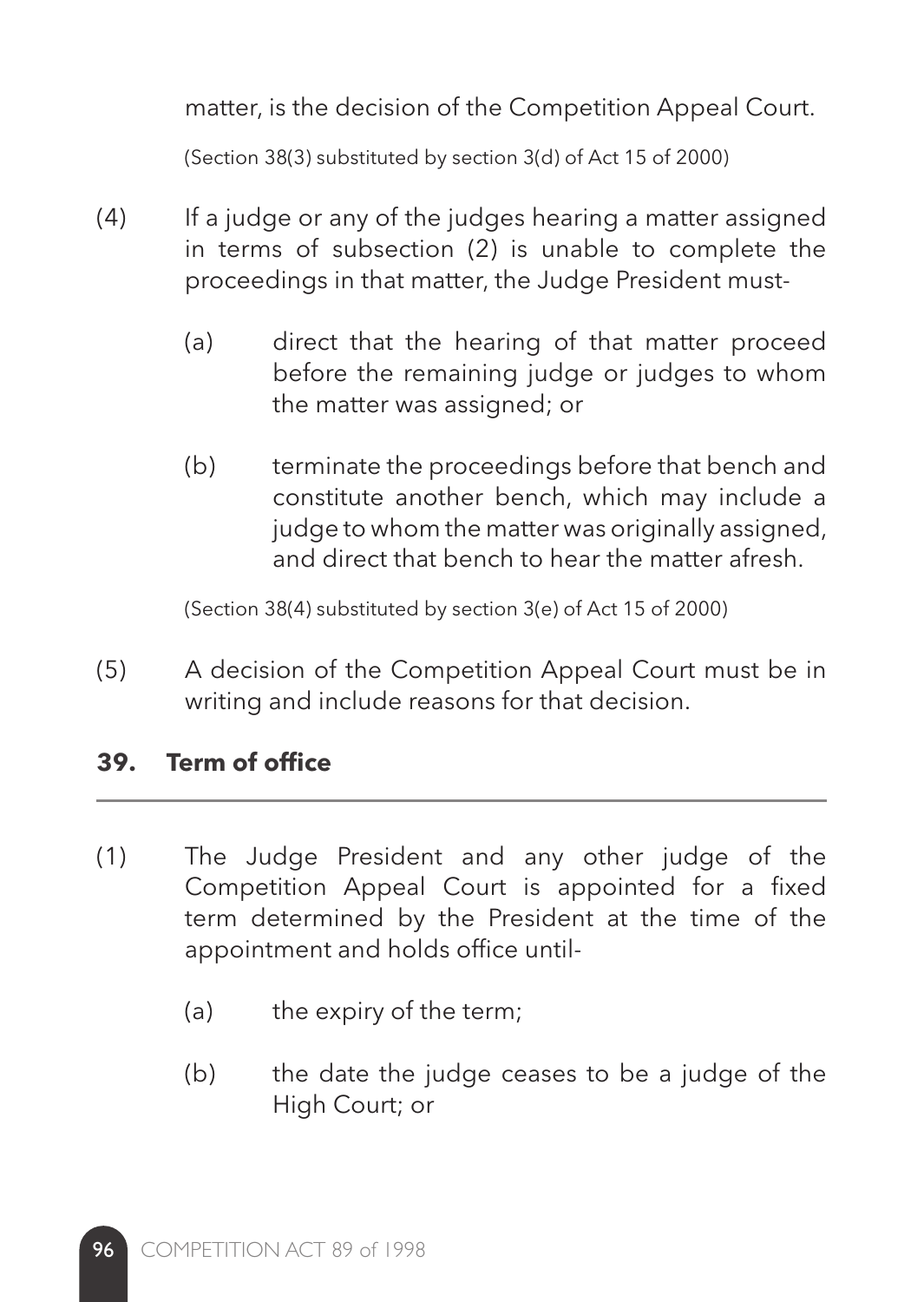matter, is the decision of the Competition Appeal Court.

(Section 38(3) substituted by section 3(d) of Act 15 of 2000)

- (4) If a judge or any of the judges hearing a matter assigned in terms of subsection (2) is unable to complete the proceedings in that matter, the Judge President must-
	- (a) direct that the hearing of that matter proceed before the remaining judge or judges to whom the matter was assigned; or
	- (b) terminate the proceedings before that bench and constitute another bench, which may include a judge to whom the matter was originally assigned, and direct that bench to hear the matter afresh.

(Section 38(4) substituted by section 3(e) of Act 15 of 2000)

(5) A decision of the Competition Appeal Court must be in writing and include reasons for that decision.

## **39. Term of office**

- (1) The Judge President and any other judge of the Competition Appeal Court is appointed for a fixed term determined by the President at the time of the appointment and holds office until-
	- (a) the expiry of the term;
	- (b) the date the judge ceases to be a judge of the High Court; or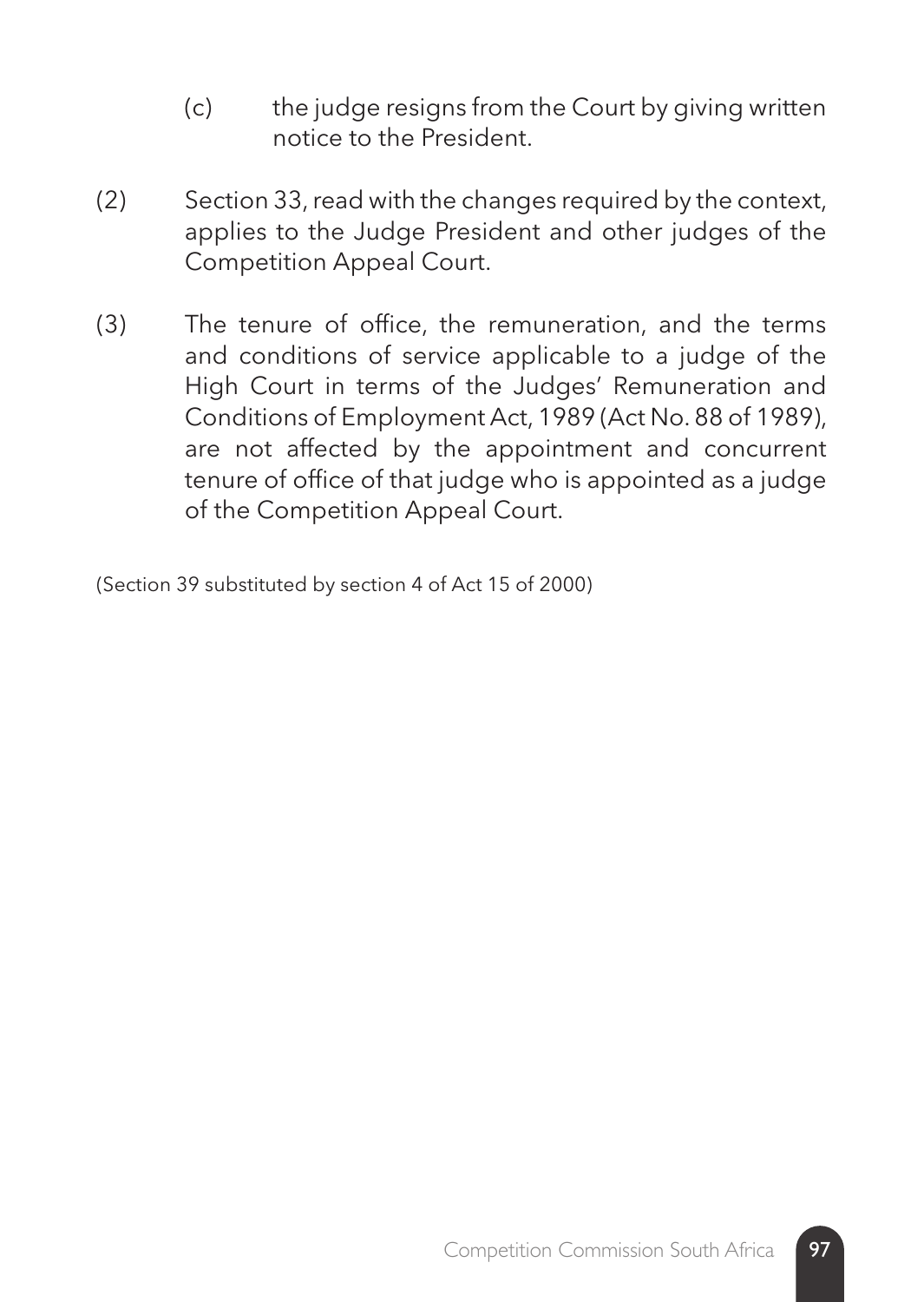- (c) the judge resigns from the Court by giving written notice to the President.
- (2) Section 33, read with the changes required by the context, applies to the Judge President and other judges of the Competition Appeal Court.
- (3) The tenure of office, the remuneration, and the terms and conditions of service applicable to a judge of the High Court in terms of the Judges' Remuneration and Conditions of Employment Act, 1989 (Act No. 88 of 1989), are not affected by the appointment and concurrent tenure of office of that judge who is appointed as a judge of the Competition Appeal Court.

(Section 39 substituted by section 4 of Act 15 of 2000)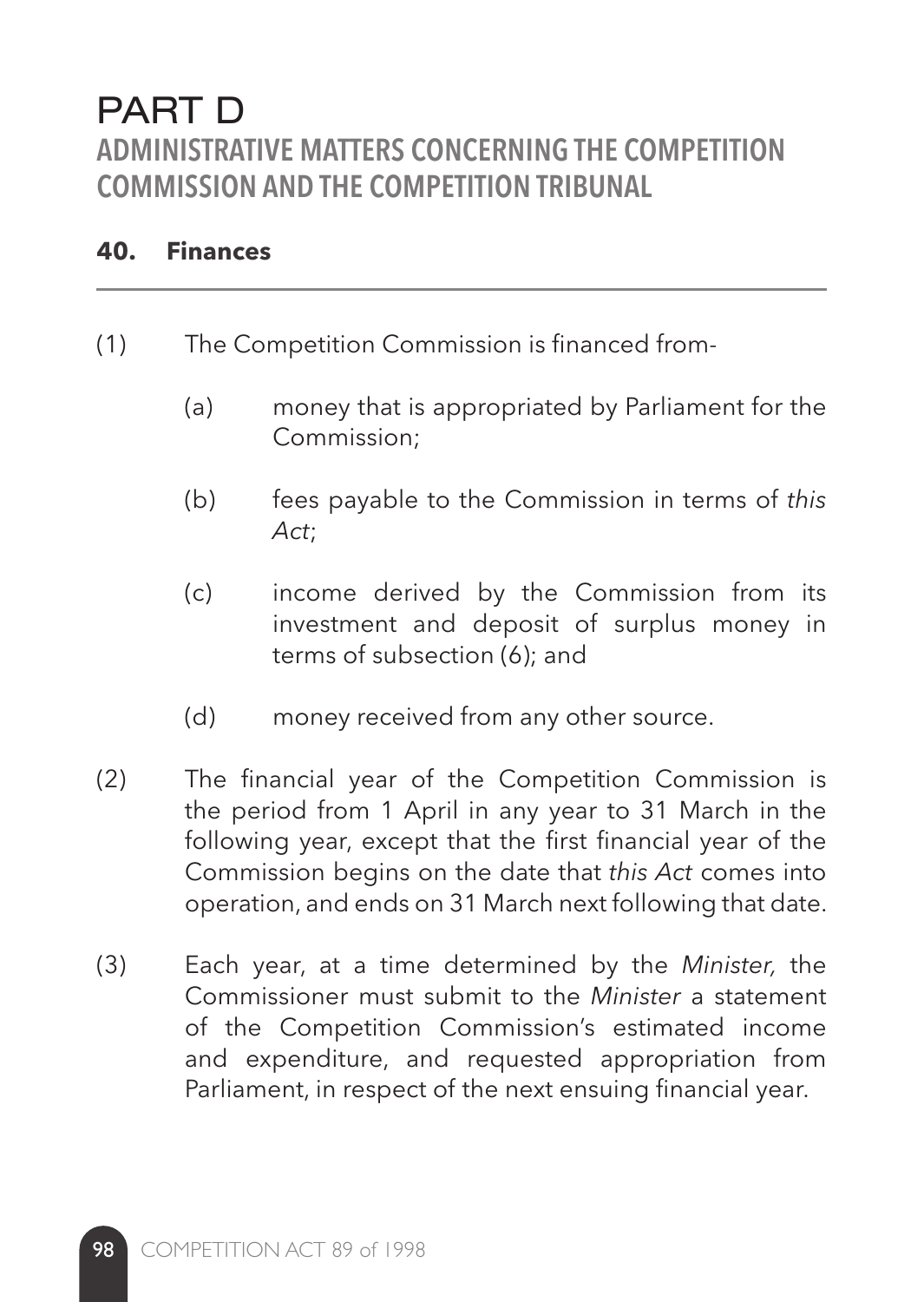## PART D ADMINISTRATIVE MATTERS CONCERNING THE COMPETITION COMMISSION AND THE COMPETITION TRIBUNAL

#### **40. Finances**

- (1) The Competition Commission is financed from-
	- (a) money that is appropriated by Parliament for the Commission;
	- (b) fees payable to the Commission in terms of *this Act*;
	- (c) income derived by the Commission from its investment and deposit of surplus money in terms of subsection (6); and
	- (d) money received from any other source.
- (2) The financial year of the Competition Commission is the period from 1 April in any year to 31 March in the following year, except that the first financial year of the Commission begins on the date that *this Act* comes into operation, and ends on 31 March next following that date.
- (3) Each year, at a time determined by the *Minister,* the Commissioner must submit to the *Minister* a statement of the Competition Commission's estimated income and expenditure, and requested appropriation from Parliament, in respect of the next ensuing financial year.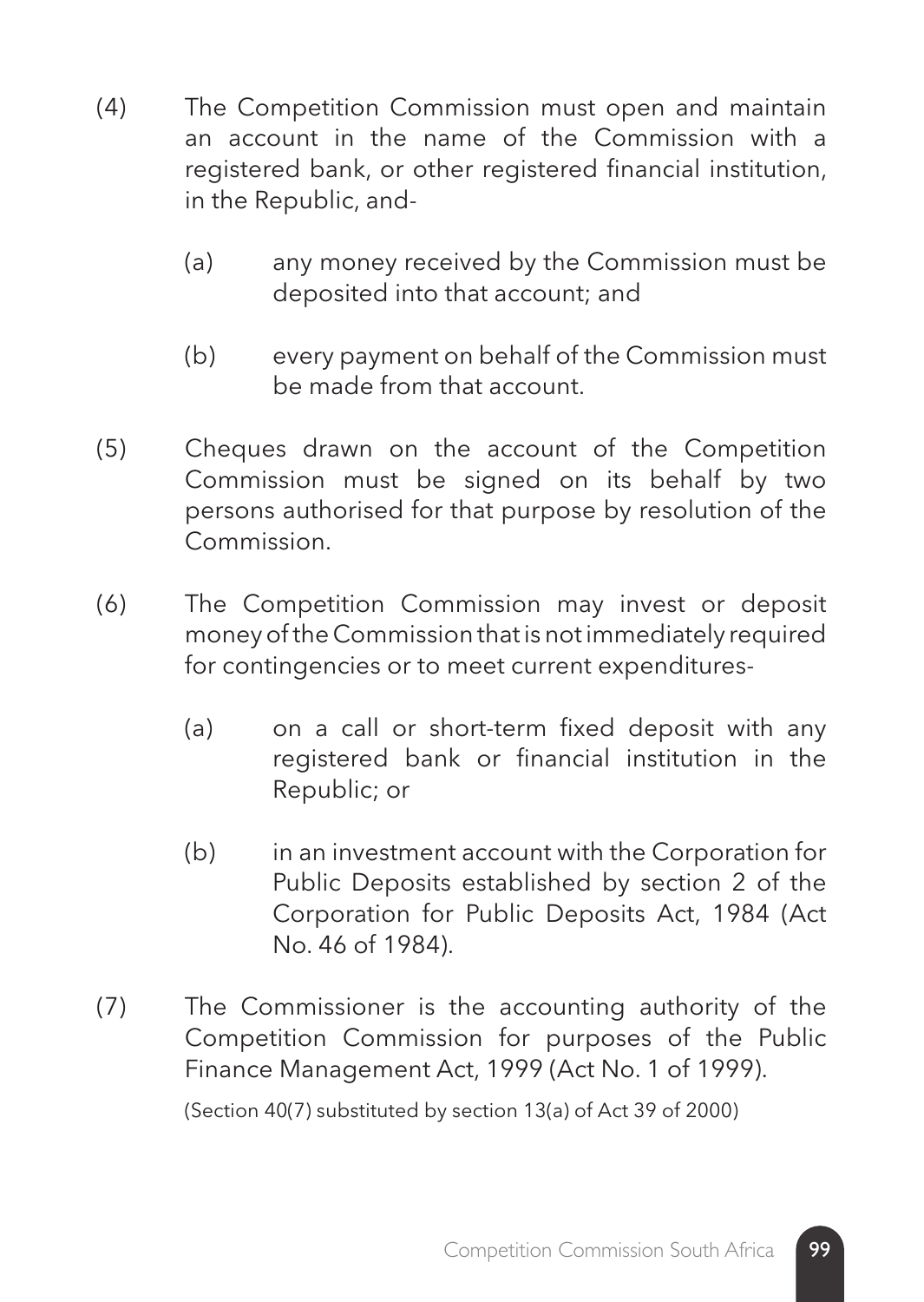- (4) The Competition Commission must open and maintain an account in the name of the Commission with a registered bank, or other registered financial institution, in the Republic, and-
	- (a) any money received by the Commission must be deposited into that account; and
	- (b) every payment on behalf of the Commission must be made from that account.
- (5) Cheques drawn on the account of the Competition Commission must be signed on its behalf by two persons authorised for that purpose by resolution of the Commission.
- (6) The Competition Commission may invest or deposit money of the Commission that is not immediately required for contingencies or to meet current expenditures-
	- (a) on a call or short-term fixed deposit with any registered bank or financial institution in the Republic; or
	- (b) in an investment account with the Corporation for Public Deposits established by section 2 of the Corporation for Public Deposits Act, 1984 (Act No. 46 of 1984).
- (7) The Commissioner is the accounting authority of the Competition Commission for purposes of the Public Finance Management Act, 1999 (Act No. 1 of 1999).

(Section 40(7) substituted by section 13(a) of Act 39 of 2000)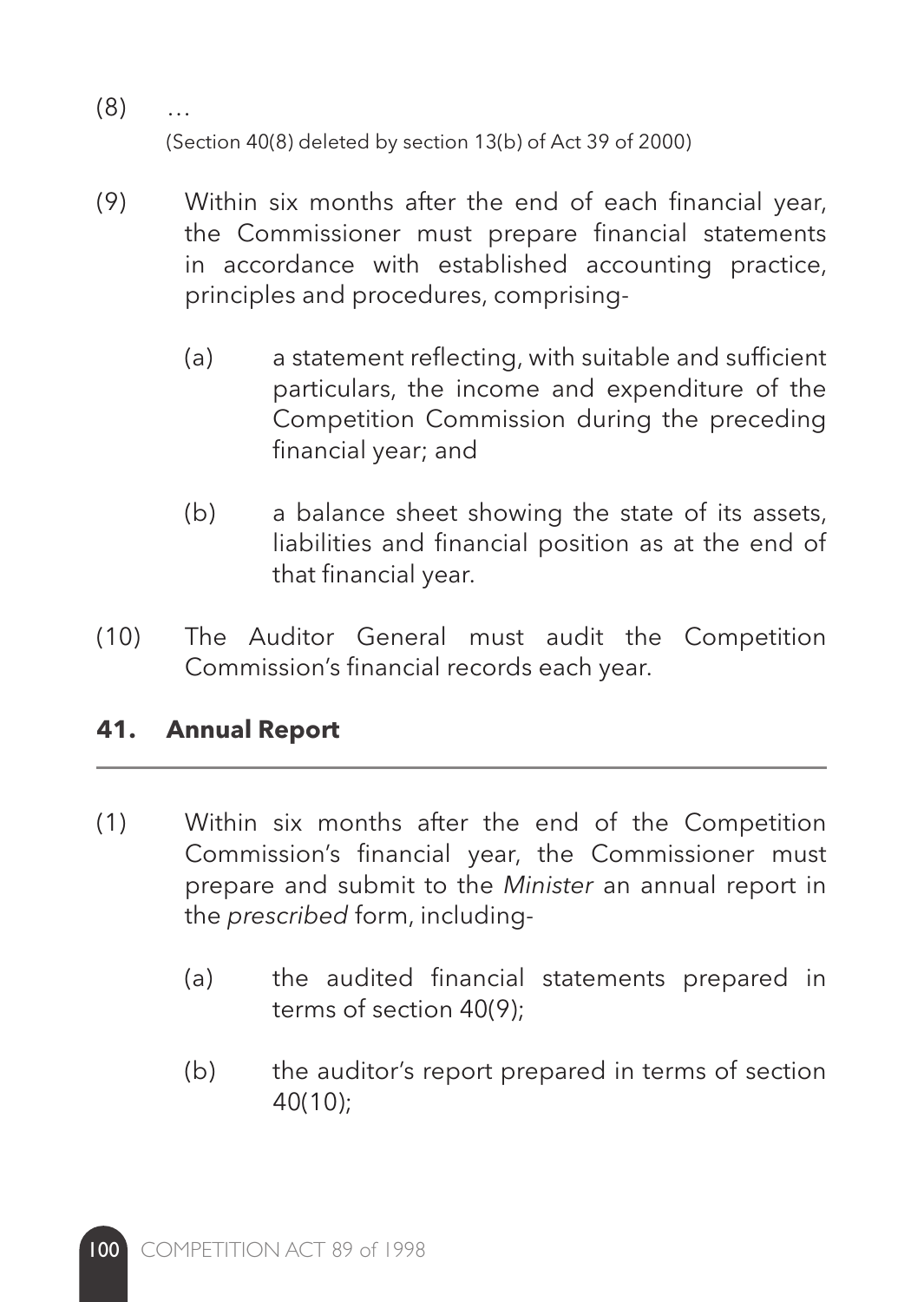- (8) … (Section 40(8) deleted by section 13(b) of Act 39 of 2000)
- (9) Within six months after the end of each financial year, the Commissioner must prepare financial statements in accordance with established accounting practice, principles and procedures, comprising-
	- (a) a statement reflecting, with suitable and sufficient particulars, the income and expenditure of the Competition Commission during the preceding financial year; and
	- (b) a balance sheet showing the state of its assets, liabilities and financial position as at the end of that financial year.
- (10) The Auditor General must audit the Competition Commission's financial records each year.

## **41. Annual Report**

- (1) Within six months after the end of the Competition Commission's financial year, the Commissioner must prepare and submit to the *Minister* an annual report in the *prescribed* form, including-
	- (a) the audited financial statements prepared in terms of section 40(9);
	- (b) the auditor's report prepared in terms of section 40(10);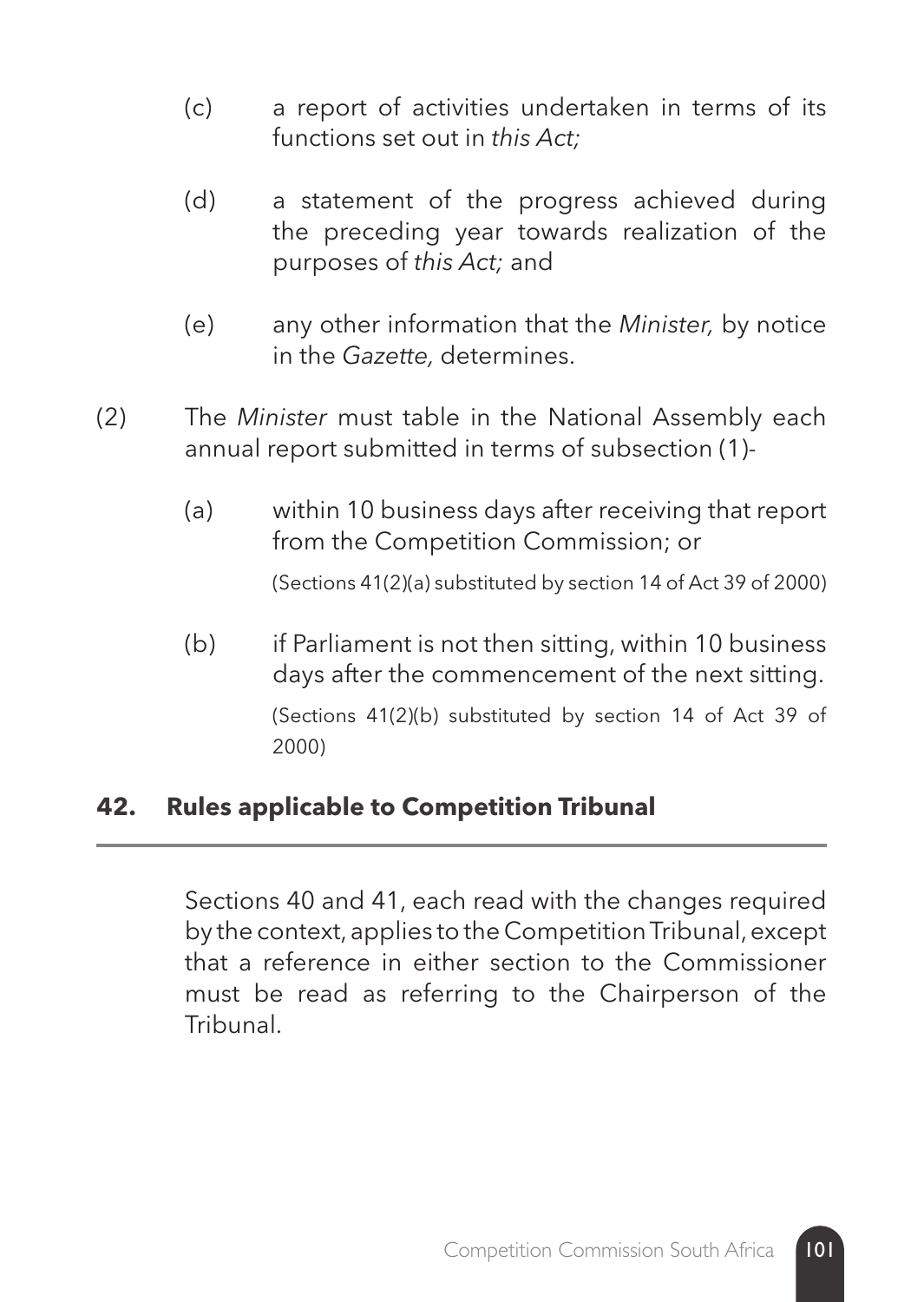- (c) a report of activities undertaken in terms of its functions set out in *this Act;*
- (d) a statement of the progress achieved during the preceding year towards realization of the purposes of *this Act;* and
- (e) any other information that the *Minister,* by notice in the *Gazette,* determines.
- (2) The *Minister* must table in the National Assembly each annual report submitted in terms of subsection (1)-
	- (a) within 10 business days after receiving that report from the Competition Commission; or

(Sections 41(2)(a) substituted by section 14 of Act 39 of 2000)

(b) if Parliament is not then sitting, within 10 business days after the commencement of the next sitting. (Sections 41(2)(b) substituted by section 14 of Act 39 of 2000)

### **42. Rules applicable to Competition Tribunal**

Sections 40 and 41, each read with the changes required by the context, applies to the Competition Tribunal, except that a reference in either section to the Commissioner must be read as referring to the Chairperson of the Tribunal.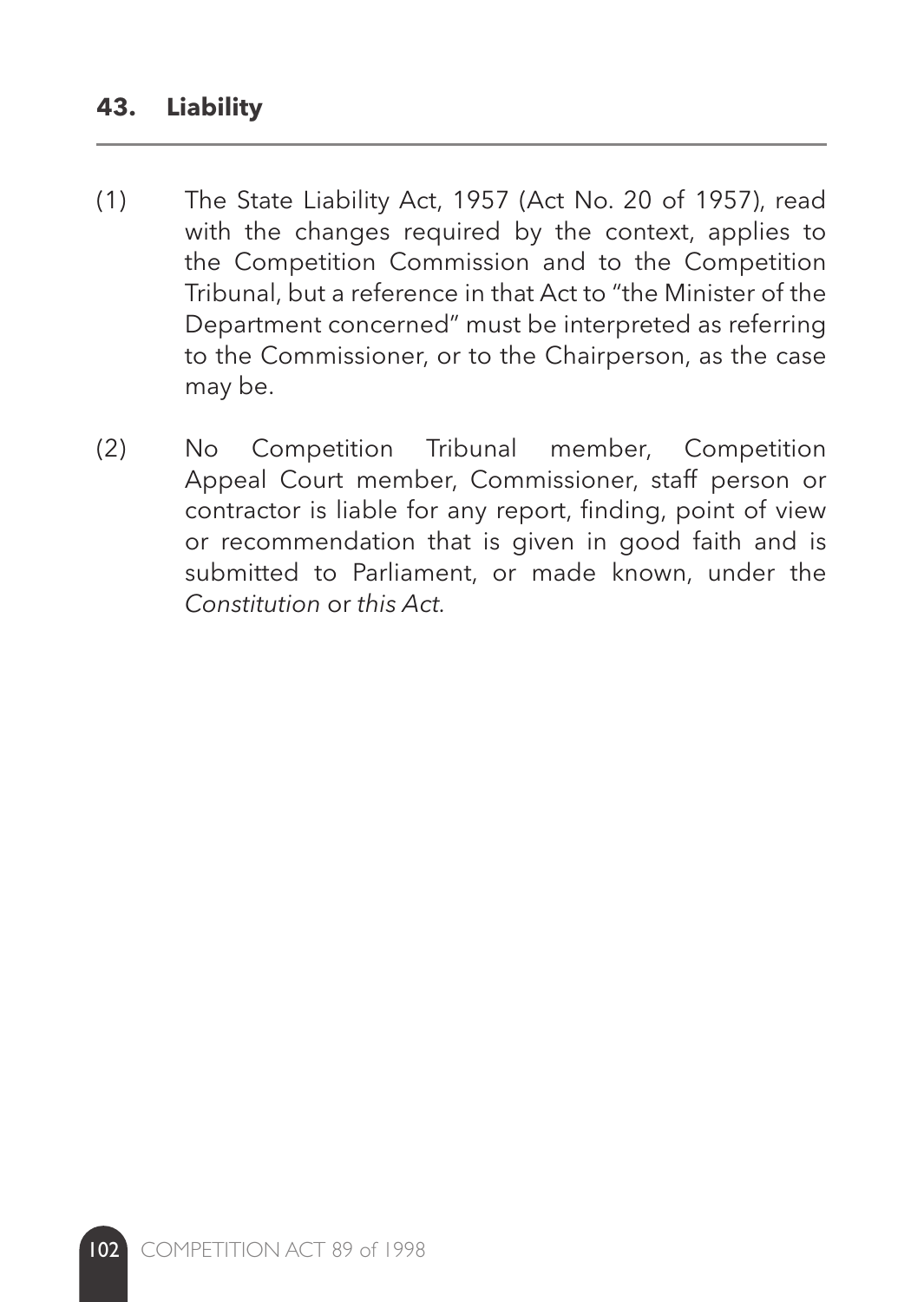- (1) The State Liability Act, 1957 (Act No. 20 of 1957), read with the changes required by the context, applies to the Competition Commission and to the Competition Tribunal, but a reference in that Act to "the Minister of the Department concerned" must be interpreted as referring to the Commissioner, or to the Chairperson, as the case may be.
- (2) No Competition Tribunal member, Competition Appeal Court member, Commissioner, staff person or contractor is liable for any report, finding, point of view or recommendation that is given in good faith and is submitted to Parliament, or made known, under the *Constitution* or *this Act.*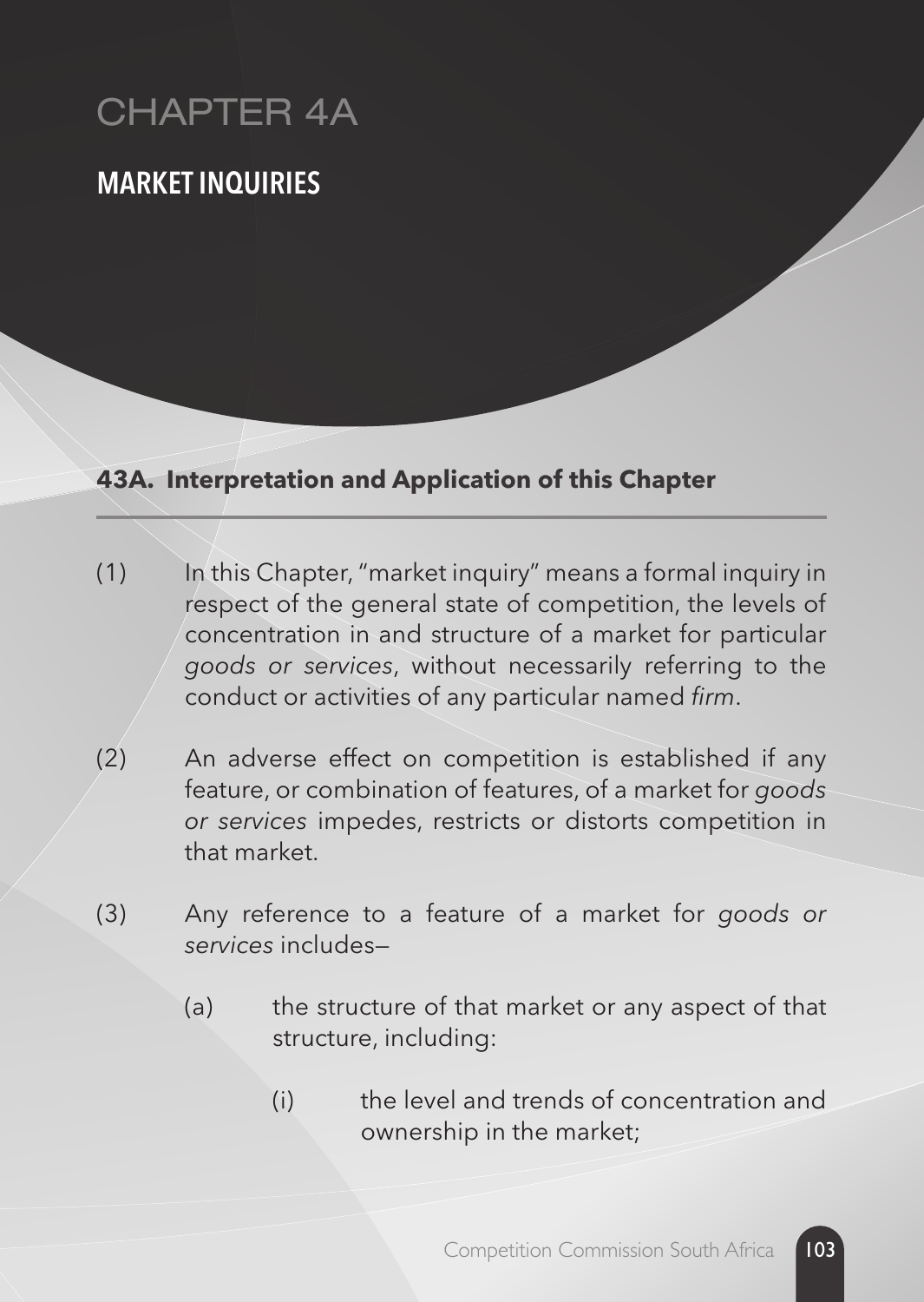# CHAPTER 4A

## MARKET INQUIRIES

### **43A. Interpretation and Application of this Chapter**

- (1) In this Chapter, "market inquiry" means a formal inquiry in respect of the general state of competition, the levels of concentration in and structure of a market for particular *goods or services*, without necessarily referring to the conduct or activities of any particular named *firm*.
- (2) An adverse effect on competition is established if any feature, or combination of features, of a market for *goods or services* impedes, restricts or distorts competition in that market.
- (3) Any reference to a feature of a market for *goods or services* includes—
	- (a) the structure of that market or any aspect of that structure, including:
		- (i) the level and trends of concentration and ownership in the market;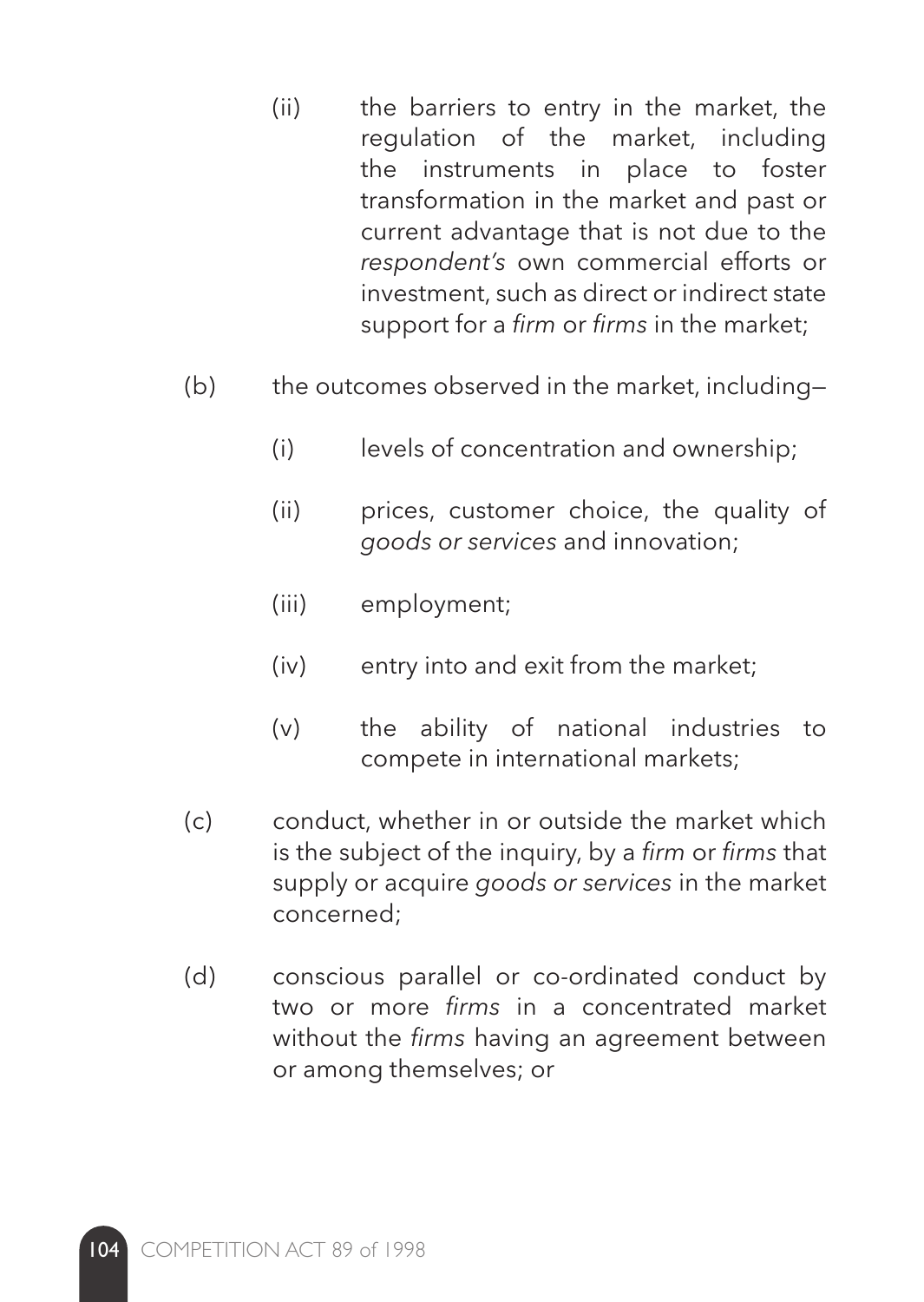- (ii) the barriers to entry in the market, the regulation of the market, including the instruments in place to foster transformation in the market and past or current advantage that is not due to the *respondent's* own commercial efforts or investment, such as direct or indirect state support for a *firm* or *firms* in the market;
- (b) the outcomes observed in the market, including-
	- (i) levels of concentration and ownership;
	- (ii) prices, customer choice, the quality of *goods or services* and innovation;
	- (iii) employment;
	- (iv) entry into and exit from the market;
	- (v) the ability of national industries to compete in international markets;
- (c) conduct, whether in or outside the market which is the subject of the inquiry, by a *firm* or *firms* that supply or acquire *goods or services* in the market concerned;
- (d) conscious parallel or co-ordinated conduct by two or more *firms* in a concentrated market without the *firms* having an agreement between or among themselves; or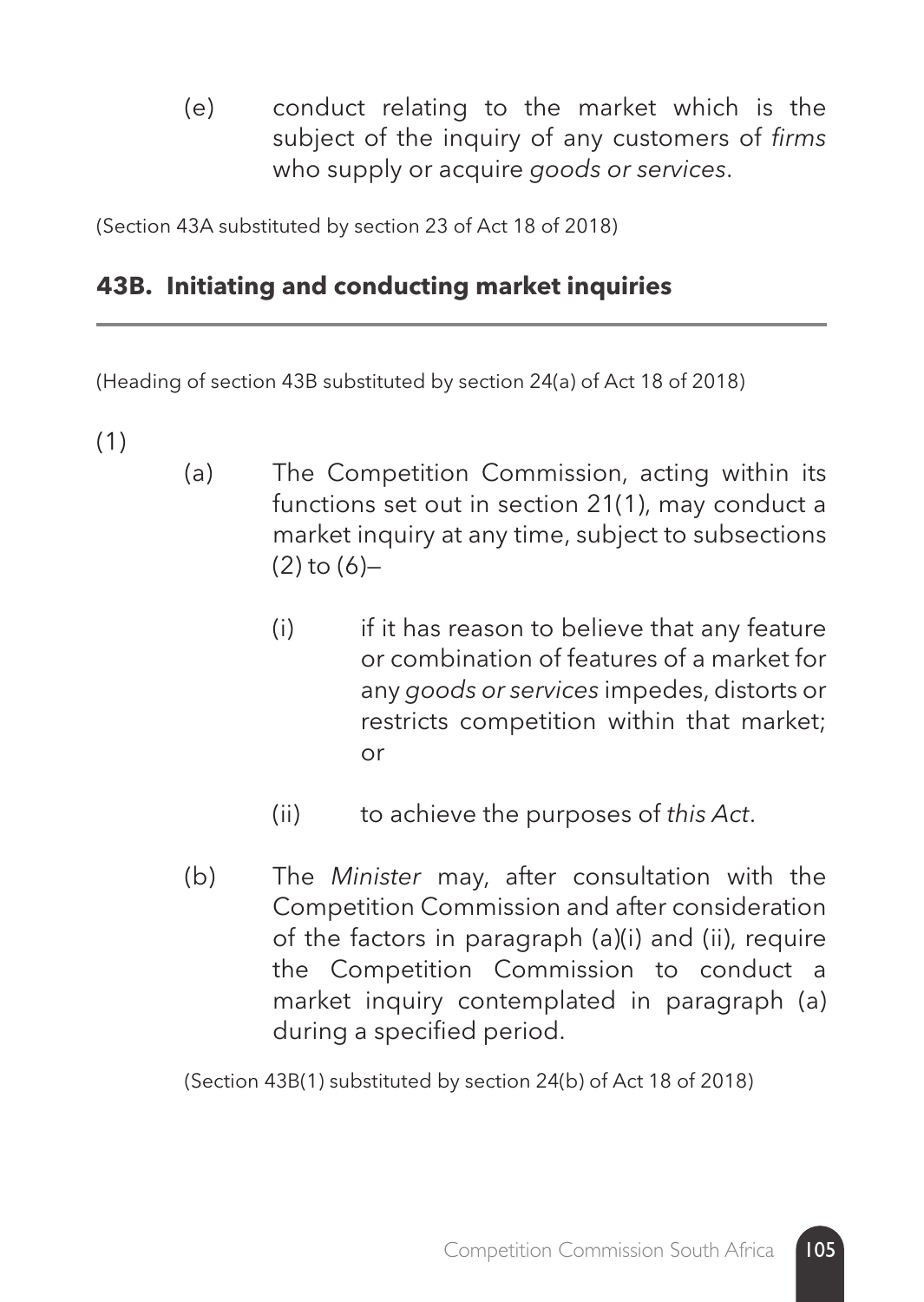(e) conduct relating to the market which is the subject of the inquiry of any customers of *firms*  who supply or acquire *goods or services*.

(Section 43A substituted by section 23 of Act 18 of 2018)

### **43B. Initiating and conducting market inquiries**

(Heading of section 43B substituted by section 24(a) of Act 18 of 2018)

(1)

- (a) The Competition Commission, acting within its functions set out in section 21(1), may conduct a market inquiry at any time, subject to subsections  $(2)$  to  $(6)$ -
	- (i) if it has reason to believe that any feature or combination of features of a market for any *goods or services* impedes, distorts or restricts competition within that market; or
	- (ii) to achieve the purposes of *this Act*.
- (b) The *Minister* may, after consultation with the Competition Commission and after consideration of the factors in paragraph (a)(i) and (ii), require the Competition Commission to conduct a market inquiry contemplated in paragraph (a) during a specified period.

(Section 43B(1) substituted by section 24(b) of Act 18 of 2018)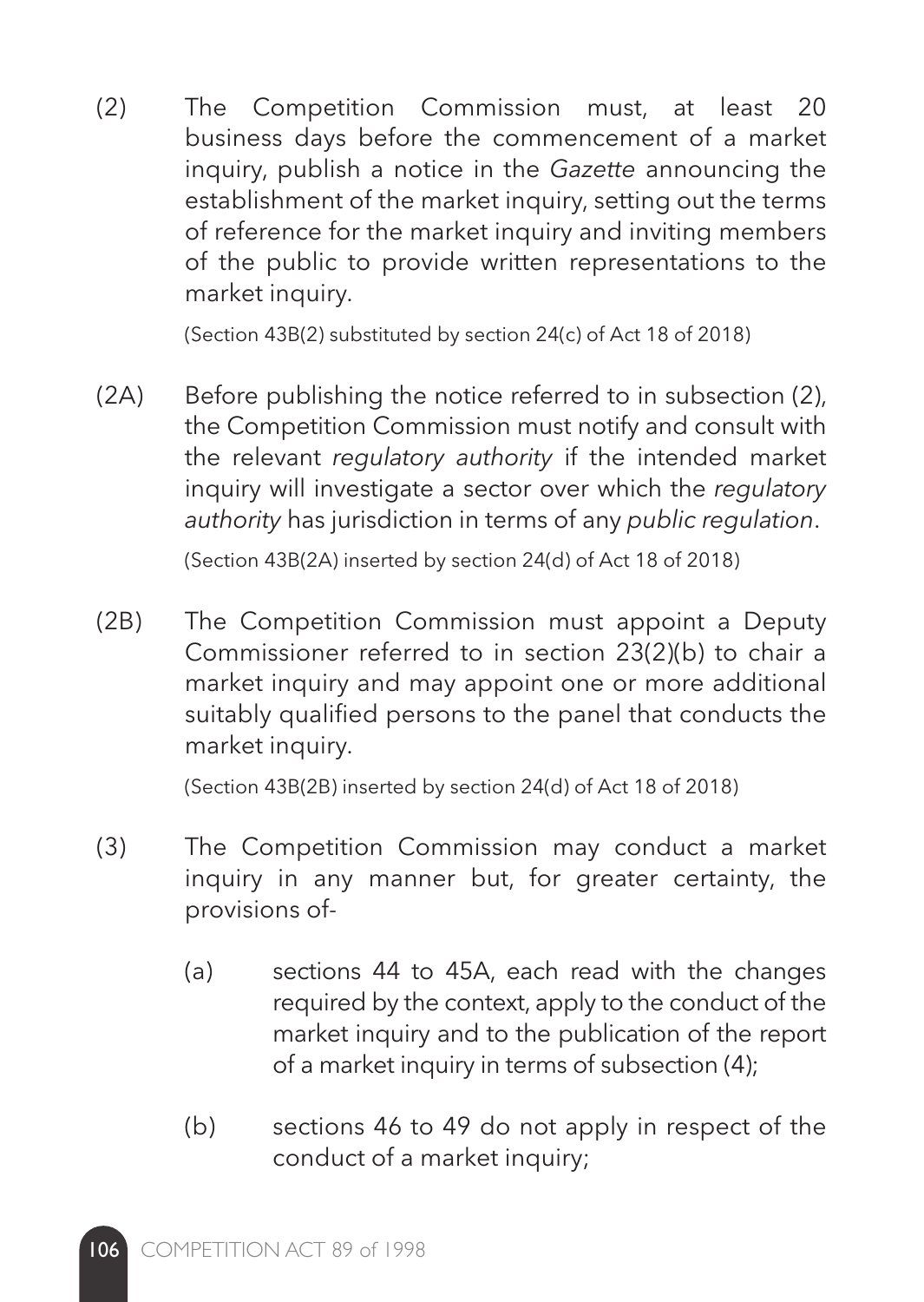(2) The Competition Commission must, at least 20 business days before the commencement of a market inquiry, publish a notice in the *Gazette* announcing the establishment of the market inquiry, setting out the terms of reference for the market inquiry and inviting members of the public to provide written representations to the market inquiry.

(Section 43B(2) substituted by section 24(c) of Act 18 of 2018)

(2A) Before publishing the notice referred to in subsection (2), the Competition Commission must notify and consult with the relevant *regulatory authority* if the intended market inquiry will investigate a sector over which the *regulatory authority* has jurisdiction in terms of any *public regulation*.

(Section 43B(2A) inserted by section 24(d) of Act 18 of 2018)

(2B) The Competition Commission must appoint a Deputy Commissioner referred to in section 23(2)(b) to chair a market inquiry and may appoint one or more additional suitably qualified persons to the panel that conducts the market inquiry.

(Section 43B(2B) inserted by section 24(d) of Act 18 of 2018)

- (3) The Competition Commission may conduct a market inquiry in any manner but, for greater certainty, the provisions of-
	- (a) sections 44 to 45A, each read with the changes required by the context, apply to the conduct of the market inquiry and to the publication of the report of a market inquiry in terms of subsection (4);
	- (b) sections 46 to 49 do not apply in respect of the conduct of a market inquiry;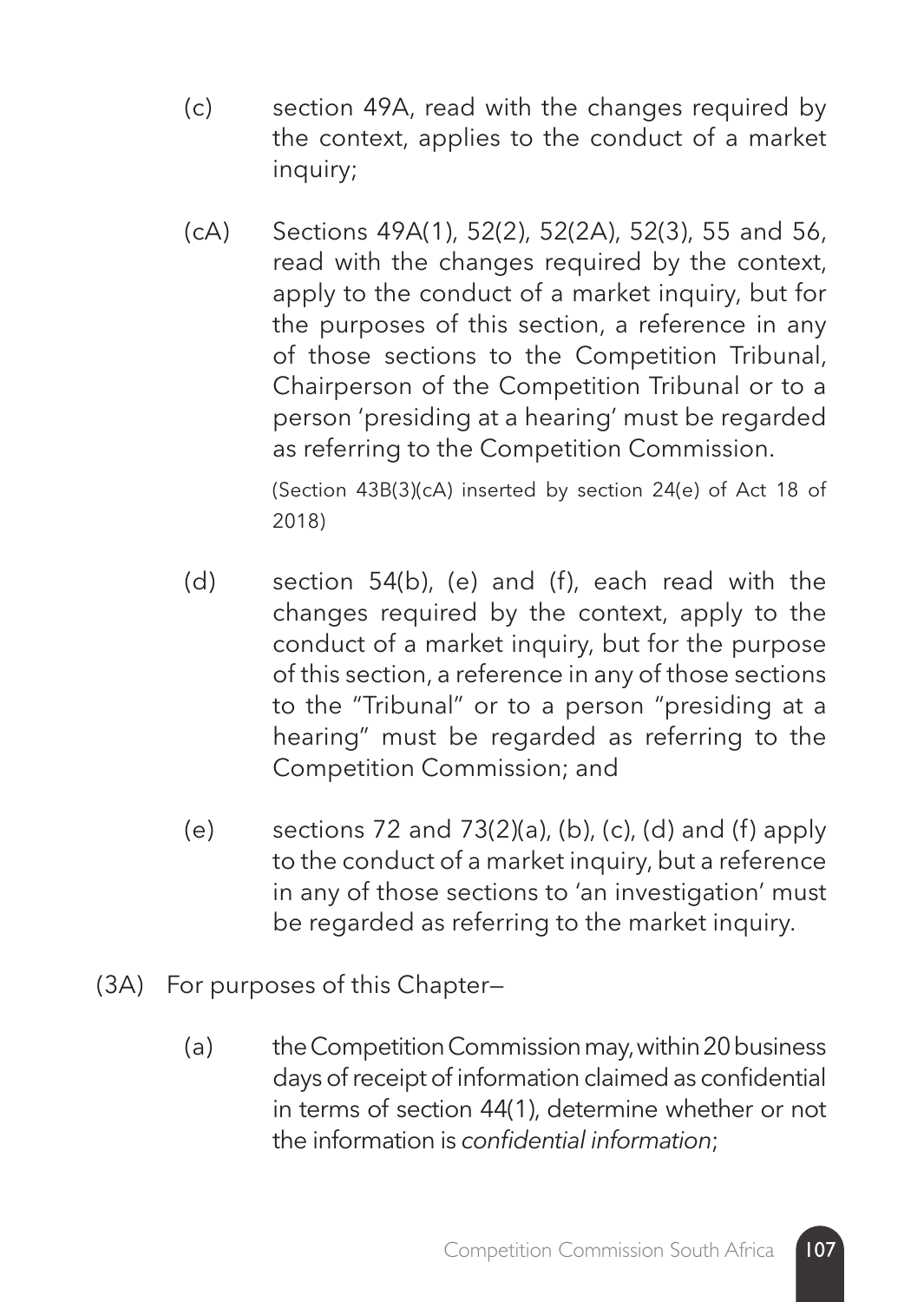- (c) section 49A, read with the changes required by the context, applies to the conduct of a market inquiry:
- (cA) Sections 49A(1), 52(2), 52(2A), 52(3), 55 and 56, read with the changes required by the context, apply to the conduct of a market inquiry, but for the purposes of this section, a reference in any of those sections to the Competition Tribunal, Chairperson of the Competition Tribunal or to a person 'presiding at a hearing' must be regarded as referring to the Competition Commission.

(Section 43B(3)(cA) inserted by section 24(e) of Act 18 of 2018)

- (d) section 54(b), (e) and (f), each read with the changes required by the context, apply to the conduct of a market inquiry, but for the purpose of this section, a reference in any of those sections to the "Tribunal" or to a person "presiding at a hearing" must be regarded as referring to the Competition Commission; and
- (e) sections 72 and  $73(2)(a)$ , (b), (c), (d) and (f) apply to the conduct of a market inquiry, but a reference in any of those sections to 'an investigation' must be regarded as referring to the market inquiry.
- (3A) For purposes of this Chapter—
	- (a) the Competition Commission may, within 20 business days of receipt of information claimed as confidential in terms of section 44(1), determine whether or not the information is *confidential information*;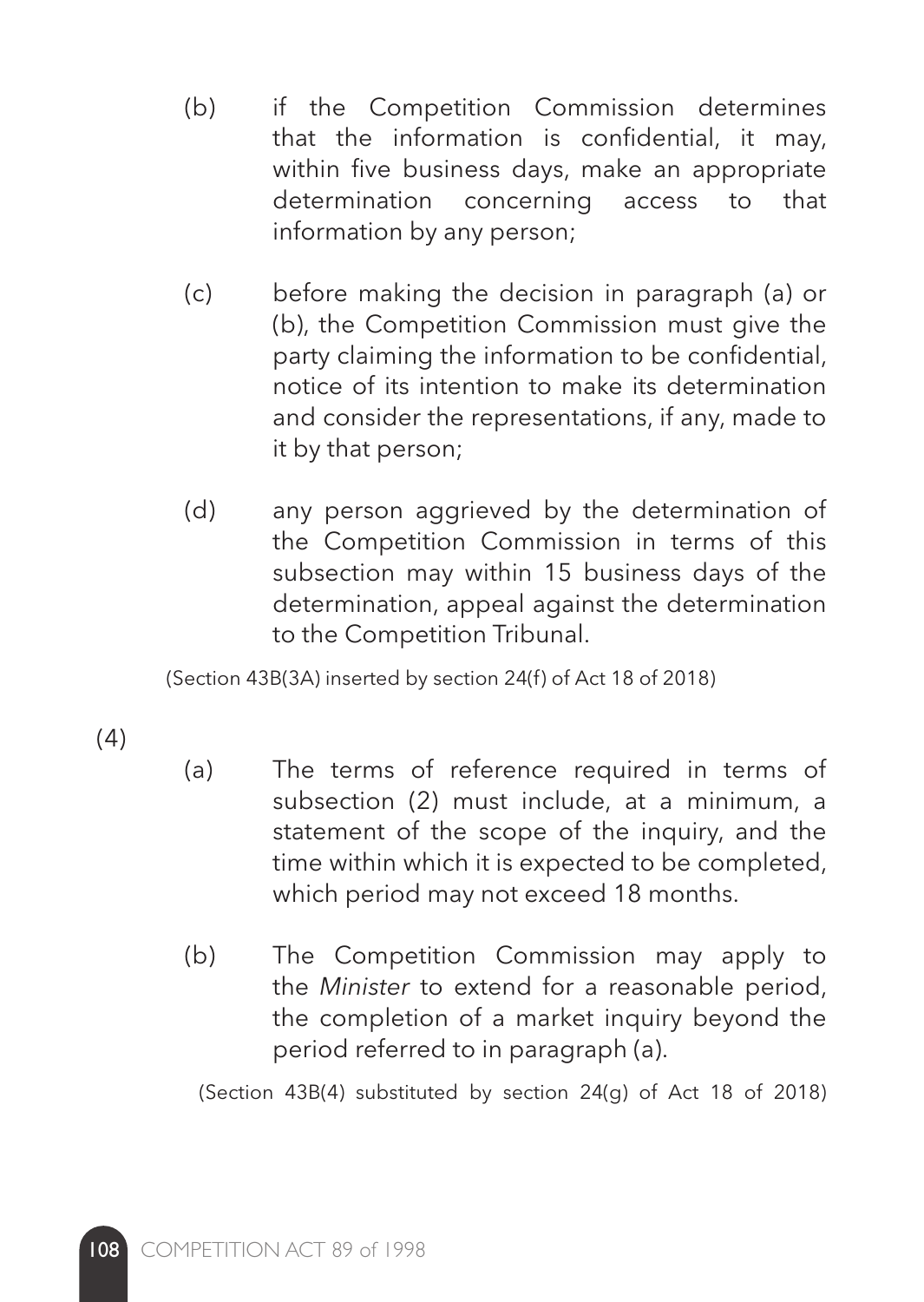- (b) if the Competition Commission determines that the information is confidential, it may, within five business days, make an appropriate determination concerning access to that information by any person;
- (c) before making the decision in paragraph (a) or (b), the Competition Commission must give the party claiming the information to be confidential, notice of its intention to make its determination and consider the representations, if any, made to it by that person;
- (d) any person aggrieved by the determination of the Competition Commission in terms of this subsection may within 15 business days of the determination, appeal against the determination to the Competition Tribunal.

(Section 43B(3A) inserted by section 24(f) of Act 18 of 2018)

(4)

- (a) The terms of reference required in terms of subsection (2) must include, at a minimum, a statement of the scope of the inquiry, and the time within which it is expected to be completed, which period may not exceed 18 months.
- (b) The Competition Commission may apply to the *Minister* to extend for a reasonable period, the completion of a market inquiry beyond the period referred to in paragraph (a).

(Section 43B(4) substituted by section 24(g) of Act 18 of 2018)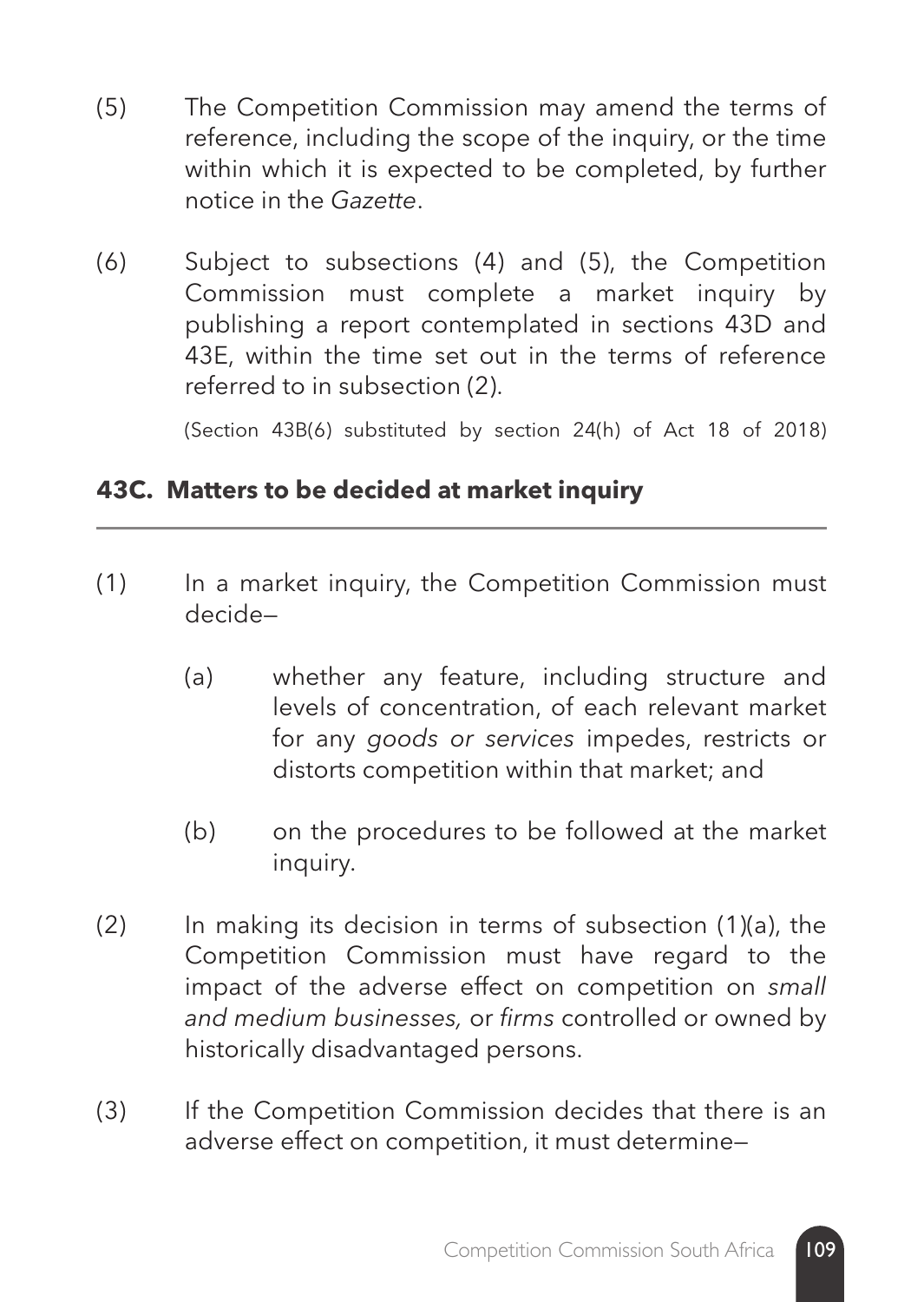- (5) The Competition Commission may amend the terms of reference, including the scope of the inquiry, or the time within which it is expected to be completed, by further notice in the *Gazette*.
- (6) Subject to subsections (4) and (5), the Competition Commission must complete a market inquiry by publishing a report contemplated in sections 43D and 43E, within the time set out in the terms of reference referred to in subsection (2).

(Section 43B(6) substituted by section 24(h) of Act 18 of 2018)

## **43C. Matters to be decided at market inquiry**

- (1) In a market inquiry, the Competition Commission must decide—
	- (a) whether any feature, including structure and levels of concentration, of each relevant market for any *goods or services* impedes, restricts or distorts competition within that market; and
	- (b) on the procedures to be followed at the market inquiry.
- (2) In making its decision in terms of subsection (1)(a), the Competition Commission must have regard to the impact of the adverse effect on competition on *small and medium businesses,* or *firms* controlled or owned by historically disadvantaged persons.
- (3) If the Competition Commission decides that there is an adverse effect on competition, it must determine—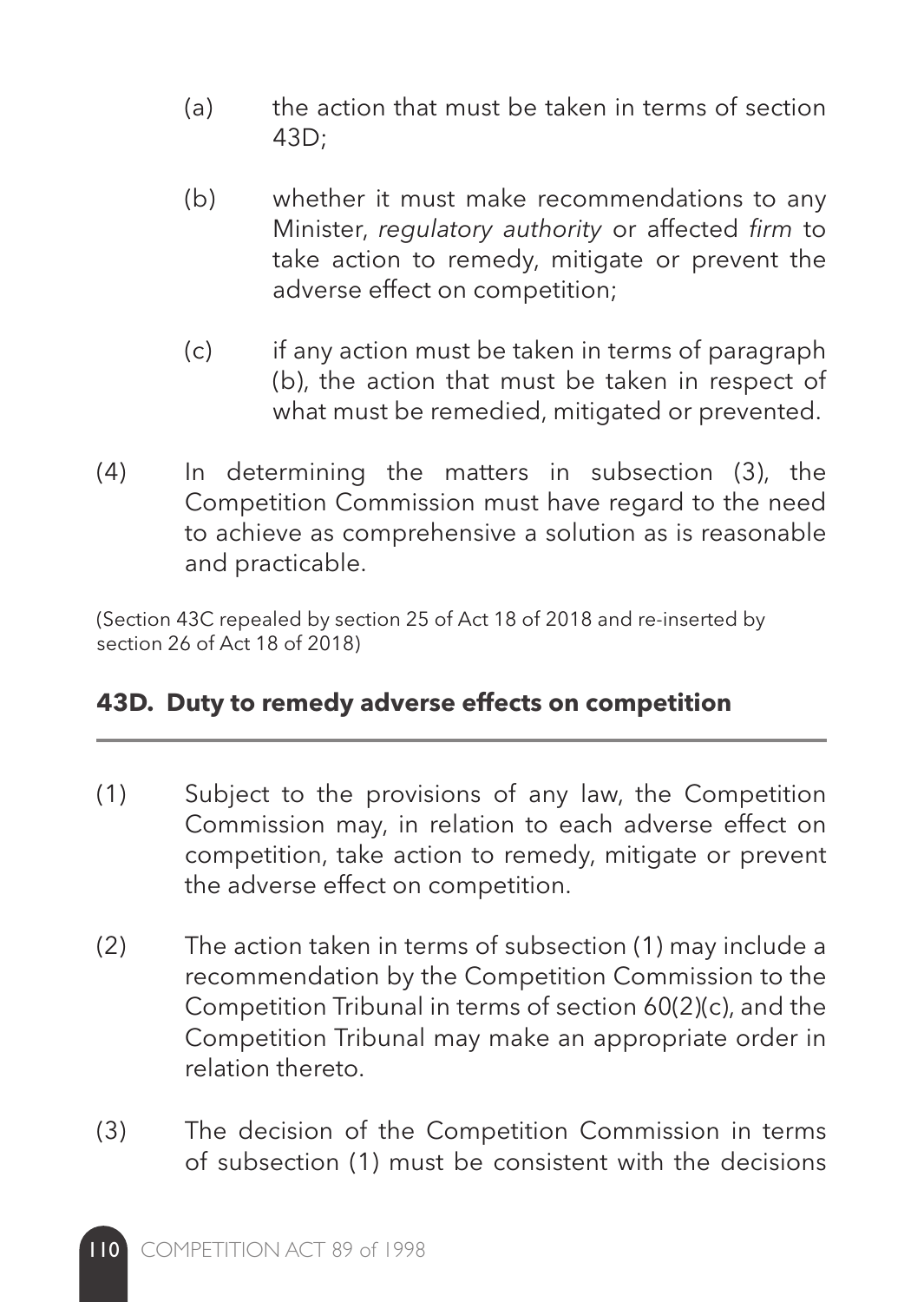- (a) the action that must be taken in terms of section 43D;
- (b) whether it must make recommendations to any Minister, *regulatory authority* or affected *firm* to take action to remedy, mitigate or prevent the adverse effect on competition;
- (c) if any action must be taken in terms of paragraph (b), the action that must be taken in respect of what must be remedied, mitigated or prevented.
- (4) In determining the matters in subsection (3), the Competition Commission must have regard to the need to achieve as comprehensive a solution as is reasonable and practicable.

(Section 43C repealed by section 25 of Act 18 of 2018 and re-inserted by section 26 of Act 18 of 2018)

## **43D. Duty to remedy adverse effects on competition**

- (1) Subject to the provisions of any law, the Competition Commission may, in relation to each adverse effect on competition, take action to remedy, mitigate or prevent the adverse effect on competition.
- (2) The action taken in terms of subsection (1) may include a recommendation by the Competition Commission to the Competition Tribunal in terms of section 60(2)(c), and the Competition Tribunal may make an appropriate order in relation thereto.
- (3) The decision of the Competition Commission in terms of subsection (1) must be consistent with the decisions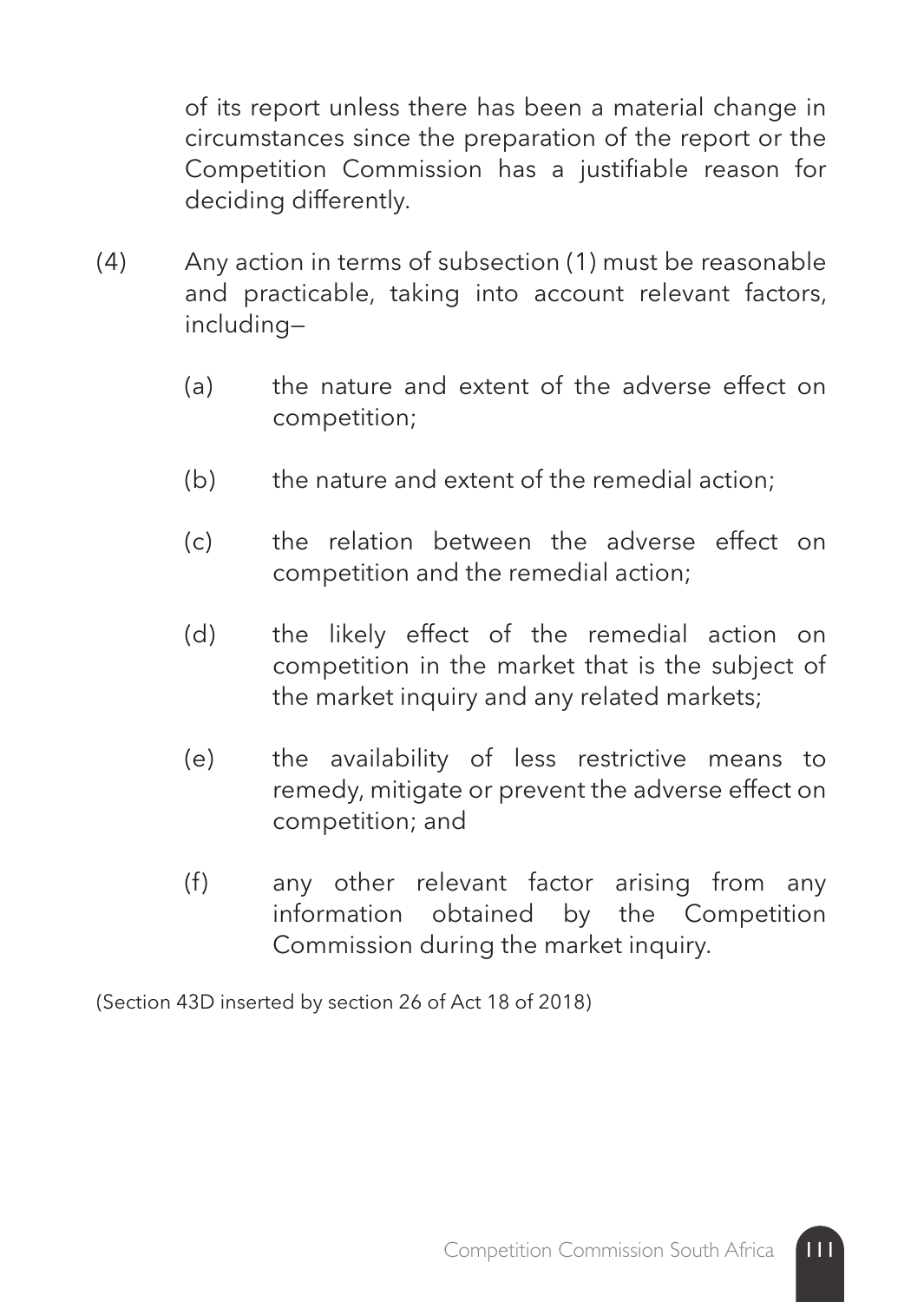of its report unless there has been a material change in circumstances since the preparation of the report or the Competition Commission has a justifiable reason for deciding differently.

- (4) Any action in terms of subsection (1) must be reasonable and practicable, taking into account relevant factors, including—
	- (a) the nature and extent of the adverse effect on competition;
	- (b) the nature and extent of the remedial action:
	- (c) the relation between the adverse effect on competition and the remedial action;
	- (d) the likely effect of the remedial action on competition in the market that is the subject of the market inquiry and any related markets;
	- (e) the availability of less restrictive means to remedy, mitigate or prevent the adverse effect on competition; and
	- (f) any other relevant factor arising from any information obtained by the Competition Commission during the market inquiry.

(Section 43D inserted by section 26 of Act 18 of 2018)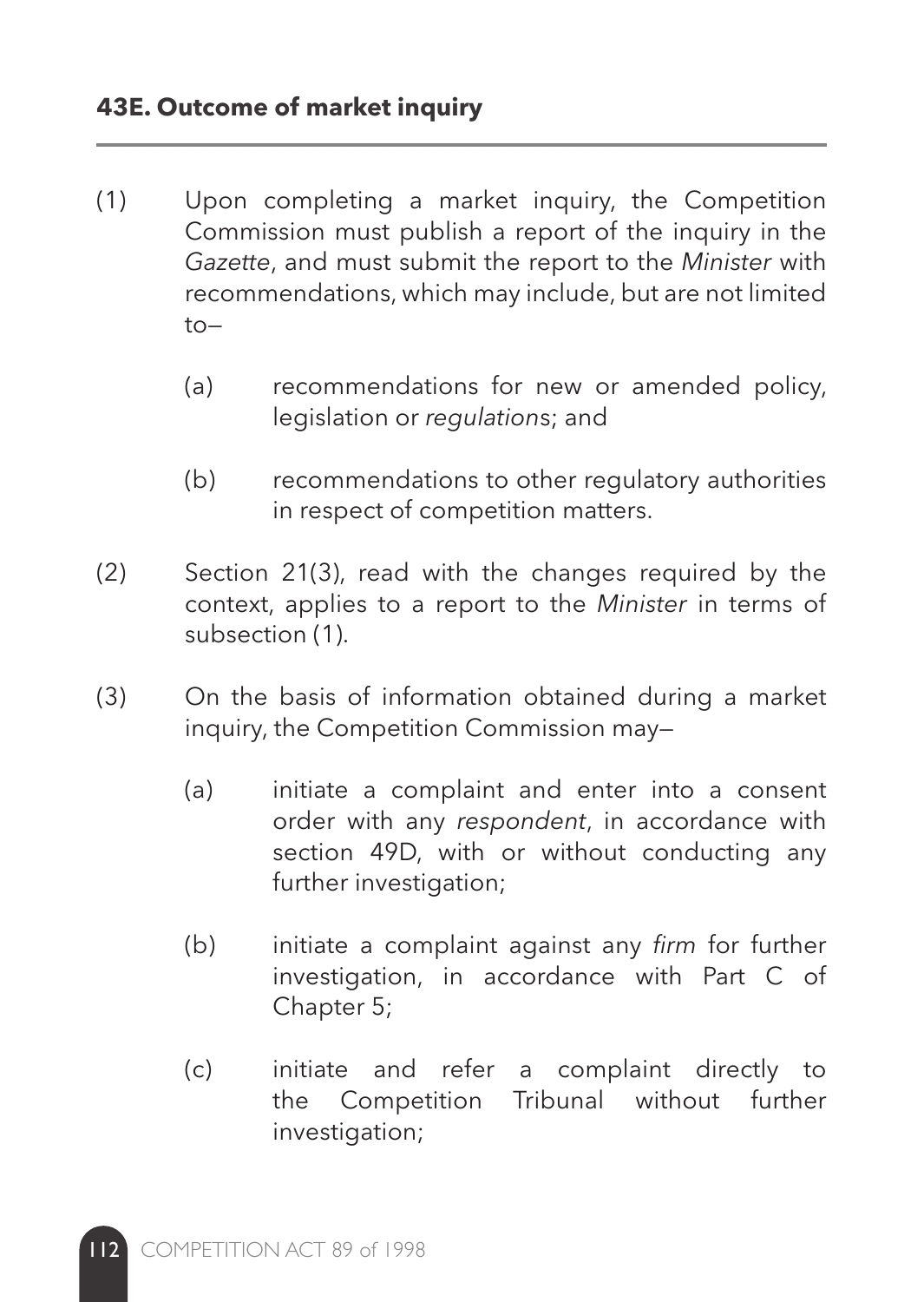- (1) Upon completing a market inquiry, the Competition Commission must publish a report of the inquiry in the *Gazette*, and must submit the report to the *Minister* with recommendations, which may include, but are not limited  $t_{0-}$ 
	- (a) recommendations for new or amended policy, legislation or *regulation*s; and
	- (b) recommendations to other regulatory authorities in respect of competition matters.
- (2) Section 21(3), read with the changes required by the context, applies to a report to the *Minister* in terms of subsection (1).
- (3) On the basis of information obtained during a market inquiry, the Competition Commission may—
	- (a) initiate a complaint and enter into a consent order with any *respondent*, in accordance with section 49D, with or without conducting any further investigation;
	- (b) initiate a complaint against any *firm* for further investigation, in accordance with Part C of Chapter 5;
	- (c) initiate and refer a complaint directly to the Competition Tribunal without further investigation;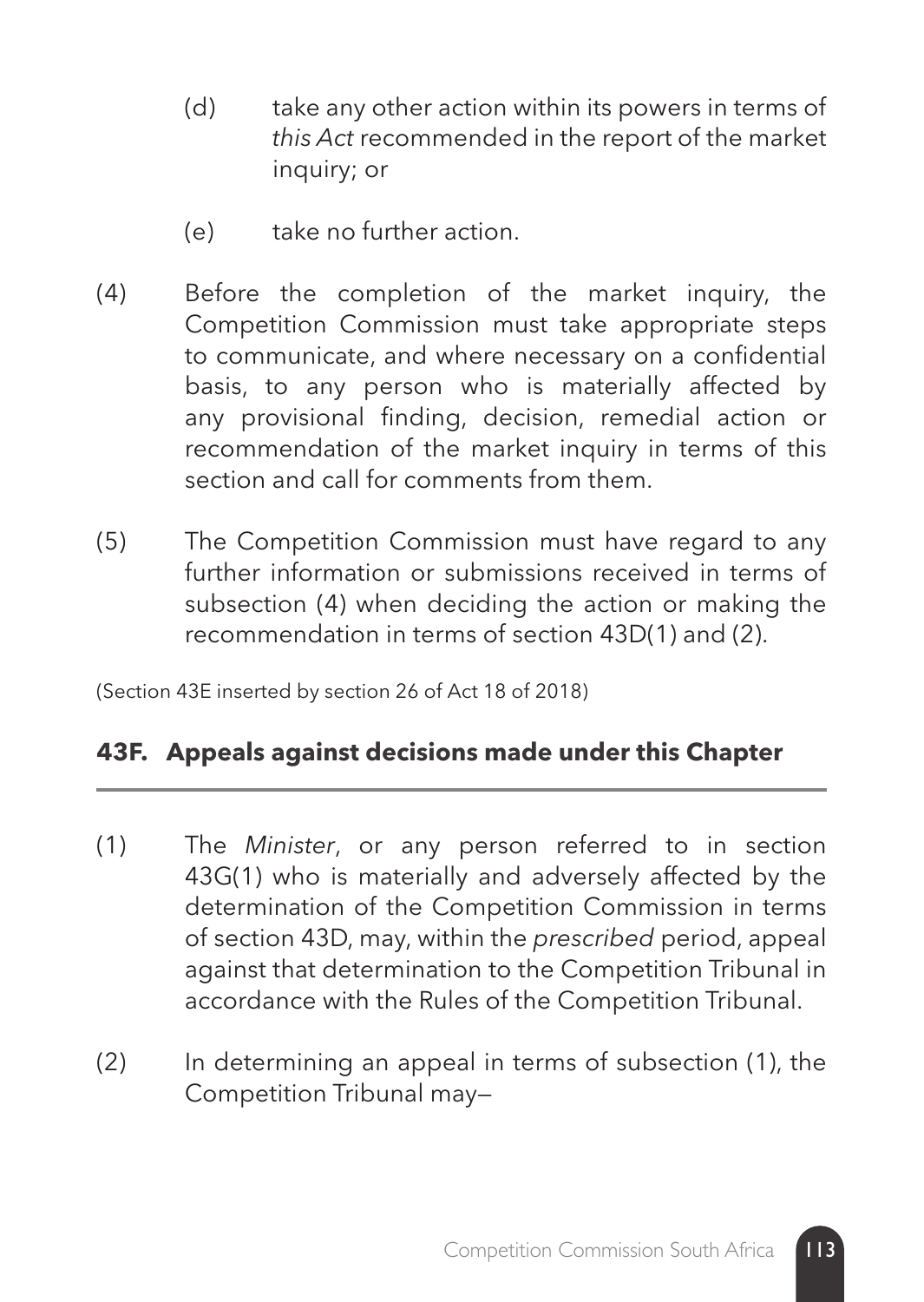- (d) take any other action within its powers in terms of *this Act* recommended in the report of the market inquiry; or
- (e) take no further action.
- (4) Before the completion of the market inquiry, the Competition Commission must take appropriate steps to communicate, and where necessary on a confidential basis, to any person who is materially affected by any provisional finding, decision, remedial action or recommendation of the market inquiry in terms of this section and call for comments from them.
- (5) The Competition Commission must have regard to any further information or submissions received in terms of subsection (4) when deciding the action or making the recommendation in terms of section 43D(1) and (2).

(Section 43E inserted by section 26 of Act 18 of 2018)

## **43F. Appeals against decisions made under this Chapter**

- (1) The *Minister*, or any person referred to in section 43G(1) who is materially and adversely affected by the determination of the Competition Commission in terms of section 43D, may, within the *prescribed* period, appeal against that determination to the Competition Tribunal in accordance with the Rules of the Competition Tribunal.
- (2) In determining an appeal in terms of subsection (1), the Competition Tribunal may—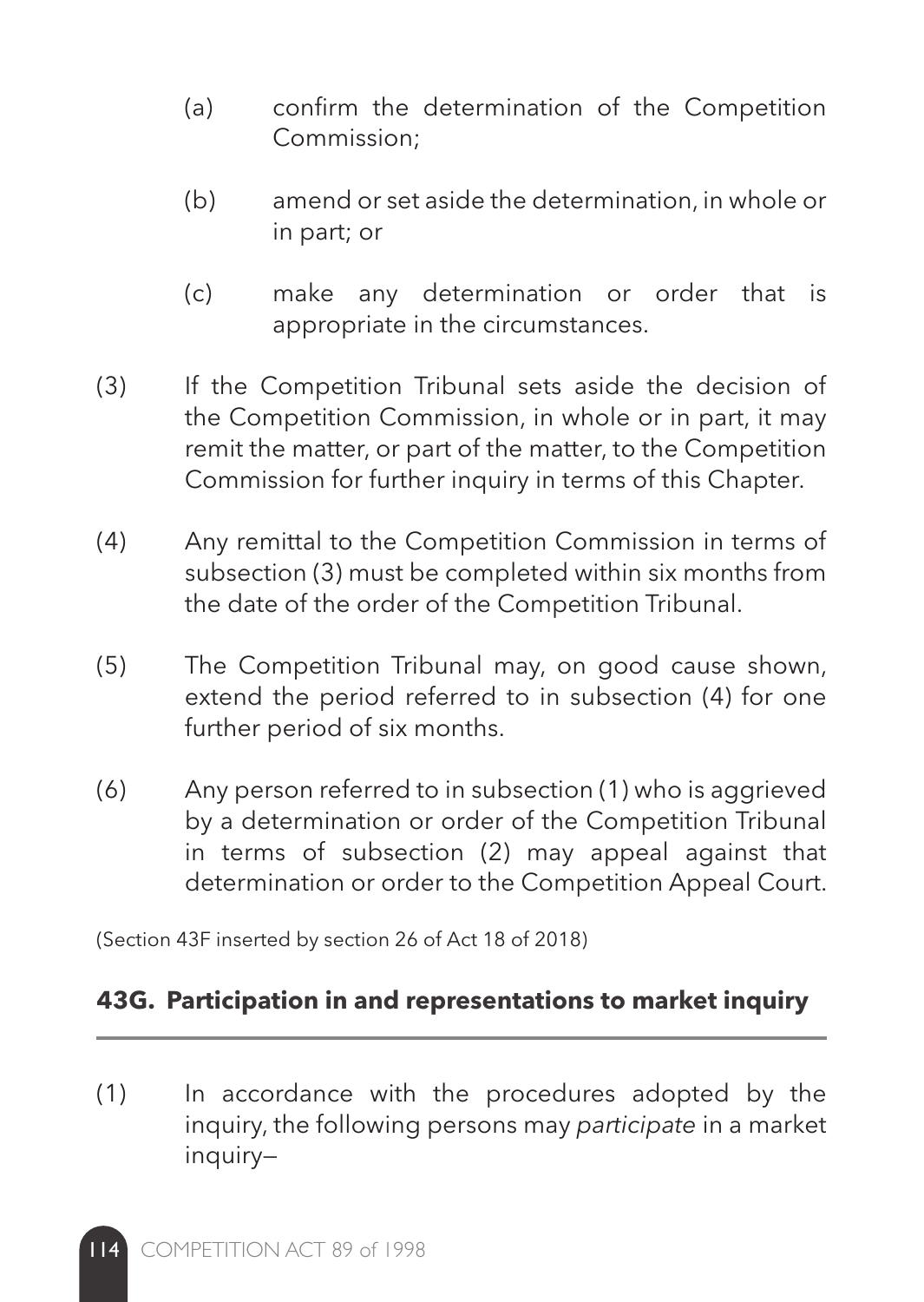- (a) confirm the determination of the Competition Commission;
- (b) amend or set aside the determination, in whole or in part; or
- (c) make any determination or order that is appropriate in the circumstances.
- (3) If the Competition Tribunal sets aside the decision of the Competition Commission, in whole or in part, it may remit the matter, or part of the matter, to the Competition Commission for further inquiry in terms of this Chapter.
- (4) Any remittal to the Competition Commission in terms of subsection (3) must be completed within six months from the date of the order of the Competition Tribunal.
- (5) The Competition Tribunal may, on good cause shown, extend the period referred to in subsection (4) for one further period of six months.
- (6) Any person referred to in subsection (1) who is aggrieved by a determination or order of the Competition Tribunal in terms of subsection (2) may appeal against that determination or order to the Competition Appeal Court.

(Section 43F inserted by section 26 of Act 18 of 2018)

### **43G. Participation in and representations to market inquiry**

(1) In accordance with the procedures adopted by the inquiry, the following persons may *participate* in a market inquiry—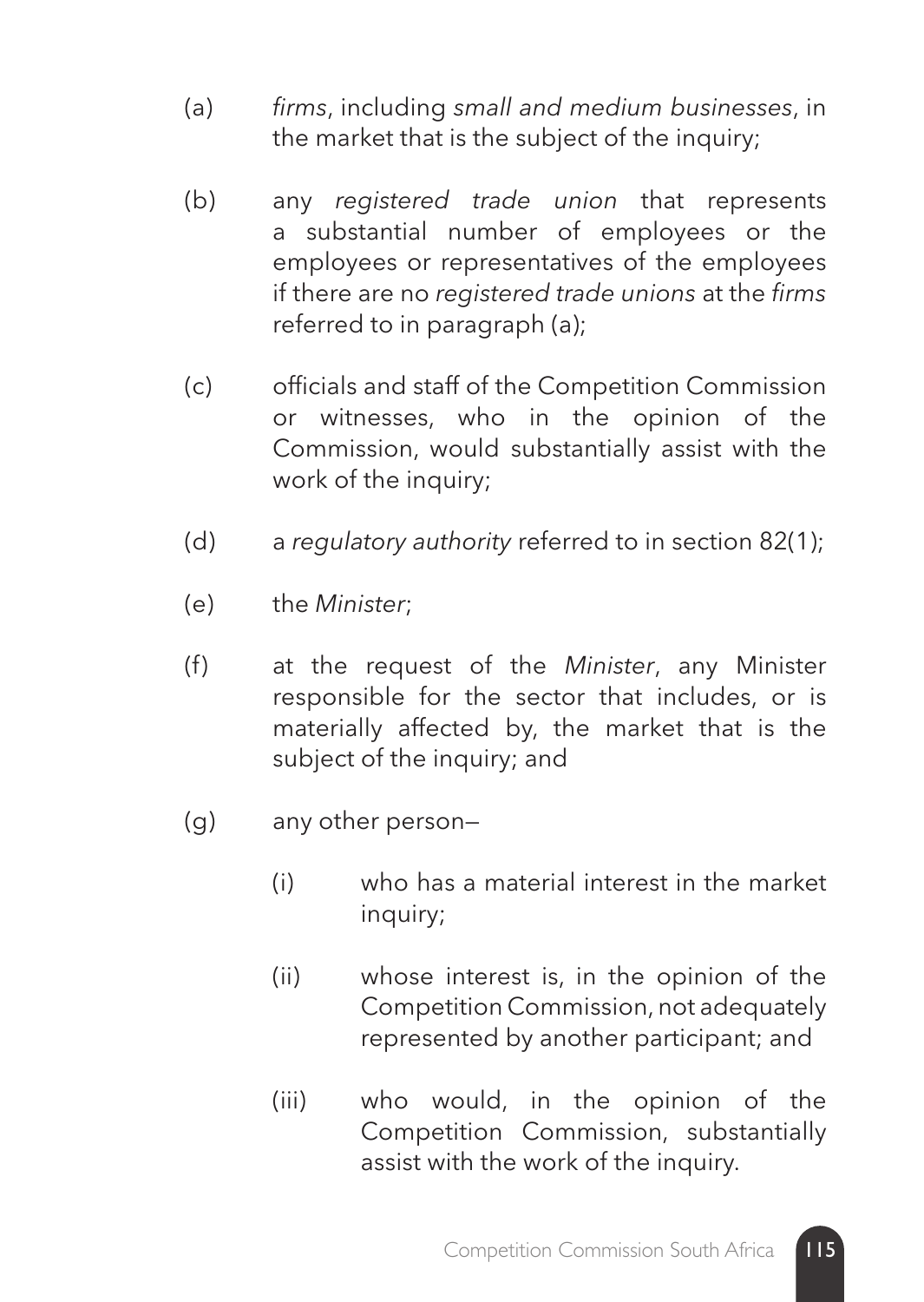- (a) *firms*, including *small and medium businesses*, in the market that is the subject of the inquiry;
- (b) any *registered trade union* that represents a substantial number of employees or the employees or representatives of the employees if there are no *registered trade unions* at the *firms*  referred to in paragraph (a);
- (c) officials and staff of the Competition Commission or witnesses, who in the opinion of the Commission, would substantially assist with the work of the inquiry;
- (d) a *regulatory authority* referred to in section 82(1);
- (e) the *Minister*;
- (f) at the request of the *Minister*, any Minister responsible for the sector that includes, or is materially affected by, the market that is the subject of the inquiry; and
- (g) any other person—
	- (i) who has a material interest in the market inquiry;
	- (ii) whose interest is, in the opinion of the Competition Commission, not adequately represented by another participant; and
	- (iii) who would, in the opinion of the Competition Commission, substantially assist with the work of the inquiry.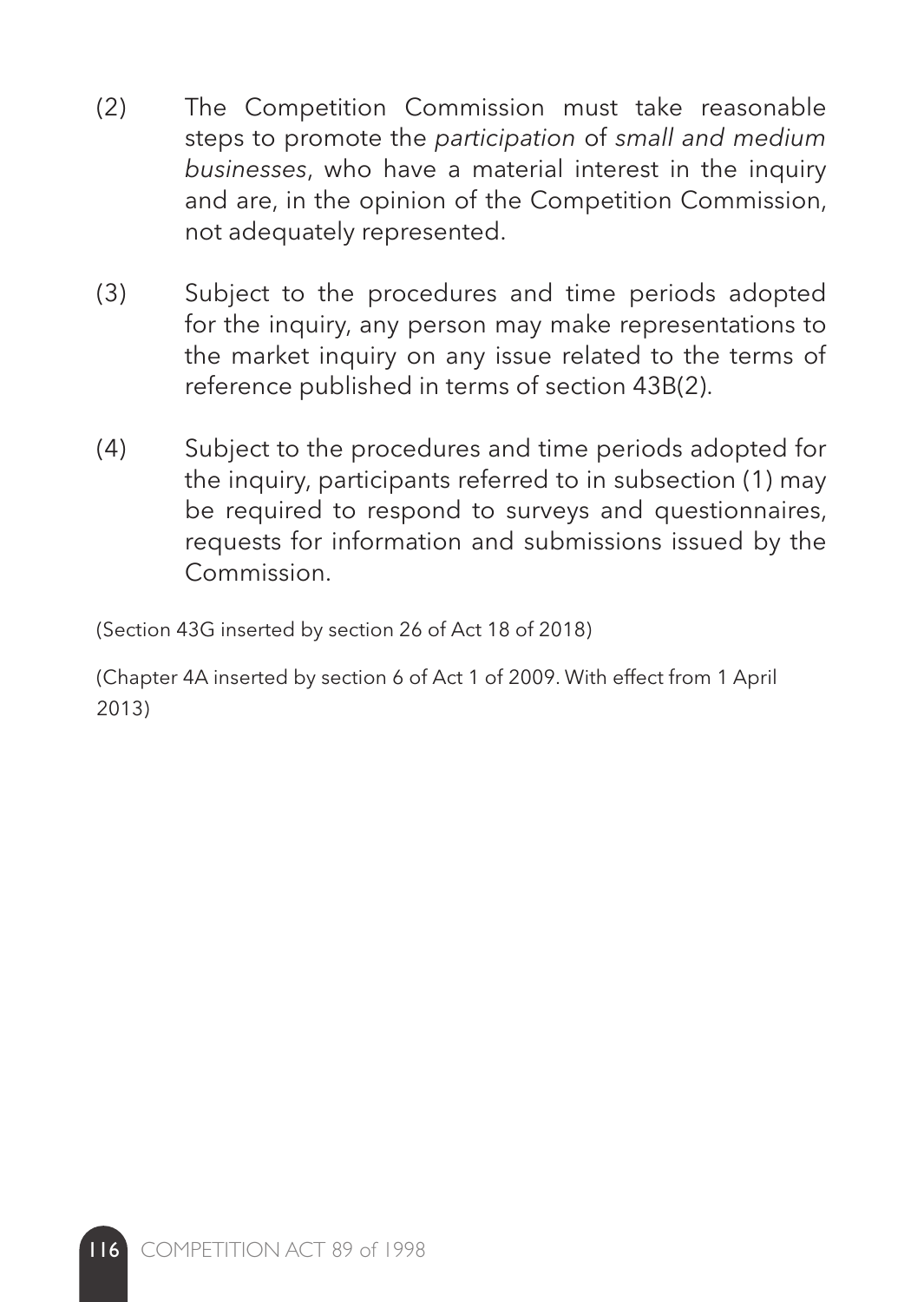- (2) The Competition Commission must take reasonable steps to promote the *participation* of *small and medium businesses*, who have a material interest in the inquiry and are, in the opinion of the Competition Commission, not adequately represented.
- (3) Subject to the procedures and time periods adopted for the inquiry, any person may make representations to the market inquiry on any issue related to the terms of reference published in terms of section 43B(2).
- (4) Subject to the procedures and time periods adopted for the inquiry, participants referred to in subsection (1) may be required to respond to surveys and questionnaires, requests for information and submissions issued by the Commission.

(Section 43G inserted by section 26 of Act 18 of 2018)

(Chapter 4A inserted by section 6 of Act 1 of 2009. With effect from 1 April 2013)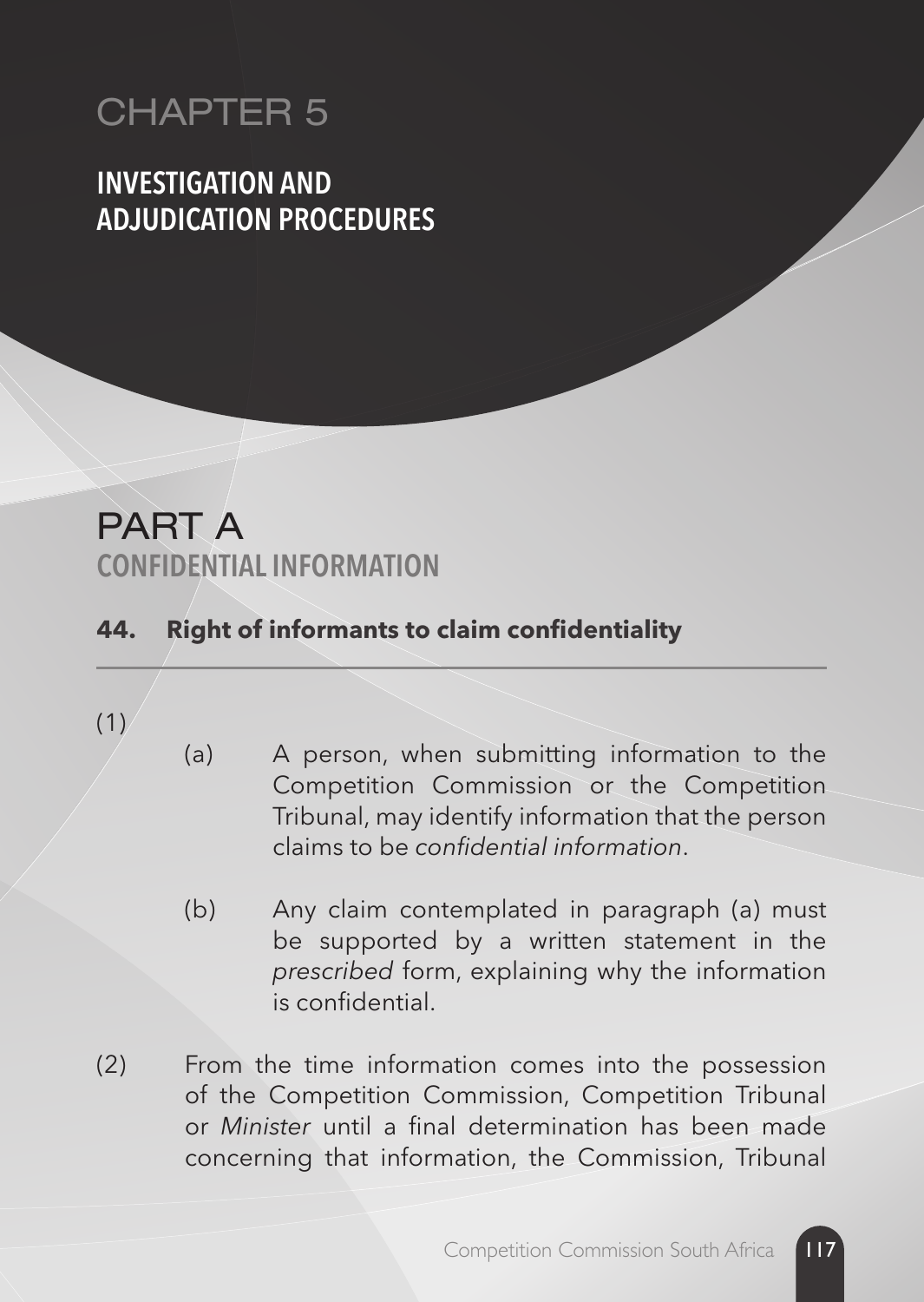# CHAPTER 5

## INVESTIGATION AND ADJUDICATION PROCEDURES

## PART A CONFIDENTIAL INFORMATION

#### **44. Right of informants to claim confidentiality**

- (1)
- (a) A person, when submitting information to the Competition Commission or the Competition Tribunal, may identify information that the person claims to be *confidential information*.
- (b) Any claim contemplated in paragraph (a) must be supported by a written statement in the *prescribed* form, explaining why the information is confidential.
- (2) From the time information comes into the possession of the Competition Commission, Competition Tribunal or *Minister* until a final determination has been made concerning that information, the Commission, Tribunal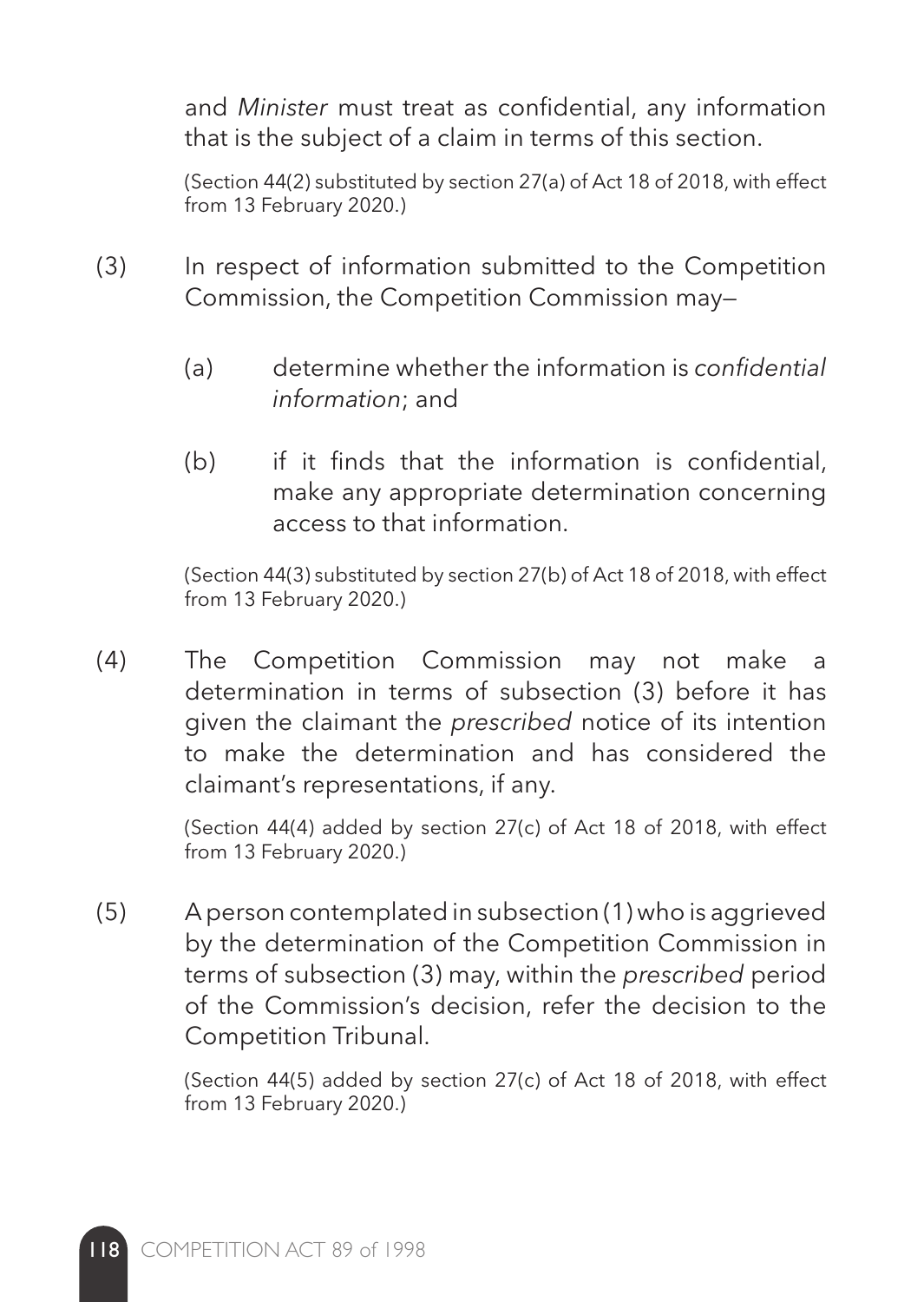and *Minister* must treat as confidential, any information that is the subject of a claim in terms of this section.

(Section 44(2) substituted by section 27(a) of Act 18 of 2018, with effect from 13 February 2020.)

- (3) In respect of information submitted to the Competition Commission, the Competition Commission may—
	- (a) determine whether the information is *confidential information*; and
	- (b) if it finds that the information is confidential, make any appropriate determination concerning access to that information.

(Section 44(3) substituted by section 27(b) of Act 18 of 2018, with effect from 13 February 2020.)

(4) The Competition Commission may not make a determination in terms of subsection (3) before it has given the claimant the *prescribed* notice of its intention to make the determination and has considered the claimant's representations, if any.

> (Section 44(4) added by section 27(c) of Act 18 of 2018, with effect from 13 February 2020.)

(5) A person contemplated in subsection (1) who is aggrieved by the determination of the Competition Commission in terms of subsection (3) may, within the *prescribed* period of the Commission's decision, refer the decision to the Competition Tribunal.

> (Section 44(5) added by section 27(c) of Act 18 of 2018, with effect from 13 February 2020.)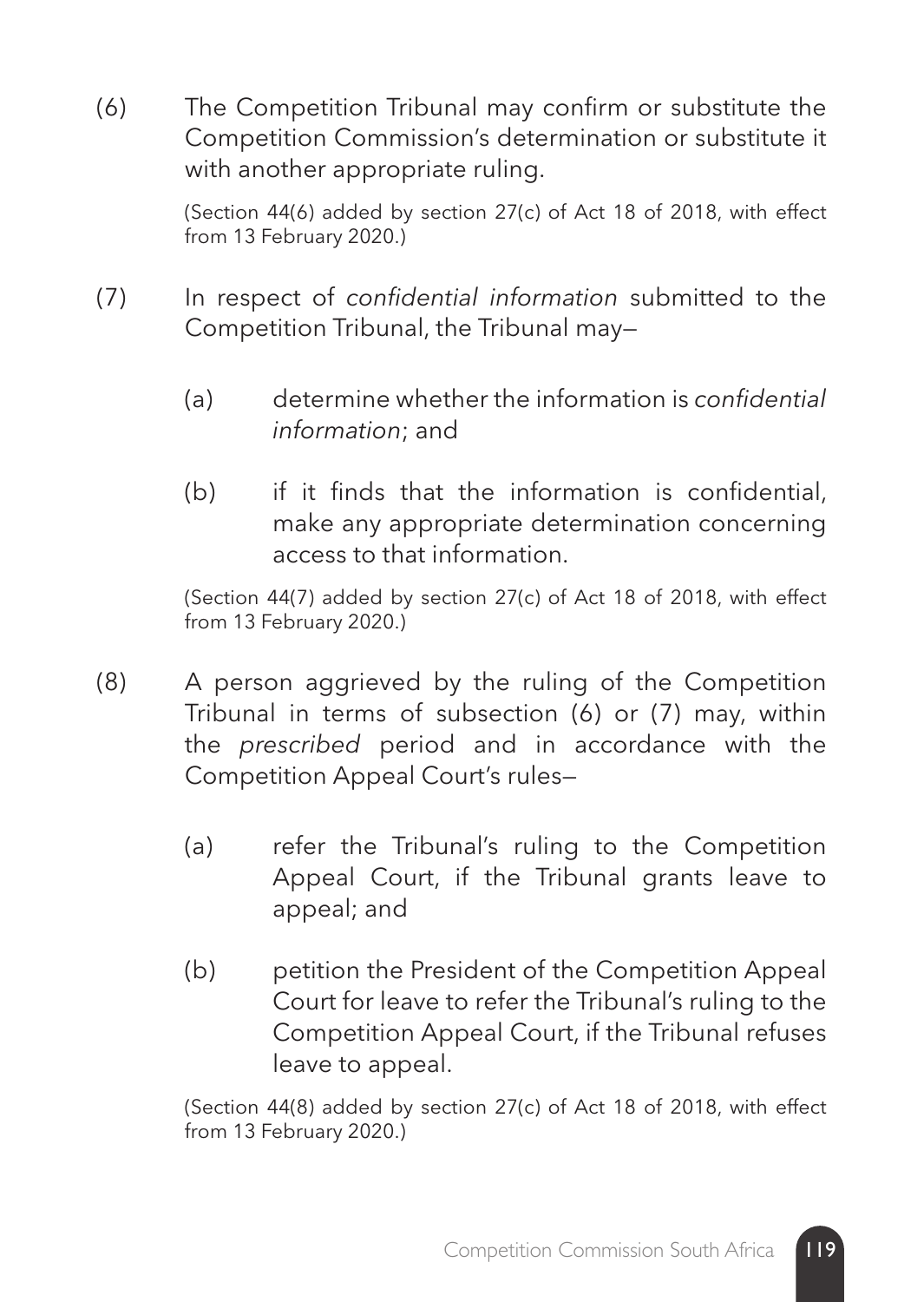(6) The Competition Tribunal may confirm or substitute the Competition Commission's determination or substitute it with another appropriate ruling.

> (Section 44(6) added by section 27(c) of Act 18 of 2018, with effect from 13 February 2020.)

- (7) In respect of *confidential information* submitted to the Competition Tribunal, the Tribunal may—
	- (a) determine whether the information is *confidential information*; and
	- (b) if it finds that the information is confidential, make any appropriate determination concerning access to that information.

(Section 44(7) added by section 27(c) of Act 18 of 2018, with effect from 13 February 2020.)

- (8) A person aggrieved by the ruling of the Competition Tribunal in terms of subsection (6) or (7) may, within the *prescribed* period and in accordance with the Competition Appeal Court's rules—
	- (a) refer the Tribunal's ruling to the Competition Appeal Court, if the Tribunal grants leave to appeal; and
	- (b) petition the President of the Competition Appeal Court for leave to refer the Tribunal's ruling to the Competition Appeal Court, if the Tribunal refuses leave to appeal.

(Section 44(8) added by section 27(c) of Act 18 of 2018, with effect from 13 February 2020.)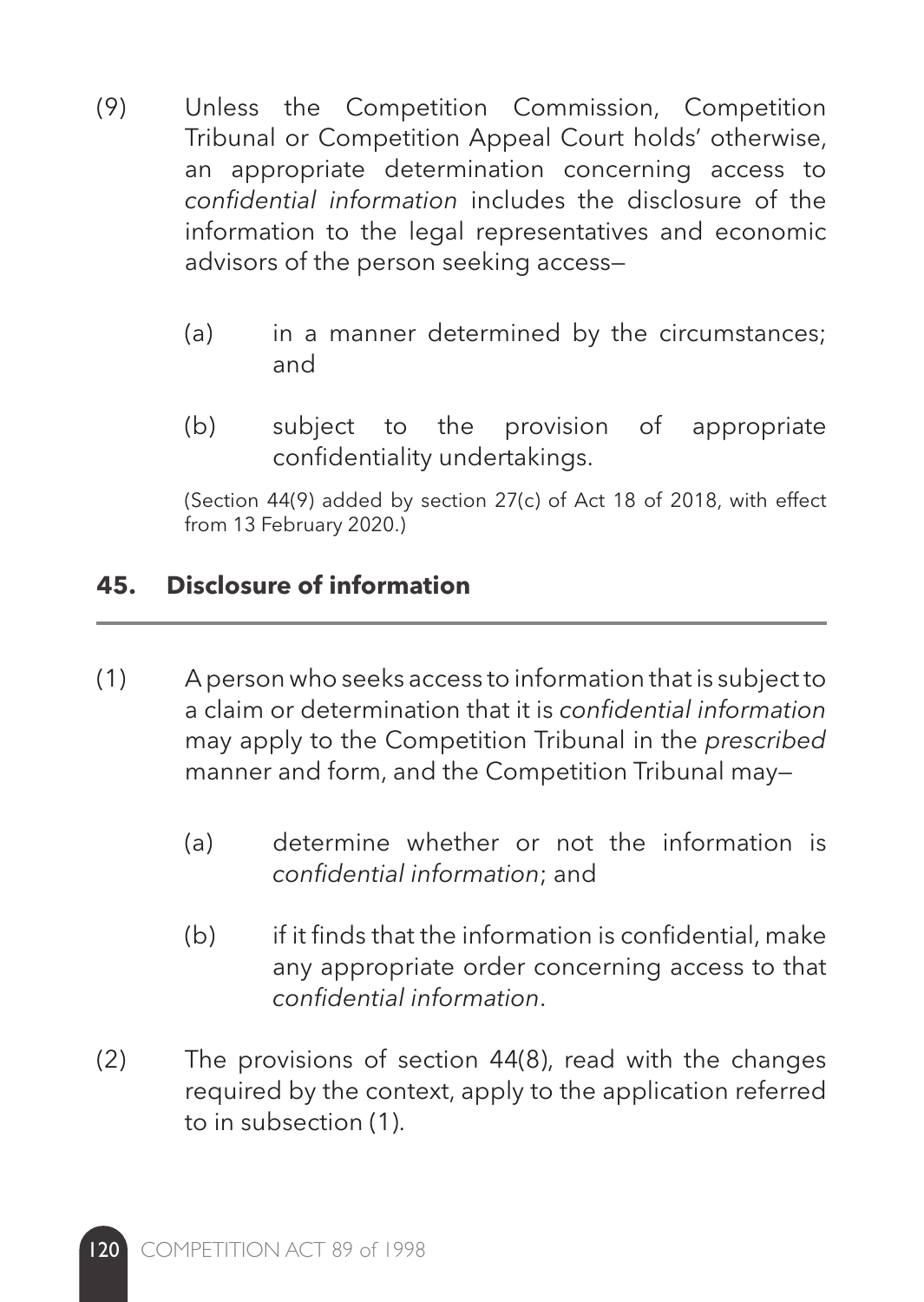- (9) Unless the Competition Commission, Competition Tribunal or Competition Appeal Court holds' otherwise, an appropriate determination concerning access to *confidential information* includes the disclosure of the information to the legal representatives and economic advisors of the person seeking access—
	- (a) in a manner determined by the circumstances; and
	- (b) subject to the provision of appropriate confidentiality undertakings.

(Section 44(9) added by section 27(c) of Act 18 of 2018, with effect from 13 February 2020.)

## **45. Disclosure of information**

- (1) A person who seeks access to information that is subject to a claim or determination that it is *confidential information* may apply to the Competition Tribunal in the *prescribed* manner and form, and the Competition Tribunal may—
	- (a) determine whether or not the information is *confidential information*; and
	- (b) if it finds that the information is confidential, make any appropriate order concerning access to that *confidential information*.
- (2) The provisions of section 44(8), read with the changes required by the context, apply to the application referred to in subsection (1).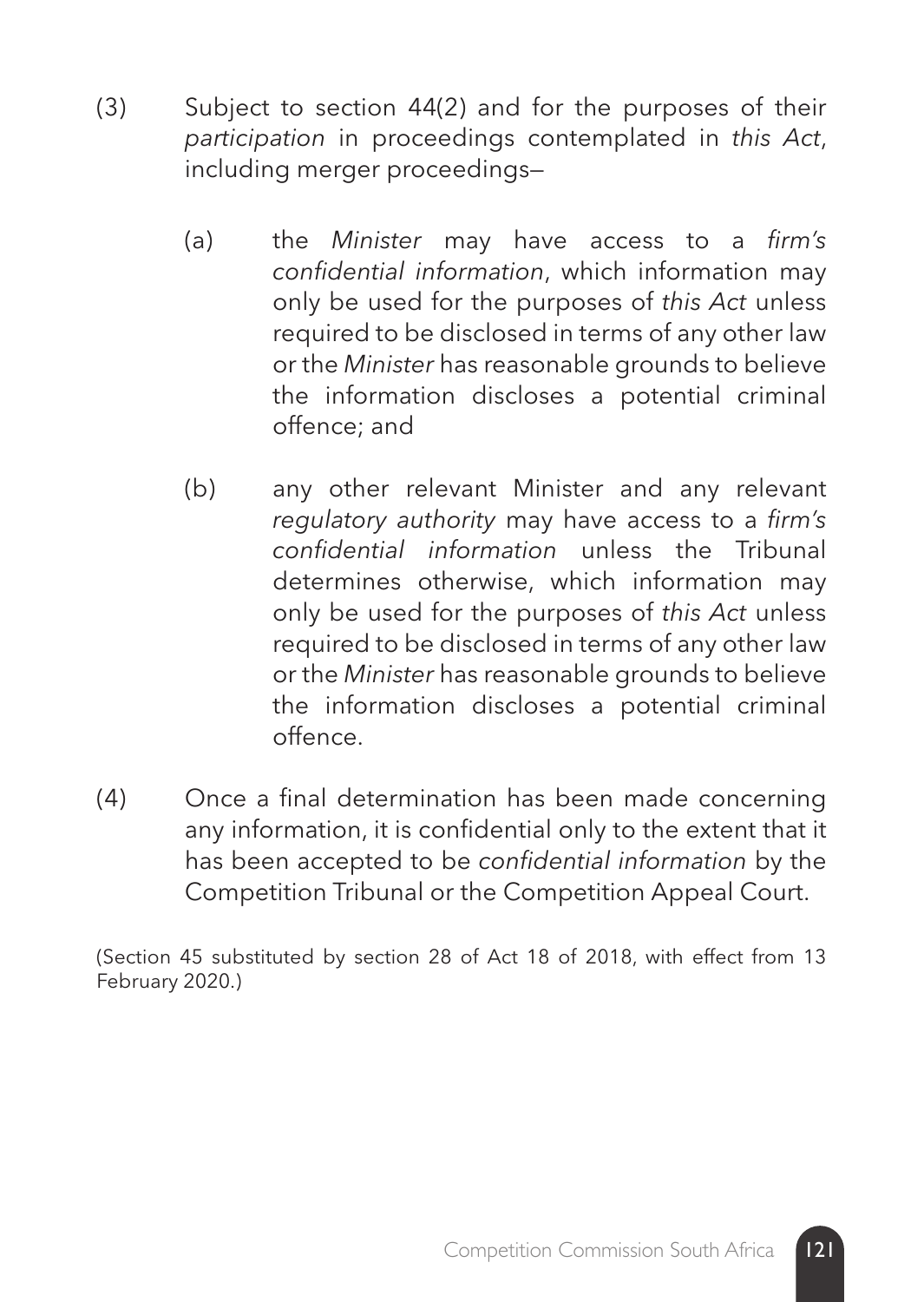- (3) Subject to section 44(2) and for the purposes of their *participation* in proceedings contemplated in *this Act*, including merger proceedings—
	- (a) the *Minister* may have access to a *firm's confidential information*, which information may only be used for the purposes of *this Act* unless required to be disclosed in terms of any other law or the *Minister* has reasonable grounds to believe the information discloses a potential criminal offence; and
	- (b) any other relevant Minister and any relevant *regulatory authority* may have access to a *firm's confidential information* unless the Tribunal determines otherwise, which information may only be used for the purposes of *this Act* unless required to be disclosed in terms of any other law or the *Minister* has reasonable grounds to believe the information discloses a potential criminal offence.
- (4) Once a final determination has been made concerning any information, it is confidential only to the extent that it has been accepted to be *confidential information* by the Competition Tribunal or the Competition Appeal Court.

(Section 45 substituted by section 28 of Act 18 of 2018, with effect from 13 February 2020.)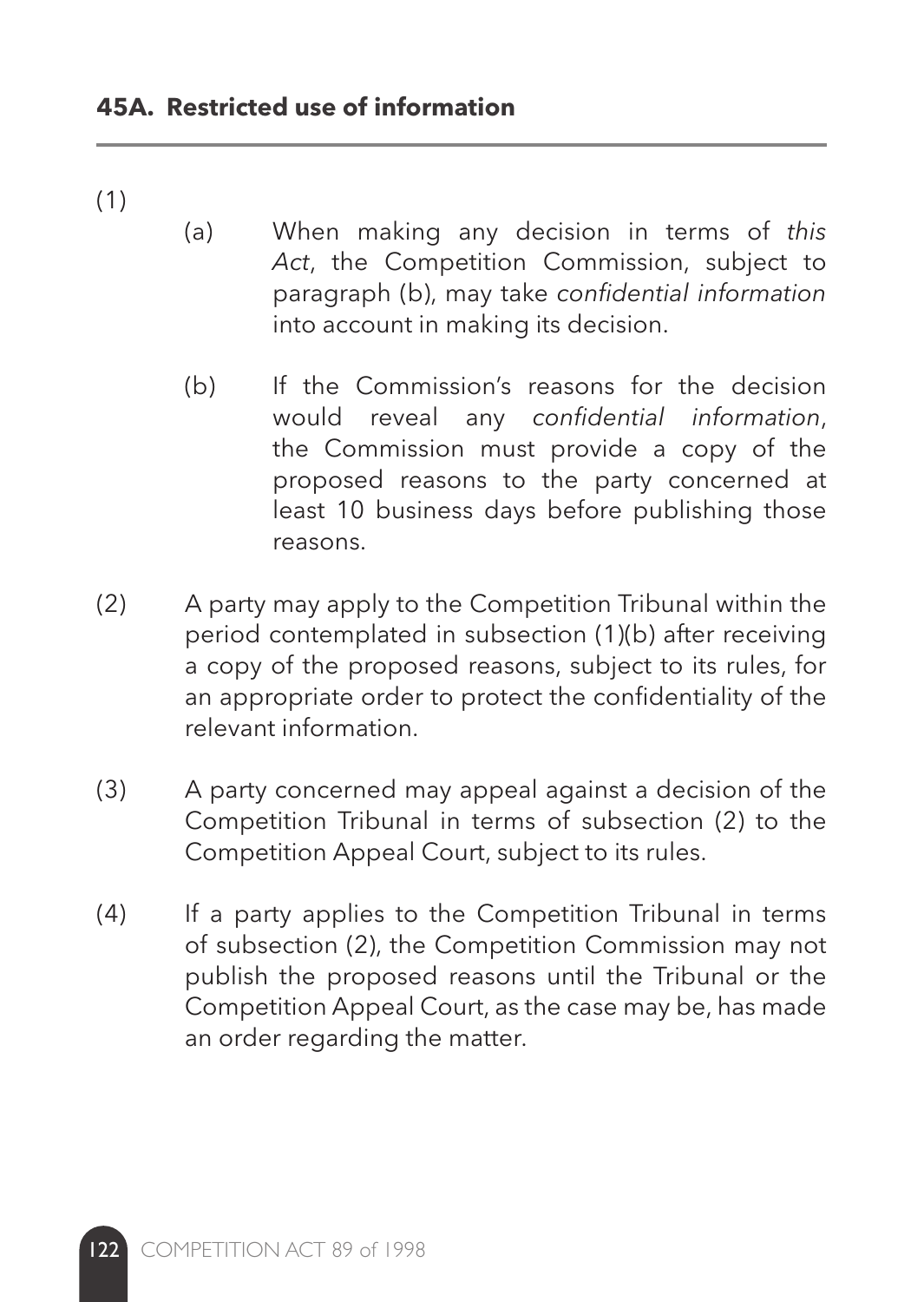(1)

- (a) When making any decision in terms of *this Act*, the Competition Commission, subject to paragraph (b), may take *confidential information* into account in making its decision.
- (b) If the Commission's reasons for the decision would reveal any *confidential information*, the Commission must provide a copy of the proposed reasons to the party concerned at least 10 business days before publishing those reasons.
- (2) A party may apply to the Competition Tribunal within the period contemplated in subsection (1)(b) after receiving a copy of the proposed reasons, subject to its rules, for an appropriate order to protect the confidentiality of the relevant information.
- (3) A party concerned may appeal against a decision of the Competition Tribunal in terms of subsection (2) to the Competition Appeal Court, subject to its rules.
- (4) If a party applies to the Competition Tribunal in terms of subsection (2), the Competition Commission may not publish the proposed reasons until the Tribunal or the Competition Appeal Court, as the case may be, has made an order regarding the matter.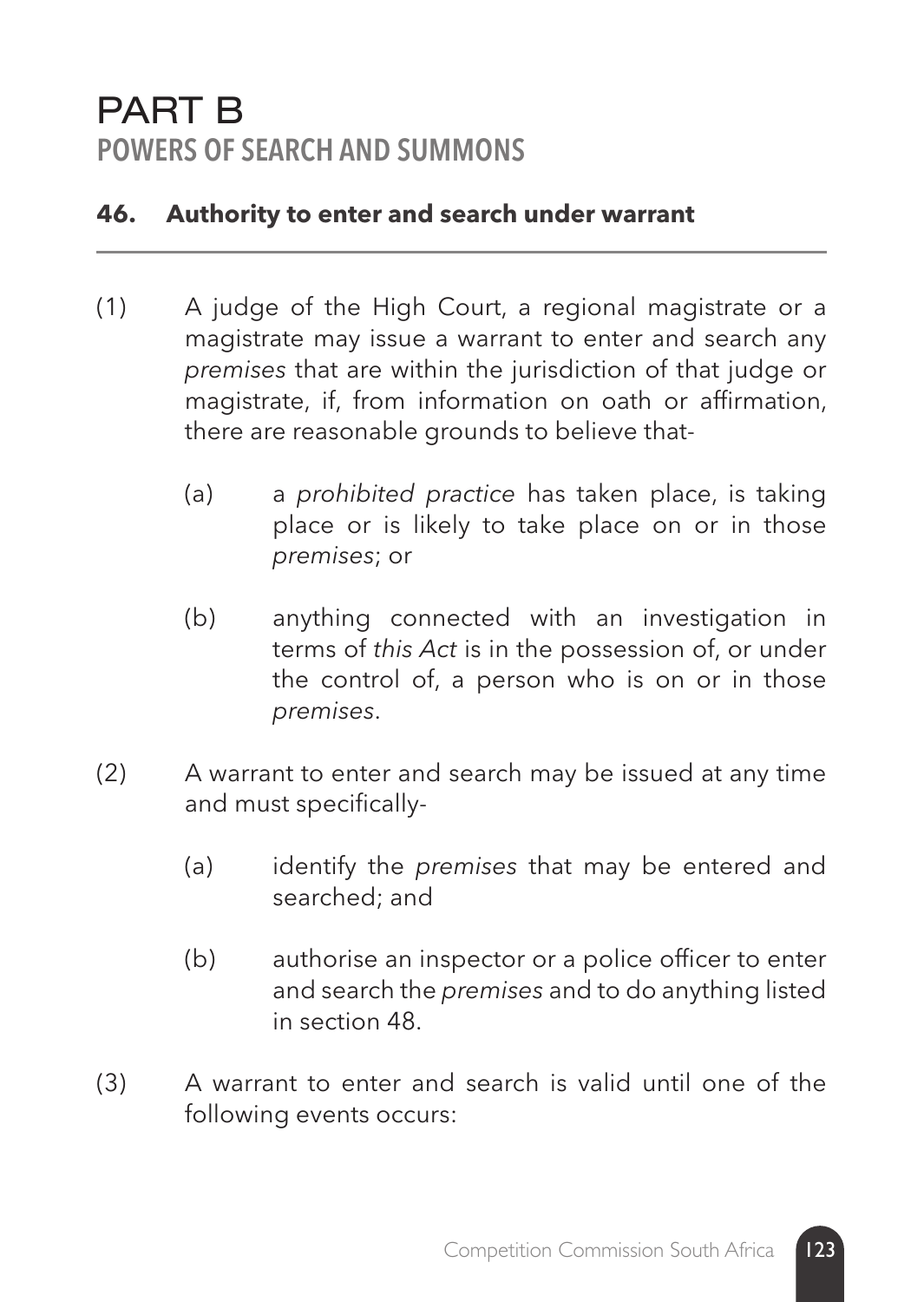## PART<sub>R</sub> POWERS OF SEARCH AND SUMMONS

### **46. Authority to enter and search under warrant**

- (1) A judge of the High Court, a regional magistrate or a magistrate may issue a warrant to enter and search any *premises* that are within the jurisdiction of that judge or magistrate, if, from information on oath or affirmation, there are reasonable grounds to believe that-
	- (a) a *prohibited practice* has taken place, is taking place or is likely to take place on or in those *premises*; or
	- (b) anything connected with an investigation in terms of *this Act* is in the possession of, or under the control of, a person who is on or in those *premises*.
- (2) A warrant to enter and search may be issued at any time and must specifically-
	- (a) identify the *premises* that may be entered and searched; and
	- (b) authorise an inspector or a police officer to enter and search the *premises* and to do anything listed in section 48.
- (3) A warrant to enter and search is valid until one of the following events occurs: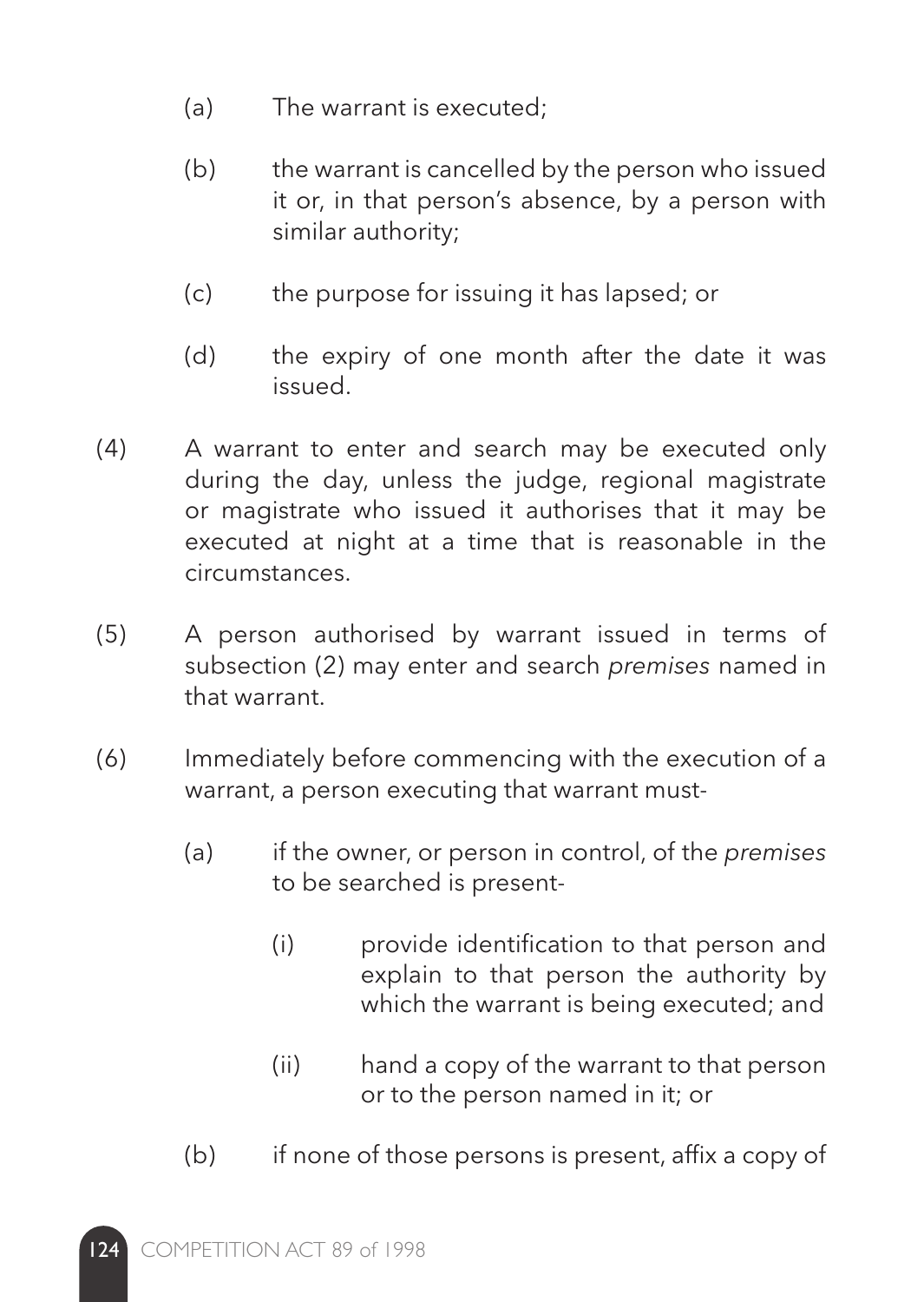- (a) The warrant is executed;
- (b) the warrant is cancelled by the person who issued it or, in that person's absence, by a person with similar authority;
- (c) the purpose for issuing it has lapsed; or
- (d) the expiry of one month after the date it was issued.
- (4) A warrant to enter and search may be executed only during the day, unless the judge, regional magistrate or magistrate who issued it authorises that it may be executed at night at a time that is reasonable in the circumstances.
- (5) A person authorised by warrant issued in terms of subsection (2) may enter and search *premises* named in that warrant.
- (6) Immediately before commencing with the execution of a warrant, a person executing that warrant must-
	- (a) if the owner, or person in control, of the *premises* to be searched is present-
		- (i) provide identification to that person and explain to that person the authority by which the warrant is being executed; and
		- (ii) hand a copy of the warrant to that person or to the person named in it; or
	- (b) if none of those persons is present, affix a copy of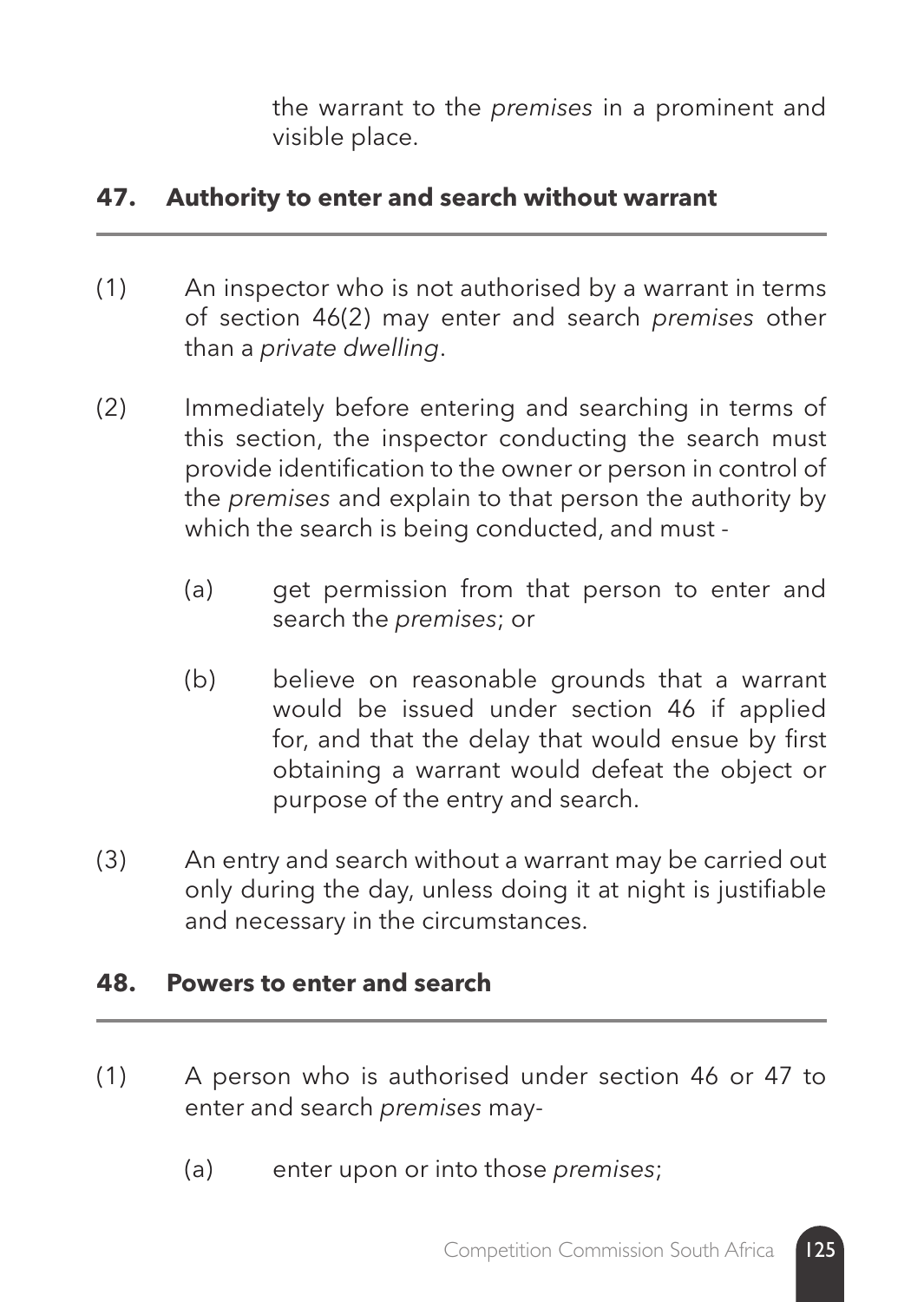the warrant to the *premises* in a prominent and visible place.

## **47. Authority to enter and search without warrant**

- (1) An inspector who is not authorised by a warrant in terms of section 46(2) may enter and search *premises* other than a *private dwelling*.
- (2) Immediately before entering and searching in terms of this section, the inspector conducting the search must provide identification to the owner or person in control of the *premises* and explain to that person the authority by which the search is being conducted, and must -
	- (a) get permission from that person to enter and search the *premises*; or
	- (b) believe on reasonable grounds that a warrant would be issued under section 46 if applied for, and that the delay that would ensue by first obtaining a warrant would defeat the object or purpose of the entry and search.
- (3) An entry and search without a warrant may be carried out only during the day, unless doing it at night is justifiable and necessary in the circumstances.

### **48. Powers to enter and search**

- (1) A person who is authorised under section 46 or 47 to enter and search *premises* may-
	- (a) enter upon or into those *premises*;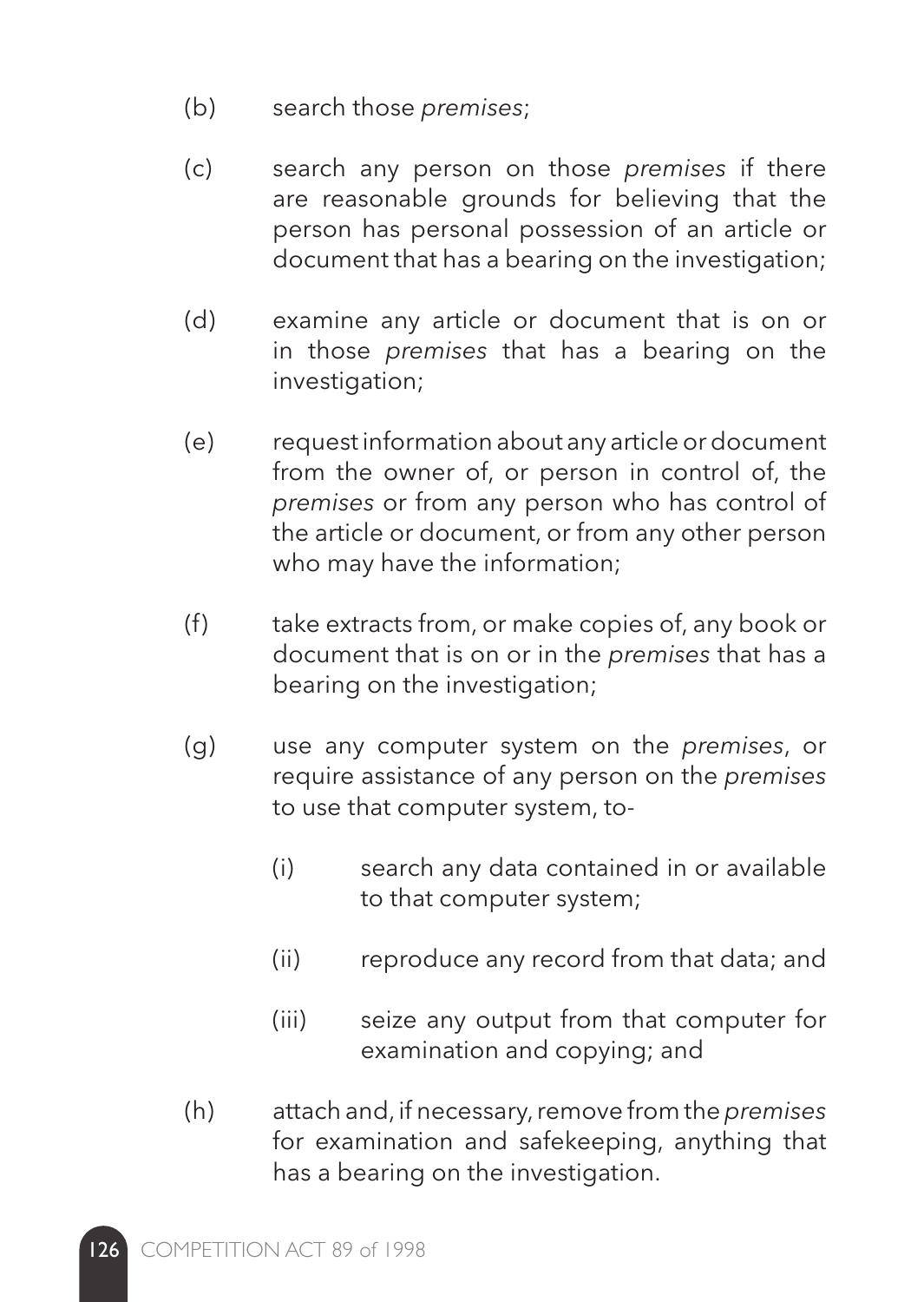- (b) search those *premises*;
- (c) search any person on those *premises* if there are reasonable grounds for believing that the person has personal possession of an article or document that has a bearing on the investigation;
- (d) examine any article or document that is on or in those *premises* that has a bearing on the investigation:
- (e) request information about any article or document from the owner of, or person in control of, the *premises* or from any person who has control of the article or document, or from any other person who may have the information;
- (f) take extracts from, or make copies of, any book or document that is on or in the *premises* that has a bearing on the investigation;
- (g) use any computer system on the *premises*, or require assistance of any person on the *premises* to use that computer system, to-
	- (i) search any data contained in or available to that computer system;
	- (ii) reproduce any record from that data; and
	- (iii) seize any output from that computer for examination and copying; and
- (h) attach and, if necessary, remove from the *premises* for examination and safekeeping, anything that has a bearing on the investigation.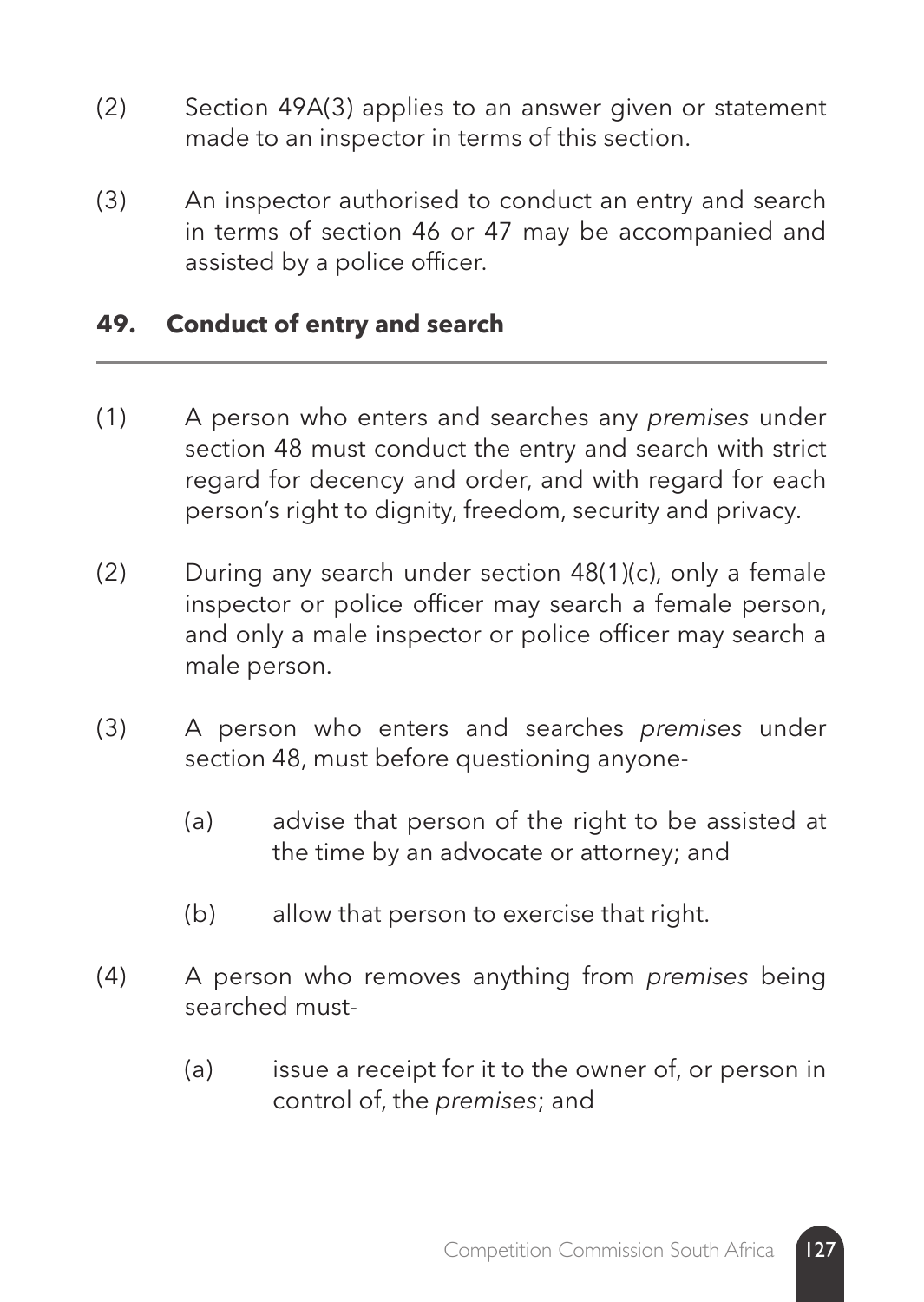- (2) Section 49A(3) applies to an answer given or statement made to an inspector in terms of this section.
- (3) An inspector authorised to conduct an entry and search in terms of section 46 or 47 may be accompanied and assisted by a police officer.

## **49. Conduct of entry and search**

- (1) A person who enters and searches any *premises* under section 48 must conduct the entry and search with strict regard for decency and order, and with regard for each person's right to dignity, freedom, security and privacy.
- (2) During any search under section 48(1)(c), only a female inspector or police officer may search a female person, and only a male inspector or police officer may search a male person.
- (3) A person who enters and searches *premises* under section 48, must before questioning anyone-
	- (a) advise that person of the right to be assisted at the time by an advocate or attorney; and
	- (b) allow that person to exercise that right.
- (4) A person who removes anything from *premises* being searched must-
	- (a) issue a receipt for it to the owner of, or person in control of, the *premises*; and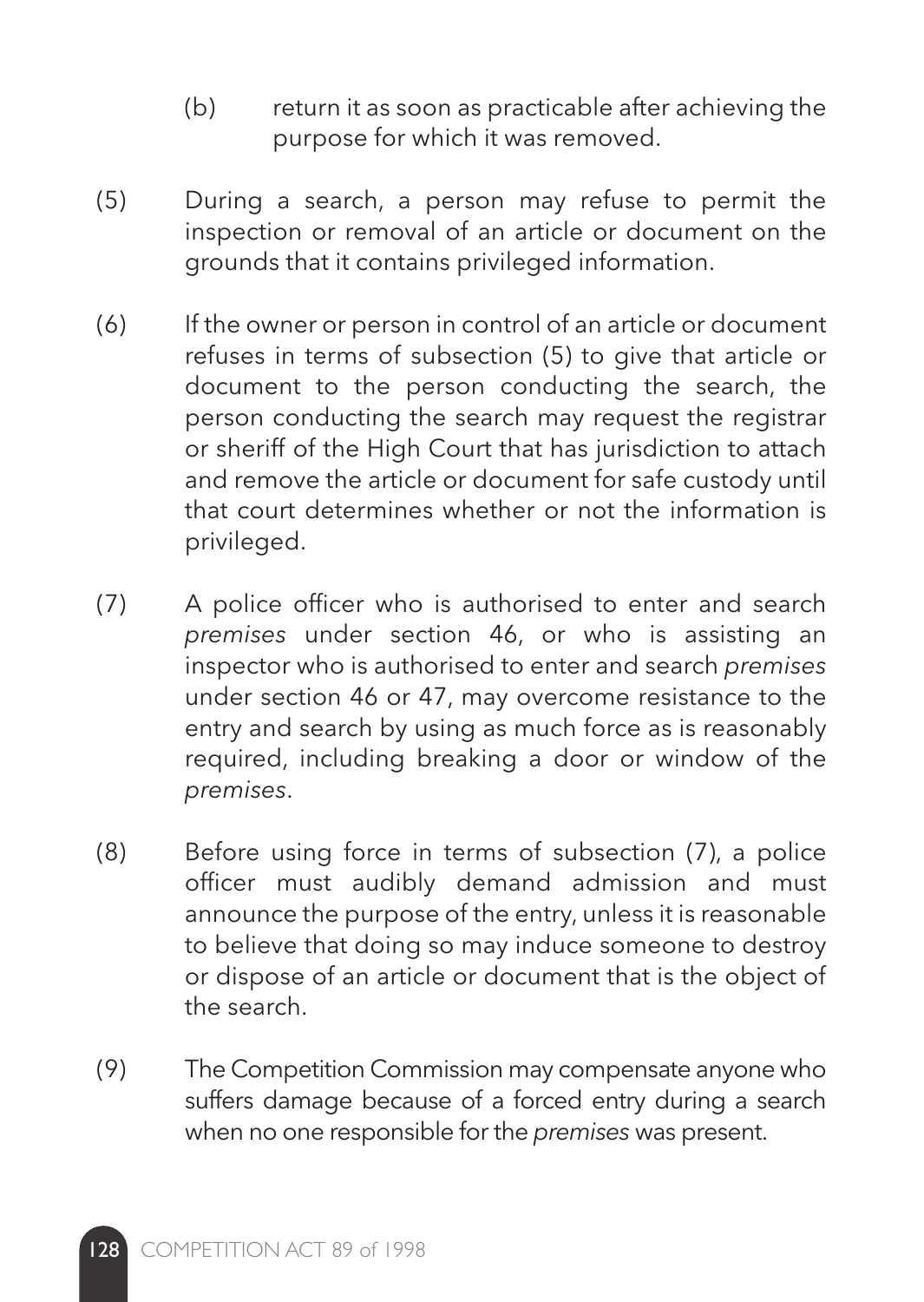- (b) return it as soon as practicable after achieving the purpose for which it was removed.
- (5) During a search, a person may refuse to permit the inspection or removal of an article or document on the grounds that it contains privileged information.
- (6) If the owner or person in control of an article or document refuses in terms of subsection (5) to give that article or document to the person conducting the search, the person conducting the search may request the registrar or sheriff of the High Court that has jurisdiction to attach and remove the article or document for safe custody until that court determines whether or not the information is privileged.
- (7) A police officer who is authorised to enter and search *premises* under section 46, or who is assisting an inspector who is authorised to enter and search *premises* under section 46 or 47, may overcome resistance to the entry and search by using as much force as is reasonably required, including breaking a door or window of the *premises*.
- (8) Before using force in terms of subsection (7), a police officer must audibly demand admission and must announce the purpose of the entry, unless it is reasonable to believe that doing so may induce someone to destroy or dispose of an article or document that is the object of the search.
- (9) The Competition Commission may compensate anyone who suffers damage because of a forced entry during a search when no one responsible for the *premises* was present.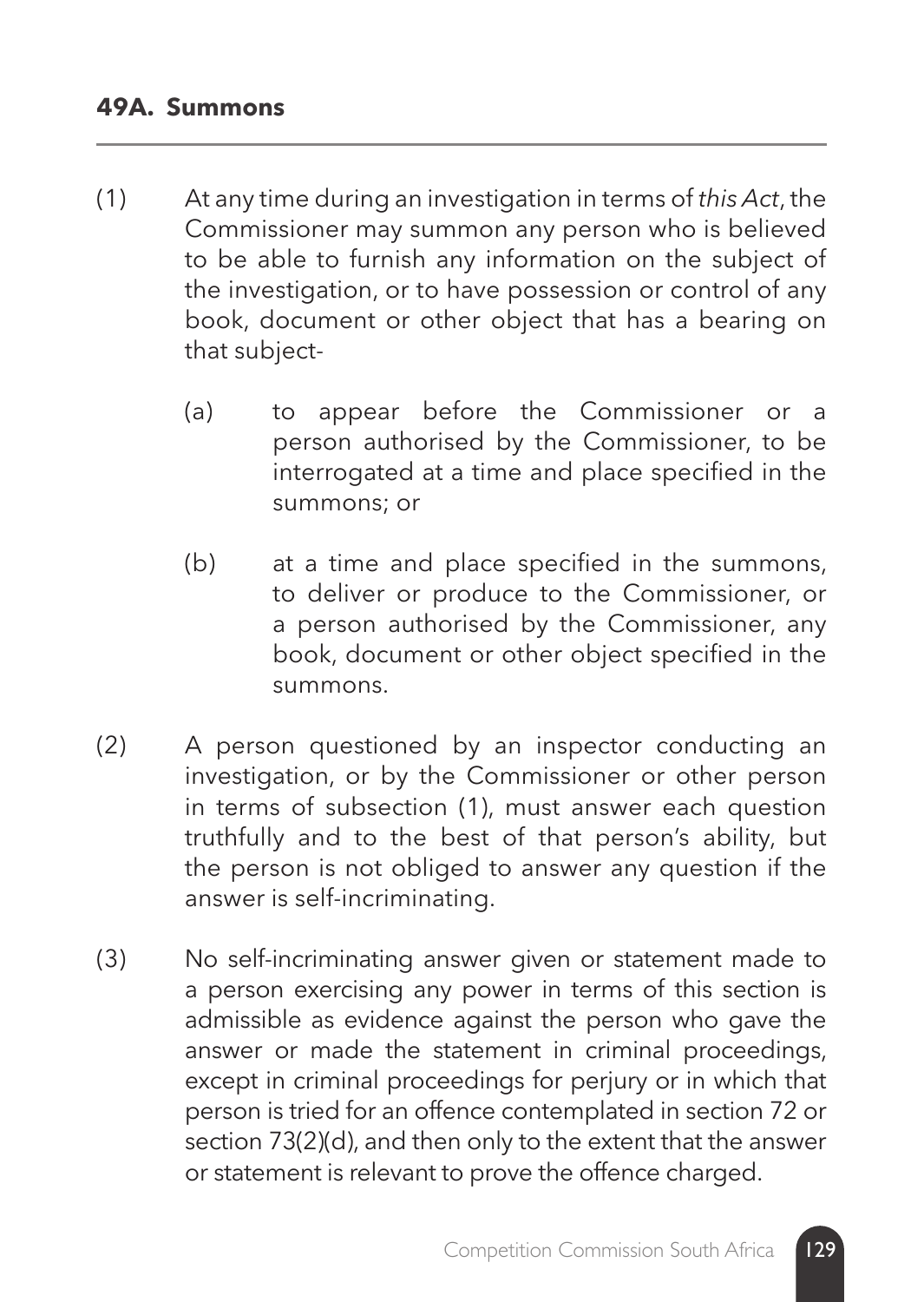- (1) At any time during an investigation in terms of *this Act*, the Commissioner may summon any person who is believed to be able to furnish any information on the subject of the investigation, or to have possession or control of any book, document or other object that has a bearing on that subject-
	- (a) to appear before the Commissioner or a person authorised by the Commissioner, to be interrogated at a time and place specified in the summons; or
	- (b) at a time and place specified in the summons, to deliver or produce to the Commissioner, or a person authorised by the Commissioner, any book, document or other object specified in the summons.
- (2) A person questioned by an inspector conducting an investigation, or by the Commissioner or other person in terms of subsection (1), must answer each question truthfully and to the best of that person's ability, but the person is not obliged to answer any question if the answer is self-incriminating.
- (3) No self-incriminating answer given or statement made to a person exercising any power in terms of this section is admissible as evidence against the person who gave the answer or made the statement in criminal proceedings, except in criminal proceedings for perjury or in which that person is tried for an offence contemplated in section 72 or section 73(2)(d), and then only to the extent that the answer or statement is relevant to prove the offence charged.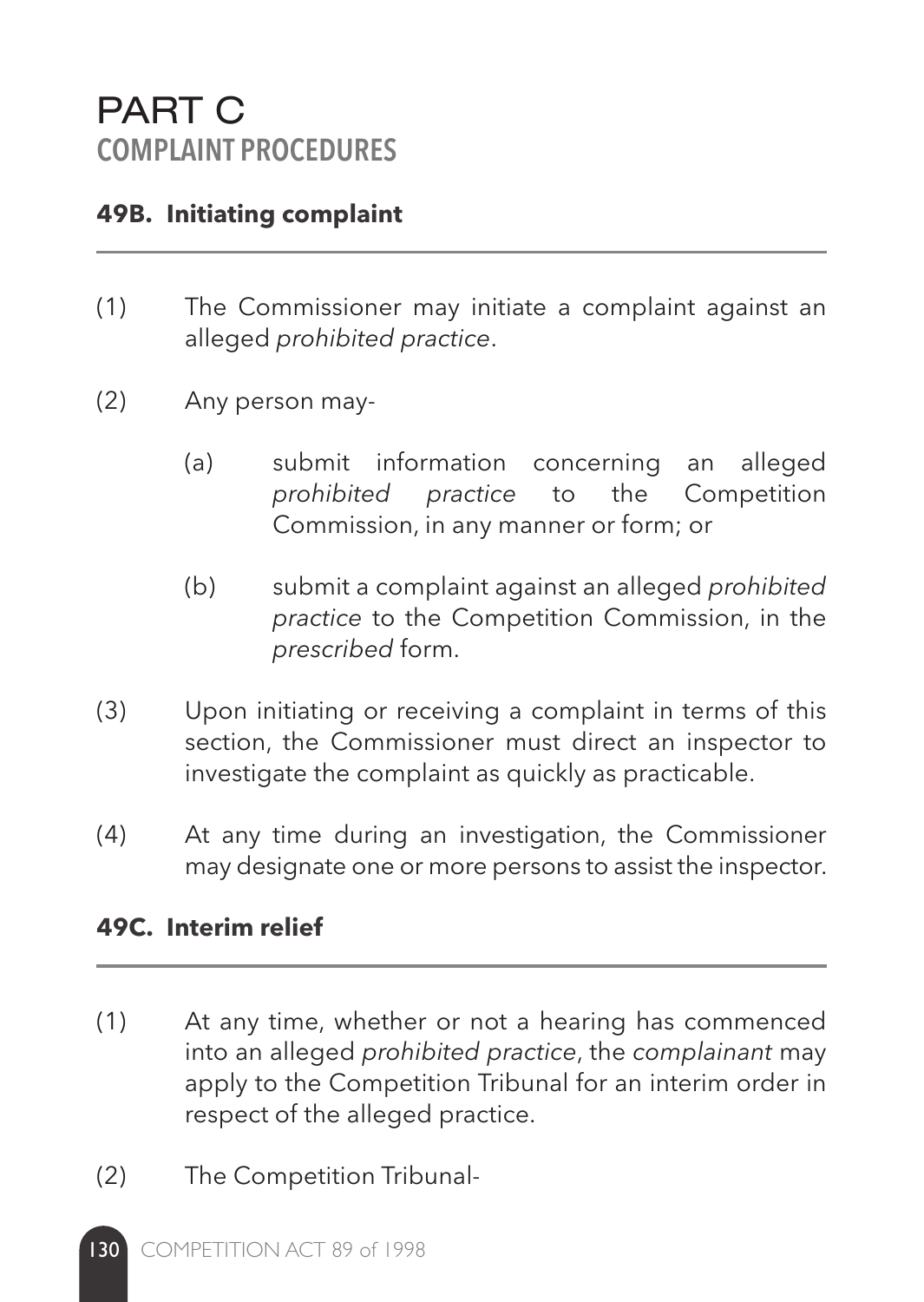## PART C COMPLAINT PROCEDURES

## **49B. Initiating complaint**

- (1) The Commissioner may initiate a complaint against an alleged *prohibited practice*.
- (2) Any person may-
	- (a) submit information concerning an alleged *prohibited practice* to the Competition Commission, in any manner or form; or
	- (b) submit a complaint against an alleged *prohibited practice* to the Competition Commission, in the *prescribed* form.
- (3) Upon initiating or receiving a complaint in terms of this section, the Commissioner must direct an inspector to investigate the complaint as quickly as practicable.
- (4) At any time during an investigation, the Commissioner may designate one or more persons to assist the inspector.

### **49C. Interim relief**

- (1) At any time, whether or not a hearing has commenced into an alleged *prohibited practice*, the *complainant* may apply to the Competition Tribunal for an interim order in respect of the alleged practice.
- (2) The Competition Tribunal-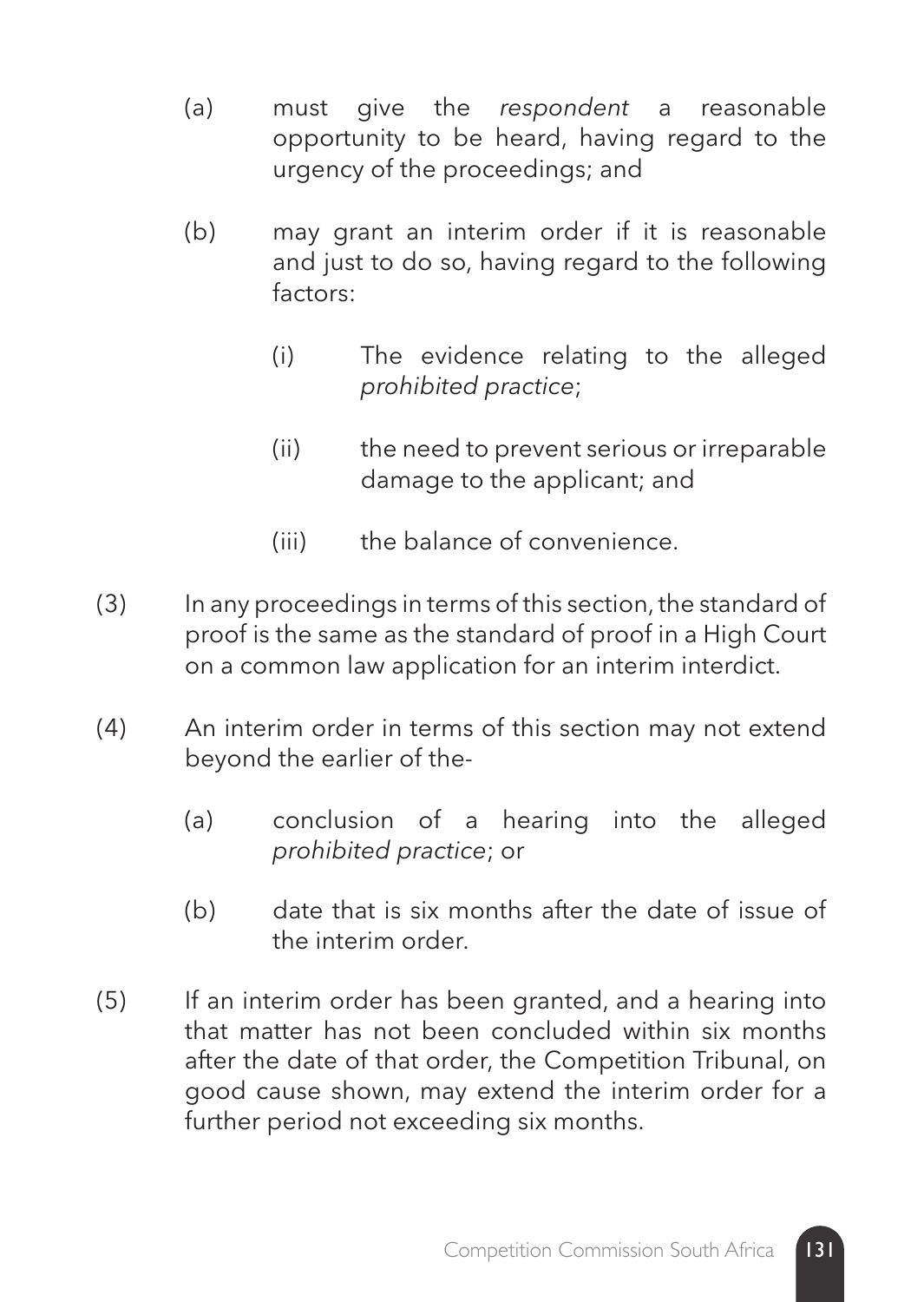- (a) must give the *respondent* a reasonable opportunity to be heard, having regard to the urgency of the proceedings; and
- (b) may grant an interim order if it is reasonable and just to do so, having regard to the following factors:
	- (i) The evidence relating to the alleged *prohibited practice*;
	- (ii) the need to prevent serious or irreparable damage to the applicant; and
	- (iii) the balance of convenience.
- (3) In any proceedings in terms of this section, the standard of proof is the same as the standard of proof in a High Court on a common law application for an interim interdict.
- (4) An interim order in terms of this section may not extend beyond the earlier of the-
	- (a) conclusion of a hearing into the alleged *prohibited practice*; or
	- (b) date that is six months after the date of issue of the interim order.
- (5) If an interim order has been granted, and a hearing into that matter has not been concluded within six months after the date of that order, the Competition Tribunal, on good cause shown, may extend the interim order for a further period not exceeding six months.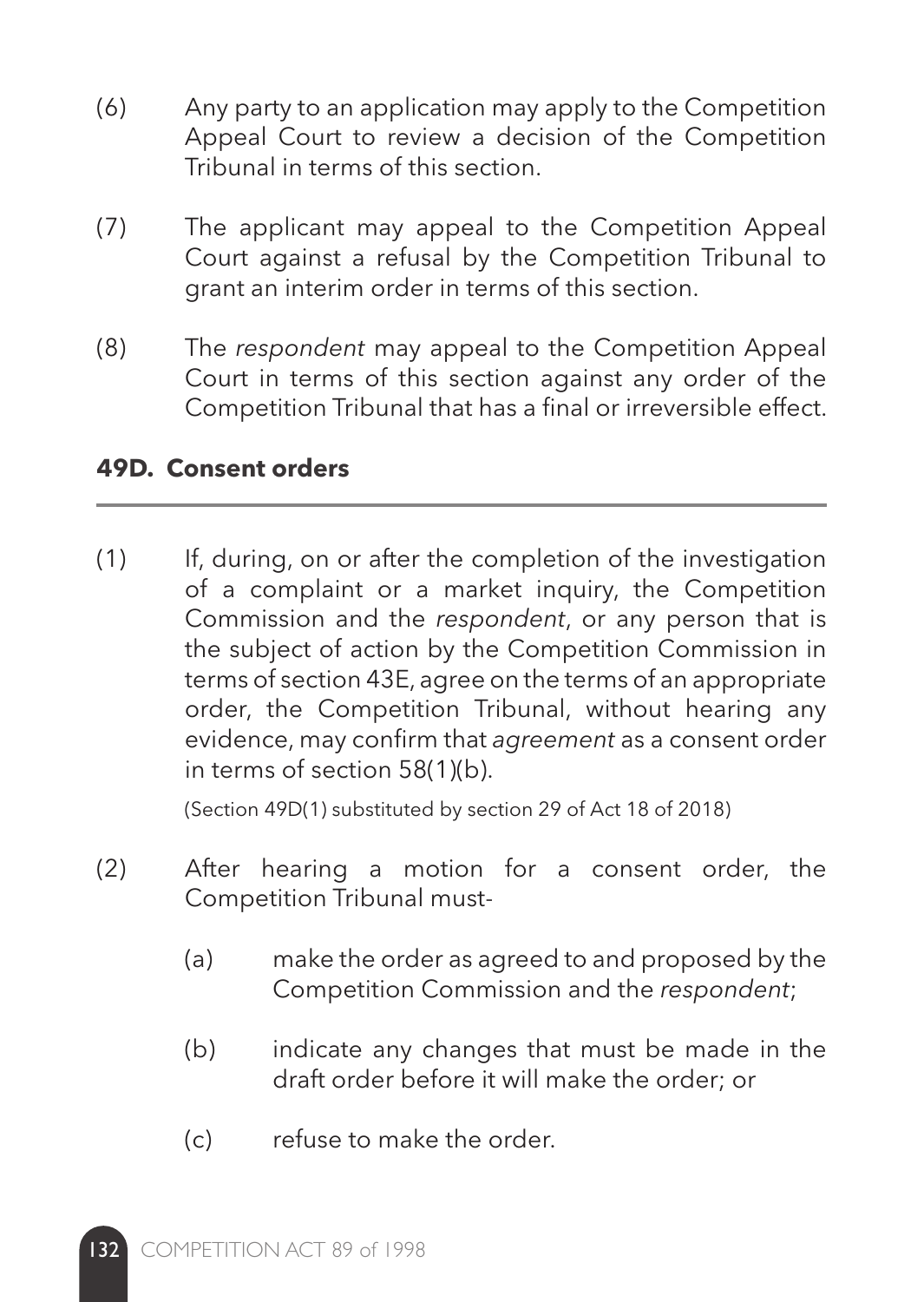- (6) Any party to an application may apply to the Competition Appeal Court to review a decision of the Competition Tribunal in terms of this section.
- (7) The applicant may appeal to the Competition Appeal Court against a refusal by the Competition Tribunal to grant an interim order in terms of this section.
- (8) The *respondent* may appeal to the Competition Appeal Court in terms of this section against any order of the Competition Tribunal that has a final or irreversible effect.

## **49D. Consent orders**

(1) If, during, on or after the completion of the investigation of a complaint or a market inquiry, the Competition Commission and the *respondent*, or any person that is the subject of action by the Competition Commission in terms of section 43E, agree on the terms of an appropriate order, the Competition Tribunal, without hearing any evidence, may confirm that *agreement* as a consent order in terms of section 58(1)(b).

(Section 49D(1) substituted by section 29 of Act 18 of 2018)

- (2) After hearing a motion for a consent order, the Competition Tribunal must-
	- (a) make the order as agreed to and proposed by the Competition Commission and the *respondent*;
	- (b) indicate any changes that must be made in the draft order before it will make the order; or
	- (c) refuse to make the order.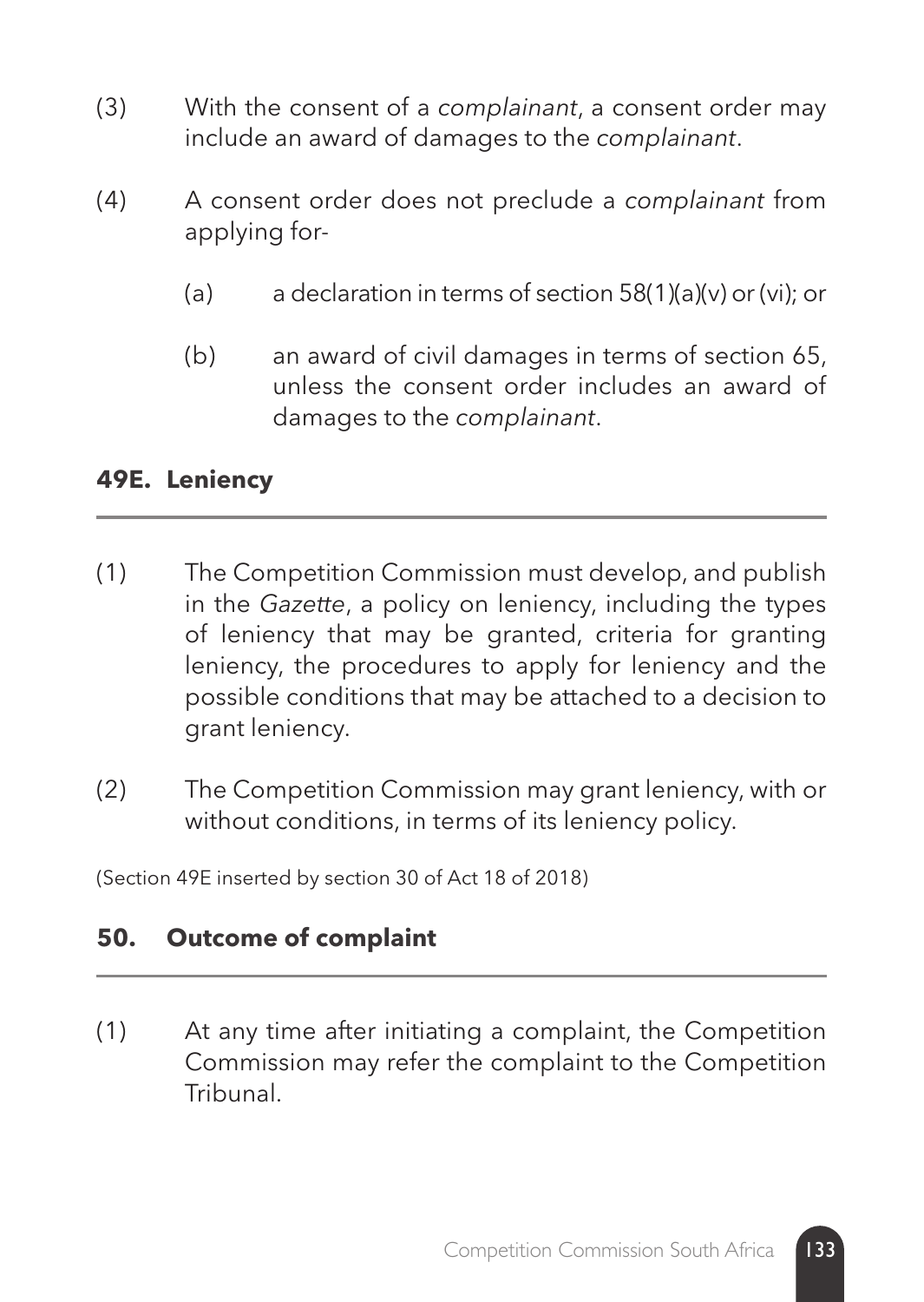- (3) With the consent of a *complainant*, a consent order may include an award of damages to the *complainant*.
- (4) A consent order does not preclude a *complainant* from applying for-
	- (a) a declaration in terms of section 58(1)(a)(v) or (vi); or
	- (b) an award of civil damages in terms of section 65, unless the consent order includes an award of damages to the *complainant*.

## **49E. Leniency**

- (1) The Competition Commission must develop, and publish in the *Gazette*, a policy on leniency, including the types of leniency that may be granted, criteria for granting leniency, the procedures to apply for leniency and the possible conditions that may be attached to a decision to grant leniency.
- (2) The Competition Commission may grant leniency, with or without conditions, in terms of its leniency policy.

(Section 49E inserted by section 30 of Act 18 of 2018)

#### **50. Outcome of complaint**

(1) At any time after initiating a complaint, the Competition Commission may refer the complaint to the Competition Tribunal.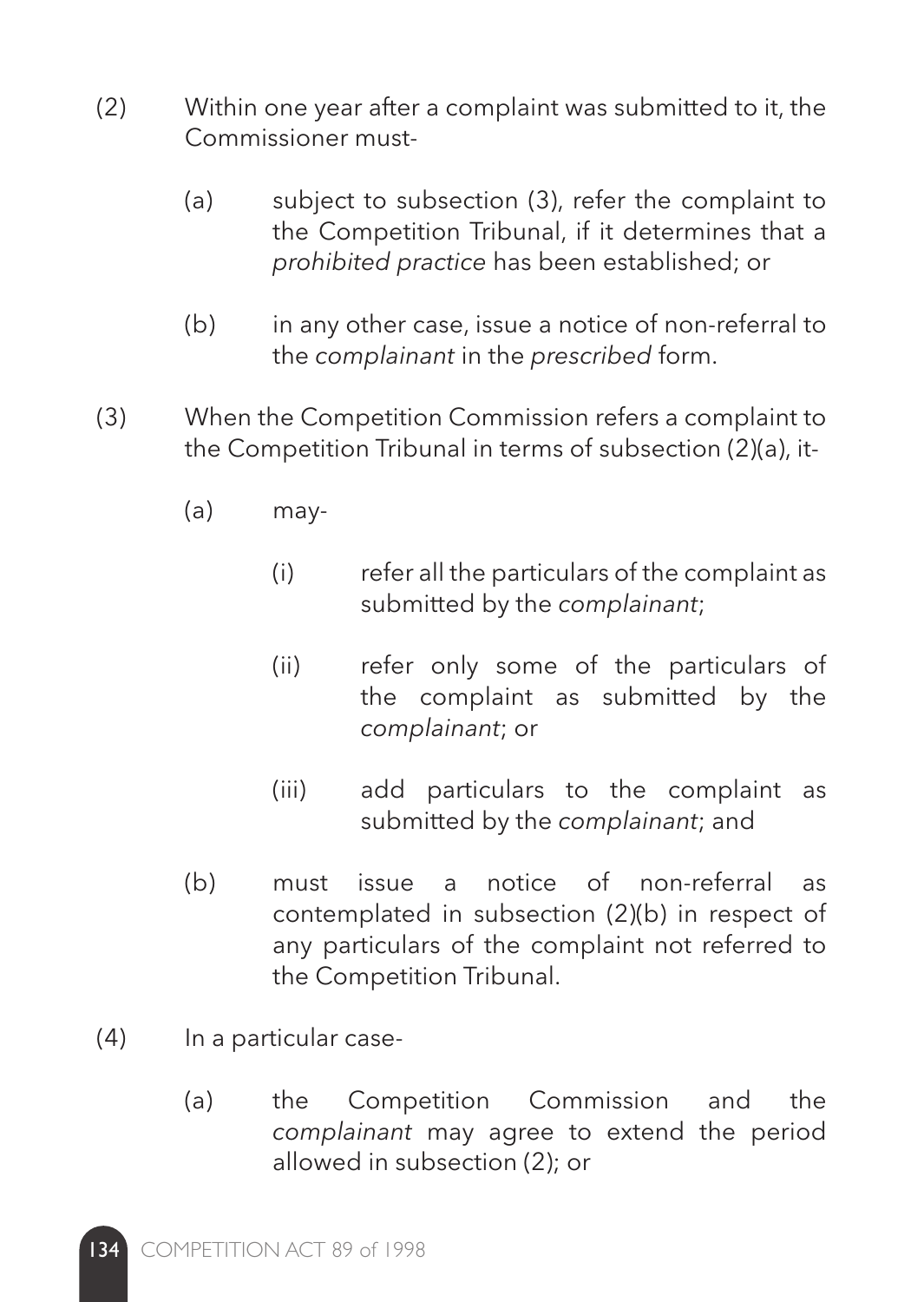- (2) Within one year after a complaint was submitted to it, the Commissioner must-
	- (a) subject to subsection (3), refer the complaint to the Competition Tribunal, if it determines that a *prohibited practice* has been established; or
	- (b) in any other case, issue a notice of non-referral to the *complainant* in the *prescribed* form.
- (3) When the Competition Commission refers a complaint to the Competition Tribunal in terms of subsection (2)(a), it-
	- (a) may-
		- (i) refer all the particulars of the complaint as submitted by the *complainant*;
		- (ii) refer only some of the particulars of the complaint as submitted by the *complainant*; or
		- (iii) add particulars to the complaint as submitted by the *complainant*; and
	- (b) must issue a notice of non-referral as contemplated in subsection (2)(b) in respect of any particulars of the complaint not referred to the Competition Tribunal.
- (4) In a particular case-
	- (a) the Competition Commission and the *complainant* may agree to extend the period allowed in subsection (2); or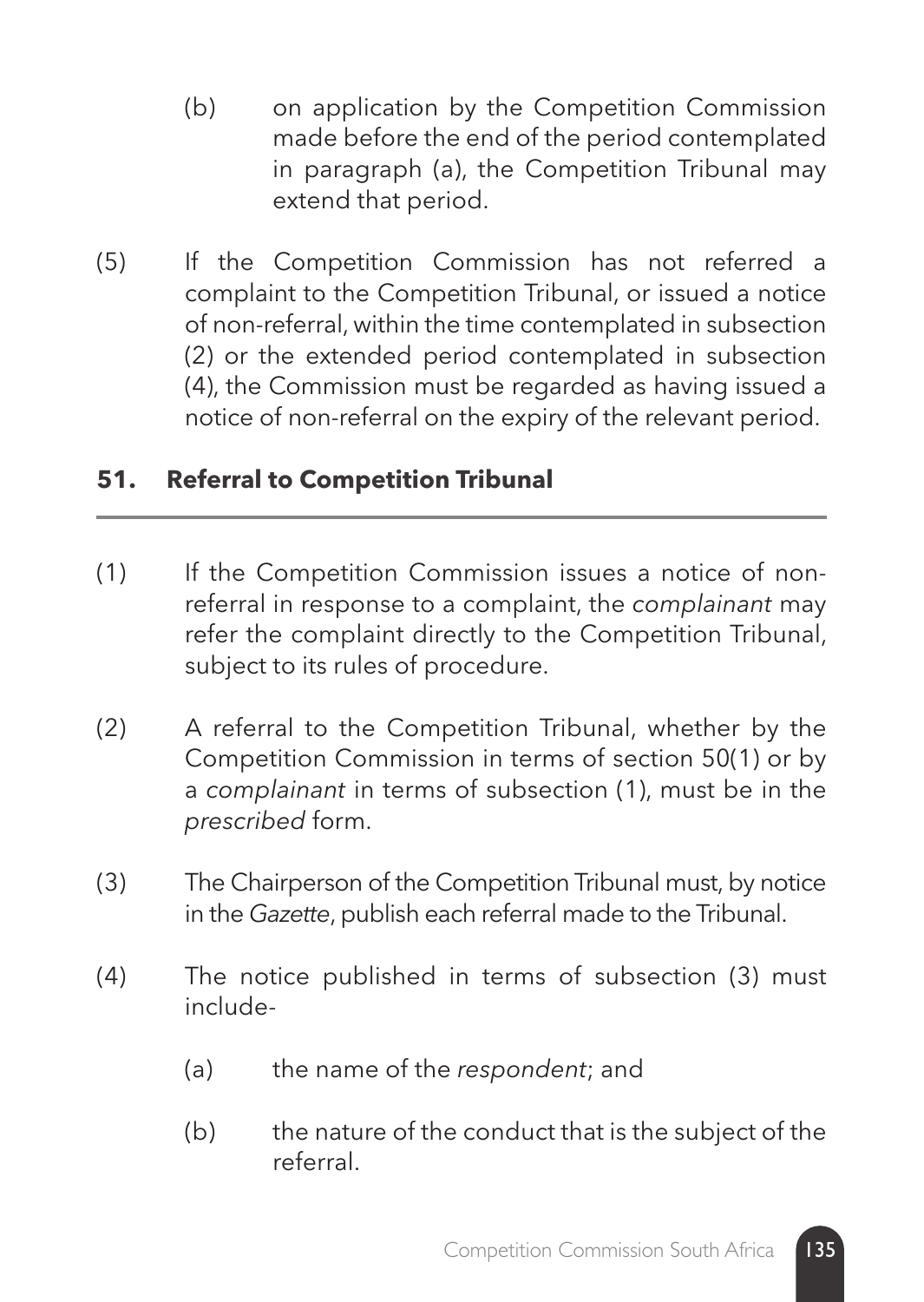- (b) on application by the Competition Commission made before the end of the period contemplated in paragraph (a), the Competition Tribunal may extend that period.
- (5) If the Competition Commission has not referred a complaint to the Competition Tribunal, or issued a notice of non-referral, within the time contemplated in subsection (2) or the extended period contemplated in subsection (4), the Commission must be regarded as having issued a notice of non-referral on the expiry of the relevant period.

## **51. Referral to Competition Tribunal**

- (1) If the Competition Commission issues a notice of nonreferral in response to a complaint, the *complainant* may refer the complaint directly to the Competition Tribunal, subject to its rules of procedure.
- (2) A referral to the Competition Tribunal, whether by the Competition Commission in terms of section 50(1) or by a *complainant* in terms of subsection (1), must be in the *prescribed* form.
- (3) The Chairperson of the Competition Tribunal must, by notice in the *Gazette*, publish each referral made to the Tribunal.
- (4) The notice published in terms of subsection (3) must include-
	- (a) the name of the *respondent*; and
	- (b) the nature of the conduct that is the subject of the referral.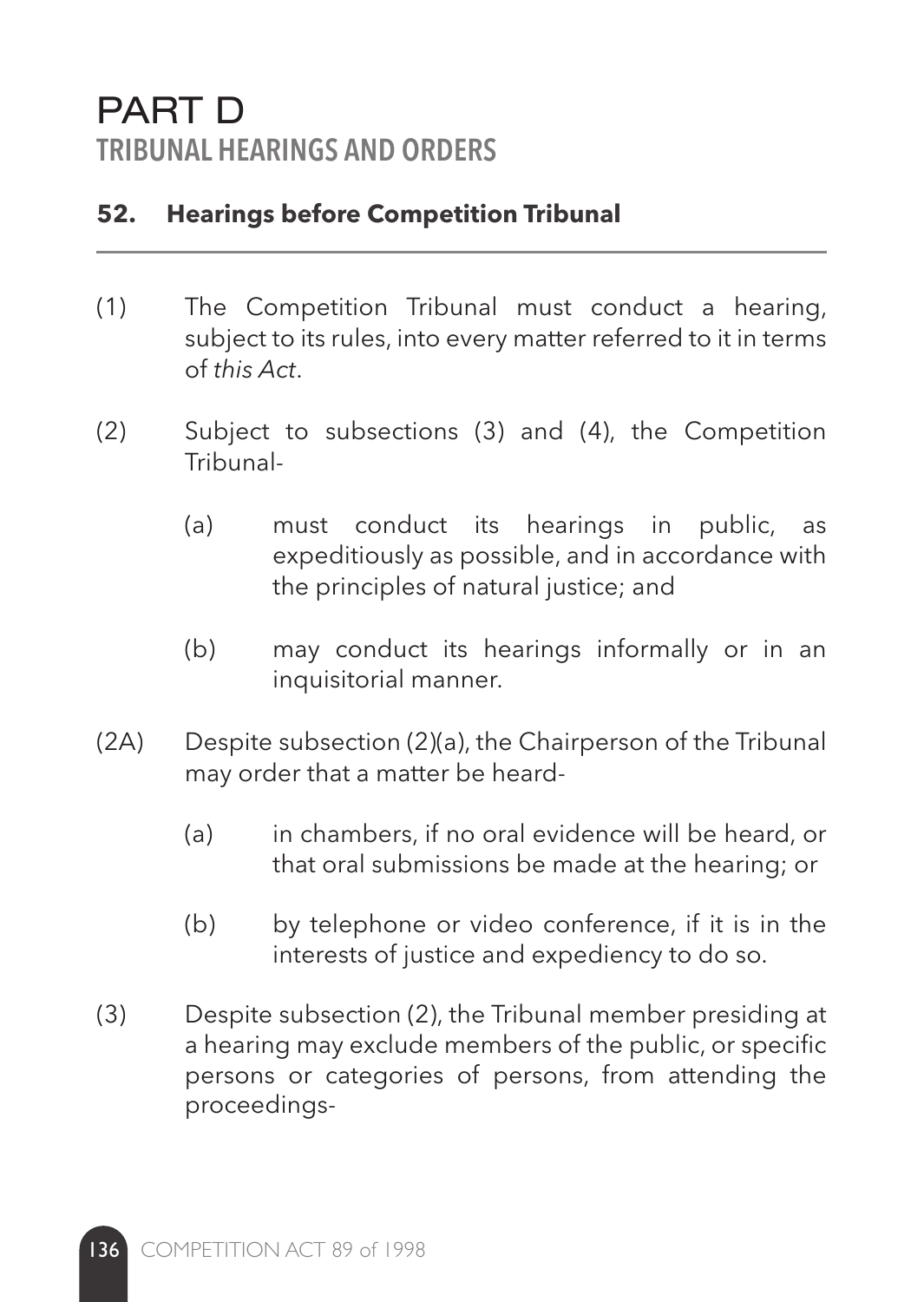## PART D TRIBUNAL HEARINGS AND ORDERS

## **52. Hearings before Competition Tribunal**

- (1) The Competition Tribunal must conduct a hearing, subject to its rules, into every matter referred to it in terms of *this Act*.
- (2) Subject to subsections (3) and (4), the Competition Tribunal-
	- (a) must conduct its hearings in public, as expeditiously as possible, and in accordance with the principles of natural justice; and
	- (b) may conduct its hearings informally or in an inquisitorial manner.
- (2A) Despite subsection (2)(a), the Chairperson of the Tribunal may order that a matter be heard-
	- (a) in chambers, if no oral evidence will be heard, or that oral submissions be made at the hearing; or
	- (b) by telephone or video conference, if it is in the interests of justice and expediency to do so.
- (3) Despite subsection (2), the Tribunal member presiding at a hearing may exclude members of the public, or specific persons or categories of persons, from attending the proceedings-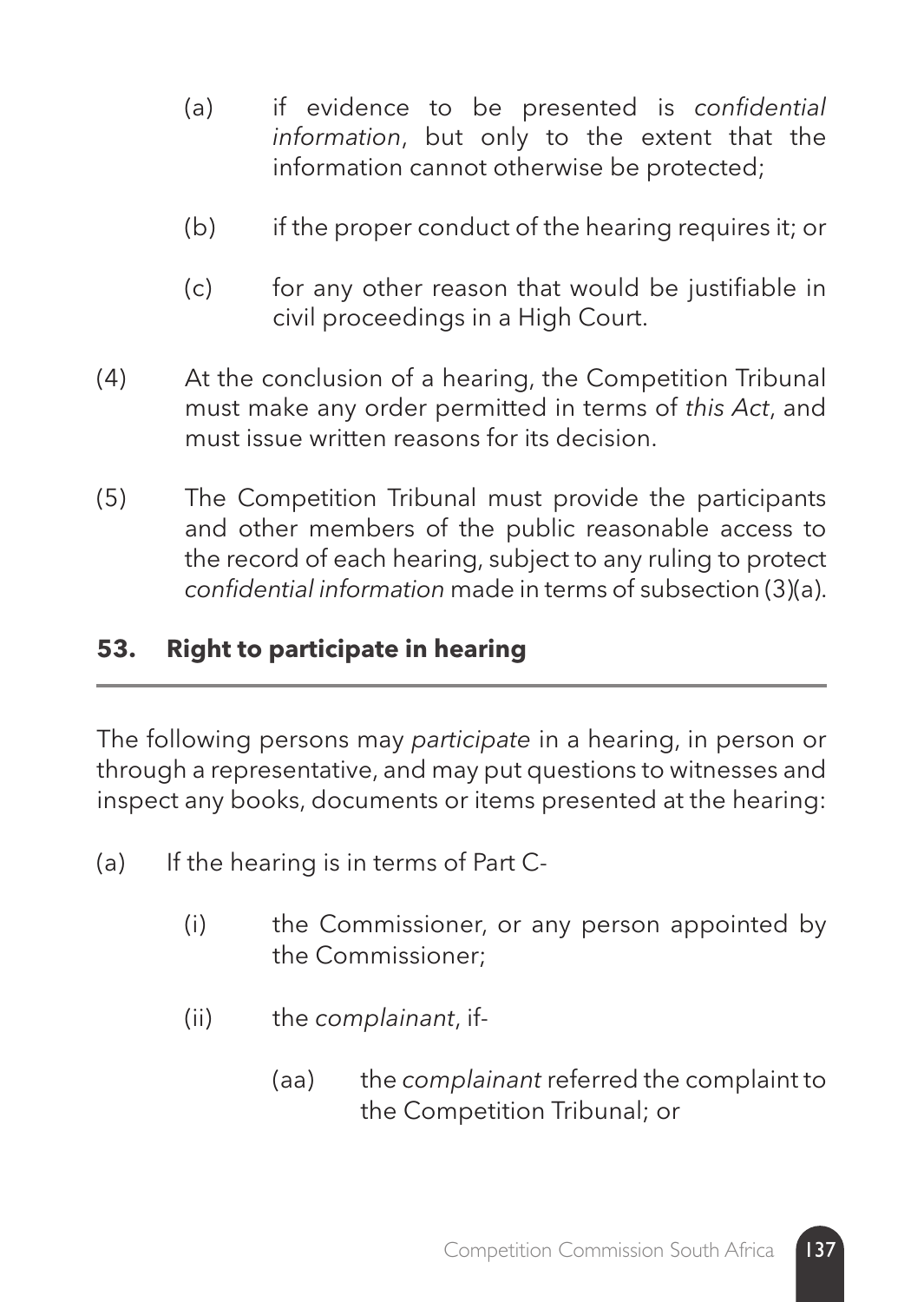- (a) if evidence to be presented is *confidential information*, but only to the extent that the information cannot otherwise be protected;
- (b) if the proper conduct of the hearing requires it; or
- (c) for any other reason that would be justifiable in civil proceedings in a High Court.
- (4) At the conclusion of a hearing, the Competition Tribunal must make any order permitted in terms of *this Act*, and must issue written reasons for its decision.
- (5) The Competition Tribunal must provide the participants and other members of the public reasonable access to the record of each hearing, subject to any ruling to protect *confidential information* made in terms of subsection (3)(a).

## **53. Right to participate in hearing**

The following persons may *participate* in a hearing, in person or through a representative, and may put questions to witnesses and inspect any books, documents or items presented at the hearing:

- (a) If the hearing is in terms of Part C-
	- (i) the Commissioner, or any person appointed by the Commissioner;
	- (ii) the *complainant*, if-
		- (aa) the *complainant* referred the complaint to the Competition Tribunal; or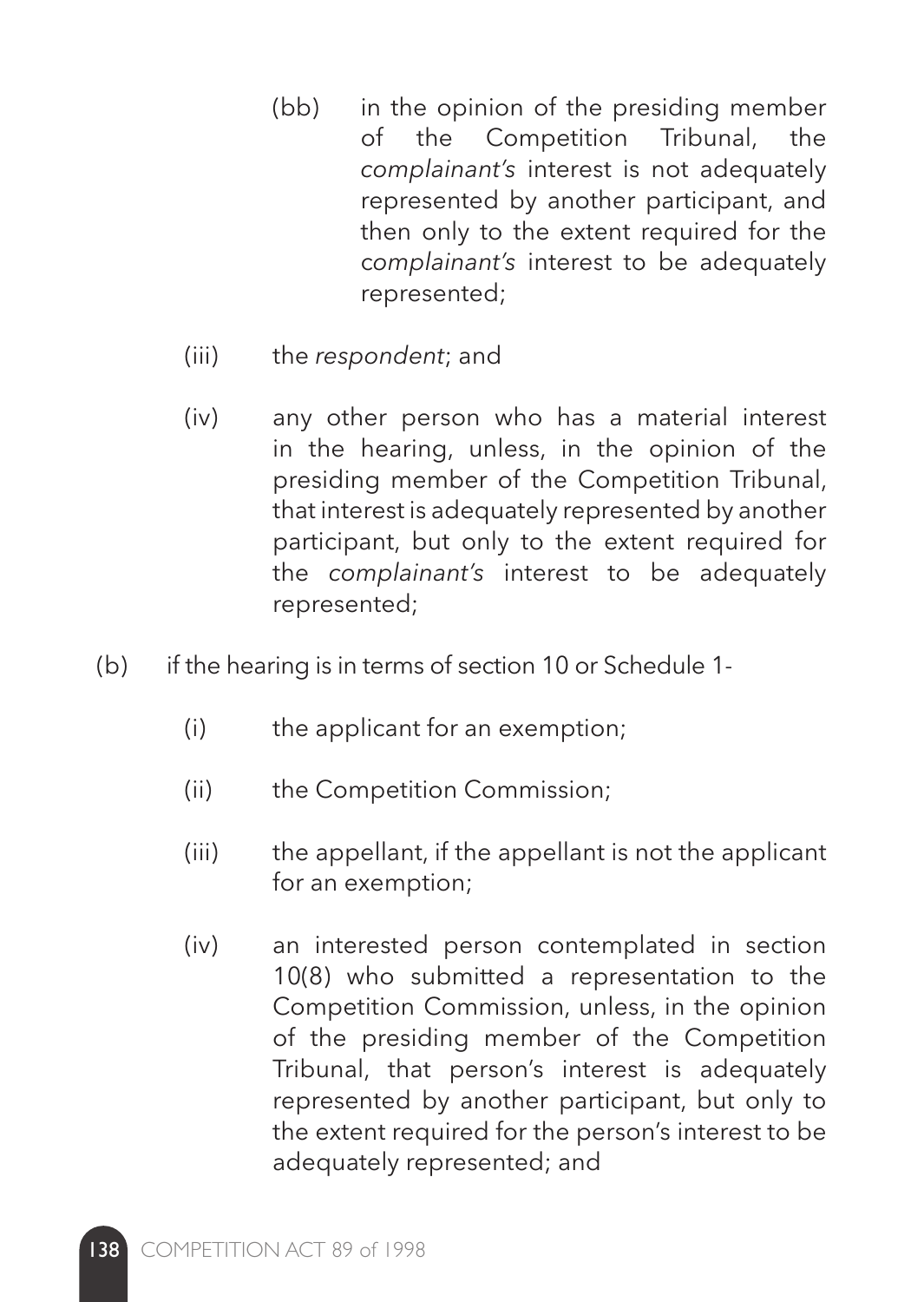- (bb) in the opinion of the presiding member of the Competition Tribunal, the *complainant's* interest is not adequately represented by another participant, and then only to the extent required for the c*omplainant's* interest to be adequately represented;
- (iii) the *respondent*; and
- (iv) any other person who has a material interest in the hearing, unless, in the opinion of the presiding member of the Competition Tribunal, that interest is adequately represented by another participant, but only to the extent required for the *complainant's* interest to be adequately represented;
- (b) if the hearing is in terms of section 10 or Schedule 1-
	- (i) the applicant for an exemption;
	- (ii) the Competition Commission;
	- (iii) the appellant, if the appellant is not the applicant for an exemption;
	- (iv) an interested person contemplated in section 10(8) who submitted a representation to the Competition Commission, unless, in the opinion of the presiding member of the Competition Tribunal, that person's interest is adequately represented by another participant, but only to the extent required for the person's interest to be adequately represented; and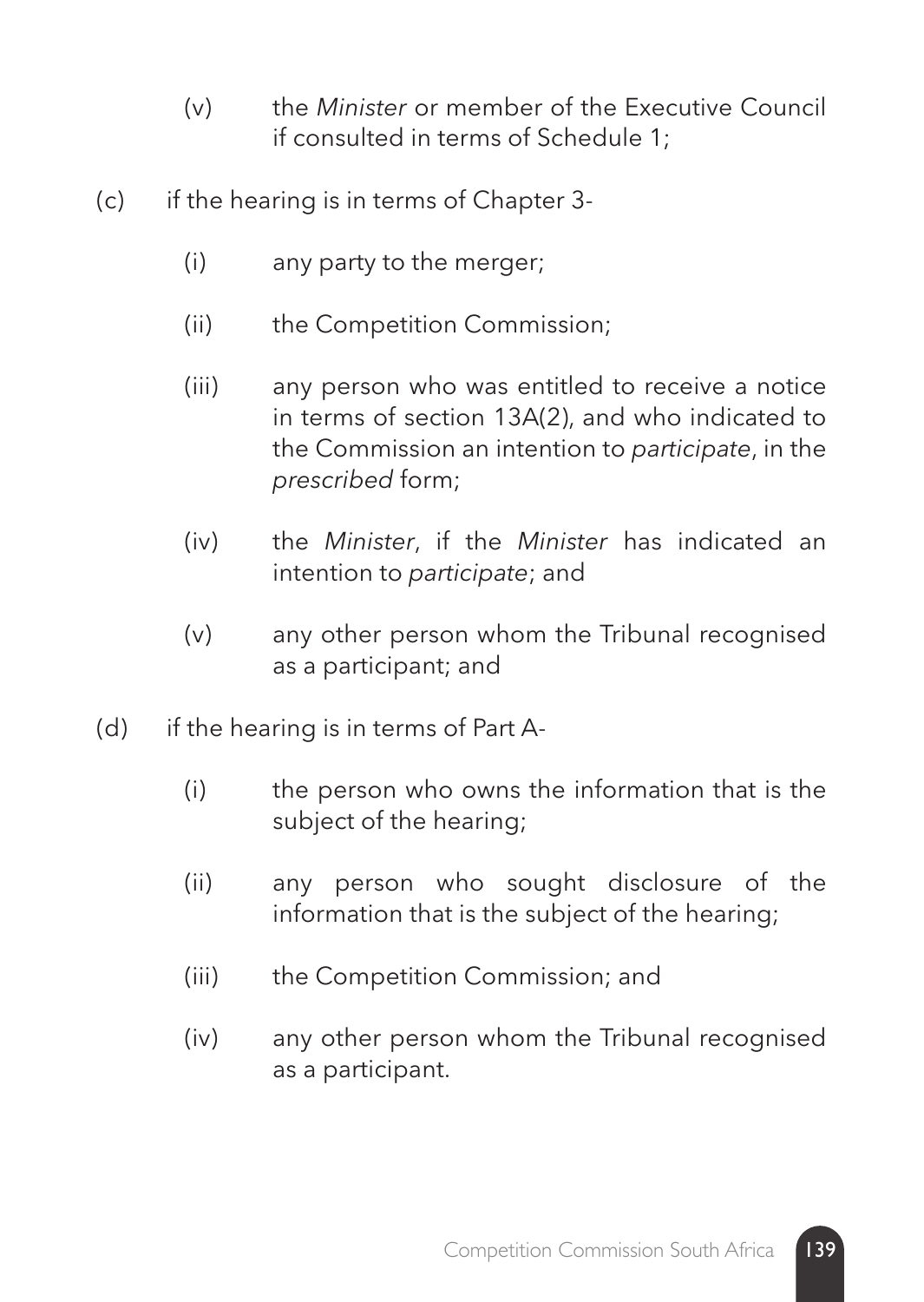- (v) the *Minister* or member of the Executive Council if consulted in terms of Schedule 1;
- (c) if the hearing is in terms of Chapter 3-
	- (i) any party to the merger;
	- (ii) the Competition Commission;
	- (iii) any person who was entitled to receive a notice in terms of section 13A(2), and who indicated to the Commission an intention to *participate*, in the *prescribed* form;
	- (iv) the *Minister*, if the *Minister* has indicated an intention to *participate*; and
	- (v) any other person whom the Tribunal recognised as a participant; and
- (d) if the hearing is in terms of Part A-
	- (i) the person who owns the information that is the subject of the hearing;
	- (ii) any person who sought disclosure of the information that is the subject of the hearing;
	- (iii) the Competition Commission; and
	- (iv) any other person whom the Tribunal recognised as a participant.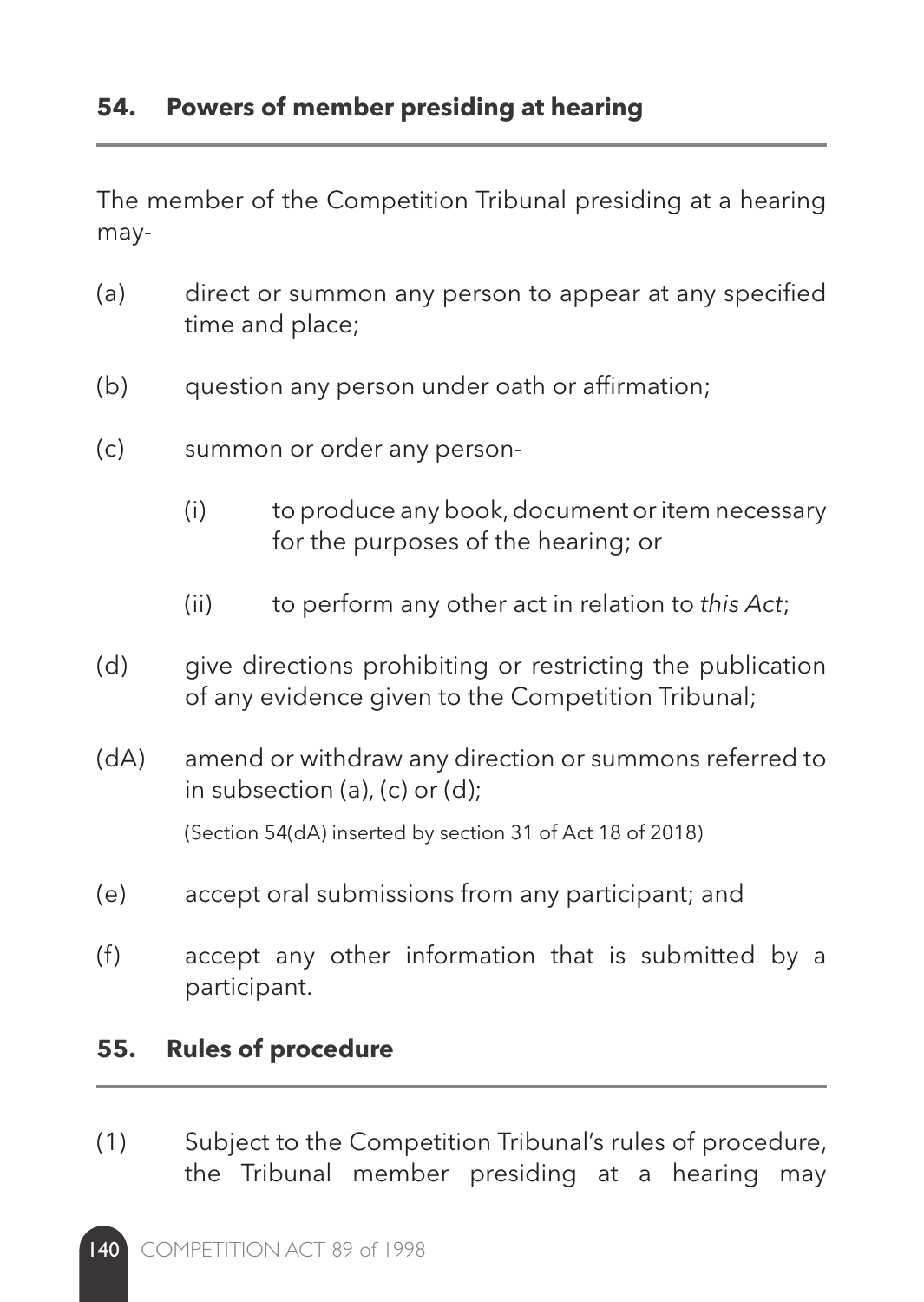The member of the Competition Tribunal presiding at a hearing may-

- (a) direct or summon any person to appear at any specified time and place;
- (b) question any person under oath or affirmation;
- (c) summon or order any person-
	- (i) to produce any book, document or item necessary for the purposes of the hearing; or
	- (ii) to perform any other act in relation to *this Act*;
- (d) give directions prohibiting or restricting the publication of any evidence given to the Competition Tribunal;
- (dA) amend or withdraw any direction or summons referred to in subsection (a), (c) or (d);

(Section 54(dA) inserted by section 31 of Act 18 of 2018)

- (e) accept oral submissions from any participant; and
- (f) accept any other information that is submitted by a participant.

## **55. Rules of procedure**

(1) Subject to the Competition Tribunal's rules of procedure, the Tribunal member presiding at a hearing may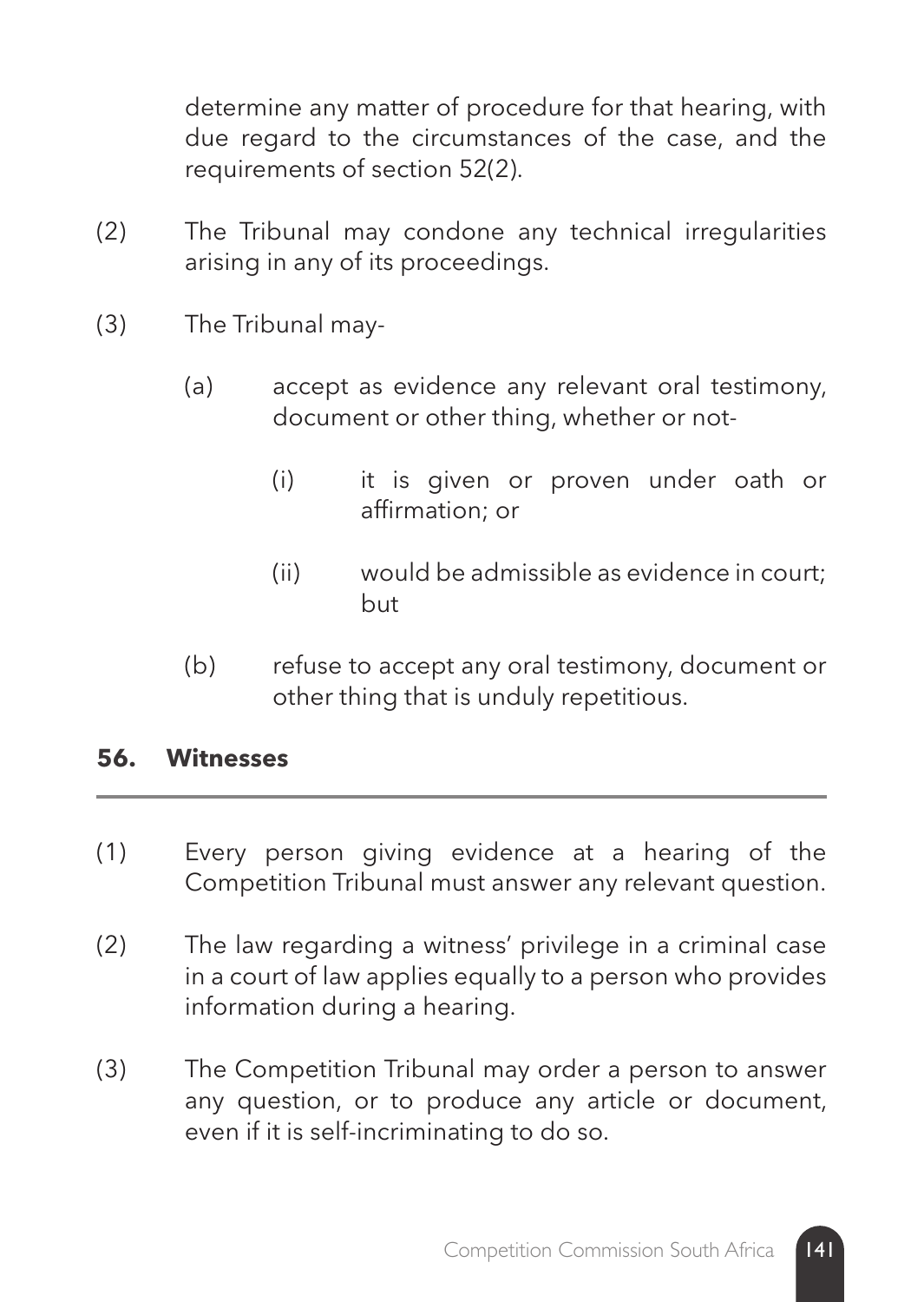determine any matter of procedure for that hearing, with due regard to the circumstances of the case, and the requirements of section 52(2).

- (2) The Tribunal may condone any technical irregularities arising in any of its proceedings.
- (3) The Tribunal may-
	- (a) accept as evidence any relevant oral testimony, document or other thing, whether or not-
		- (i) it is given or proven under oath or affirmation; or
		- (ii) would be admissible as evidence in court; but
	- (b) refuse to accept any oral testimony, document or other thing that is unduly repetitious.

### **56. Witnesses**

- (1) Every person giving evidence at a hearing of the Competition Tribunal must answer any relevant question.
- (2) The law regarding a witness' privilege in a criminal case in a court of law applies equally to a person who provides information during a hearing.
- (3) The Competition Tribunal may order a person to answer any question, or to produce any article or document, even if it is self-incriminating to do so.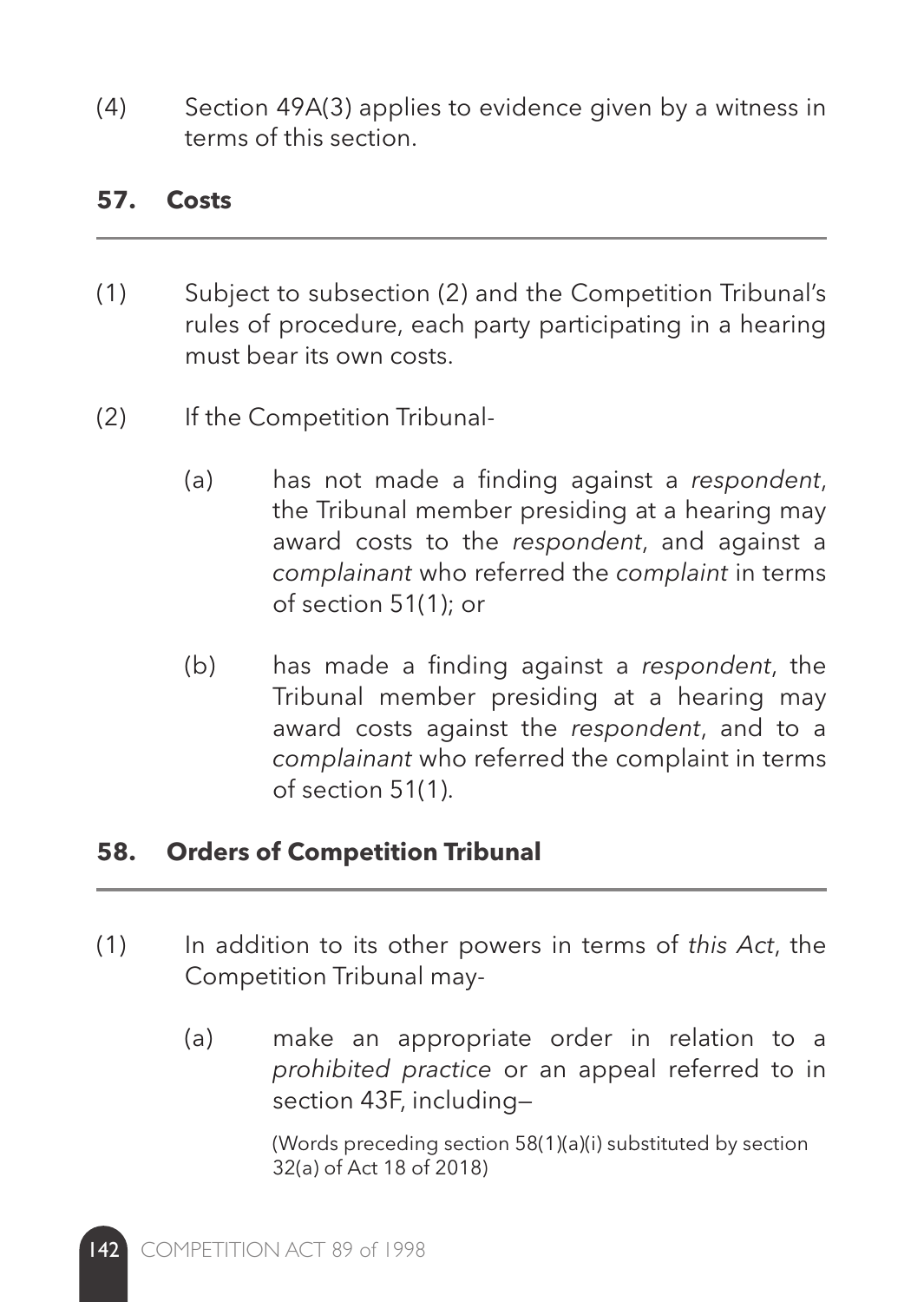(4) Section 49A(3) applies to evidence given by a witness in terms of this section.

#### **57. Costs**

- (1) Subject to subsection (2) and the Competition Tribunal's rules of procedure, each party participating in a hearing must bear its own costs.
- (2) If the Competition Tribunal-
	- (a) has not made a finding against a *respondent*, the Tribunal member presiding at a hearing may award costs to the *respondent*, and against a *complainant* who referred the *complaint* in terms of section 51(1); or
	- (b) has made a finding against a *respondent*, the Tribunal member presiding at a hearing may award costs against the *respondent*, and to a *complainant* who referred the complaint in terms of section 51(1).

### **58. Orders of Competition Tribunal**

- (1) In addition to its other powers in terms of *this Act*, the Competition Tribunal may-
	- (a) make an appropriate order in relation to a *prohibited practice* or an appeal referred to in section 43F, including—

(Words preceding section 58(1)(a)(i) substituted by section 32(a) of Act 18 of 2018)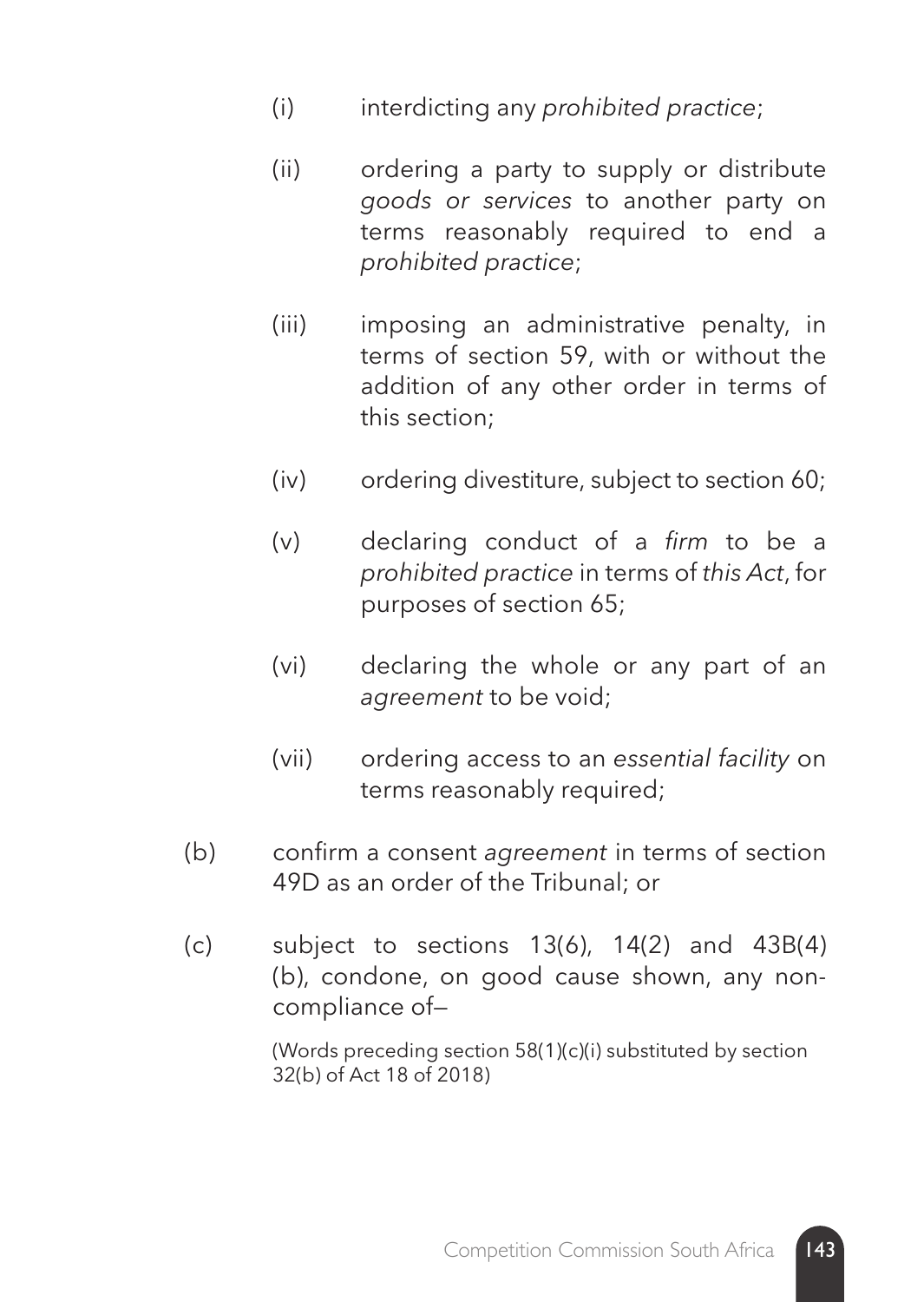- (i) interdicting any *prohibited practice*;
- (ii) ordering a party to supply or distribute *goods or services* to another party on terms reasonably required to end a *prohibited practice*;
- (iii) imposing an administrative penalty, in terms of section 59, with or without the addition of any other order in terms of this section;
- (iv) ordering divestiture, subject to section 60;
- (v) declaring conduct of a *firm* to be a *prohibited practice* in terms of *this Act*, for purposes of section 65;
- (vi) declaring the whole or any part of an *agreement* to be void;
- (vii) ordering access to an *essential facility* on terms reasonably required;
- (b) confirm a consent *agreement* in terms of section 49D as an order of the Tribunal; or
- $(c)$  subject to sections 13(6), 14(2) and 43B(4) (b), condone, on good cause shown, any noncompliance of—

(Words preceding section 58(1)(c)(i) substituted by section 32(b) of Act 18 of 2018)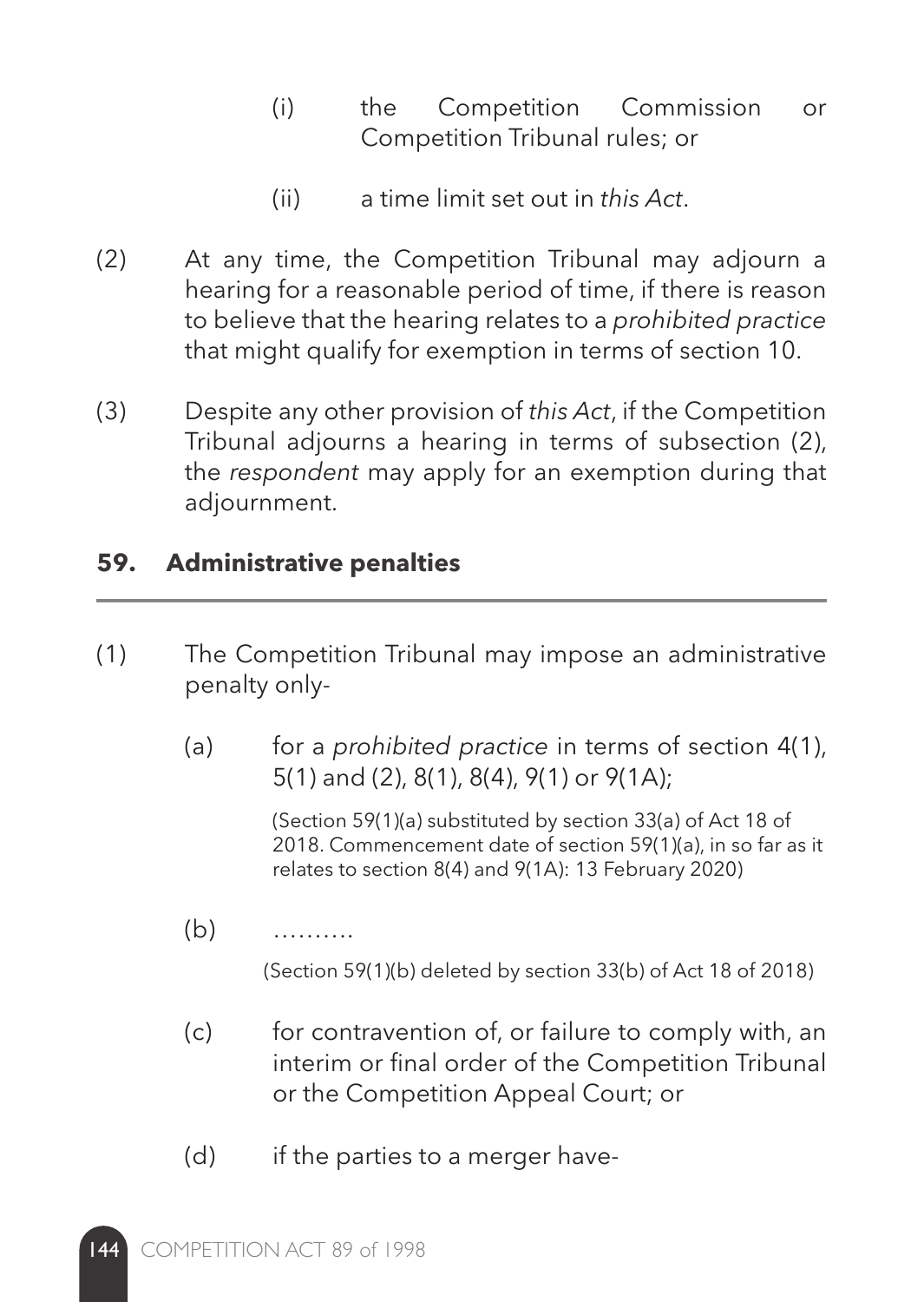- (i) the Competition Commission or Competition Tribunal rules; or
- (ii) a time limit set out in *this Act*.
- (2) At any time, the Competition Tribunal may adjourn a hearing for a reasonable period of time, if there is reason to believe that the hearing relates to a *prohibited practice* that might qualify for exemption in terms of section 10.
- (3) Despite any other provision of *this Act*, if the Competition Tribunal adjourns a hearing in terms of subsection (2), the *respondent* may apply for an exemption during that adjournment.

#### **59. Administrative penalties**

- (1) The Competition Tribunal may impose an administrative penalty only-
	- (a) for a *prohibited practice* in terms of section 4(1), 5(1) and (2), 8(1), 8(4), 9(1) or 9(1A);

(Section 59(1)(a) substituted by section 33(a) of Act 18 of 2018. Commencement date of section 59(1)(a), in so far as it relates to section 8(4) and 9(1A): 13 February 2020)

(b) ……….

(Section 59(1)(b) deleted by section 33(b) of Act 18 of 2018)

- (c) for contravention of, or failure to comply with, an interim or final order of the Competition Tribunal or the Competition Appeal Court; or
- (d) if the parties to a merger have-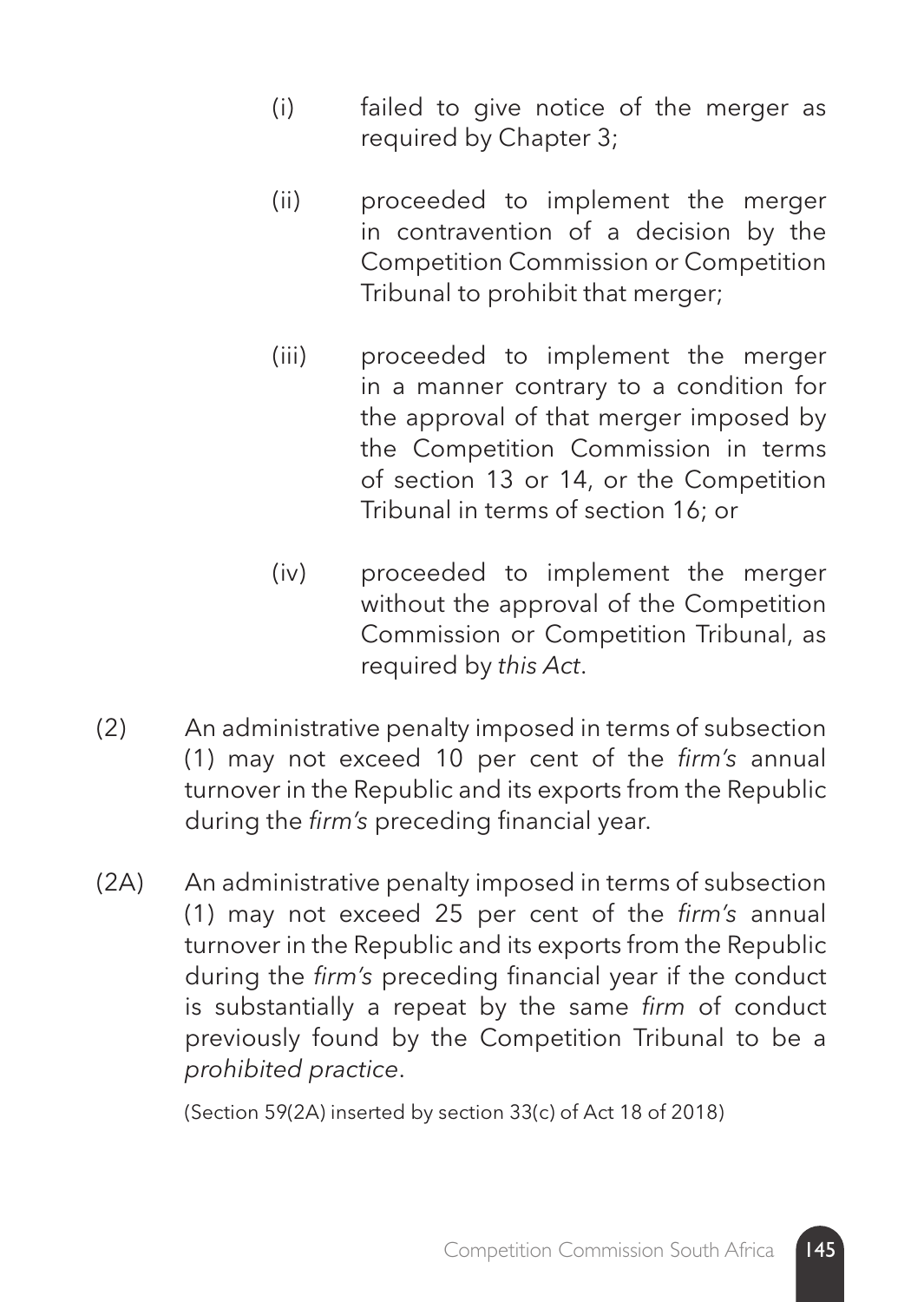- (i) failed to give notice of the merger as required by Chapter 3;
- (ii) proceeded to implement the merger in contravention of a decision by the Competition Commission or Competition Tribunal to prohibit that merger;
- (iii) proceeded to implement the merger in a manner contrary to a condition for the approval of that merger imposed by the Competition Commission in terms of section 13 or 14, or the Competition Tribunal in terms of section 16; or
- (iv) proceeded to implement the merger without the approval of the Competition Commission or Competition Tribunal, as required by *this Act*.
- (2) An administrative penalty imposed in terms of subsection (1) may not exceed 10 per cent of the *firm's* annual turnover in the Republic and its exports from the Republic during the *firm's* preceding financial year.
- (2A) An administrative penalty imposed in terms of subsection (1) may not exceed 25 per cent of the *firm's* annual turnover in the Republic and its exports from the Republic during the *firm's* preceding financial year if the conduct is substantially a repeat by the same *firm* of conduct previously found by the Competition Tribunal to be a *prohibited practice*.

(Section 59(2A) inserted by section 33(c) of Act 18 of 2018)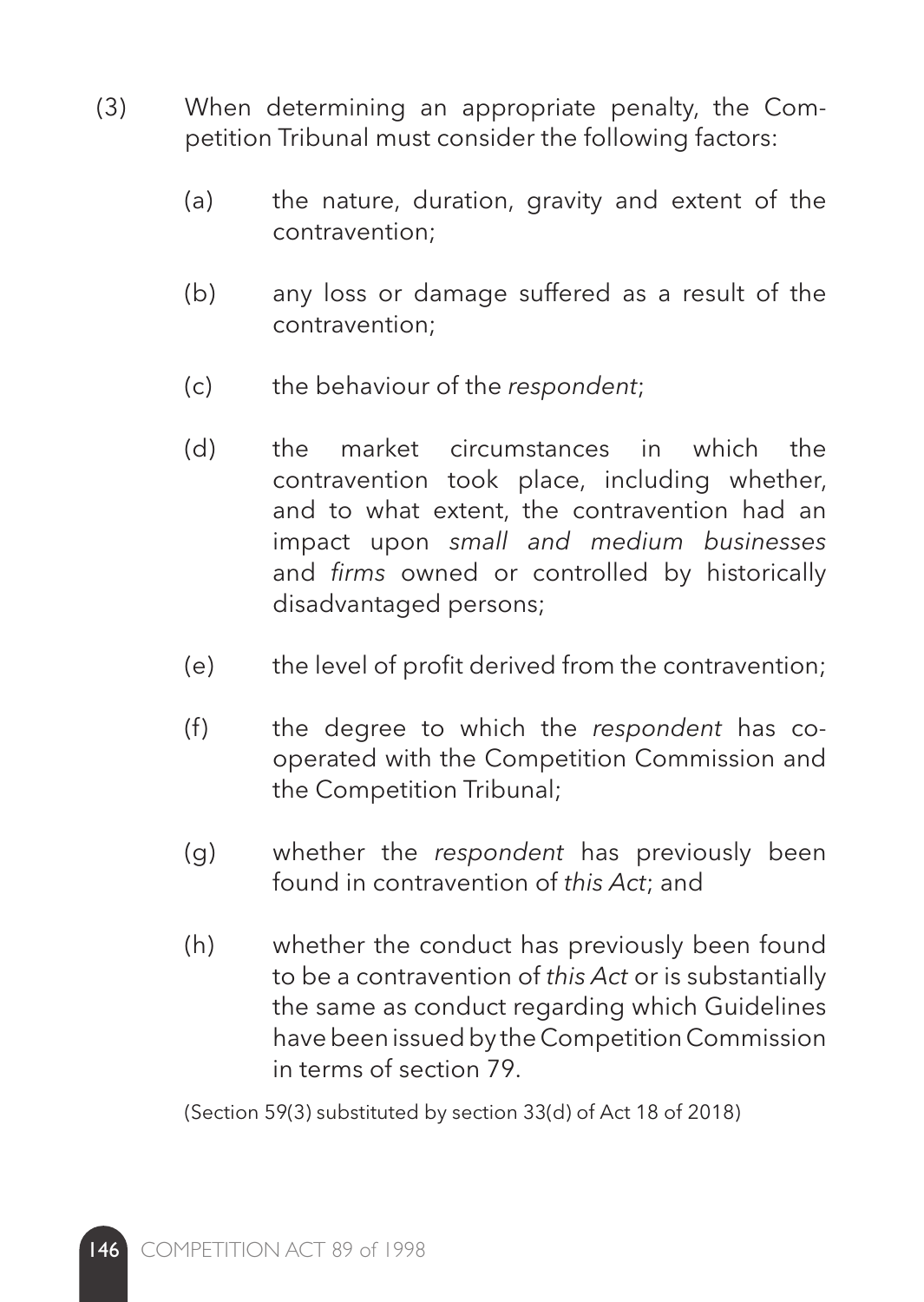- (3) When determining an appropriate penalty, the Competition Tribunal must consider the following factors:
	- (a) the nature, duration, gravity and extent of the contravention;
	- (b) any loss or damage suffered as a result of the contravention;
	- (c) the behaviour of the *respondent*;
	- (d) the market circumstances in which the contravention took place, including whether, and to what extent, the contravention had an impact upon *small and medium businesses* and *firms* owned or controlled by historically disadvantaged persons;
	- (e) the level of profit derived from the contravention;
	- (f) the degree to which the *respondent* has cooperated with the Competition Commission and the Competition Tribunal;
	- (g) whether the *respondent* has previously been found in contravention of *this Act*; and
	- (h) whether the conduct has previously been found to be a contravention of *this Act* or is substantially the same as conduct regarding which Guidelines have been issued by the Competition Commission in terms of section 79.

(Section 59(3) substituted by section 33(d) of Act 18 of 2018)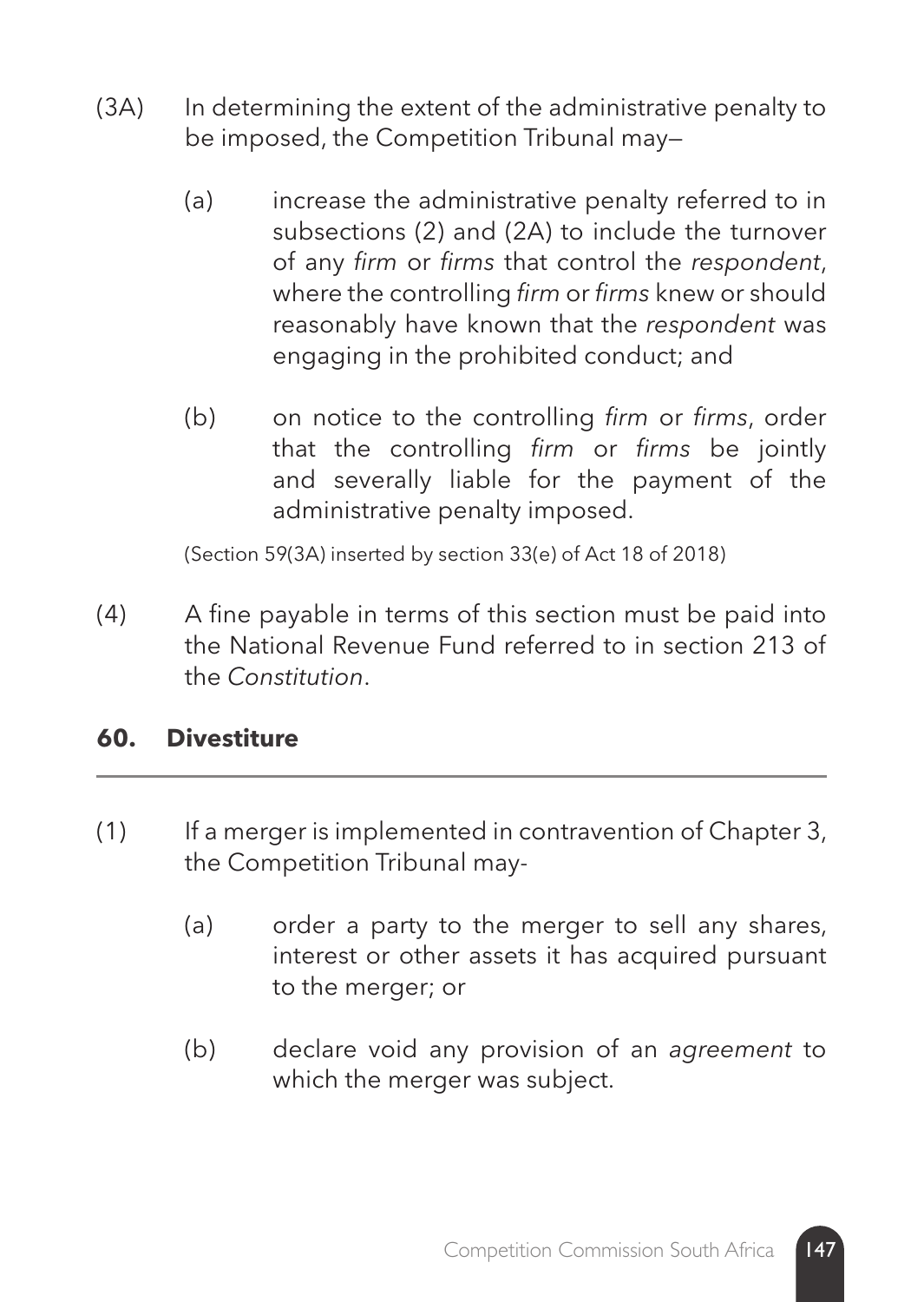- (3A) In determining the extent of the administrative penalty to be imposed, the Competition Tribunal may—
	- (a) increase the administrative penalty referred to in subsections (2) and (2A) to include the turnover of any *firm* or *firms* that control the *respondent*, where the controlling *firm* or *firms* knew or should reasonably have known that the *respondent* was engaging in the prohibited conduct; and
	- (b) on notice to the controlling *firm* or *firms*, order that the controlling *firm* or *firms* be jointly and severally liable for the payment of the administrative penalty imposed.

(Section 59(3A) inserted by section 33(e) of Act 18 of 2018)

(4) A fine payable in terms of this section must be paid into the National Revenue Fund referred to in section 213 of the *Constitution*.

#### **60. Divestiture**

- (1) If a merger is implemented in contravention of Chapter 3, the Competition Tribunal may-
	- (a) order a party to the merger to sell any shares, interest or other assets it has acquired pursuant to the merger; or
	- (b) declare void any provision of an *agreement* to which the merger was subject.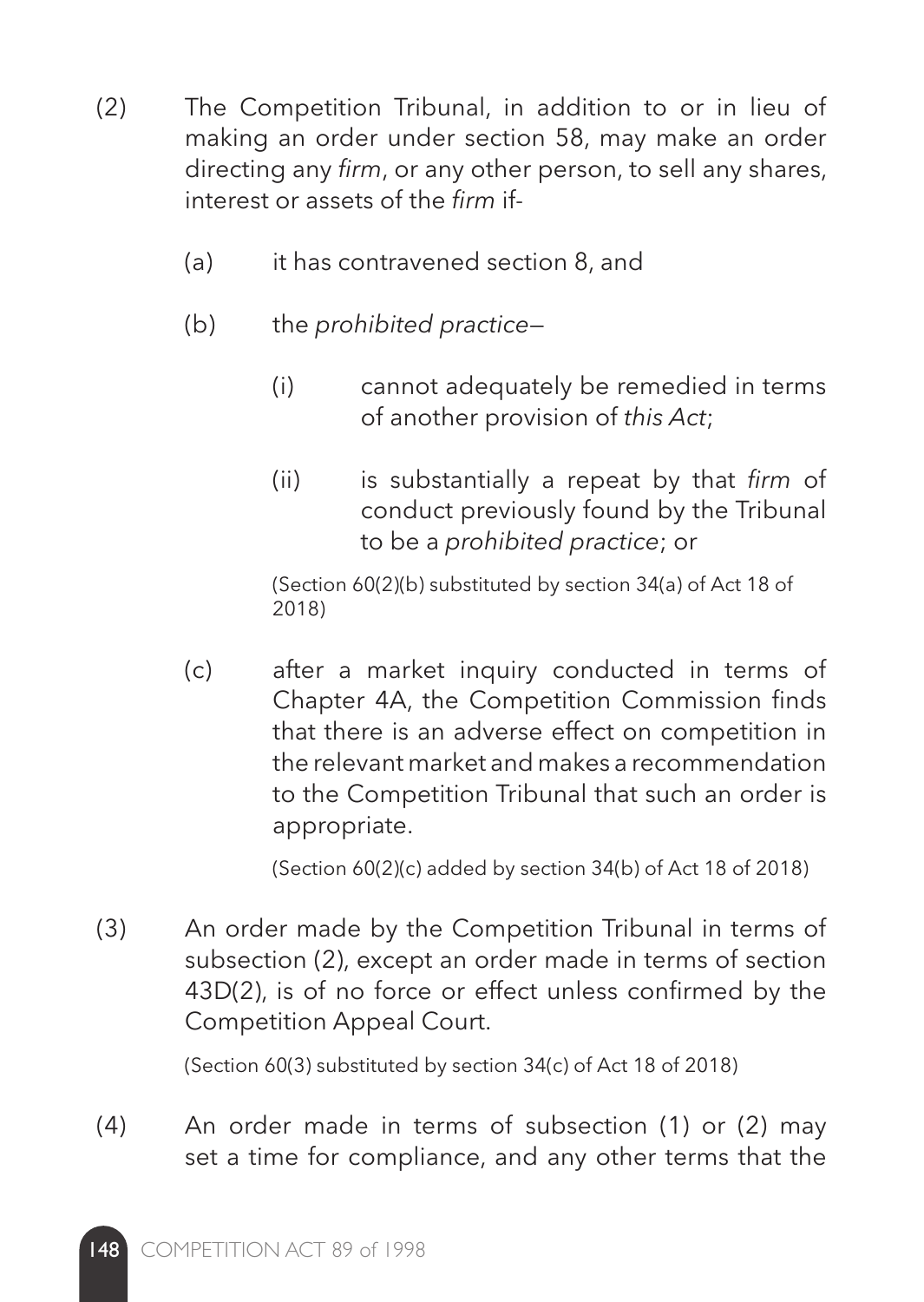- (2) The Competition Tribunal, in addition to or in lieu of making an order under section 58, may make an order directing any *firm*, or any other person, to sell any shares, interest or assets of the *firm* if-
	- (a) it has contravened section 8, and
	- (b) the *prohibited practice*
		- (i) cannot adequately be remedied in terms of another provision of *this Act*;
		- (ii) is substantially a repeat by that *firm* of conduct previously found by the Tribunal to be a *prohibited practice*; or

(Section 60(2)(b) substituted by section 34(a) of Act 18 of 2018)

(c) after a market inquiry conducted in terms of Chapter 4A, the Competition Commission finds that there is an adverse effect on competition in the relevant market and makes a recommendation to the Competition Tribunal that such an order is appropriate.

(Section 60(2)(c) added by section 34(b) of Act 18 of 2018)

(3) An order made by the Competition Tribunal in terms of subsection (2), except an order made in terms of section 43D(2), is of no force or effect unless confirmed by the Competition Appeal Court.

(Section 60(3) substituted by section 34(c) of Act 18 of 2018)

(4) An order made in terms of subsection (1) or (2) may set a time for compliance, and any other terms that the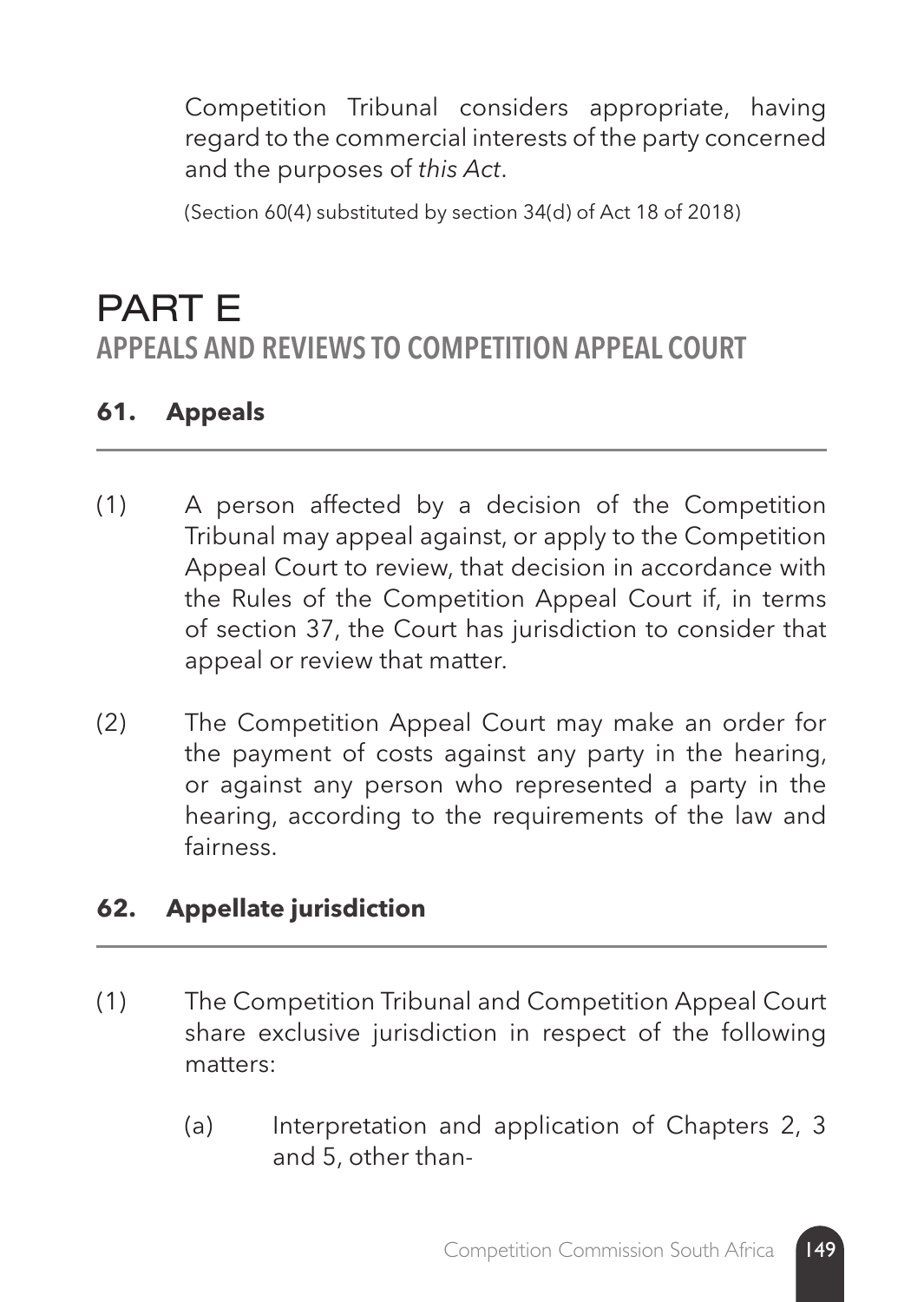Competition Tribunal considers appropriate, having regard to the commercial interests of the party concerned and the purposes of *this Act*.

(Section 60(4) substituted by section 34(d) of Act 18 of 2018)

## PART E APPEALS AND REVIEWS TO COMPETITION APPEAL COURT

### **61. Appeals**

- (1) A person affected by a decision of the Competition Tribunal may appeal against, or apply to the Competition Appeal Court to review, that decision in accordance with the Rules of the Competition Appeal Court if, in terms of section 37, the Court has jurisdiction to consider that appeal or review that matter.
- (2) The Competition Appeal Court may make an order for the payment of costs against any party in the hearing, or against any person who represented a party in the hearing, according to the requirements of the law and fairness.

### **62. Appellate jurisdiction**

- (1) The Competition Tribunal and Competition Appeal Court share exclusive jurisdiction in respect of the following matters:
	- (a) Interpretation and application of Chapters 2, 3 and 5, other than-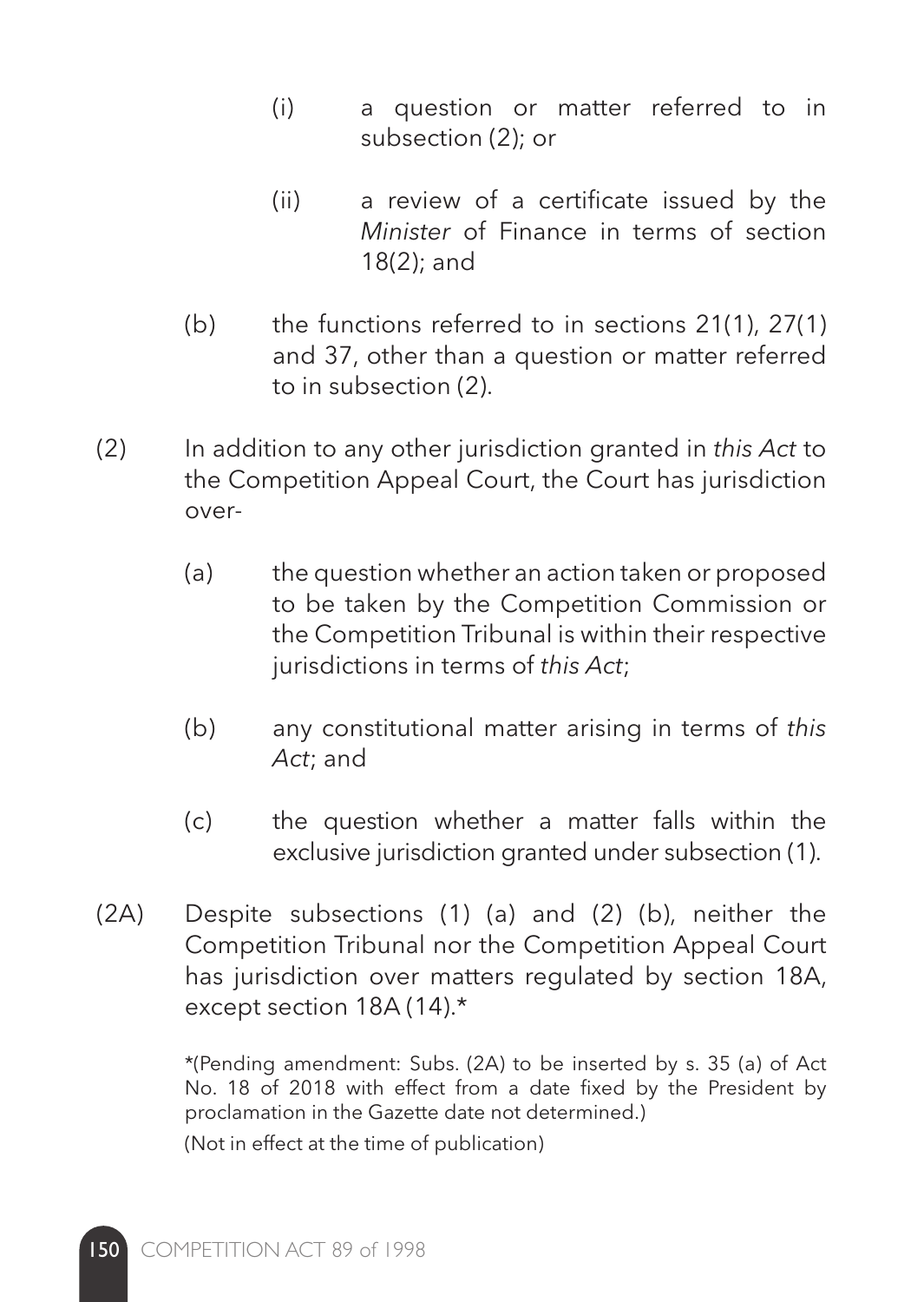- (i) a question or matter referred to in subsection (2); or
- (ii) a review of a certificate issued by the *Minister* of Finance in terms of section 18(2); and
- (b) the functions referred to in sections 21(1), 27(1) and 37, other than a question or matter referred to in subsection (2).
- (2) In addition to any other jurisdiction granted in *this Act* to the Competition Appeal Court, the Court has jurisdiction over-
	- (a) the question whether an action taken or proposed to be taken by the Competition Commission or the Competition Tribunal is within their respective jurisdictions in terms of *this Act*;
	- (b) any constitutional matter arising in terms of *this Act*; and
	- (c) the question whether a matter falls within the exclusive jurisdiction granted under subsection (1).
- (2A) Despite subsections (1) (a) and (2) (b), neither the Competition Tribunal nor the Competition Appeal Court has jurisdiction over matters regulated by section 18A, except section 18A (14).\*

\*(Pending amendment: Subs. (2A) to be inserted by s. 35 (a) of Act No. 18 of 2018 with effect from a date fixed by the President by proclamation in the Gazette date not determined.)

(Not in effect at the time of publication)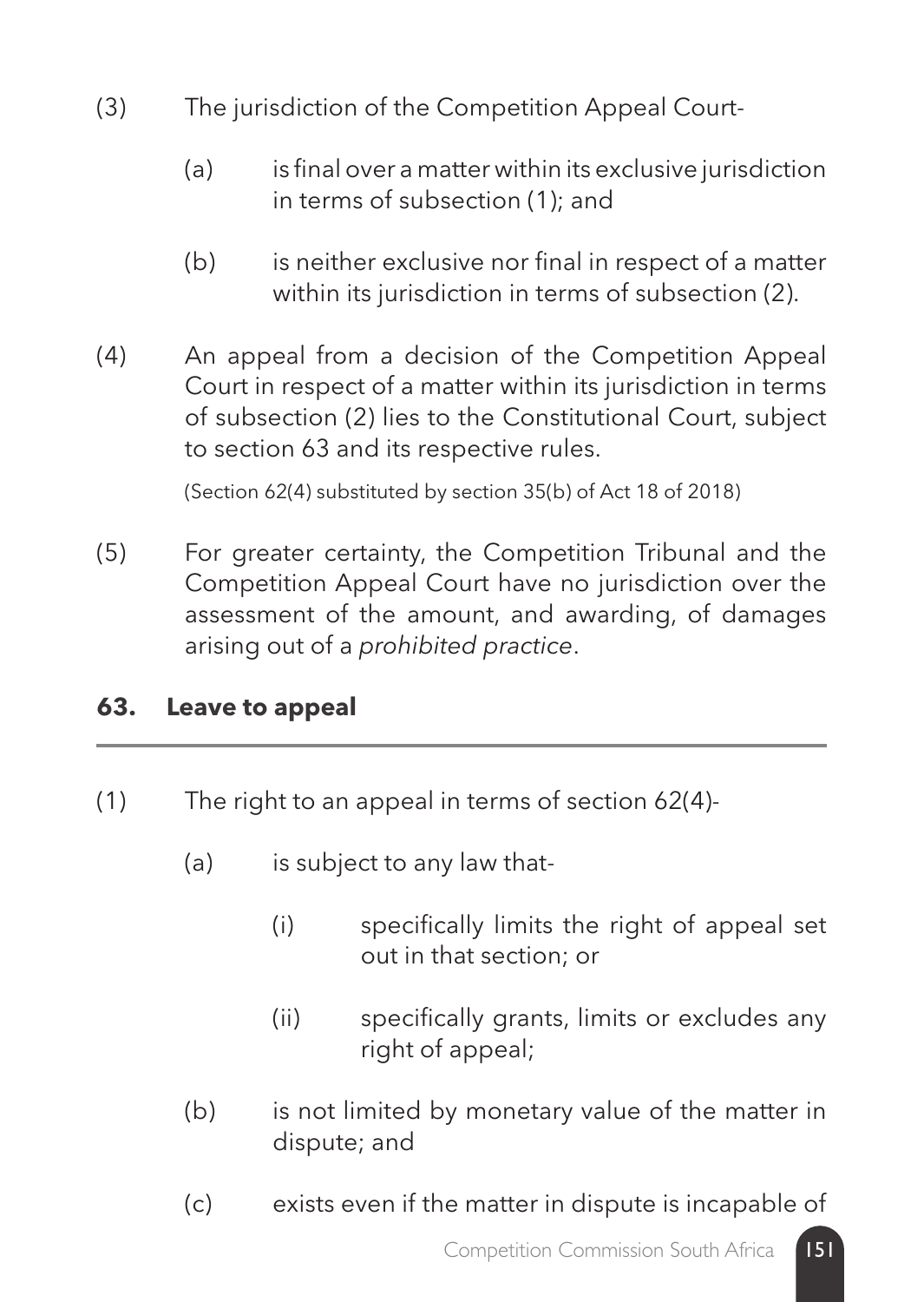- (3) The jurisdiction of the Competition Appeal Court-
	- (a) is final over a matter within its exclusive jurisdiction in terms of subsection (1); and
	- (b) is neither exclusive nor final in respect of a matter within its jurisdiction in terms of subsection (2).
- (4) An appeal from a decision of the Competition Appeal Court in respect of a matter within its jurisdiction in terms of subsection (2) lies to the Constitutional Court, subject to section 63 and its respective rules.

(Section 62(4) substituted by section 35(b) of Act 18 of 2018)

(5) For greater certainty, the Competition Tribunal and the Competition Appeal Court have no jurisdiction over the assessment of the amount, and awarding, of damages arising out of a *prohibited practice*.

#### **63. Leave to appeal**

- (1) The right to an appeal in terms of section 62(4)-
	- (a) is subject to any law that-
		- (i) specifically limits the right of appeal set out in that section; or
		- (ii) specifically grants, limits or excludes any right of appeal;
	- (b) is not limited by monetary value of the matter in dispute; and
	- (c) exists even if the matter in dispute is incapable of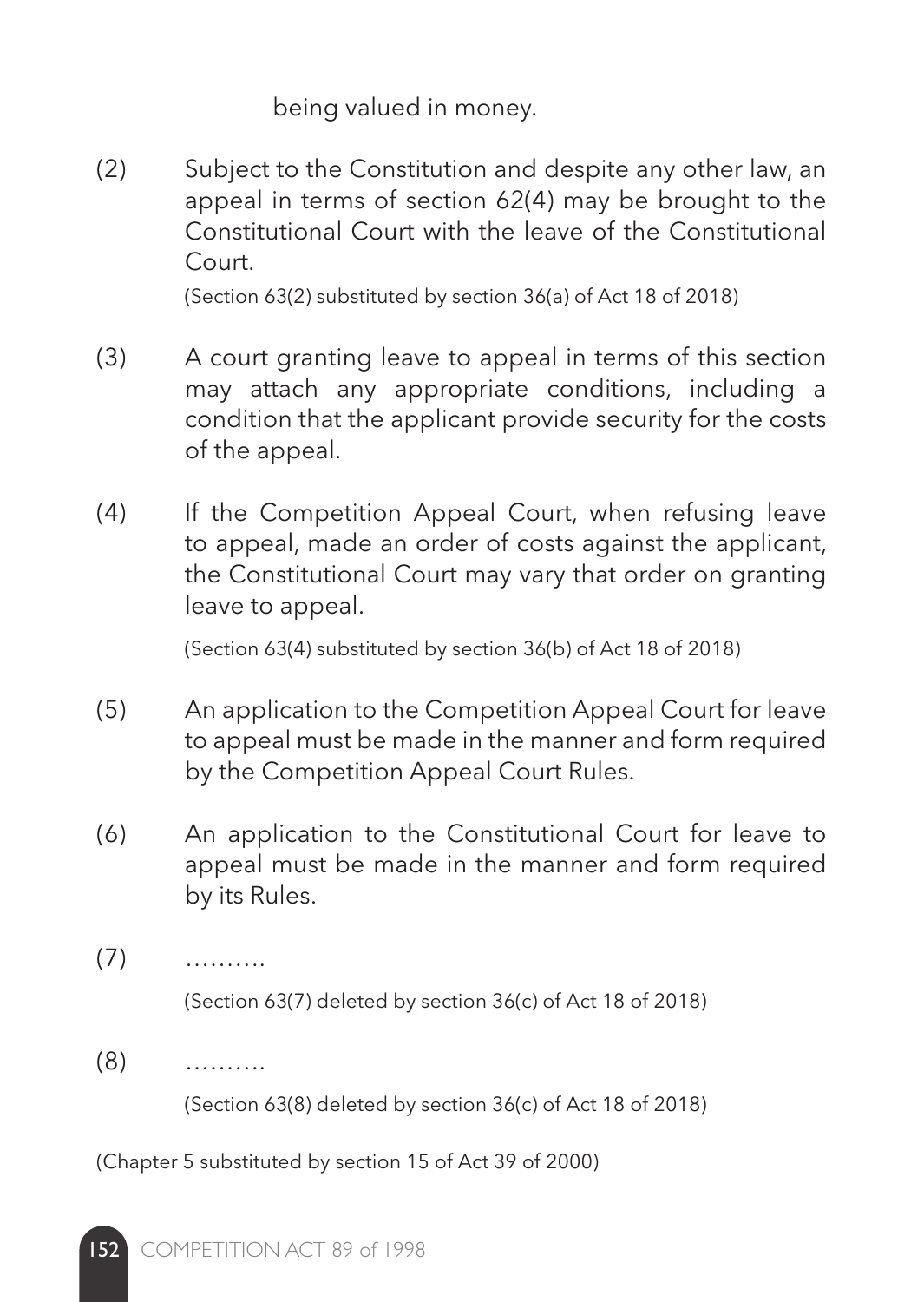being valued in money.

(2) Subject to the Constitution and despite any other law, an appeal in terms of section 62(4) may be brought to the Constitutional Court with the leave of the Constitutional Court.

(Section 63(2) substituted by section 36(a) of Act 18 of 2018)

- (3) A court granting leave to appeal in terms of this section may attach any appropriate conditions, including a condition that the applicant provide security for the costs of the appeal.
- (4) If the Competition Appeal Court, when refusing leave to appeal, made an order of costs against the applicant, the Constitutional Court may vary that order on granting leave to appeal.

(Section 63(4) substituted by section 36(b) of Act 18 of 2018)

- (5) An application to the Competition Appeal Court for leave to appeal must be made in the manner and form required by the Competition Appeal Court Rules.
- (6) An application to the Constitutional Court for leave to appeal must be made in the manner and form required by its Rules.
- (7) ……….

(Section 63(7) deleted by section 36(c) of Act 18 of 2018)

(8) ……….

(Section 63(8) deleted by section 36(c) of Act 18 of 2018)

(Chapter 5 substituted by section 15 of Act 39 of 2000)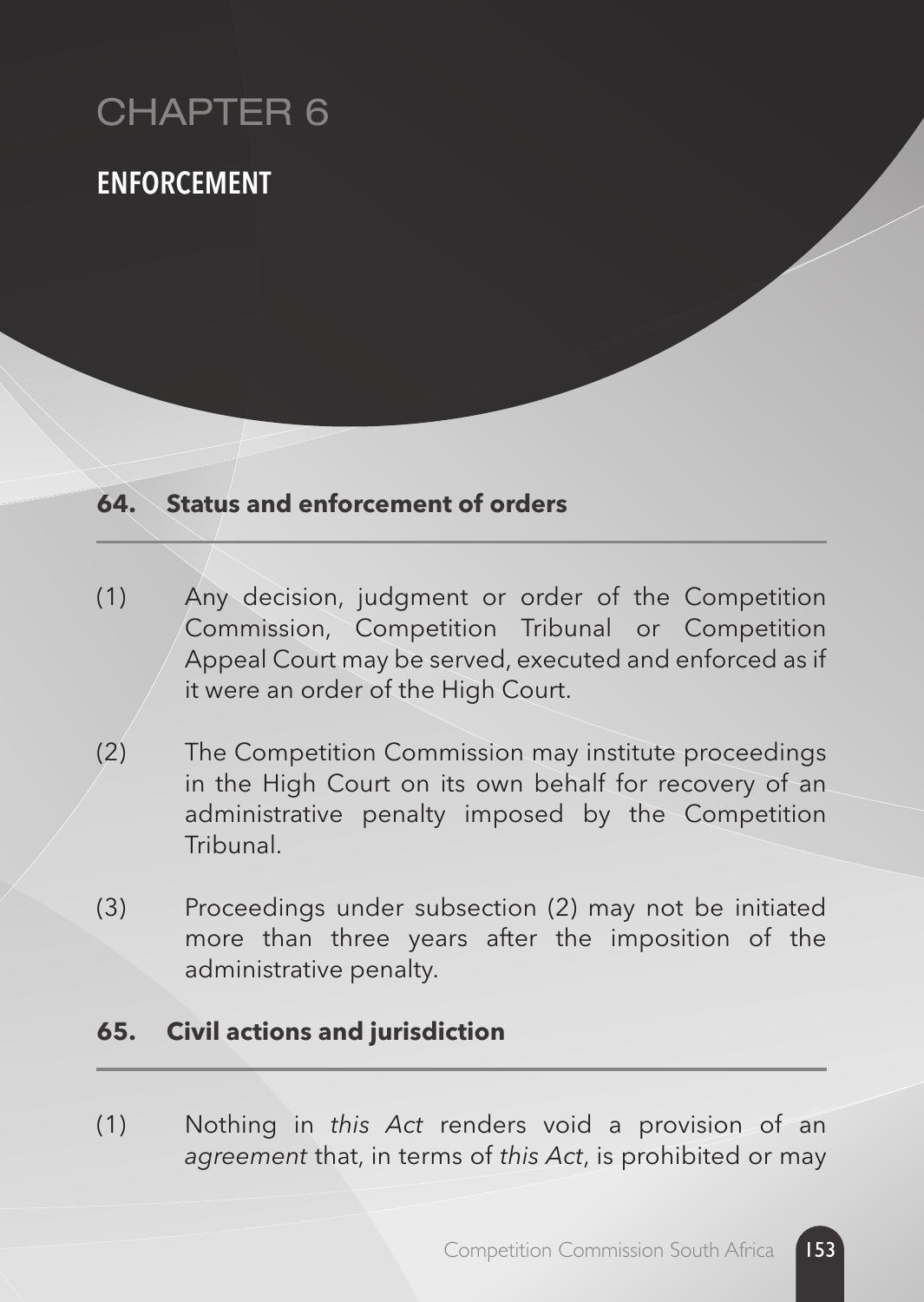# CHAPTER 6

### ENFORCEMENT

#### **64. Status and enforcement of orders**

- (1) Any decision, judgment or order of the Competition Commission, Competition Tribunal or Competition Appeal Court may be served, executed and enforced as if it were an order of the High Court.
- (2) The Competition Commission may institute proceedings in the High Court on its own behalf for recovery of an administrative penalty imposed by the Competition Tribunal.
- (3) Proceedings under subsection (2) may not be initiated more than three years after the imposition of the administrative penalty.

#### **65. Civil actions and jurisdiction**

(1) Nothing in *this Act* renders void a provision of an *agreement* that, in terms of *this Act*, is prohibited or may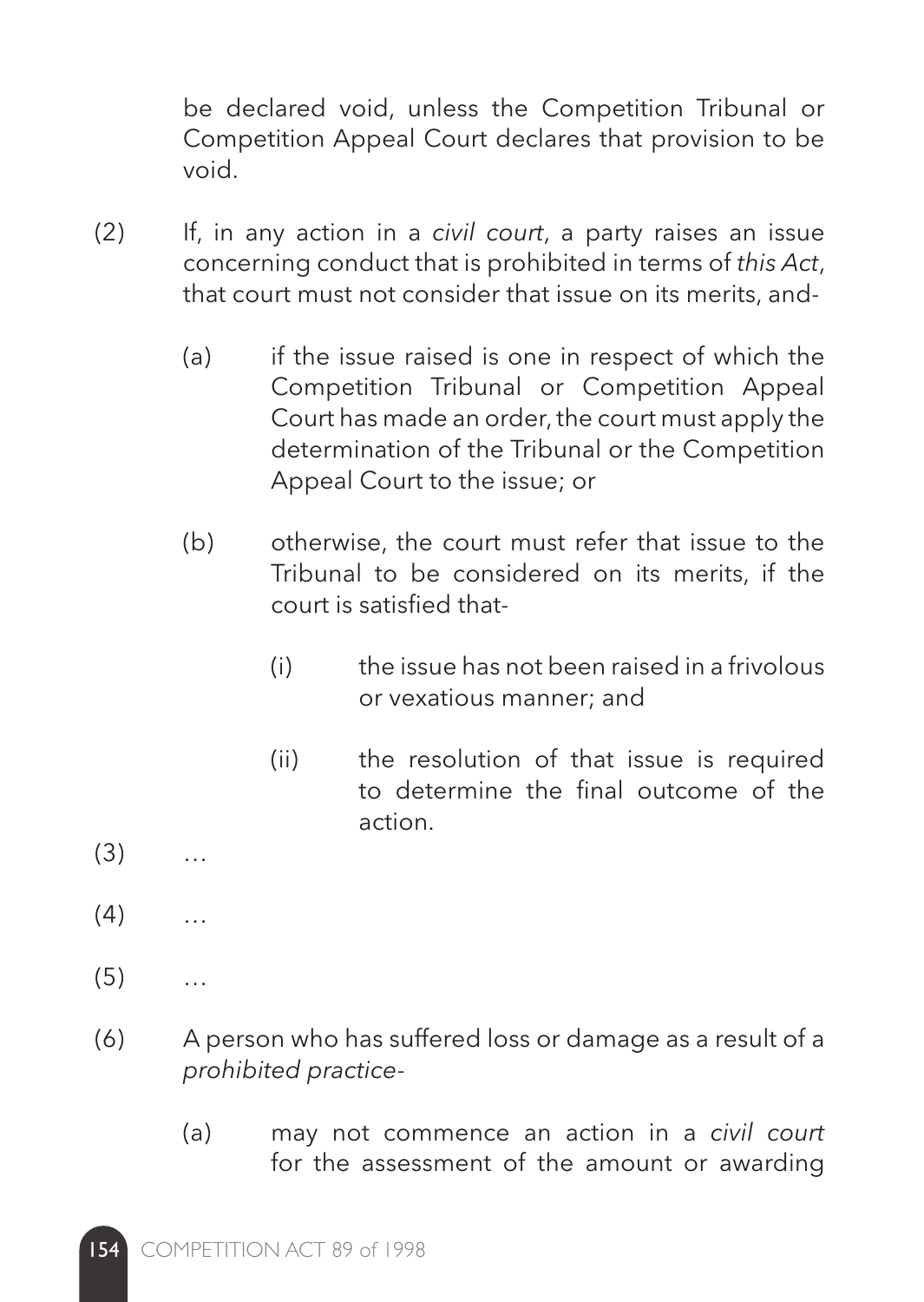be declared void, unless the Competition Tribunal or Competition Appeal Court declares that provision to be void.

- (2) If, in any action in a *civil court*, a party raises an issue concerning conduct that is prohibited in terms of *this Act*, that court must not consider that issue on its merits, and-
	- (a) if the issue raised is one in respect of which the Competition Tribunal or Competition Appeal Court has made an order, the court must apply the determination of the Tribunal or the Competition Appeal Court to the issue; or
	- (b) otherwise, the court must refer that issue to the Tribunal to be considered on its merits, if the court is satisfied that-
		- (i) the issue has not been raised in a frivolous or vexatious manner; and
		- (ii) the resolution of that issue is required to determine the final outcome of the action.
- $(3)$  …
- $(4)$  …
- (5) …
- (6) A person who has suffered loss or damage as a result of a *prohibited practice*-
	- (a) may not commence an action in a *civil court* for the assessment of the amount or awarding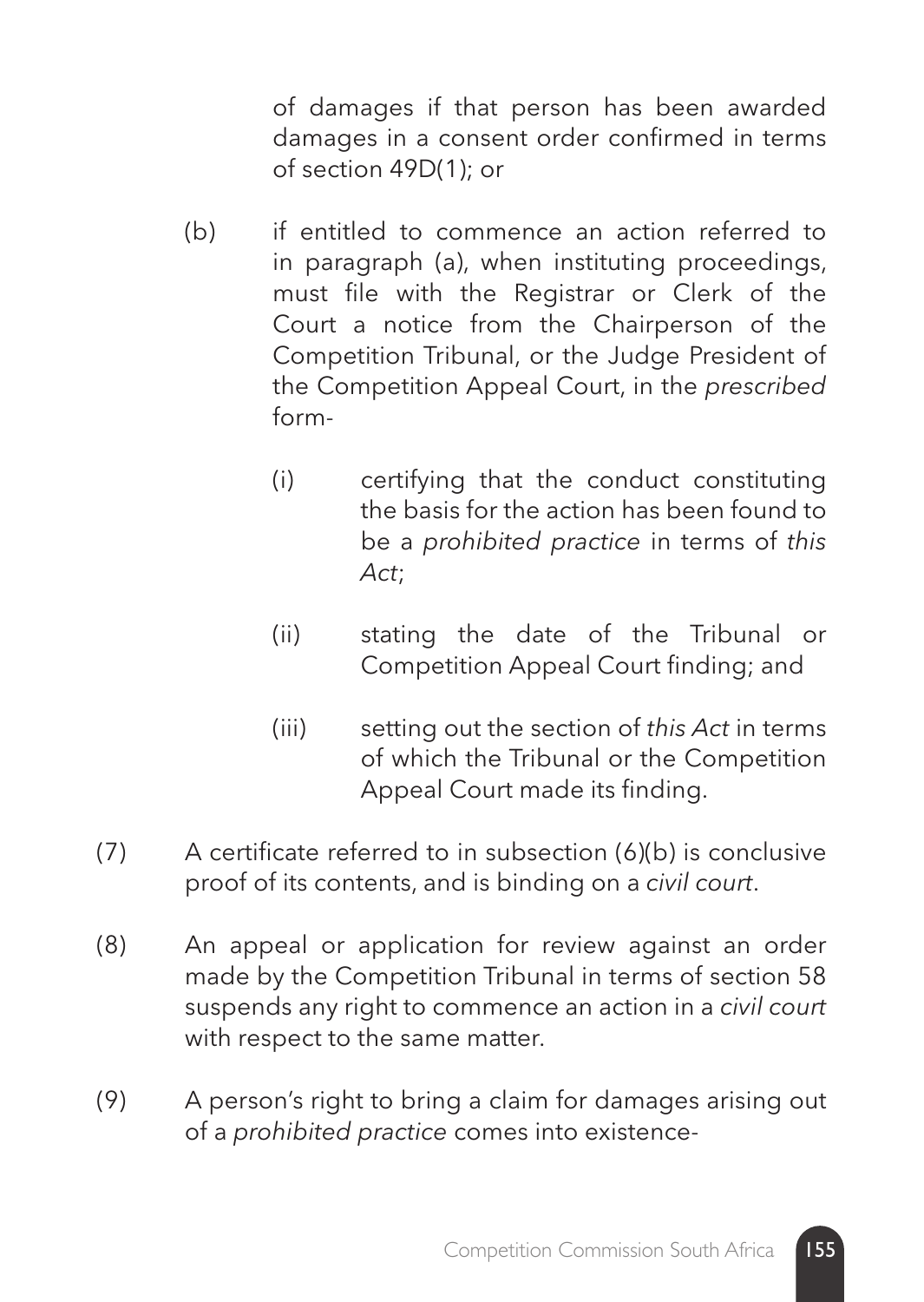of damages if that person has been awarded damages in a consent order confirmed in terms of section 49D(1); or

- (b) if entitled to commence an action referred to in paragraph (a), when instituting proceedings, must file with the Registrar or Clerk of the Court a notice from the Chairperson of the Competition Tribunal, or the Judge President of the Competition Appeal Court, in the *prescribed* form-
	- (i) certifying that the conduct constituting the basis for the action has been found to be a *prohibited practice* in terms of *this Act*;
	- (ii) stating the date of the Tribunal or Competition Appeal Court finding; and
	- (iii) setting out the section of *this Act* in terms of which the Tribunal or the Competition Appeal Court made its finding.
- (7) A certificate referred to in subsection (6)(b) is conclusive proof of its contents, and is binding on a *civil court*.
- (8) An appeal or application for review against an order made by the Competition Tribunal in terms of section 58 suspends any right to commence an action in a *civil court* with respect to the same matter.
- (9) A person's right to bring a claim for damages arising out of a *prohibited practice* comes into existence-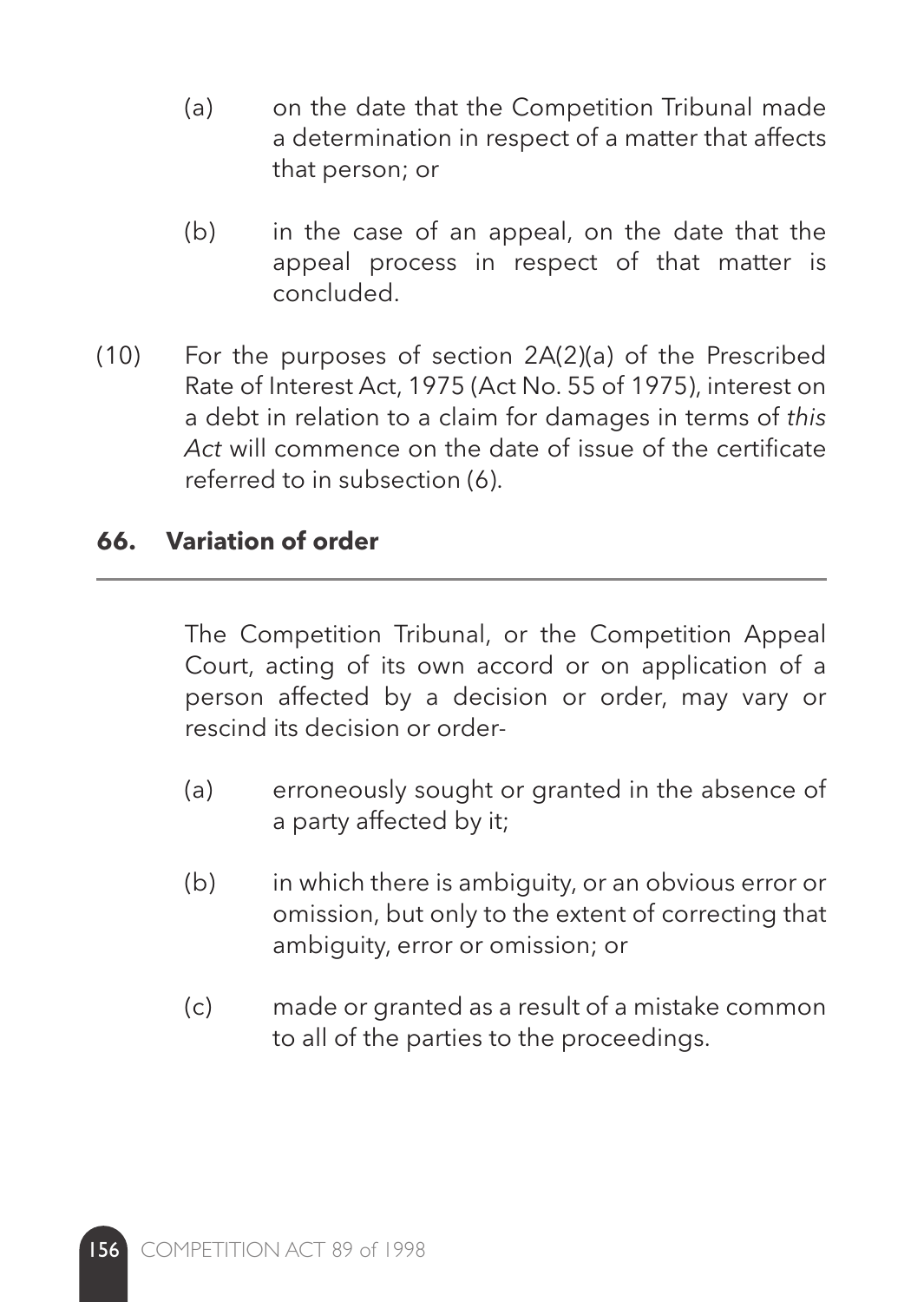- (a) on the date that the Competition Tribunal made a determination in respect of a matter that affects that person; or
- (b) in the case of an appeal, on the date that the appeal process in respect of that matter is concluded.
- (10) For the purposes of section 2A(2)(a) of the Prescribed Rate of Interest Act, 1975 (Act No. 55 of 1975), interest on a debt in relation to a claim for damages in terms of *this Act* will commence on the date of issue of the certificate referred to in subsection (6).

#### **66. Variation of order**

The Competition Tribunal, or the Competition Appeal Court, acting of its own accord or on application of a person affected by a decision or order, may vary or rescind its decision or order-

- (a) erroneously sought or granted in the absence of a party affected by it;
- (b) in which there is ambiguity, or an obvious error or omission, but only to the extent of correcting that ambiguity, error or omission; or
- (c) made or granted as a result of a mistake common to all of the parties to the proceedings.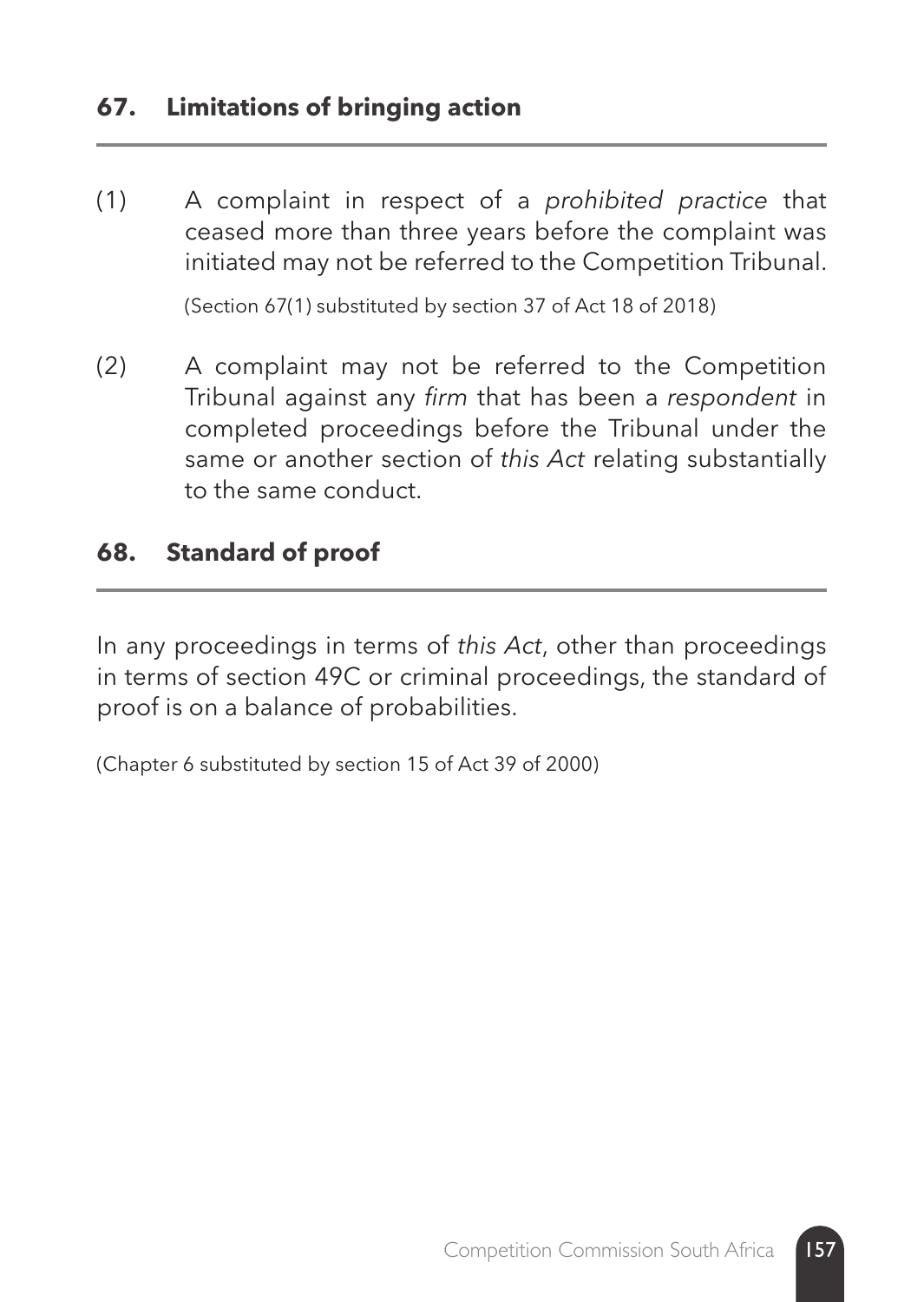(1) A complaint in respect of a *prohibited practice* that ceased more than three years before the complaint was initiated may not be referred to the Competition Tribunal.

(Section 67(1) substituted by section 37 of Act 18 of 2018)

(2) A complaint may not be referred to the Competition Tribunal against any *firm* that has been a *respondent* in completed proceedings before the Tribunal under the same or another section of *this Act* relating substantially to the same conduct.

#### **68. Standard of proof**

In any proceedings in terms of *this Act*, other than proceedings in terms of section 49C or criminal proceedings, the standard of proof is on a balance of probabilities.

(Chapter 6 substituted by section 15 of Act 39 of 2000)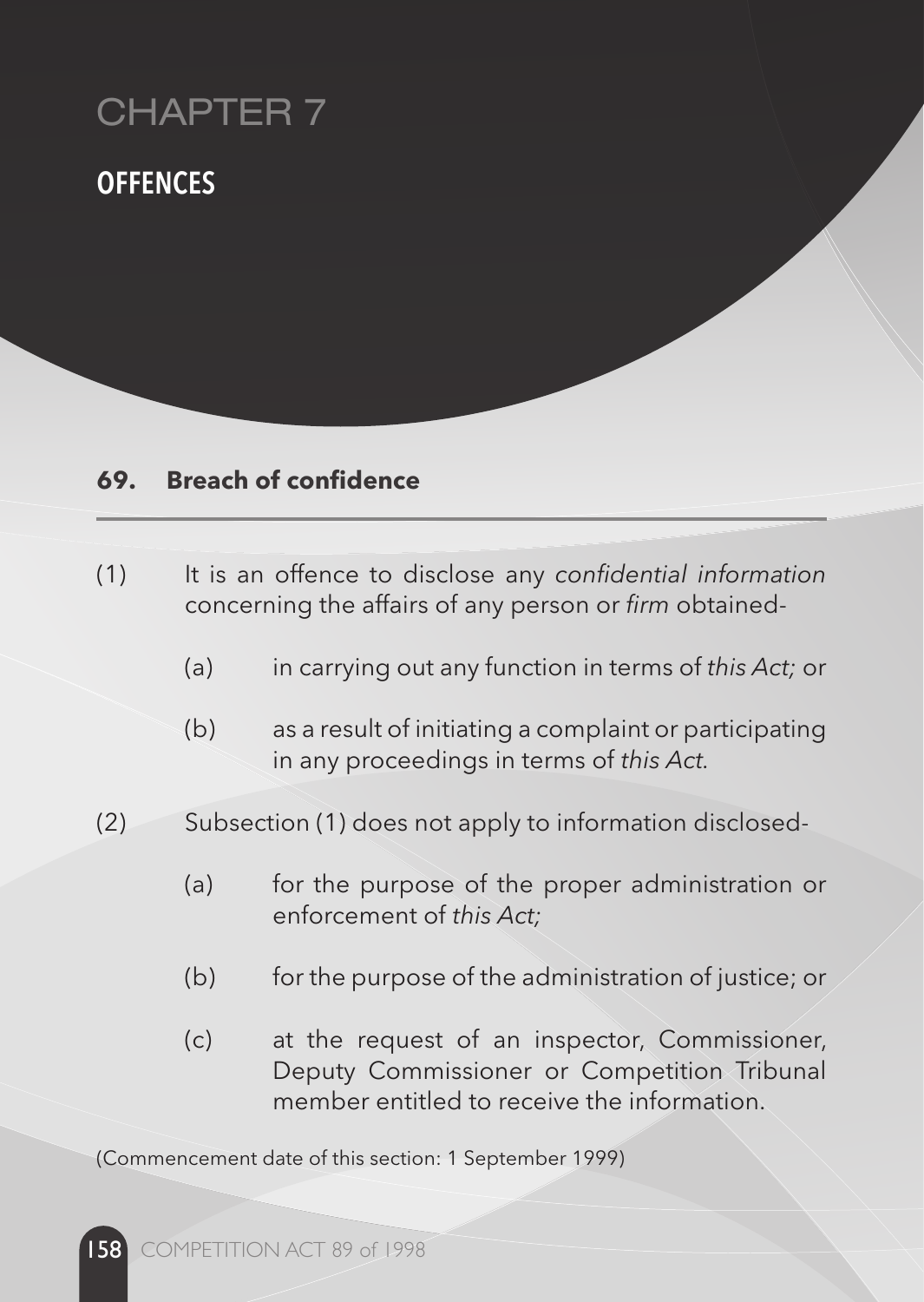## CHAPTER 7

### **OFFENCES**

### **69. Breach of confidence**

- (1) It is an offence to disclose any *confidential information*  concerning the affairs of any person or *firm* obtained-
	- (a) in carrying out any function in terms of *this Act;* or
	- (b) as a result of initiating a complaint or participating in any proceedings in terms of *this Act.*
- (2) Subsection (1) does not apply to information disclosed-
	- (a) for the purpose of the proper administration or enforcement of *this Act;*
	- (b) for the purpose of the administration of justice; or
	- (c) at the request of an inspector, Commissioner, Deputy Commissioner or Competition Tribunal member entitled to receive the information.

(Commencement date of this section: 1 September 1999)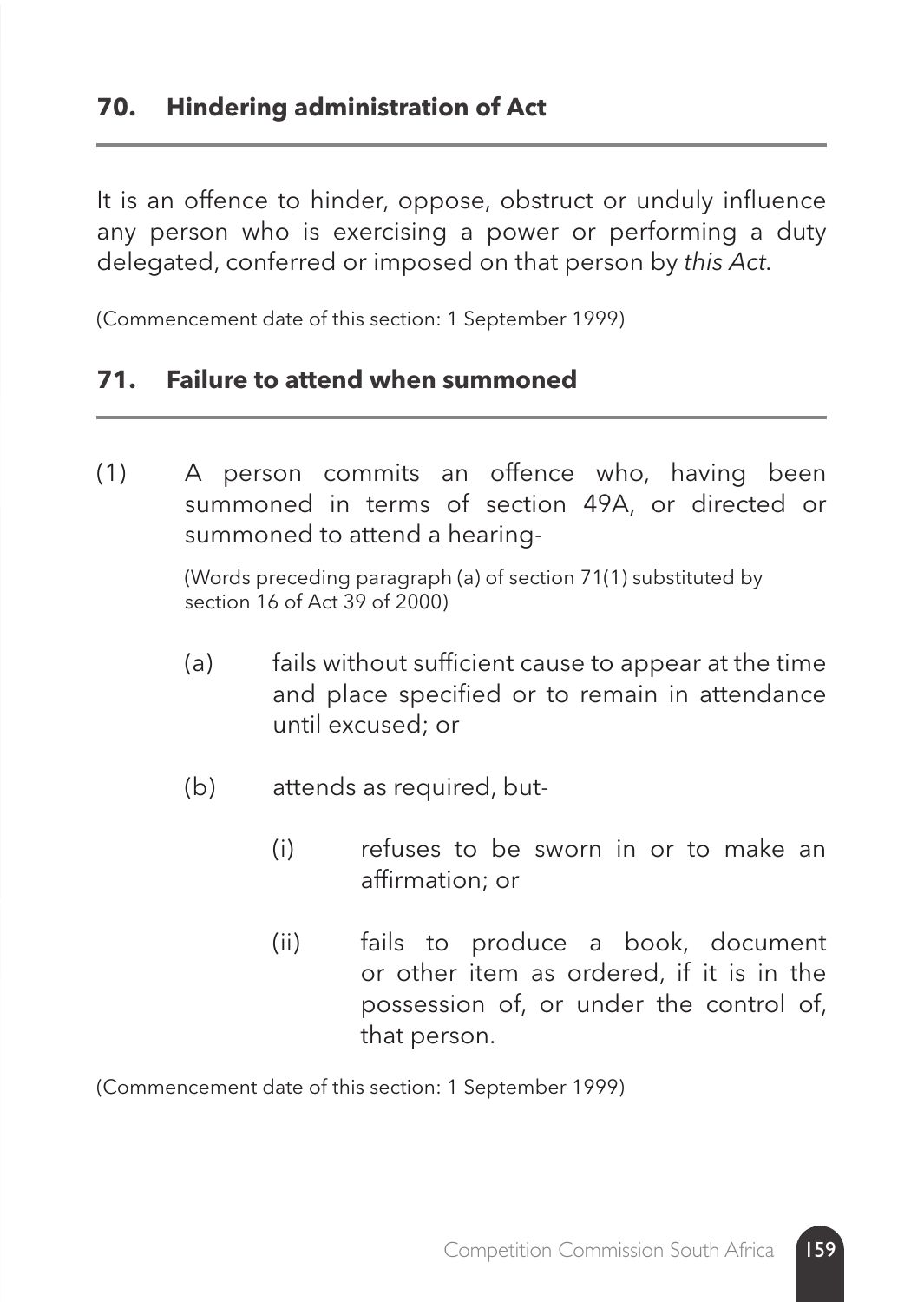It is an offence to hinder, oppose, obstruct or unduly influence any person who is exercising a power or performing a duty delegated, conferred or imposed on that person by *this Act.*

(Commencement date of this section: 1 September 1999)

#### **71. Failure to attend when summoned**

(1) A person commits an offence who, having been summoned in terms of section 49A, or directed or summoned to attend a hearing-

> (Words preceding paragraph (a) of section 71(1) substituted by  $s_{\text{action}}$  16 of Act 39 of 2000)

- (a) fails without sufficient cause to appear at the time and place specified or to remain in attendance until excused; or
- (b) attends as required, but-
	- (i) refuses to be sworn in or to make an affirmation; or
	- (ii) fails to produce a book, document or other item as ordered, if it is in the possession of, or under the control of, that person.

(Commencement date of this section: 1 September 1999)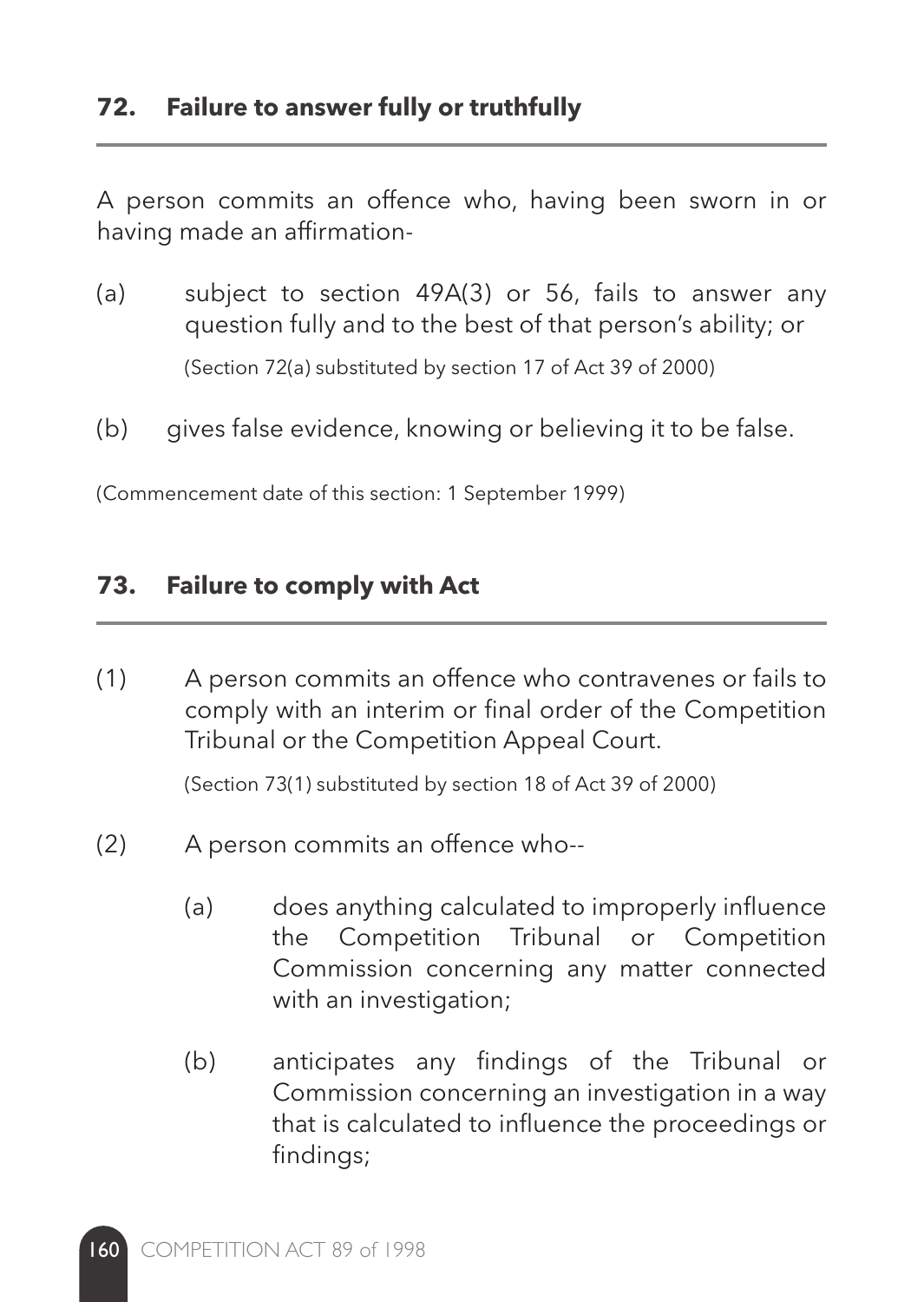A person commits an offence who, having been sworn in or having made an affirmation-

(a) subject to section 49A(3) or 56, fails to answer any question fully and to the best of that person's ability; or

(Section 72(a) substituted by section 17 of Act 39 of 2000)

(b) gives false evidence, knowing or believing it to be false.

(Commencement date of this section: 1 September 1999)

#### **73. Failure to comply with Act**

(1) A person commits an offence who contravenes or fails to comply with an interim or final order of the Competition Tribunal or the Competition Appeal Court.

(Section 73(1) substituted by section 18 of Act 39 of 2000)

- (2) A person commits an offence who--
	- (a) does anything calculated to improperly influence the Competition Tribunal or Competition Commission concerning any matter connected with an investigation;
	- (b) anticipates any findings of the Tribunal or Commission concerning an investigation in a way that is calculated to influence the proceedings or findings;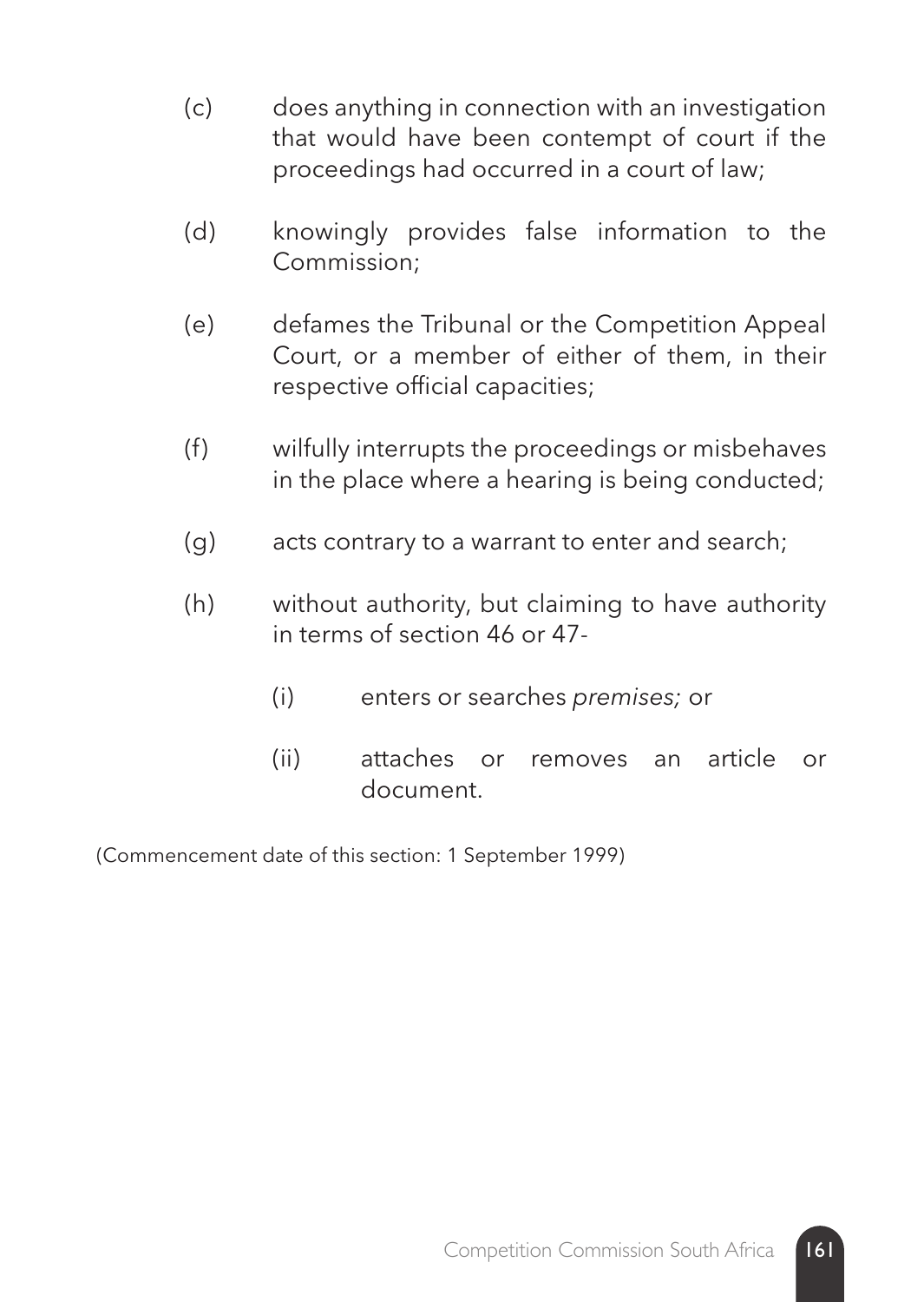- (c) does anything in connection with an investigation that would have been contempt of court if the proceedings had occurred in a court of law;
- (d) knowingly provides false information to the Commission;
- (e) defames the Tribunal or the Competition Appeal Court, or a member of either of them, in their respective official capacities;
- (f) wilfully interrupts the proceedings or misbehaves in the place where a hearing is being conducted;
- (g) acts contrary to a warrant to enter and search;
- (h) without authority, but claiming to have authority in terms of section 46 or 47-
	- (i) enters or searches *premises;* or
	- (ii) attaches or removes an article or document.

(Commencement date of this section: 1 September 1999)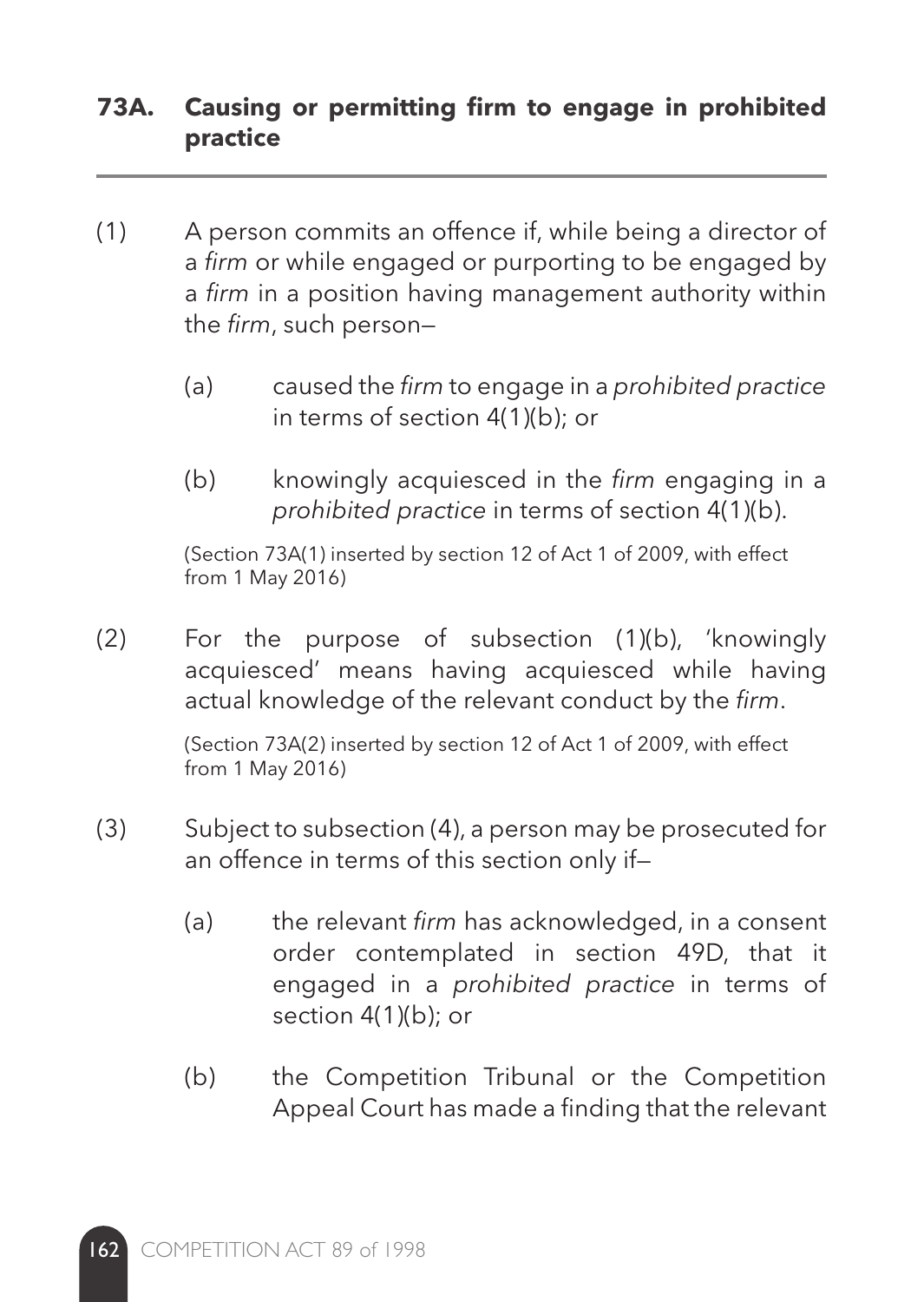#### **73A. Causing or permitting firm to engage in prohibited practice**

- (1) A person commits an offence if, while being a director of a *firm* or while engaged or purporting to be engaged by a *firm* in a position having management authority within the *firm*, such person—
	- (a) caused the *firm* to engage in a *prohibited practice* in terms of section 4(1)(b); or
	- (b) knowingly acquiesced in the *firm* engaging in a *prohibited practice* in terms of section 4(1)(b).

(Section 73A(1) inserted by section 12 of Act 1 of 2009, with effect from 1 May 2016)

(2) For the purpose of subsection (1)(b), 'knowingly acquiesced' means having acquiesced while having actual knowledge of the relevant conduct by the *firm*.

> (Section 73A(2) inserted by section 12 of Act 1 of 2009, with effect from 1 May 2016)

- (3) Subject to subsection (4), a person may be prosecuted for an offence in terms of this section only if—
	- (a) the relevant *firm* has acknowledged, in a consent order contemplated in section 49D, that it engaged in a *prohibited practice* in terms of section 4(1)(b); or
	- (b) the Competition Tribunal or the Competition Appeal Court has made a finding that the relevant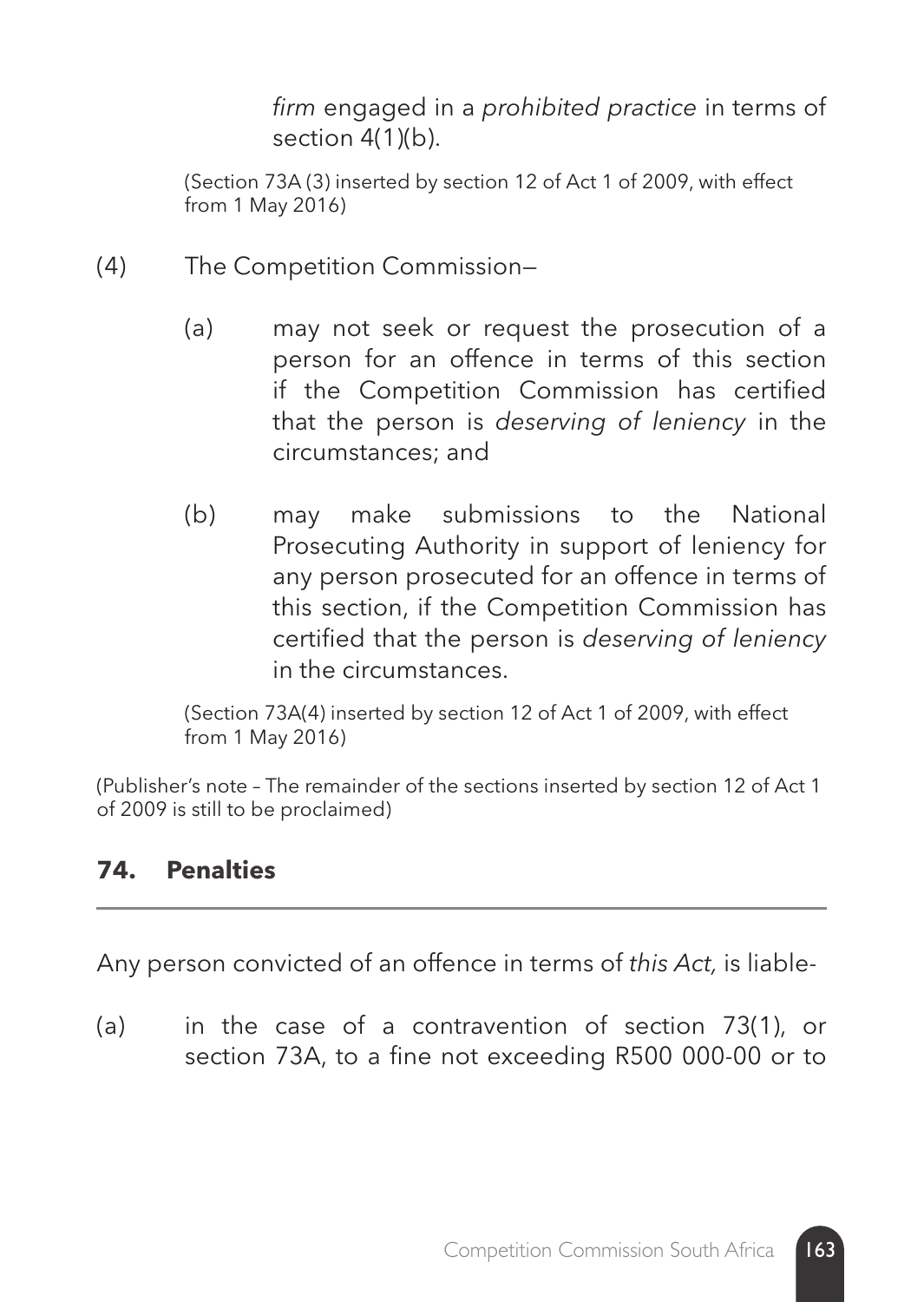*firm* engaged in a *prohibited practice* in terms of section 4(1)(b).

(Section 73A (3) inserted by section 12 of Act 1 of 2009, with effect from 1 May 2016)

- (4) The Competition Commission—
	- (a) may not seek or request the prosecution of a person for an offence in terms of this section if the Competition Commission has certified that the person is *deserving of leniency* in the circumstances; and
	- (b) may make submissions to the National Prosecuting Authority in support of leniency for any person prosecuted for an offence in terms of this section, if the Competition Commission has certified that the person is *deserving of leniency* in the circumstances.

(Section 73A(4) inserted by section 12 of Act 1 of 2009, with effect from 1 May 2016)

(Publisher's note – The remainder of the sections inserted by section 12 of Act 1 of 2009 is still to be proclaimed)

### **74. Penalties**

Any person convicted of an offence in terms of *this Act,* is liable-

(a) in the case of a contravention of section 73(1), or section 73A, to a fine not exceeding R500 000-00 or to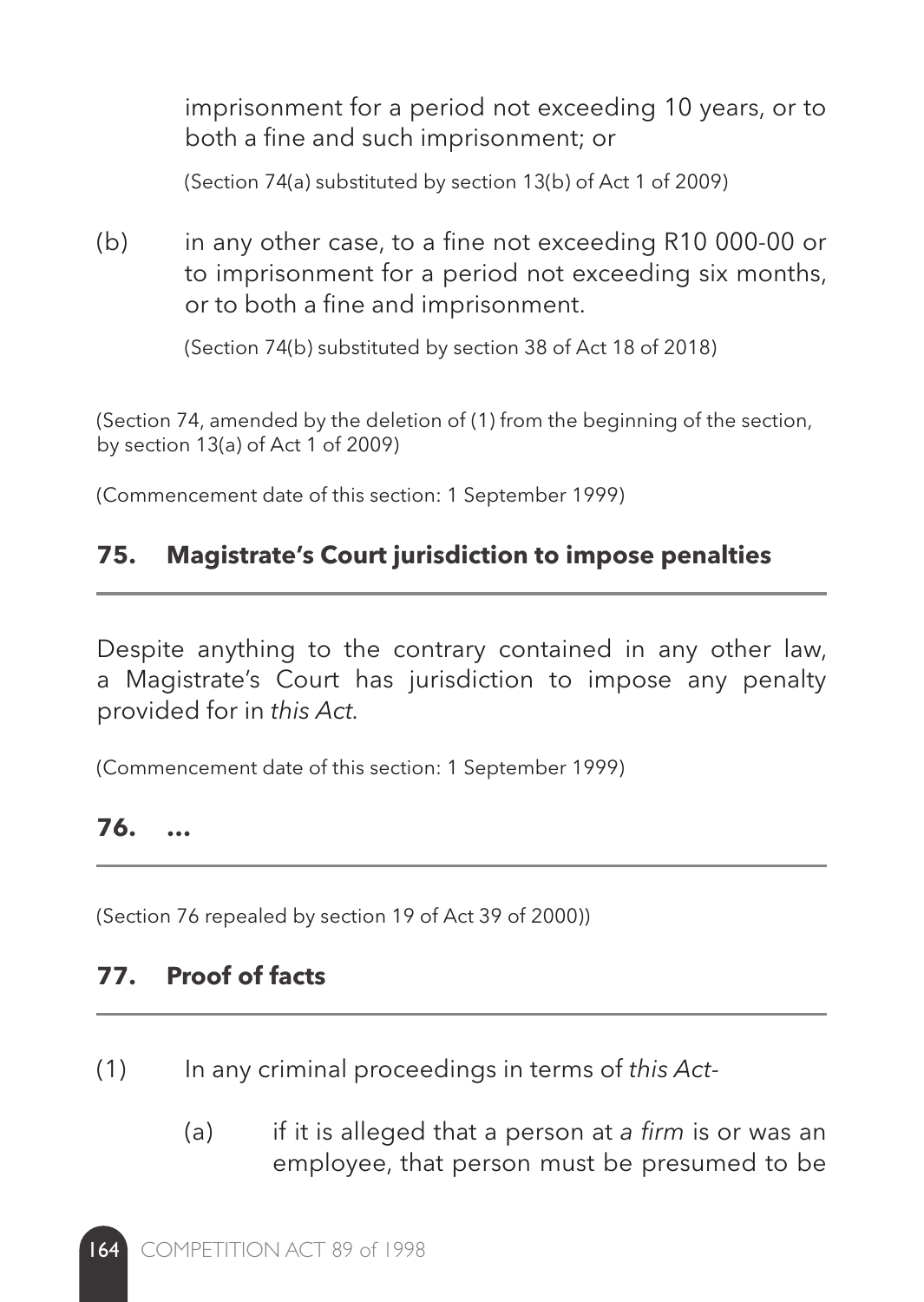imprisonment for a period not exceeding 10 years, or to both a fine and such imprisonment; or

(Section 74(a) substituted by section 13(b) of Act 1 of 2009)

(b) in any other case, to a fine not exceeding R10 000-00 or to imprisonment for a period not exceeding six months, or to both a fine and imprisonment.

(Section 74(b) substituted by section 38 of Act 18 of 2018)

(Section 74, amended by the deletion of (1) from the beginning of the section, by section 13(a) of Act 1 of 2009)

(Commencement date of this section: 1 September 1999)

#### **75. Magistrate's Court jurisdiction to impose penalties**

Despite anything to the contrary contained in any other law, a Magistrate's Court has jurisdiction to impose any penalty provided for in *this Act.*

(Commencement date of this section: 1 September 1999)

#### **76. …**

(Section 76 repealed by section 19 of Act 39 of 2000))

#### **77. Proof of facts**

- (1) In any criminal proceedings in terms of *this Act-*
	- (a) if it is alleged that a person at *a firm* is or was an employee, that person must be presumed to be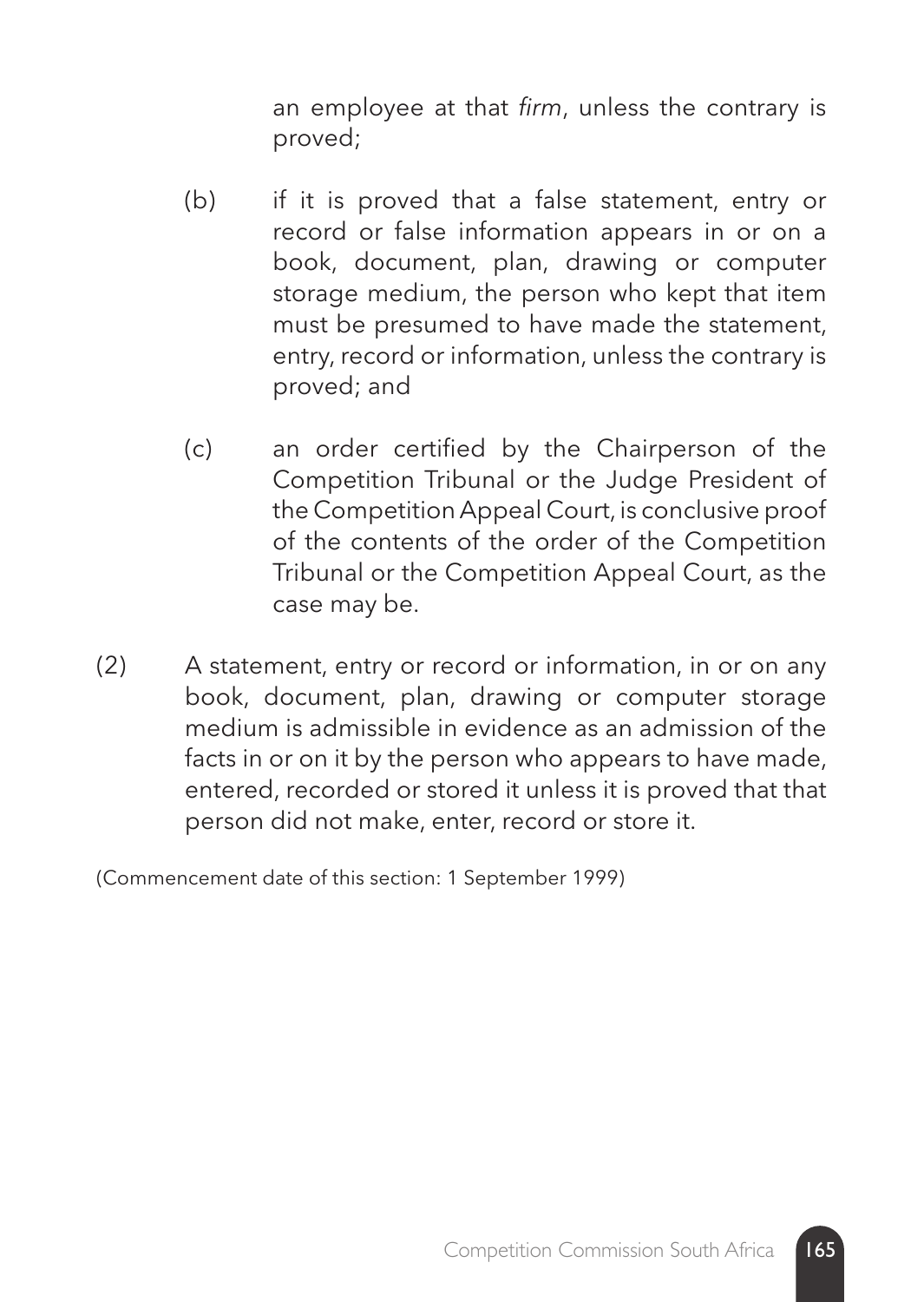an employee at that *firm*, unless the contrary is proved;

- (b) if it is proved that a false statement, entry or record or false information appears in or on a book, document, plan, drawing or computer storage medium, the person who kept that item must be presumed to have made the statement, entry, record or information, unless the contrary is proved; and
- (c) an order certified by the Chairperson of the Competition Tribunal or the Judge President of the Competition Appeal Court, is conclusive proof of the contents of the order of the Competition Tribunal or the Competition Appeal Court, as the case may be.
- (2) A statement, entry or record or information, in or on any book, document, plan, drawing or computer storage medium is admissible in evidence as an admission of the facts in or on it by the person who appears to have made, entered, recorded or stored it unless it is proved that that person did not make, enter, record or store it.

(Commencement date of this section: 1 September 1999)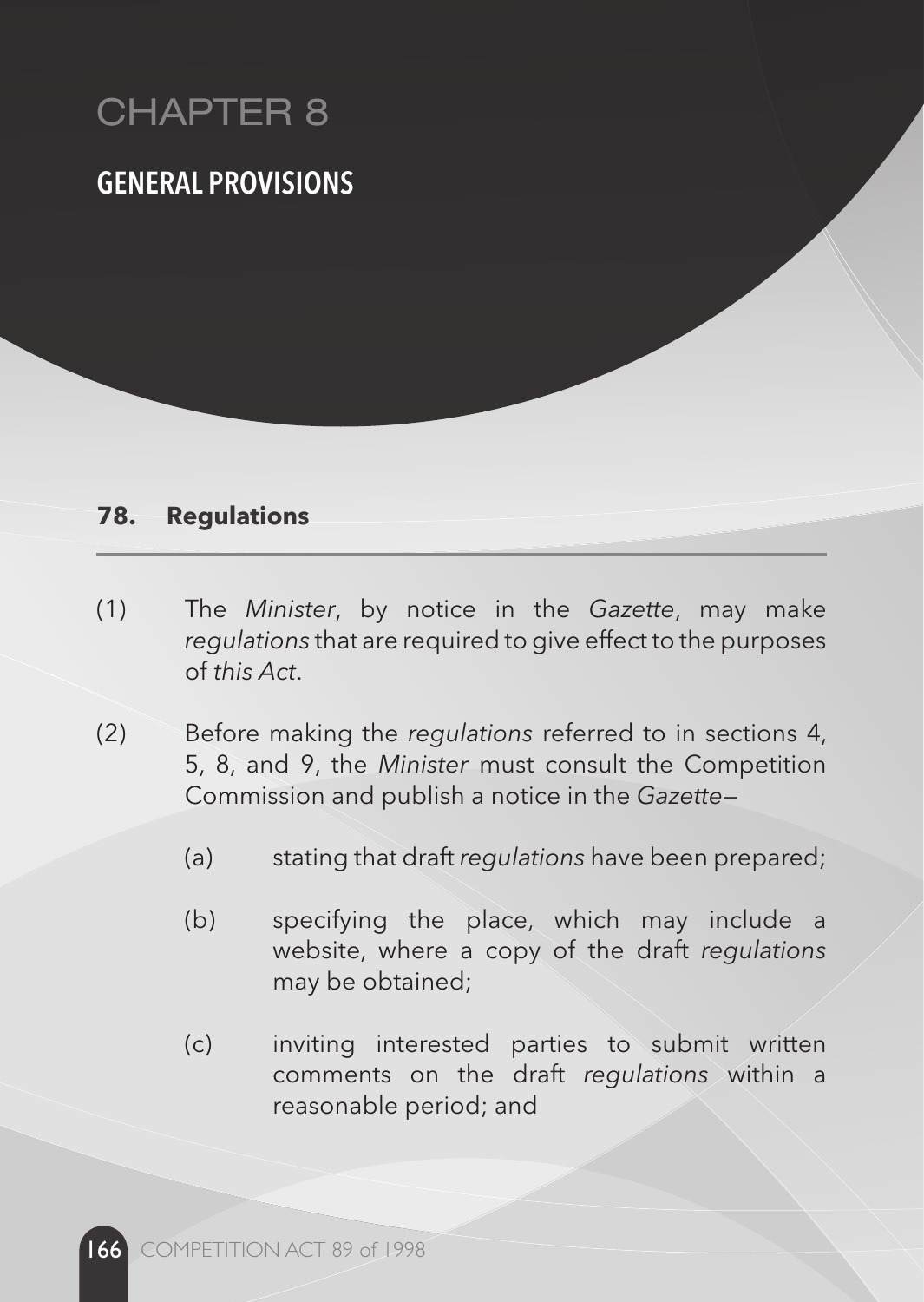## CHAPTER 8

### GENERAL PROVISIONS

#### **78. Regulations**

- (1) The *Minister*, by notice in the *Gazette*, may make *regulations* that are required to give effect to the purposes of *this Act*.
- (2) Before making the *regulations* referred to in sections 4, 5, 8, and 9, the *Minister* must consult the Competition Commission and publish a notice in the *Gazette*—
	- (a) stating that draft *regulations* have been prepared;
	- (b) specifying the place, which may include a website, where a copy of the draft *regulations* may be obtained;
	- (c) inviting interested parties to submit written comments on the draft *regulations* within a reasonable period; and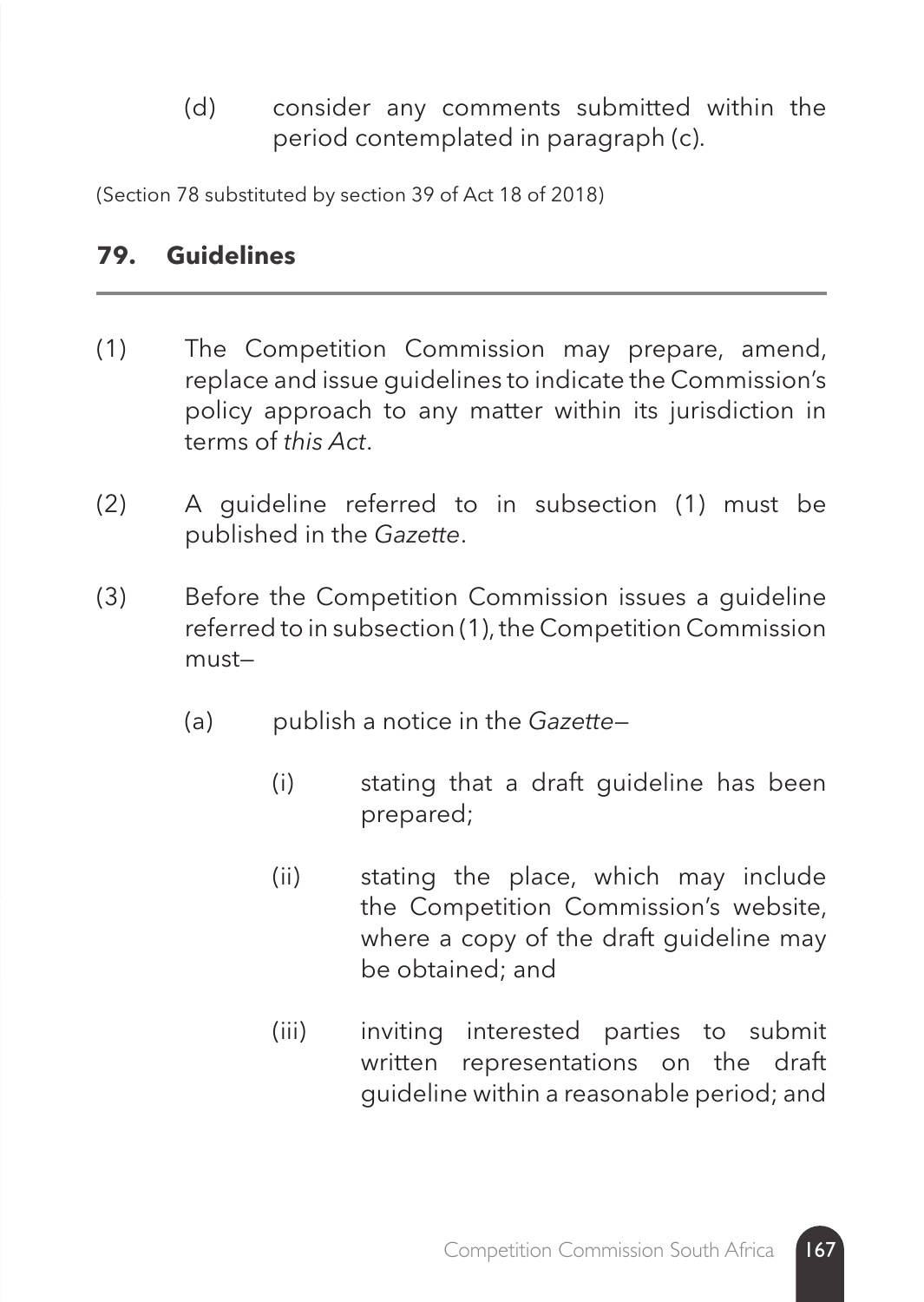(d) consider any comments submitted within the period contemplated in paragraph (c).

(Section 78 substituted by section 39 of Act 18 of 2018)

#### **79. Guidelines**

- (1) The Competition Commission may prepare, amend, replace and issue guidelines to indicate the Commission's policy approach to any matter within its jurisdiction in terms of *this Act*.
- (2) A guideline referred to in subsection (1) must be published in the *Gazette*.
- (3) Before the Competition Commission issues a guideline referred to in subsection (1), the Competition Commission must—
	- (a) publish a notice in the *Gazette*
		- (i) stating that a draft guideline has been prepared;
		- (ii) stating the place, which may include the Competition Commission's website, where a copy of the draft guideline may be obtained; and
		- (iii) inviting interested parties to submit written representations on the draft guideline within a reasonable period; and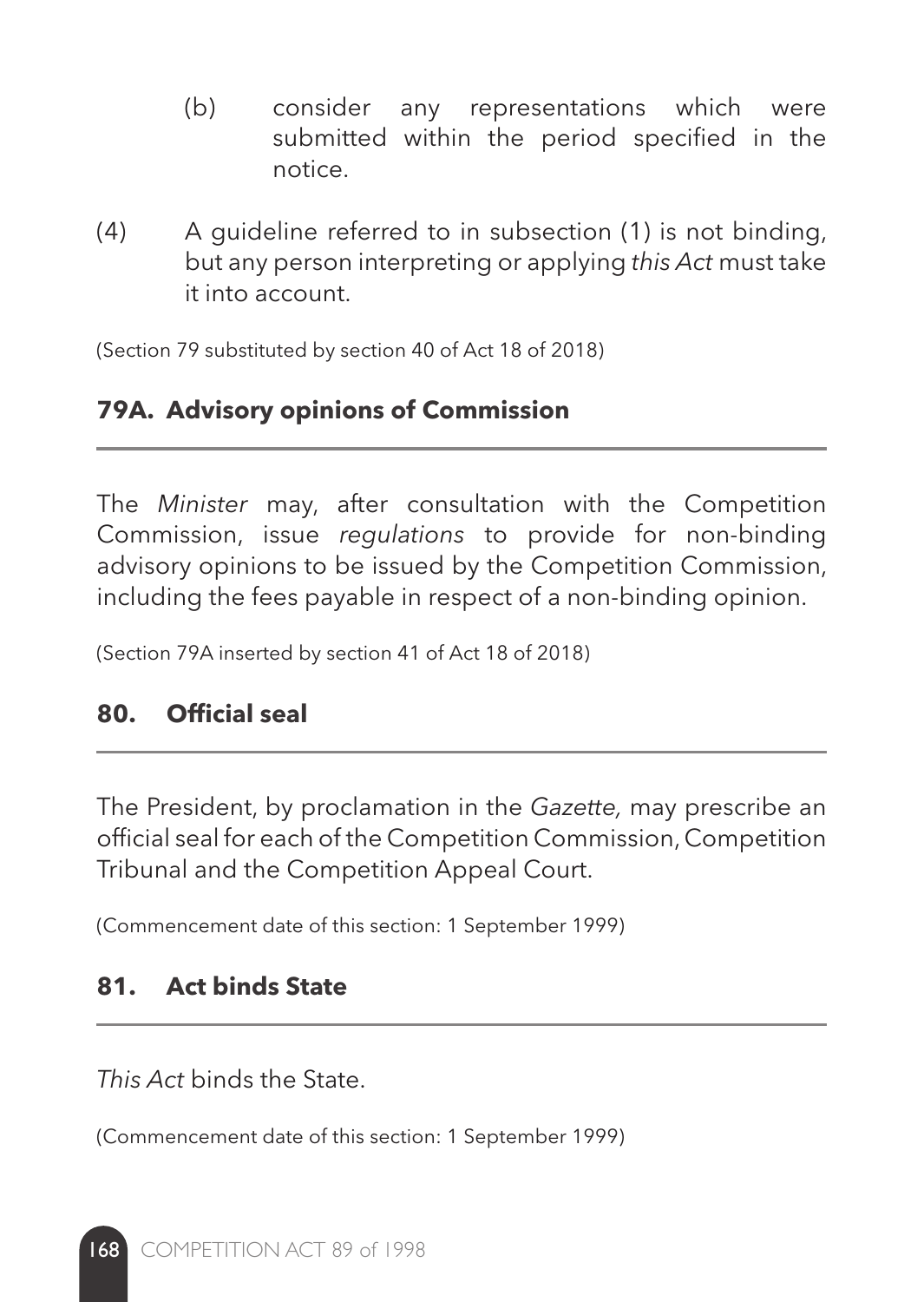- (b) consider any representations which were submitted within the period specified in the notice.
- (4) A guideline referred to in subsection (1) is not binding, but any person interpreting or applying *this Act* must take it into account.

(Section 79 substituted by section 40 of Act 18 of 2018)

#### **79A. Advisory opinions of Commission**

The *Minister* may, after consultation with the Competition Commission, issue *regulations* to provide for non-binding advisory opinions to be issued by the Competition Commission, including the fees payable in respect of a non-binding opinion.

(Section 79A inserted by section 41 of Act 18 of 2018)

#### **80. Official seal**

The President, by proclamation in the *Gazette,* may prescribe an official seal for each of the Competition Commission, Competition Tribunal and the Competition Appeal Court.

(Commencement date of this section: 1 September 1999)

### **81. Act binds State**

*This Act* binds the State.

(Commencement date of this section: 1 September 1999)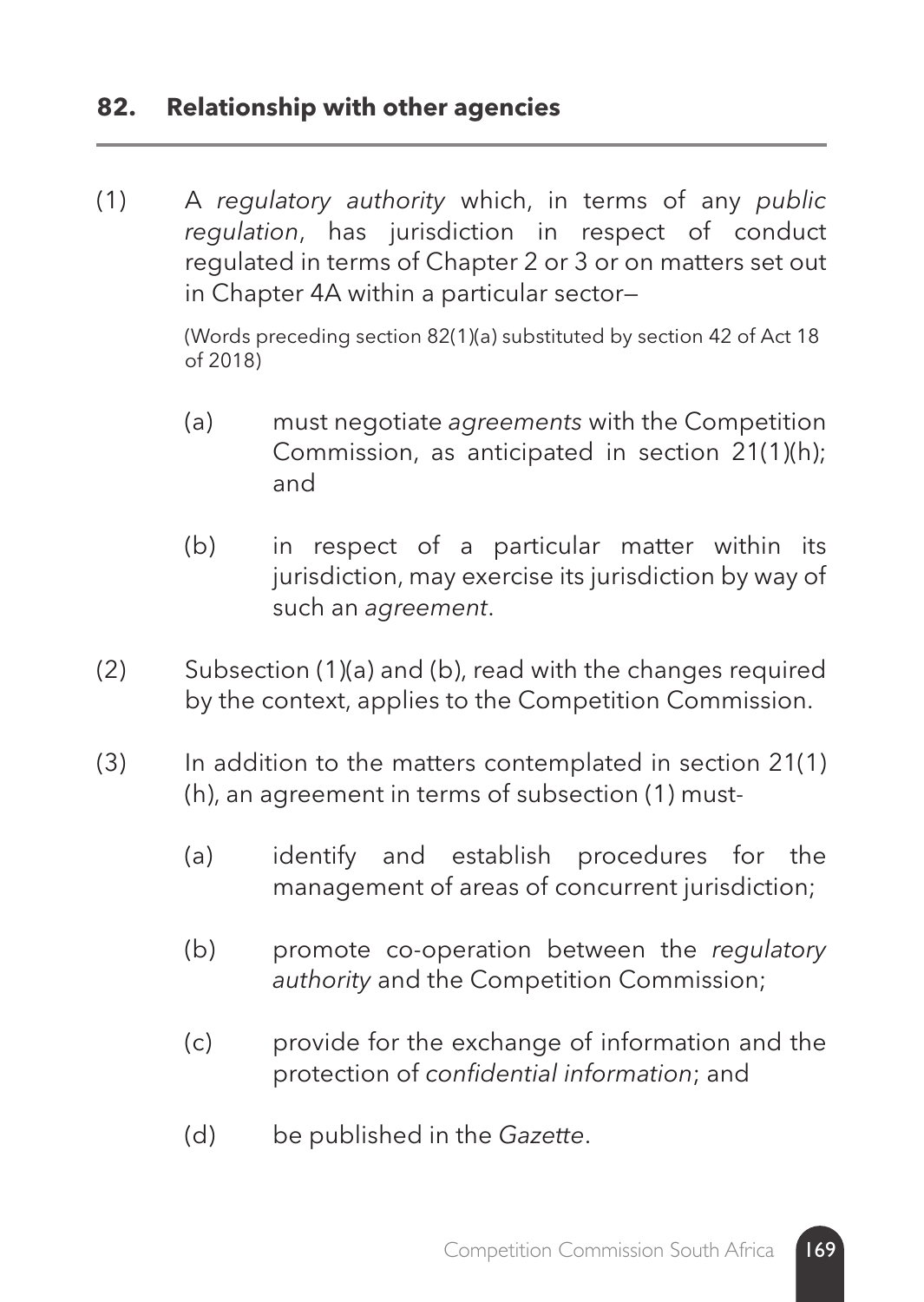(1) A *regulatory authority* which, in terms of any *public regulation*, has jurisdiction in respect of conduct regulated in terms of Chapter 2 or 3 or on matters set out in Chapter 4A within a particular sector—

> (Words preceding section 82(1)(a) substituted by section 42 of Act 18 of 2018)

- (a) must negotiate *agreements* with the Competition Commission, as anticipated in section 21(1)(h); and
- (b) in respect of a particular matter within its jurisdiction, may exercise its jurisdiction by way of such an *agreement*.
- (2) Subsection (1)(a) and (b), read with the changes required by the context, applies to the Competition Commission.
- (3) In addition to the matters contemplated in section 21(1) (h), an agreement in terms of subsection (1) must-
	- (a) identify and establish procedures for the management of areas of concurrent jurisdiction;
	- (b) promote co-operation between the *regulatory authority* and the Competition Commission;
	- (c) provide for the exchange of information and the protection of *confidential information*; and
	- (d) be published in the *Gazette*.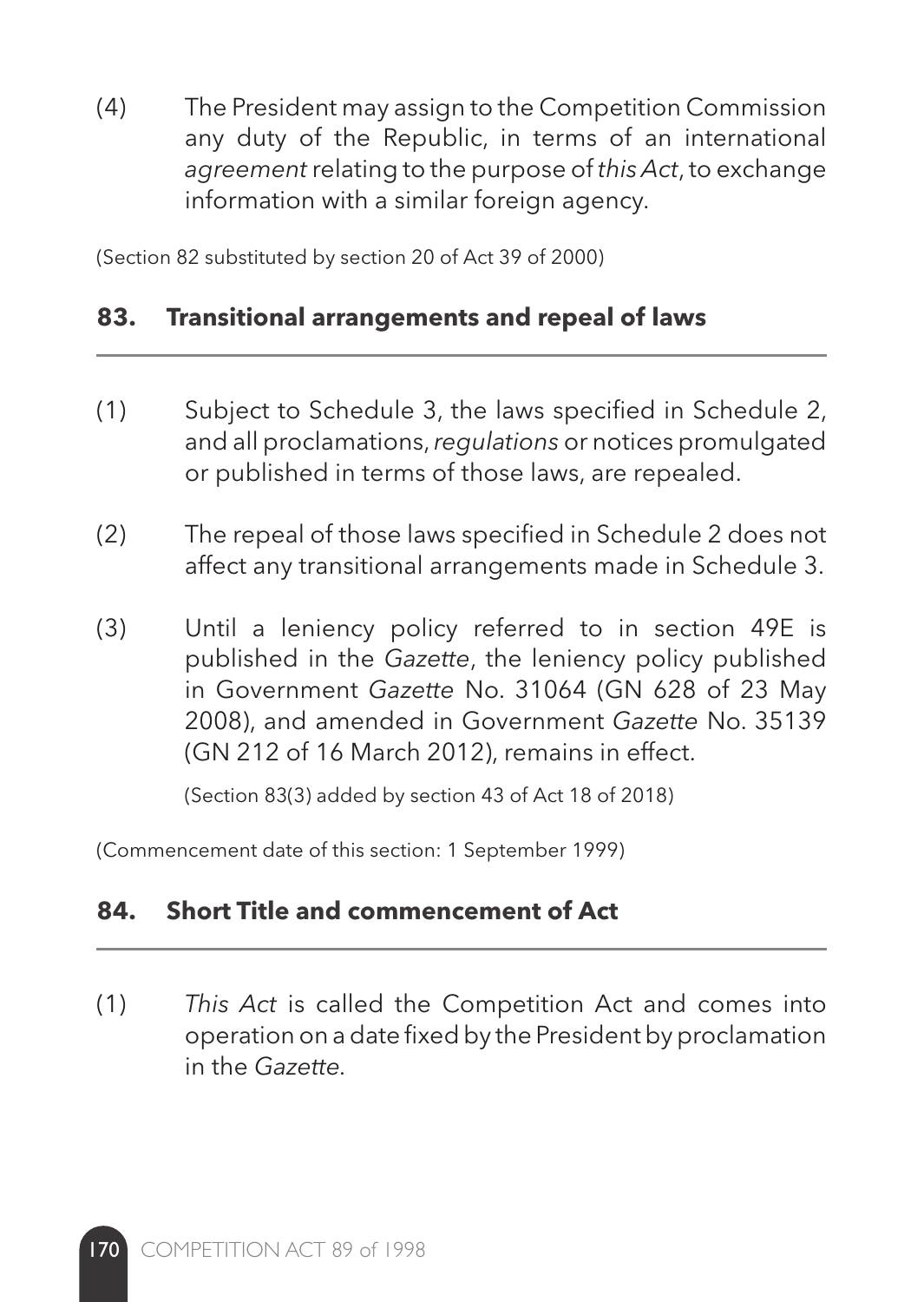(4) The President may assign to the Competition Commission any duty of the Republic, in terms of an international *agreement* relating to the purpose of *this Act*, to exchange information with a similar foreign agency.

(Section 82 substituted by section 20 of Act 39 of 2000)

#### **83. Transitional arrangements and repeal of laws**

- (1) Subject to Schedule 3, the laws specified in Schedule 2, and all proclamations, *regulations* or notices promulgated or published in terms of those laws, are repealed.
- (2) The repeal of those laws specified in Schedule 2 does not affect any transitional arrangements made in Schedule 3.
- (3) Until a leniency policy referred to in section 49E is published in the *Gazette*, the leniency policy published in Government *Gazette* No. 31064 (GN 628 of 23 May 2008), and amended in Government *Gazette* No. 35139 (GN 212 of 16 March 2012), remains in effect.

(Section 83(3) added by section 43 of Act 18 of 2018)

(Commencement date of this section: 1 September 1999)

#### **84. Short Title and commencement of Act**

(1) *This Act* is called the Competition Act and comes into operation on a date fixed by the President by proclamation in the *Gazette.*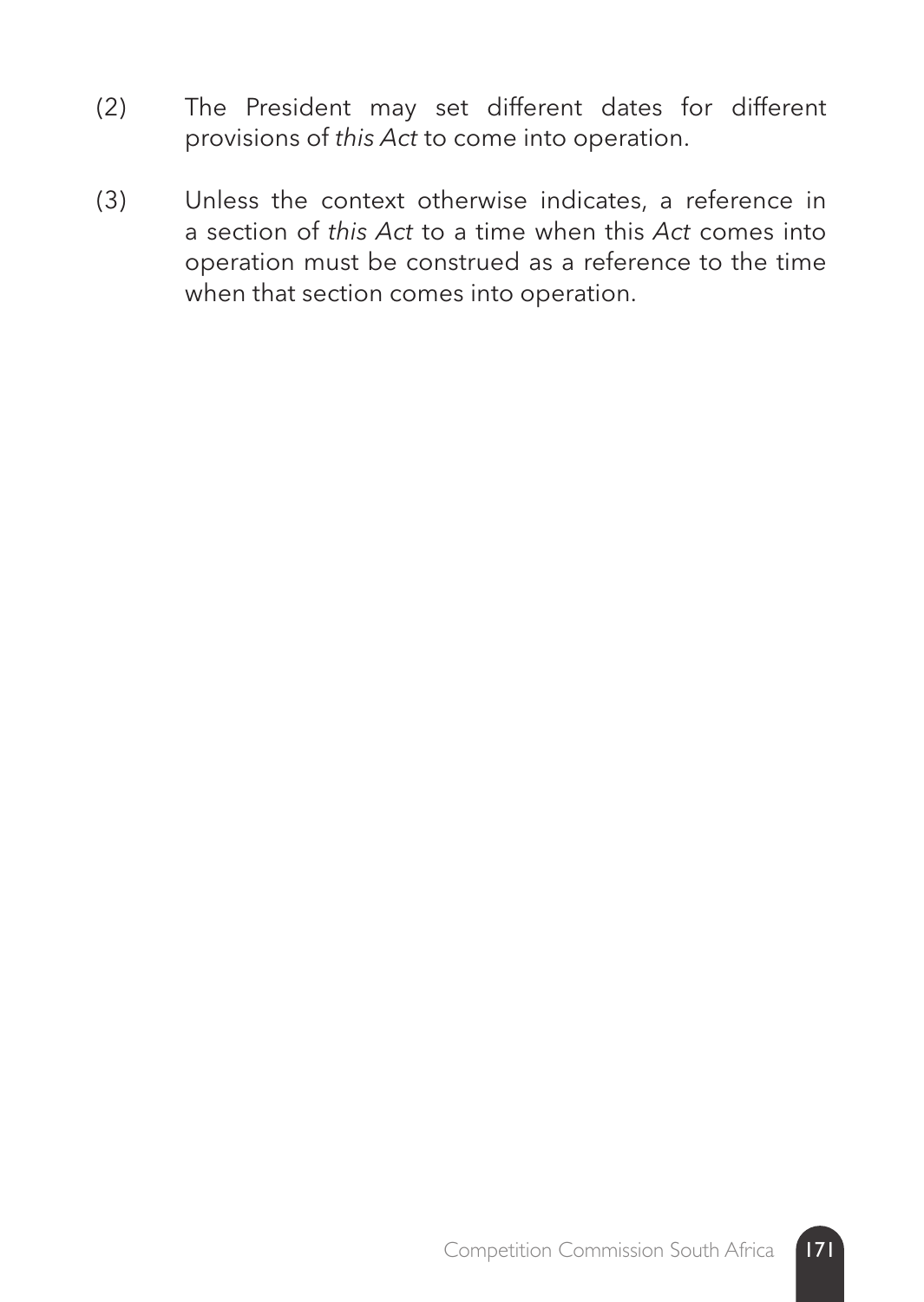- (2) The President may set different dates for different provisions of *this Act* to come into operation.
- (3) Unless the context otherwise indicates, a reference in a section of *this Act* to a time when this *Act* comes into operation must be construed as a reference to the time when that section comes into operation.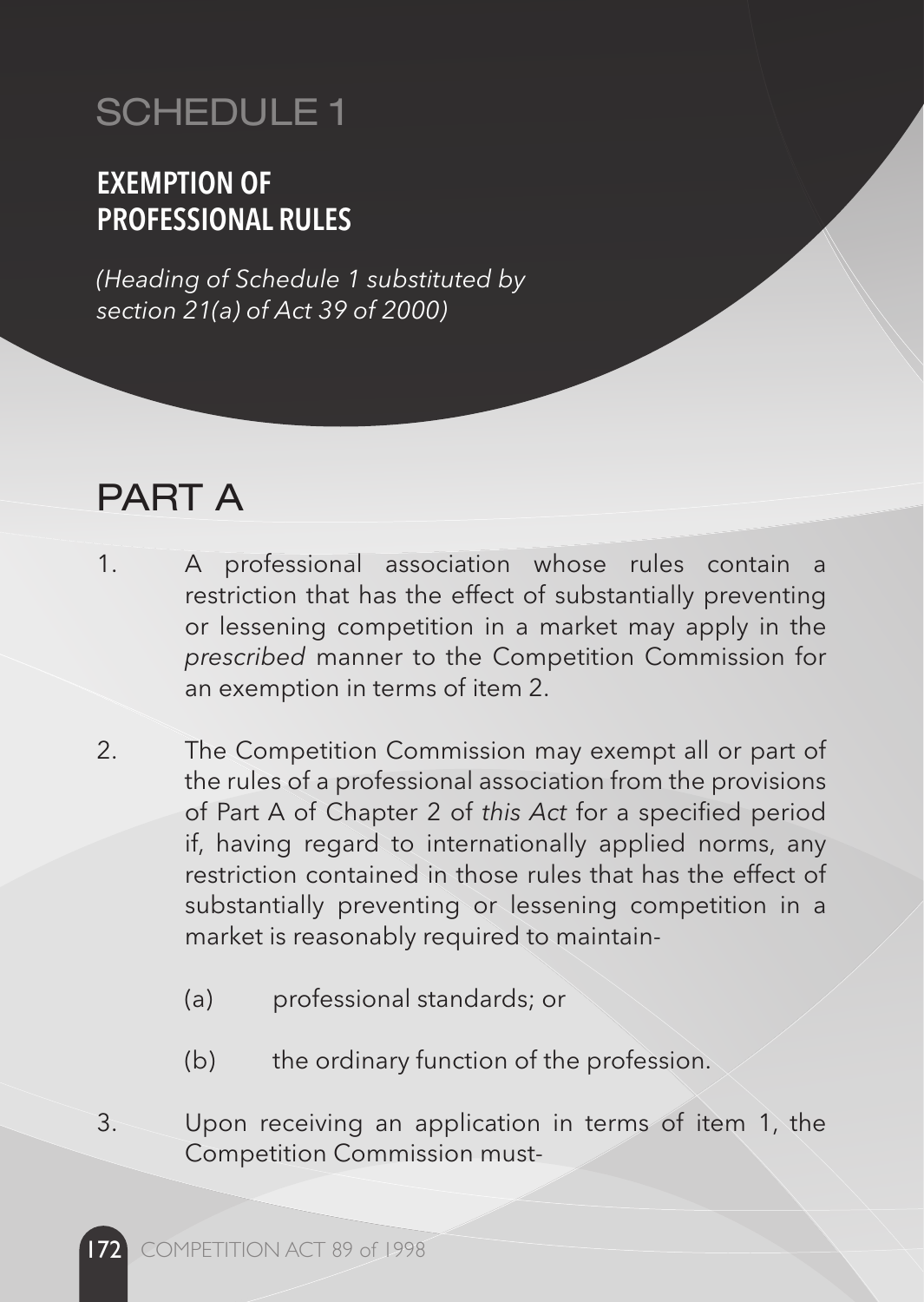# SCHEDULE<sub>1</sub>

### EXEMPTION OF PROFESSIONAL RULES

*(Heading of Schedule 1 substituted by section 21(a) of Act 39 of 2000)*

# PART A

- 1. A professional association whose rules contain a restriction that has the effect of substantially preventing or lessening competition in a market may apply in the *prescribed* manner to the Competition Commission for an exemption in terms of item 2.
- 2. The Competition Commission may exempt all or part of the rules of a professional association from the provisions of Part A of Chapter 2 of *this Act* for a specified period if, having regard to internationally applied norms, any restriction contained in those rules that has the effect of substantially preventing or lessening competition in a market is reasonably required to maintain-
	- (a) professional standards; or
	- (b) the ordinary function of the profession.
- 3. Upon receiving an application in terms of item 1, the Competition Commission must-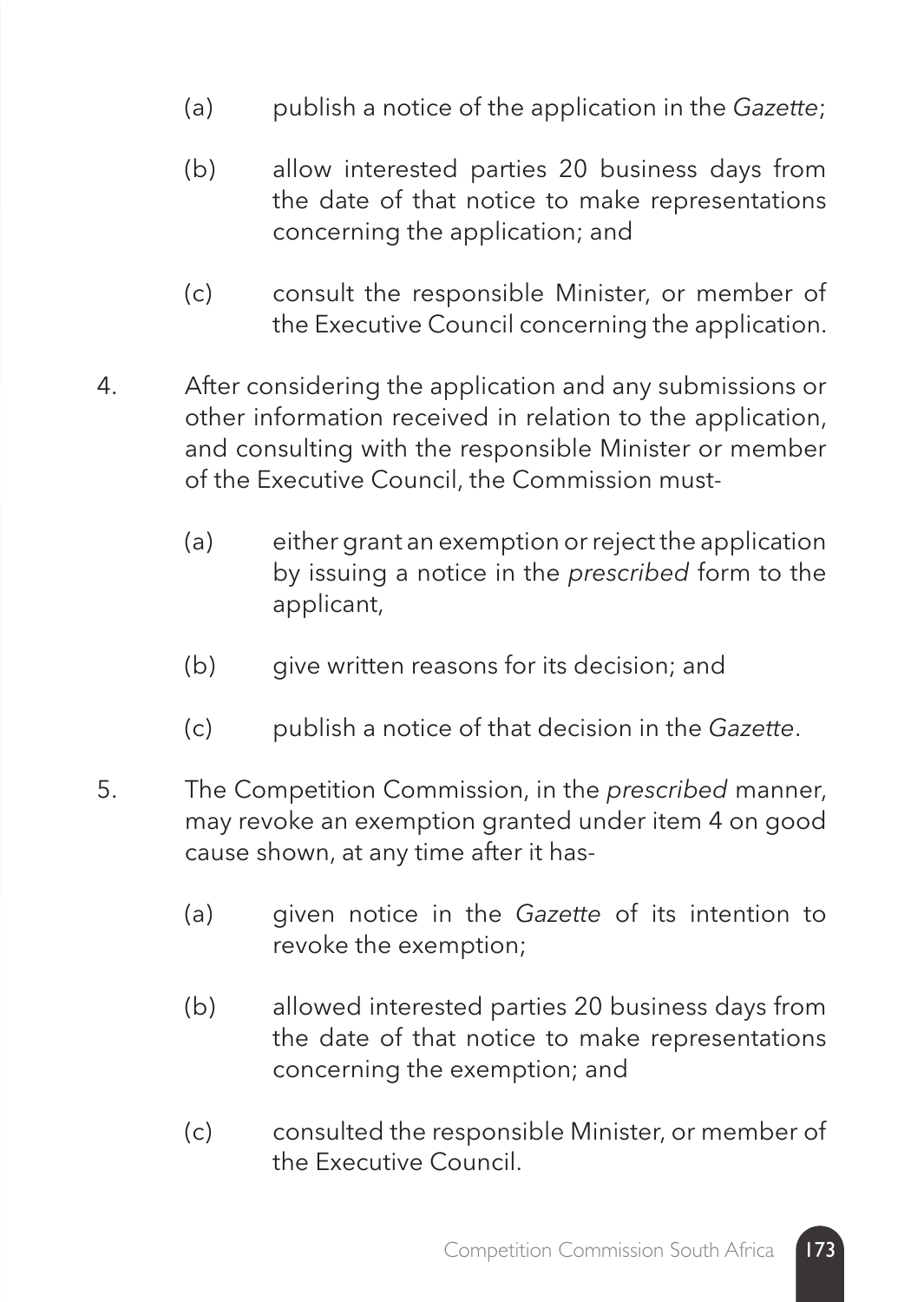- (a) publish a notice of the application in the *Gazette*;
- (b) allow interested parties 20 business days from the date of that notice to make representations concerning the application; and
- (c) consult the responsible Minister, or member of the Executive Council concerning the application.
- 4. After considering the application and any submissions or other information received in relation to the application, and consulting with the responsible Minister or member of the Executive Council, the Commission must-
	- (a) either grant an exemption or reject the application by issuing a notice in the *prescribed* form to the applicant,
	- (b) give written reasons for its decision; and
	- (c) publish a notice of that decision in the *Gazette*.
- 5. The Competition Commission, in the *prescribed* manner, may revoke an exemption granted under item 4 on good cause shown, at any time after it has-
	- (a) given notice in the *Gazette* of its intention to revoke the exemption;
	- (b) allowed interested parties 20 business days from the date of that notice to make representations concerning the exemption; and
	- (c) consulted the responsible Minister, or member of the Executive Council.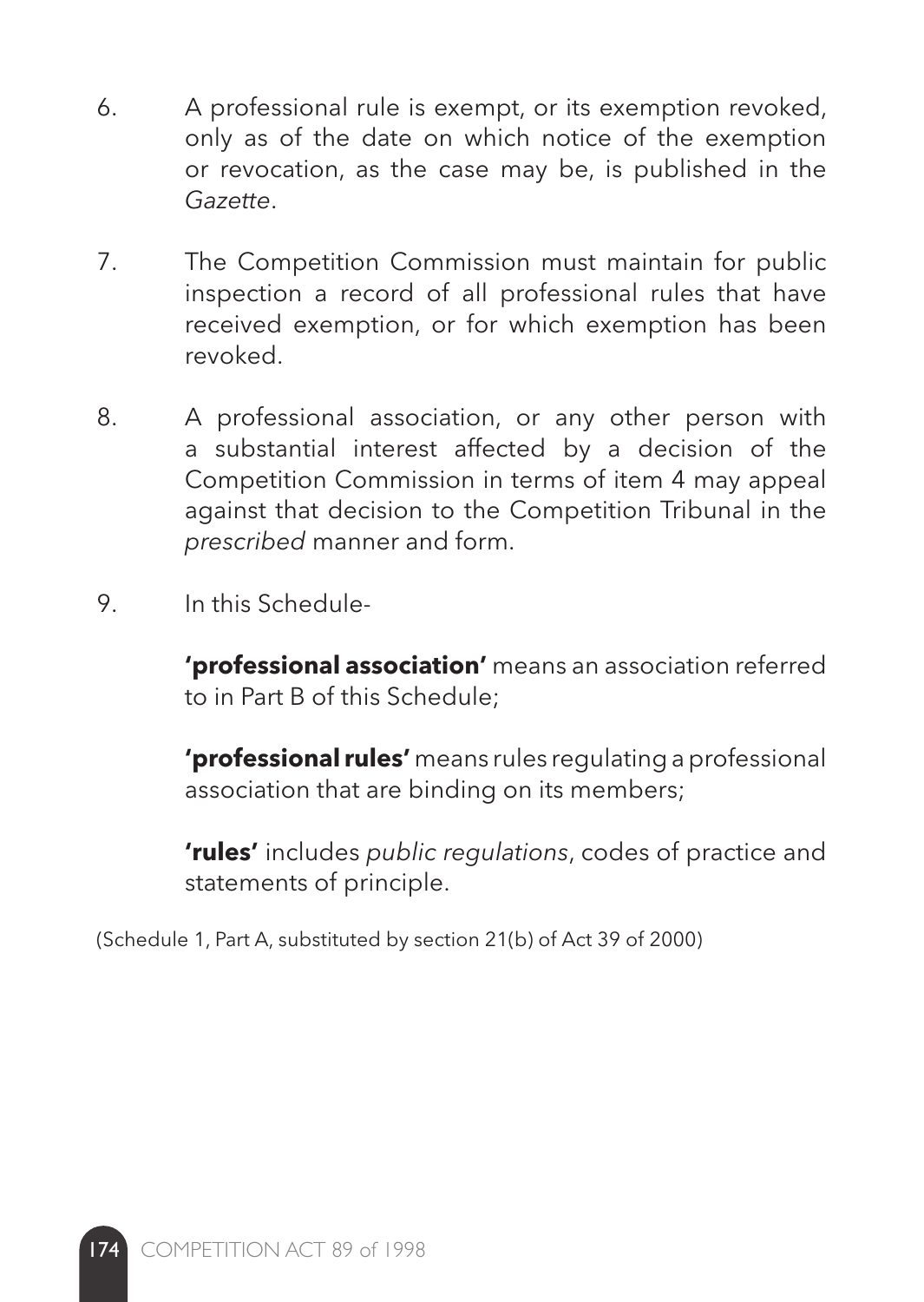- 6. A professional rule is exempt, or its exemption revoked, only as of the date on which notice of the exemption or revocation, as the case may be, is published in the *Gazette*.
- 7. The Competition Commission must maintain for public inspection a record of all professional rules that have received exemption, or for which exemption has been revoked.
- 8. A professional association, or any other person with a substantial interest affected by a decision of the Competition Commission in terms of item 4 may appeal against that decision to the Competition Tribunal in the *prescribed* manner and form.
- 9. In this Schedule-

**'professional association'** means an association referred to in Part B of this Schedule;

**'professionalrules'** means rules regulating a professional association that are binding on its members;

**'rules'** includes *public regulations*, codes of practice and statements of principle.

(Schedule 1, Part A, substituted by section 21(b) of Act 39 of 2000)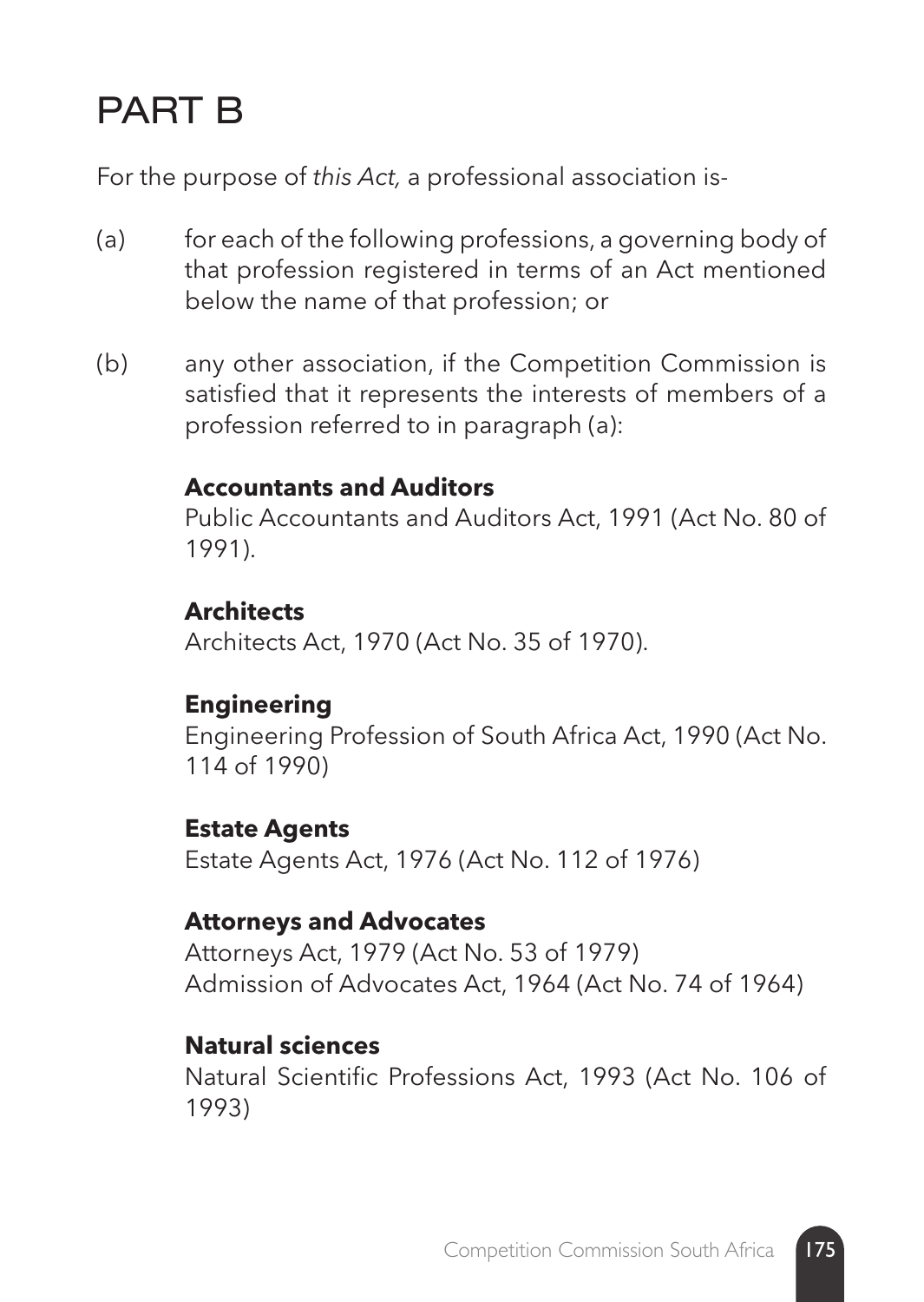# PART<sub>R</sub>

For the purpose of *this Act,* a professional association is-

- (a) for each of the following professions, a governing body of that profession registered in terms of an Act mentioned below the name of that profession; or
- (b) any other association, if the Competition Commission is satisfied that it represents the interests of members of a profession referred to in paragraph (a):

#### **Accountants and Auditors**

Public Accountants and Auditors Act, 1991 (Act No. 80 of 1991).

#### **Architects**

Architects Act, 1970 (Act No. 35 of 1970).

#### **Engineering**

Engineering Profession of South Africa Act, 1990 (Act No. 114 of 1990)

#### **Estate Agents**

Estate Agents Act, 1976 (Act No. 112 of 1976)

#### **Attorneys and Advocates**

Attorneys Act, 1979 (Act No. 53 of 1979) Admission of Advocates Act, 1964 (Act No. 74 of 1964)

#### **Natural sciences**

Natural Scientific Professions Act, 1993 (Act No. 106 of 1993)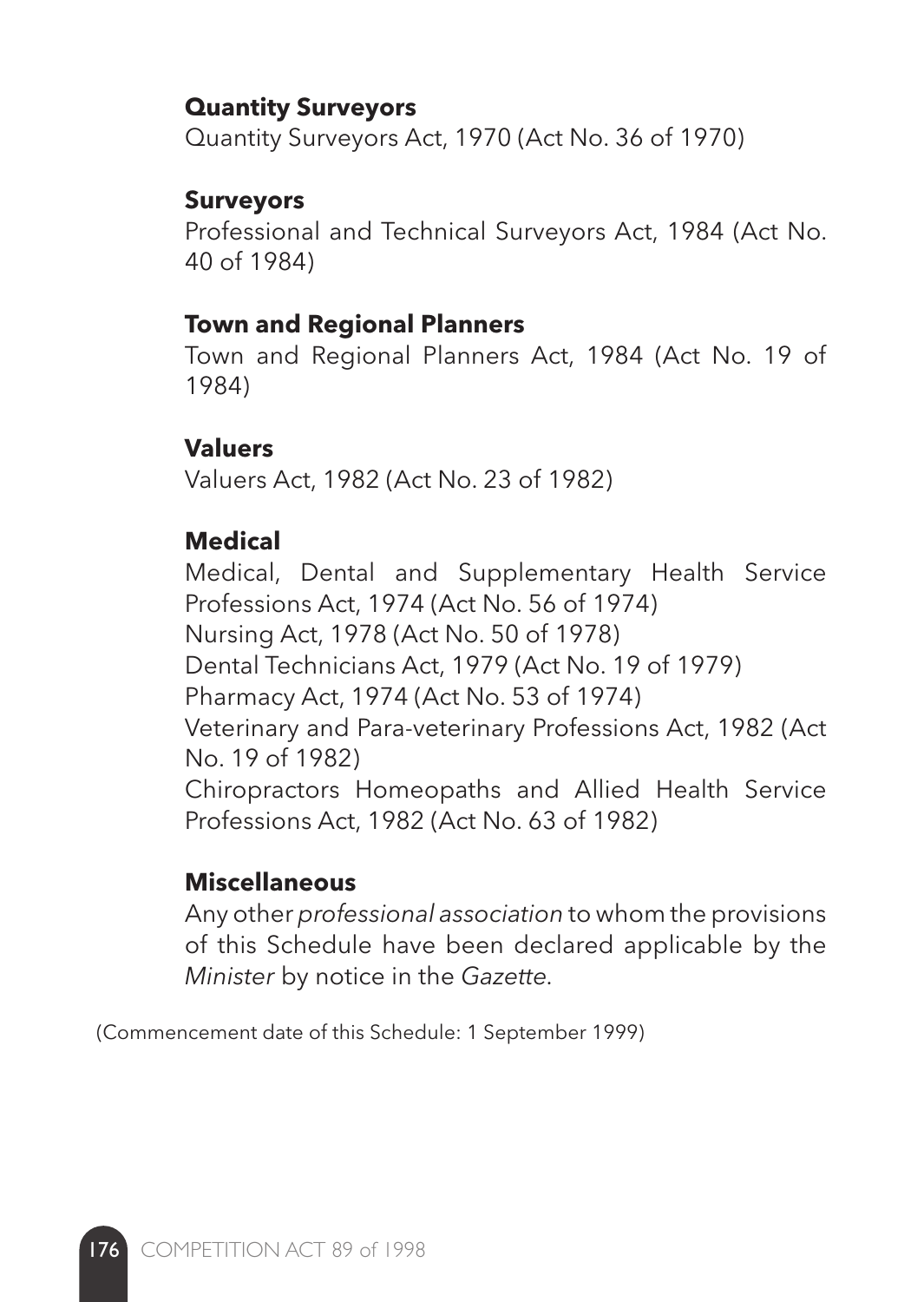#### **Quantity Surveyors**

Quantity Surveyors Act, 1970 (Act No. 36 of 1970)

#### **Surveyors**

Professional and Technical Surveyors Act, 1984 (Act No. 40 of 1984)

#### **Town and Regional Planners**

Town and Regional Planners Act, 1984 (Act No. 19 of 1984)

#### **Valuers**

Valuers Act, 1982 (Act No. 23 of 1982)

#### **Medical**

Medical, Dental and Supplementary Health Service Professions Act, 1974 (Act No. 56 of 1974) Nursing Act, 1978 (Act No. 50 of 1978) Dental Technicians Act, 1979 (Act No. 19 of 1979) Pharmacy Act, 1974 (Act No. 53 of 1974) Veterinary and Para-veterinary Professions Act, 1982 (Act No. 19 of 1982) Chiropractors Homeopaths and Allied Health Service Professions Act, 1982 (Act No. 63 of 1982)

#### **Miscellaneous**

Any other *professional association* to whom the provisions of this Schedule have been declared applicable by the *Minister* by notice in the *Gazette.*

(Commencement date of this Schedule: 1 September 1999)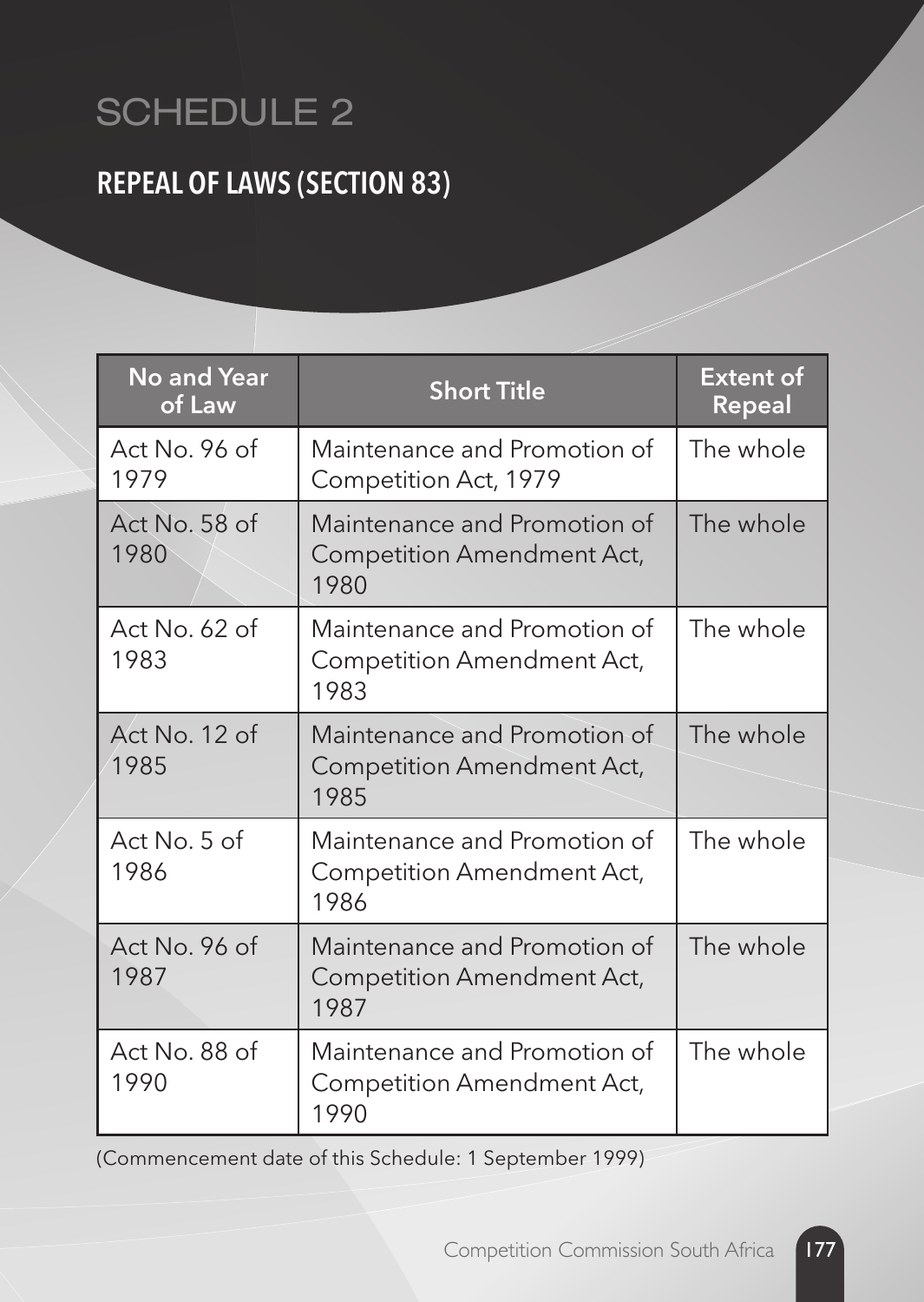# SCHEDULE 2

## REPEAL OF LAWS (SECTION 83)

| No and Year<br>of Law   | <b>Short Title</b>                                                 | <b>Extent of</b><br>Repeal |
|-------------------------|--------------------------------------------------------------------|----------------------------|
| Act No. 96 of<br>1979   | Maintenance and Promotion of<br>Competition Act, 1979              | The whole                  |
| Act No. 58 of<br>1980   | Maintenance and Promotion of<br>Competition Amendment Act,<br>1980 | The whole                  |
| Act No. 62 of<br>1983   | Maintenance and Promotion of<br>Competition Amendment Act,<br>1983 | The whole                  |
| Act No. $12$ of<br>1985 | Maintenance and Promotion of<br>Competition Amendment Act,<br>1985 | The whole                  |
| Act No. 5 of<br>1986    | Maintenance and Promotion of<br>Competition Amendment Act,<br>1986 | The whole                  |
| Act No. 96 of<br>1987   | Maintenance and Promotion of<br>Competition Amendment Act,<br>1987 | The whole                  |
| Act No. 88 of<br>1990   | Maintenance and Promotion of<br>Competition Amendment Act,<br>1990 | The whole                  |

(Commencement date of this Schedule: 1 September 1999)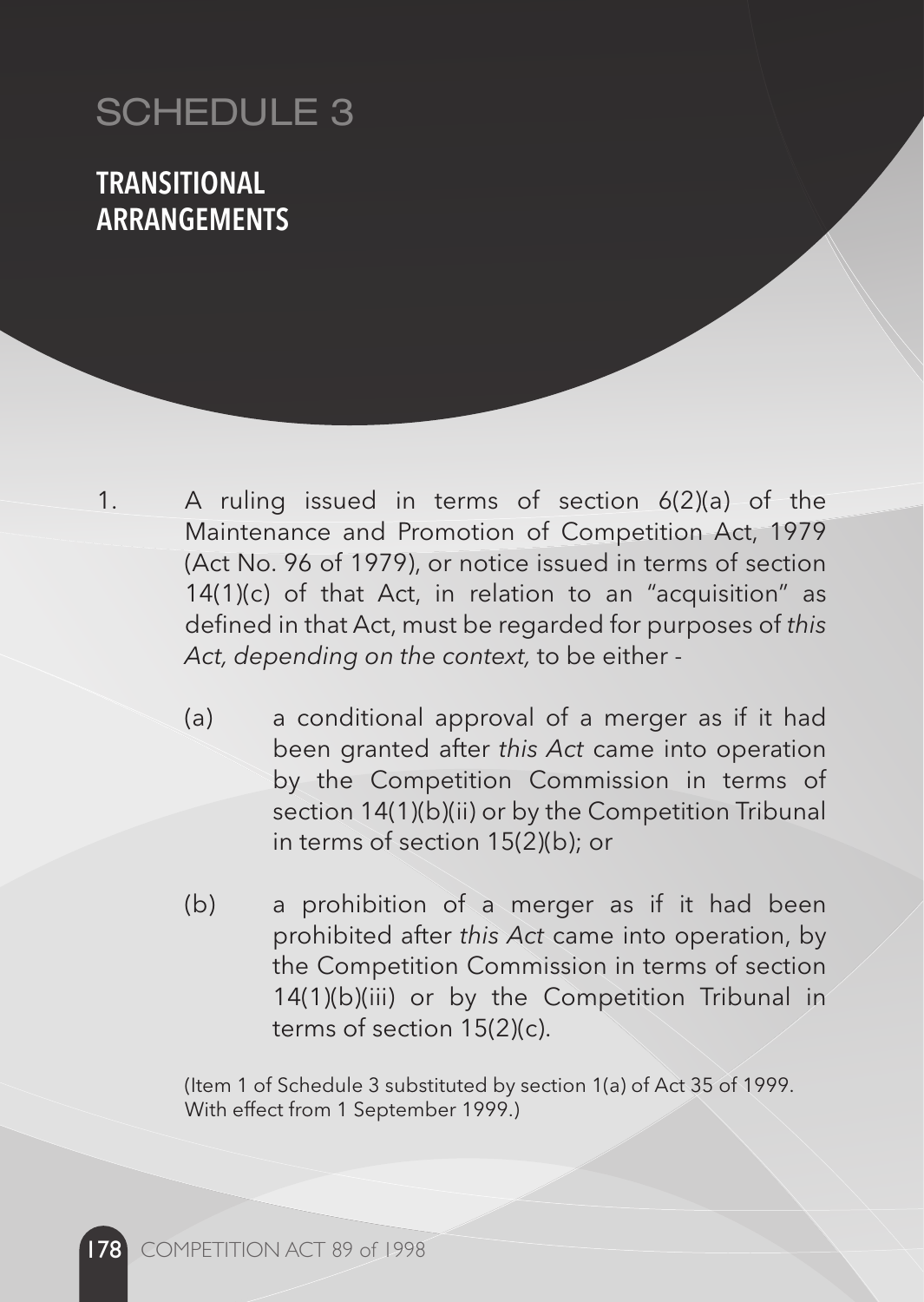## SCHEDULE 3

### **TRANSITIONAL** ARRANGEMENTS

- 1. A ruling issued in terms of section 6(2)(a) of the Maintenance and Promotion of Competition Act, 1979 (Act No. 96 of 1979), or notice issued in terms of section 14(1)(c) of that Act, in relation to an "acquisition" as defined in that Act, must be regarded for purposes of *this Act, depending on the context,* to be either -
	- (a) a conditional approval of a merger as if it had been granted after *this Act* came into operation by the Competition Commission in terms of section 14(1)(b)(ii) or by the Competition Tribunal in terms of section 15(2)(b); or
	- (b) a prohibition of a merger as if it had been prohibited after *this Act* came into operation, by the Competition Commission in terms of section 14(1)(b)(iii) or by the Competition Tribunal in terms of section 15(2)(c).

(Item 1 of Schedule 3 substituted by section 1(a) of Act 35 of 1999. With effect from 1 September 1999.)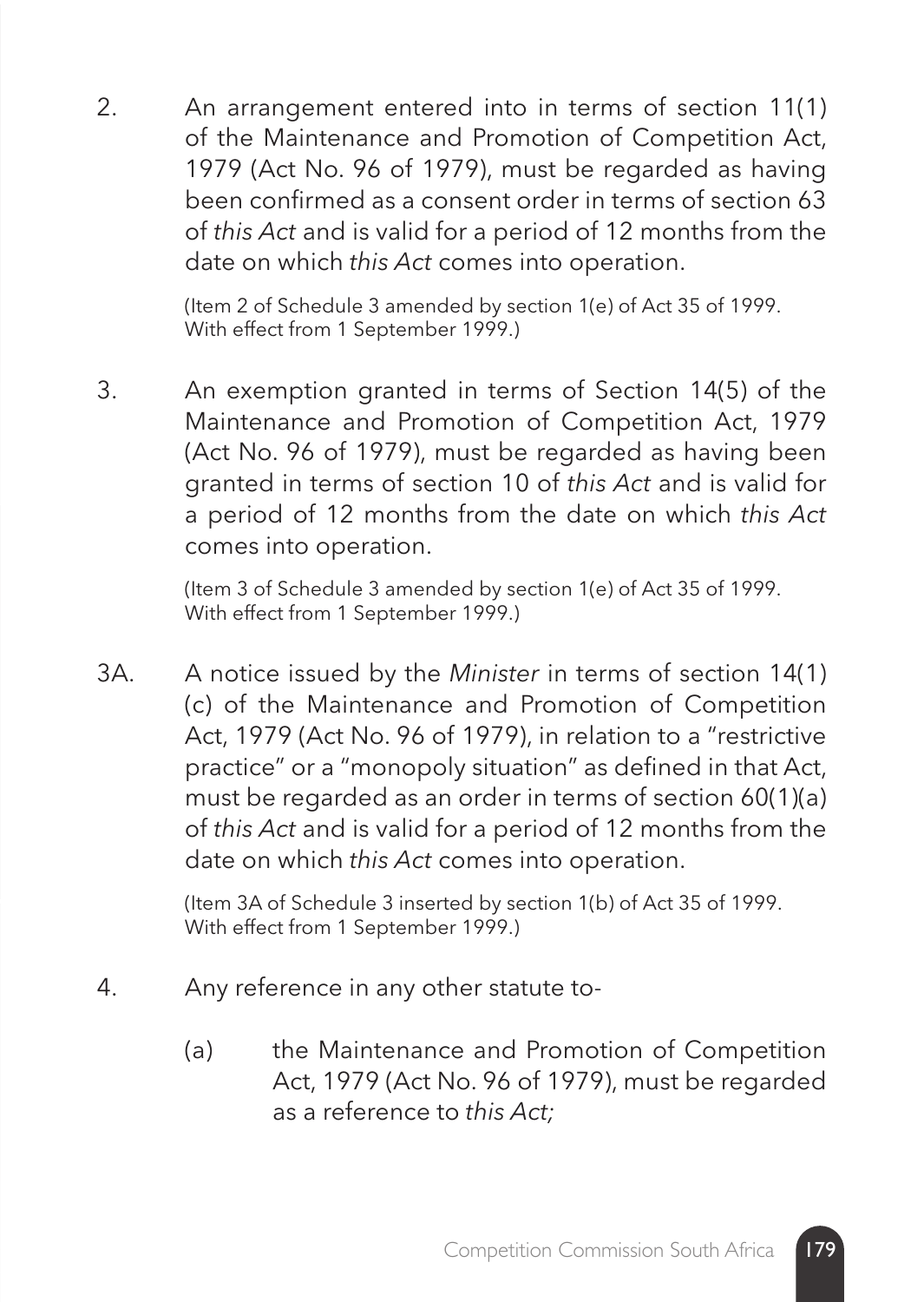2. An arrangement entered into in terms of section 11(1) of the Maintenance and Promotion of Competition Act, 1979 (Act No. 96 of 1979), must be regarded as having been confirmed as a consent order in terms of section 63 of *this Act* and is valid for a period of 12 months from the date on which *this Act* comes into operation.

> (Item 2 of Schedule 3 amended by section 1(e) of Act 35 of 1999. With effect from 1 September 1999.)

3. An exemption granted in terms of Section 14(5) of the Maintenance and Promotion of Competition Act, 1979 (Act No. 96 of 1979), must be regarded as having been granted in terms of section 10 of *this Act* and is valid for a period of 12 months from the date on which *this Act*  comes into operation.

> (Item 3 of Schedule 3 amended by section 1(e) of Act 35 of 1999. With effect from 1 September 1999.)

3A. A notice issued by the *Minister* in terms of section 14(1) (c) of the Maintenance and Promotion of Competition Act, 1979 (Act No. 96 of 1979), in relation to a "restrictive practice" or a "monopoly situation" as defined in that Act, must be regarded as an order in terms of section 60(1)(a) of *this Act* and is valid for a period of 12 months from the date on which *this Act* comes into operation.

> (Item 3A of Schedule 3 inserted by section 1(b) of Act 35 of 1999. With effect from 1 September 1999.)

- 4. Any reference in any other statute to-
	- (a) the Maintenance and Promotion of Competition Act, 1979 (Act No. 96 of 1979), must be regarded as a reference to *this Act;*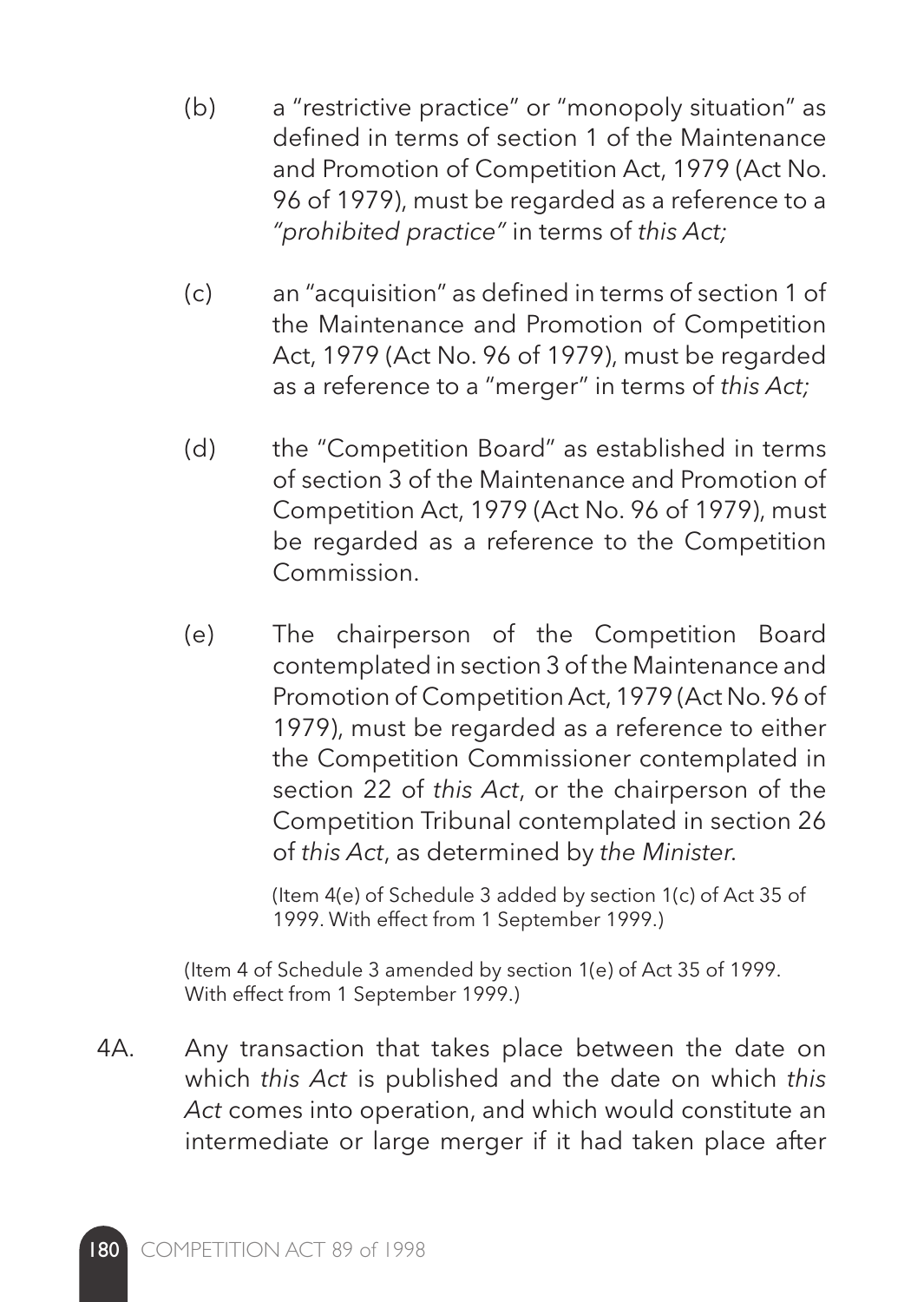- (b) a "restrictive practice" or "monopoly situation" as defined in terms of section 1 of the Maintenance and Promotion of Competition Act, 1979 (Act No. 96 of 1979), must be regarded as a reference to a *"prohibited practice"* in terms of *this Act;*
- (c) an "acquisition" as defined in terms of section 1 of the Maintenance and Promotion of Competition Act, 1979 (Act No. 96 of 1979), must be regarded as a reference to a "merger" in terms of *this Act;*
- (d) the "Competition Board" as established in terms of section 3 of the Maintenance and Promotion of Competition Act, 1979 (Act No. 96 of 1979), must be regarded as a reference to the Competition Commission.
- (e) The chairperson of the Competition Board contemplated in section 3 of the Maintenance and Promotion of Competition Act, 1979 (Act No. 96 of 1979), must be regarded as a reference to either the Competition Commissioner contemplated in section 22 of *this Act*, or the chairperson of the Competition Tribunal contemplated in section 26 of *this Act*, as determined by *the Minister.*

(Item 4(e) of Schedule 3 added by section 1(c) of Act 35 of 1999. With effect from 1 September 1999.)

(Item 4 of Schedule 3 amended by section 1(e) of Act 35 of 1999. With effect from 1 September 1999.)

4A. Any transaction that takes place between the date on which *this Act* is published and the date on which *this Act* comes into operation, and which would constitute an intermediate or large merger if it had taken place after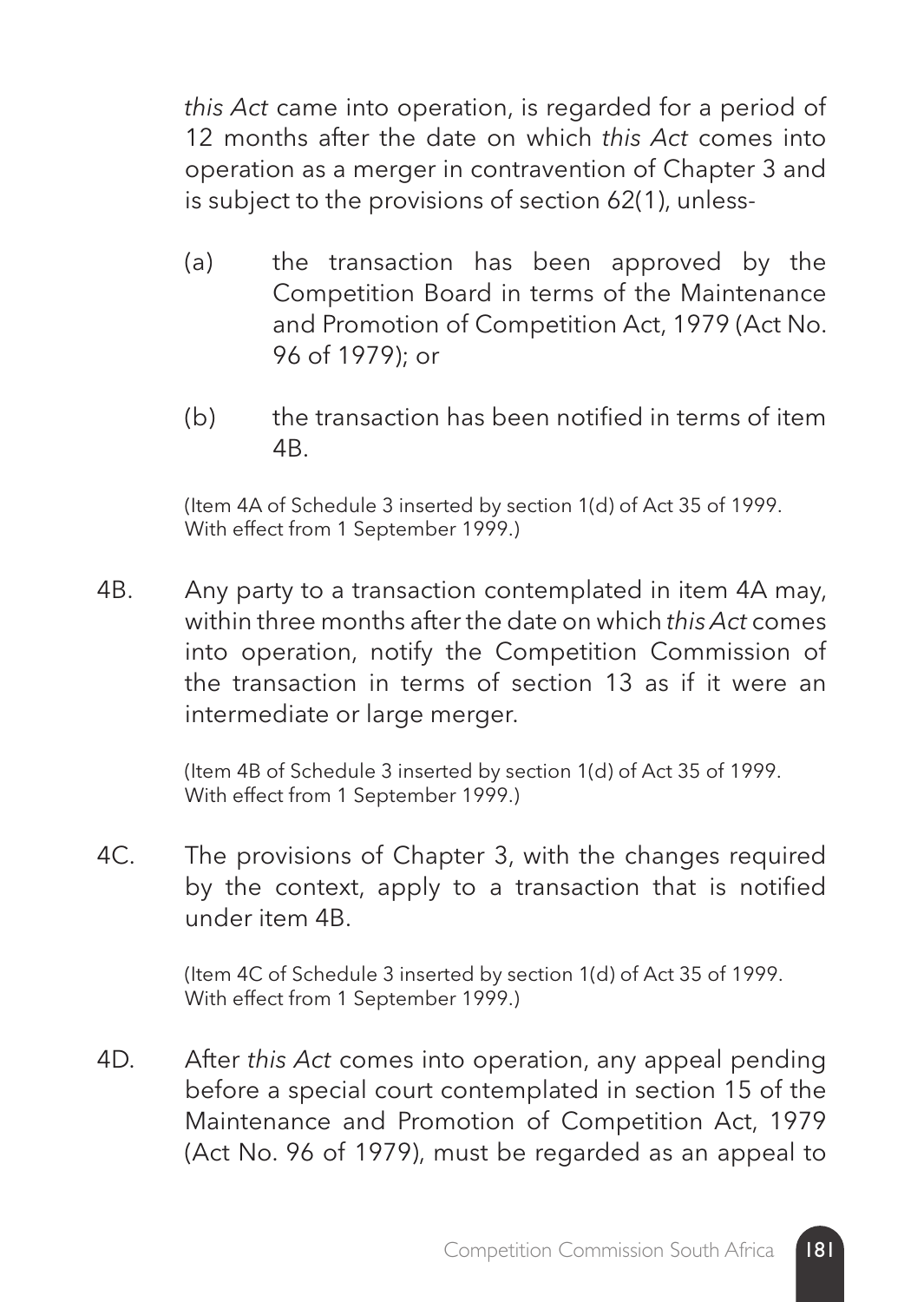*this Act* came into operation, is regarded for a period of 12 months after the date on which *this Act* comes into operation as a merger in contravention of Chapter 3 and is subject to the provisions of section 62(1), unless-

- (a) the transaction has been approved by the Competition Board in terms of the Maintenance and Promotion of Competition Act, 1979 (Act No. 96 of 1979); or
- (b) the transaction has been notified in terms of item 4B.

(Item 4A of Schedule 3 inserted by section 1(d) of Act 35 of 1999. With effect from 1 September 1999.)

4B. Any party to a transaction contemplated in item 4A may, within three months after the date on which *this Act* comes into operation, notify the Competition Commission of the transaction in terms of section 13 as if it were an intermediate or large merger.

> (Item 4B of Schedule 3 inserted by section 1(d) of Act 35 of 1999. With effect from 1 September 1999.)

4C. The provisions of Chapter 3, with the changes required by the context, apply to a transaction that is notified under item 4B.

> (Item 4C of Schedule 3 inserted by section 1(d) of Act 35 of 1999. With effect from 1 September 1999.)

4D. After *this Act* comes into operation, any appeal pending before a special court contemplated in section 15 of the Maintenance and Promotion of Competition Act, 1979 (Act No. 96 of 1979), must be regarded as an appeal to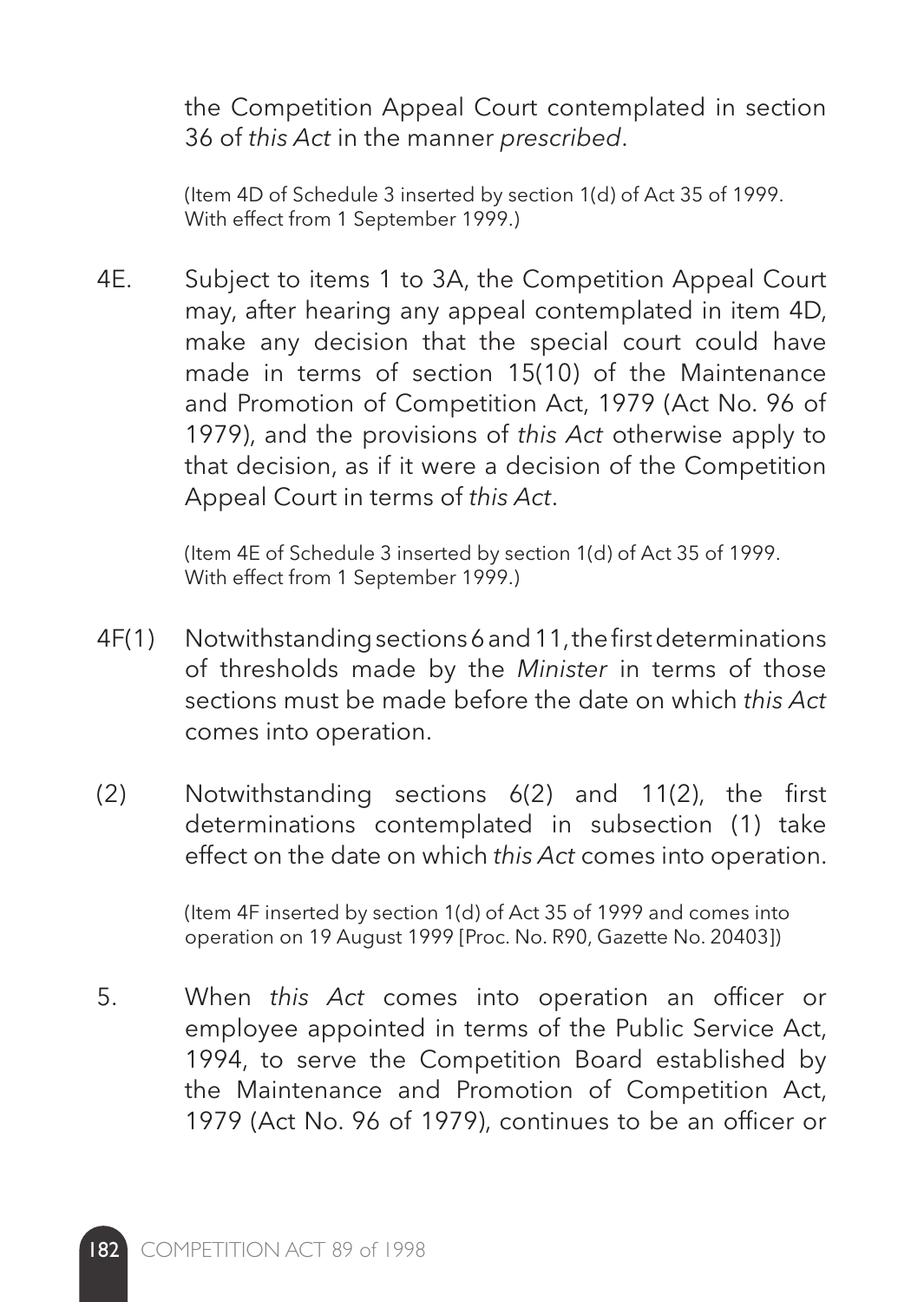the Competition Appeal Court contemplated in section 36 of *this Act* in the manner *prescribed*.

(Item 4D of Schedule 3 inserted by section 1(d) of Act 35 of 1999. With effect from 1 September 1999.)

4E. Subject to items 1 to 3A, the Competition Appeal Court may, after hearing any appeal contemplated in item 4D, make any decision that the special court could have made in terms of section 15(10) of the Maintenance and Promotion of Competition Act, 1979 (Act No. 96 of 1979), and the provisions of *this Act* otherwise apply to that decision, as if it were a decision of the Competition Appeal Court in terms of *this Act*.

> (Item 4E of Schedule 3 inserted by section 1(d) of Act 35 of 1999. With effect from 1 September 1999.)

- 4F(1) Notwithstanding sections 6 and 11, the first determinations of thresholds made by the *Minister* in terms of those sections must be made before the date on which *this Act* comes into operation.
- (2) Notwithstanding sections 6(2) and 11(2), the first determinations contemplated in subsection (1) take effect on the date on which *this Act* comes into operation.

(Item 4F inserted by section 1(d) of Act 35 of 1999 and comes into operation on 19 August 1999 [Proc. No. R90, Gazette No. 20403])

5. When *this Act* comes into operation an officer or employee appointed in terms of the Public Service Act, 1994, to serve the Competition Board established by the Maintenance and Promotion of Competition Act, 1979 (Act No. 96 of 1979), continues to be an officer or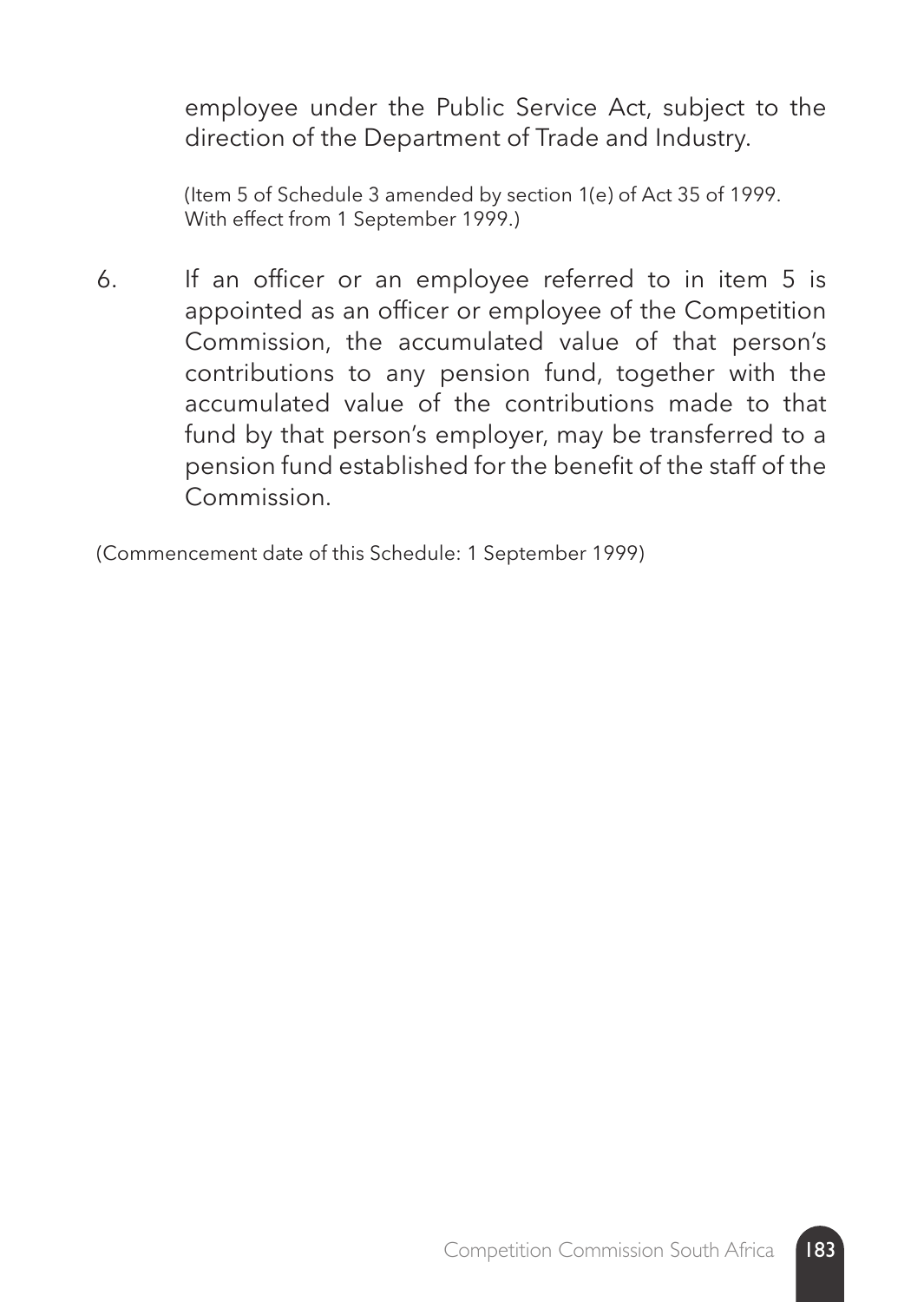employee under the Public Service Act, subject to the direction of the Department of Trade and Industry.

(Item 5 of Schedule 3 amended by section 1(e) of Act 35 of 1999. With effect from 1 September 1999.)

6. If an officer or an employee referred to in item 5 is appointed as an officer or employee of the Competition Commission, the accumulated value of that person's contributions to any pension fund, together with the accumulated value of the contributions made to that fund by that person's employer, may be transferred to a pension fund established for the benefit of the staff of the Commission.

(Commencement date of this Schedule: 1 September 1999)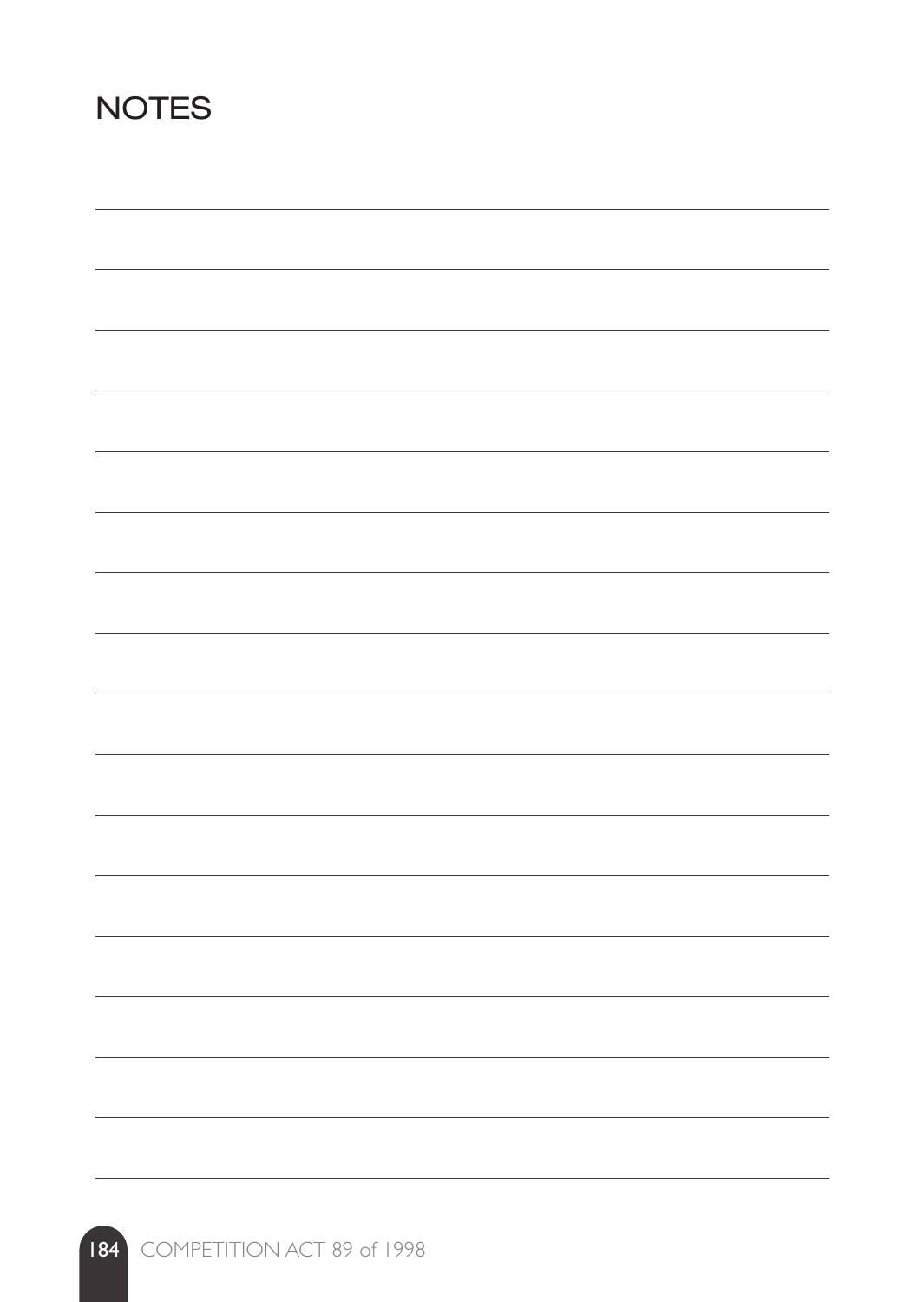## **NOTES**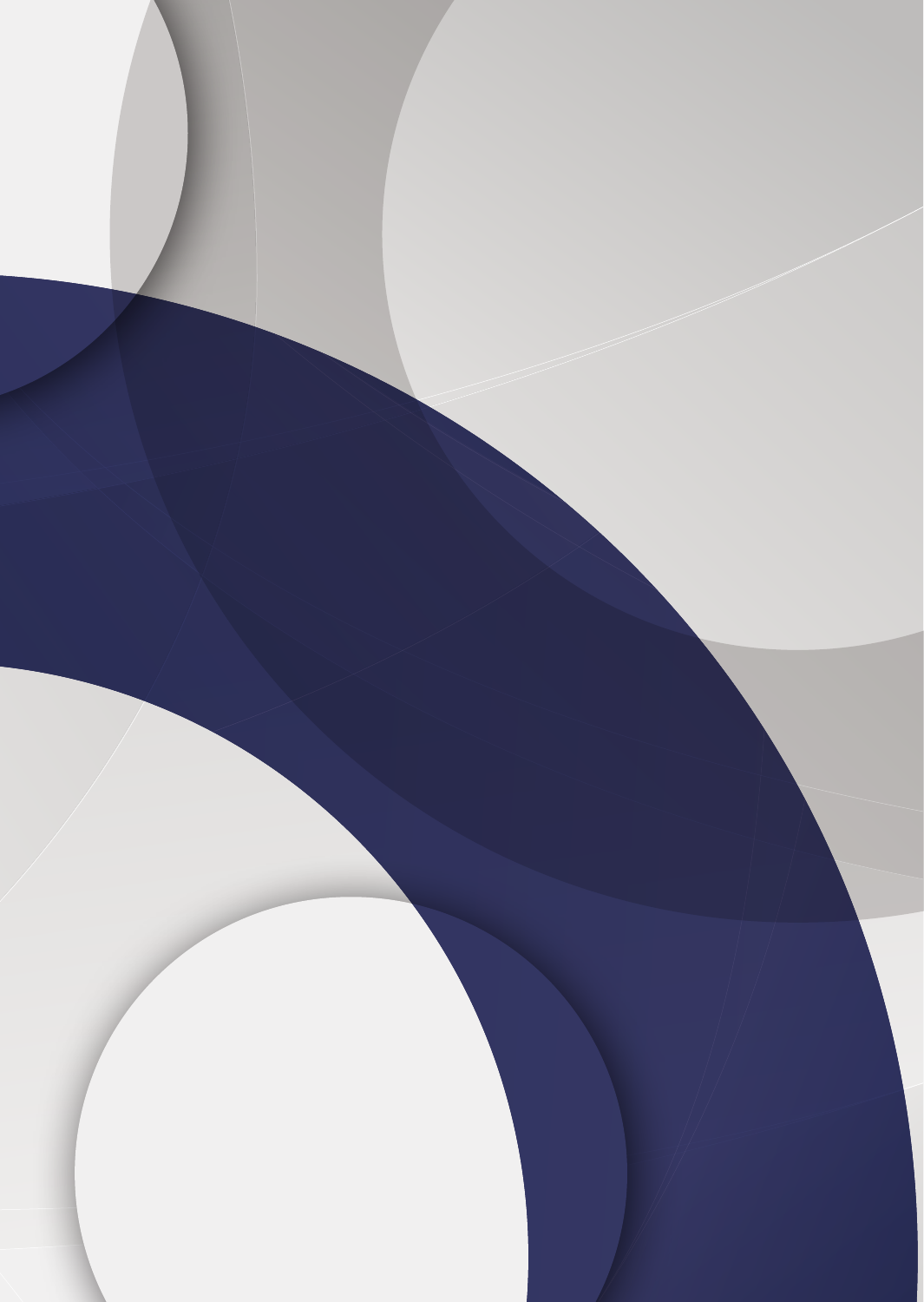